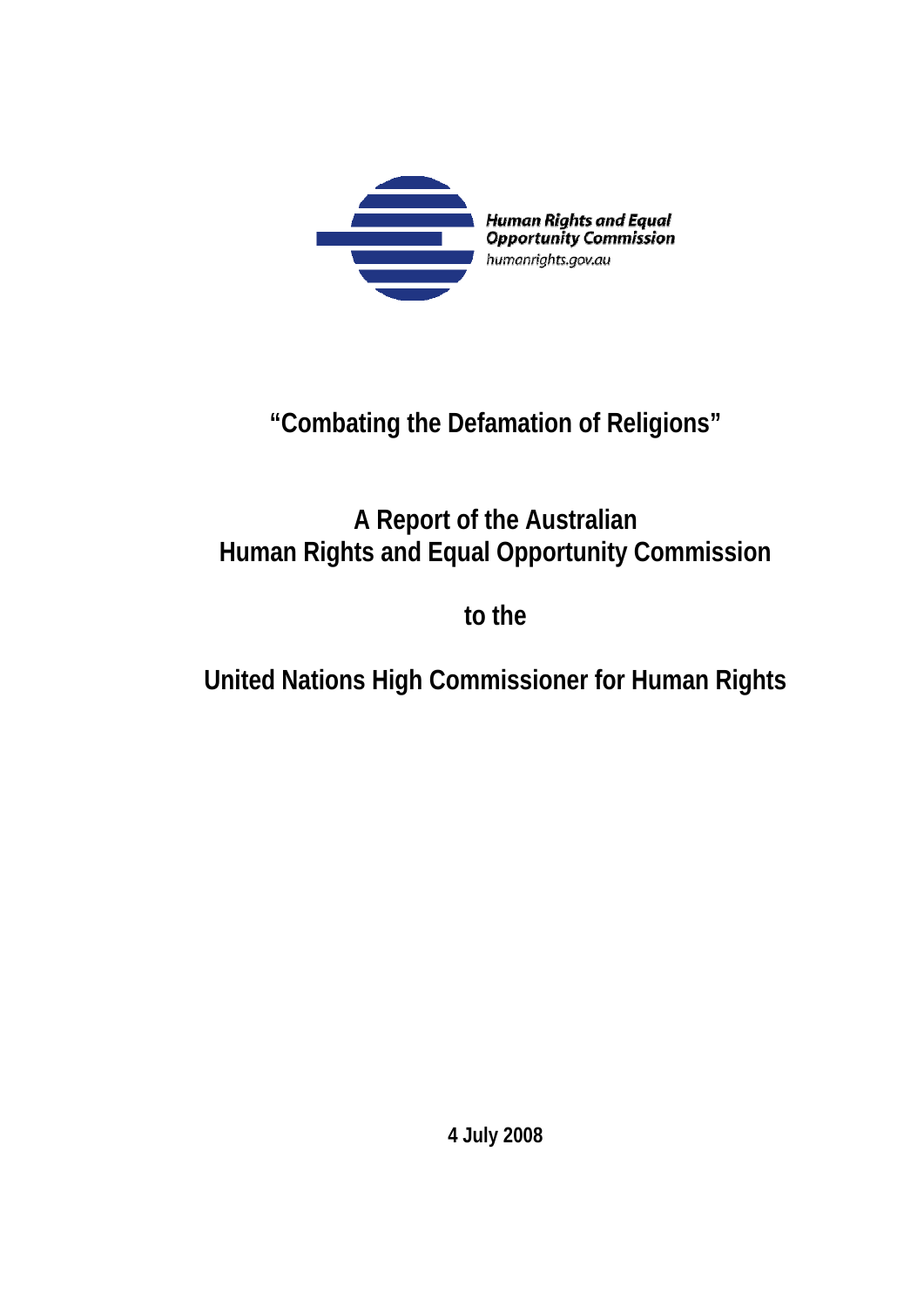

# **"Combating the Defamation of Religions"**

# **A Report of the Australian Human Rights and Equal Opportunity Commission**

**to the** 

# **United Nations High Commissioner for Human Rights**

**4 July 2008**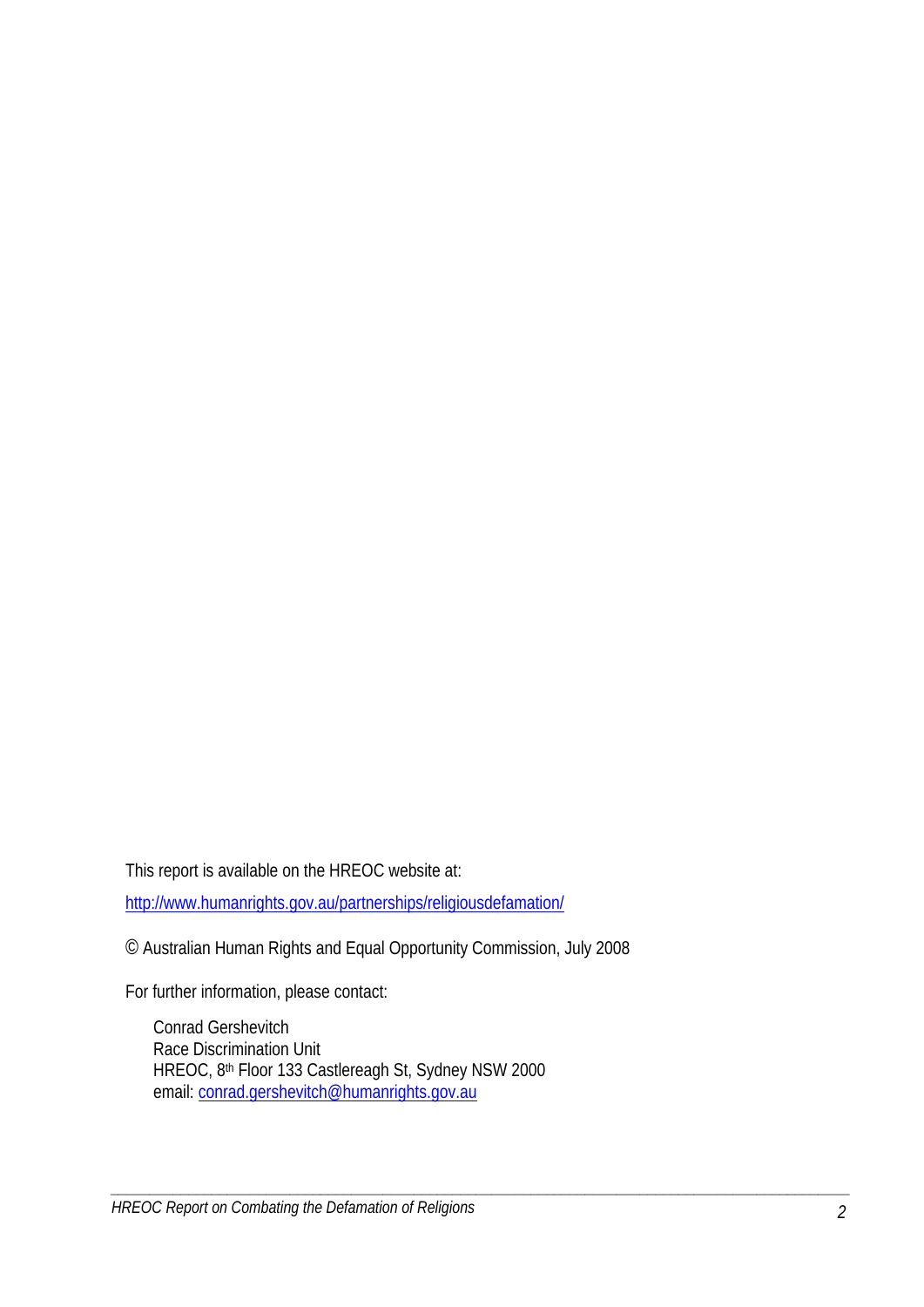This report is available on the HREOC website at:

http://www.humanrights.gov.au/partnerships/religiousdefamation/

© Australian Human Rights and Equal Opportunity Commission, July 2008

For further information, please contact:

Conrad Gershevitch Race Discrimination Unit HREOC, 8th Floor 133 Castlereagh St, Sydney NSW 2000 email: conrad.gershevitch@humanrights.gov.au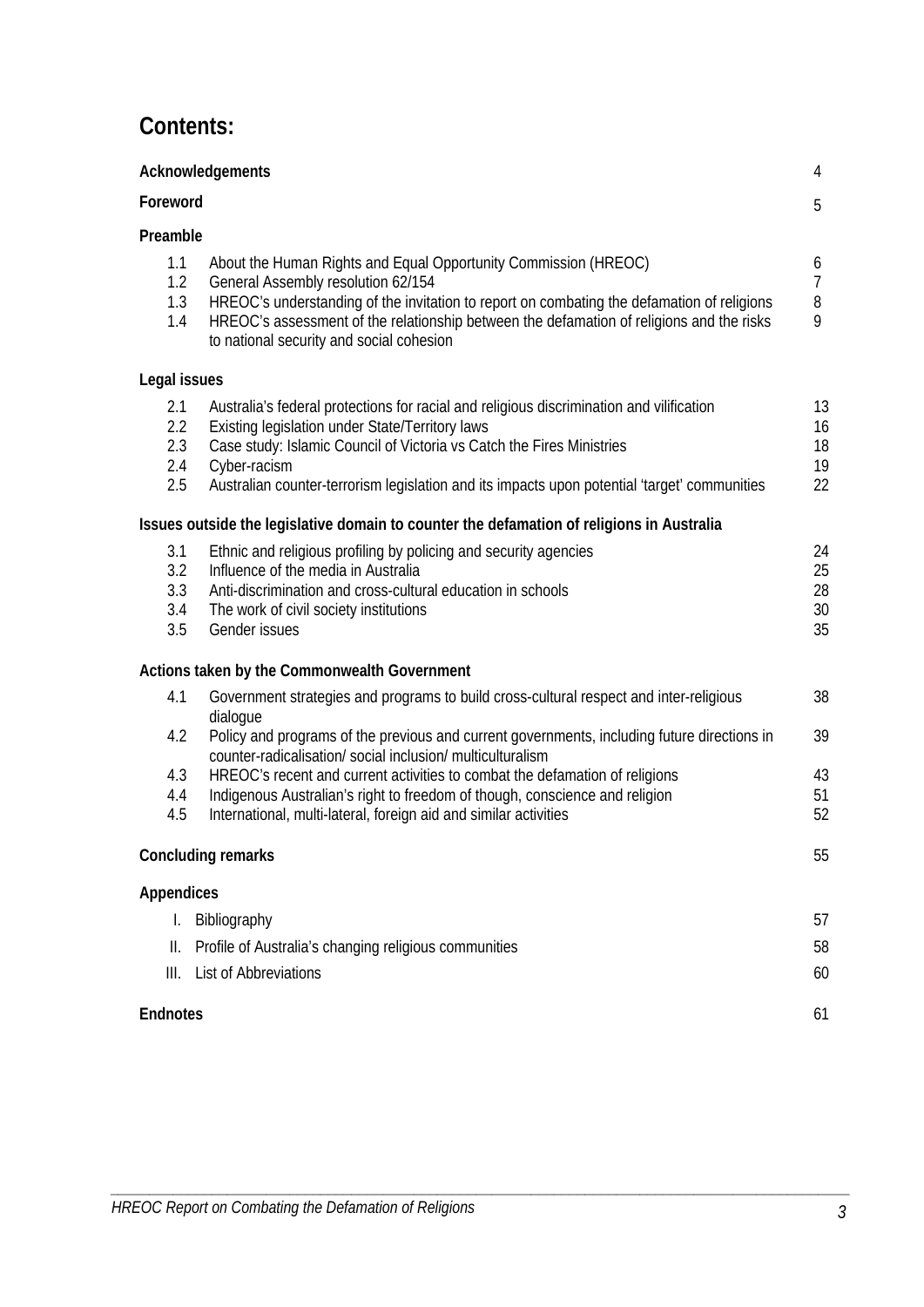# **Contents:**

| Acknowledgements<br>Foreword    |                                                                                                                                                                                                                                                                                                                                                                                                                               | 4<br>5                        |
|---------------------------------|-------------------------------------------------------------------------------------------------------------------------------------------------------------------------------------------------------------------------------------------------------------------------------------------------------------------------------------------------------------------------------------------------------------------------------|-------------------------------|
|                                 |                                                                                                                                                                                                                                                                                                                                                                                                                               |                               |
| 1.1<br>1.2<br>1.3<br>1.4        | About the Human Rights and Equal Opportunity Commission (HREOC)<br>General Assembly resolution 62/154<br>HREOC's understanding of the invitation to report on combating the defamation of religions<br>HREOC's assessment of the relationship between the defamation of religions and the risks<br>to national security and social cohesion                                                                                   | 6<br>$\overline{7}$<br>8<br>9 |
| Legal issues                    |                                                                                                                                                                                                                                                                                                                                                                                                                               |                               |
| 2.1<br>2.2<br>2.3<br>2.4<br>2.5 | Australia's federal protections for racial and religious discrimination and vilification<br>Existing legislation under State/Territory laws<br>Case study: Islamic Council of Victoria vs Catch the Fires Ministries<br>Cyber-racism<br>Australian counter-terrorism legislation and its impacts upon potential 'target' communities                                                                                          | 13<br>16<br>18<br>19<br>22    |
|                                 | Issues outside the legislative domain to counter the defamation of religions in Australia                                                                                                                                                                                                                                                                                                                                     |                               |
| 3.1<br>3.2<br>3.3<br>3.4<br>3.5 | Ethnic and religious profiling by policing and security agencies<br>Influence of the media in Australia<br>Anti-discrimination and cross-cultural education in schools<br>The work of civil society institutions<br>Gender issues                                                                                                                                                                                             | 24<br>25<br>28<br>30<br>35    |
|                                 | Actions taken by the Commonwealth Government                                                                                                                                                                                                                                                                                                                                                                                  |                               |
| 4.1<br>4.2<br>4.3<br>4.4        | Government strategies and programs to build cross-cultural respect and inter-religious<br>dialogue<br>Policy and programs of the previous and current governments, including future directions in<br>counter-radicalisation/ social inclusion/ multiculturalism<br>HREOC's recent and current activities to combat the defamation of religions<br>Indigenous Australian's right to freedom of though, conscience and religion | 38<br>39<br>43<br>51          |
| 4.5                             | International, multi-lateral, foreign aid and similar activities                                                                                                                                                                                                                                                                                                                                                              | 52                            |
|                                 | <b>Concluding remarks</b>                                                                                                                                                                                                                                                                                                                                                                                                     | 55                            |
| <b>Appendices</b>               |                                                                                                                                                                                                                                                                                                                                                                                                                               |                               |
| L.                              | Bibliography                                                                                                                                                                                                                                                                                                                                                                                                                  | 57                            |
| Ш.                              | Profile of Australia's changing religious communities                                                                                                                                                                                                                                                                                                                                                                         | 58                            |
| III.                            | <b>List of Abbreviations</b>                                                                                                                                                                                                                                                                                                                                                                                                  | 60                            |
| <b>Endnotes</b>                 |                                                                                                                                                                                                                                                                                                                                                                                                                               | 61                            |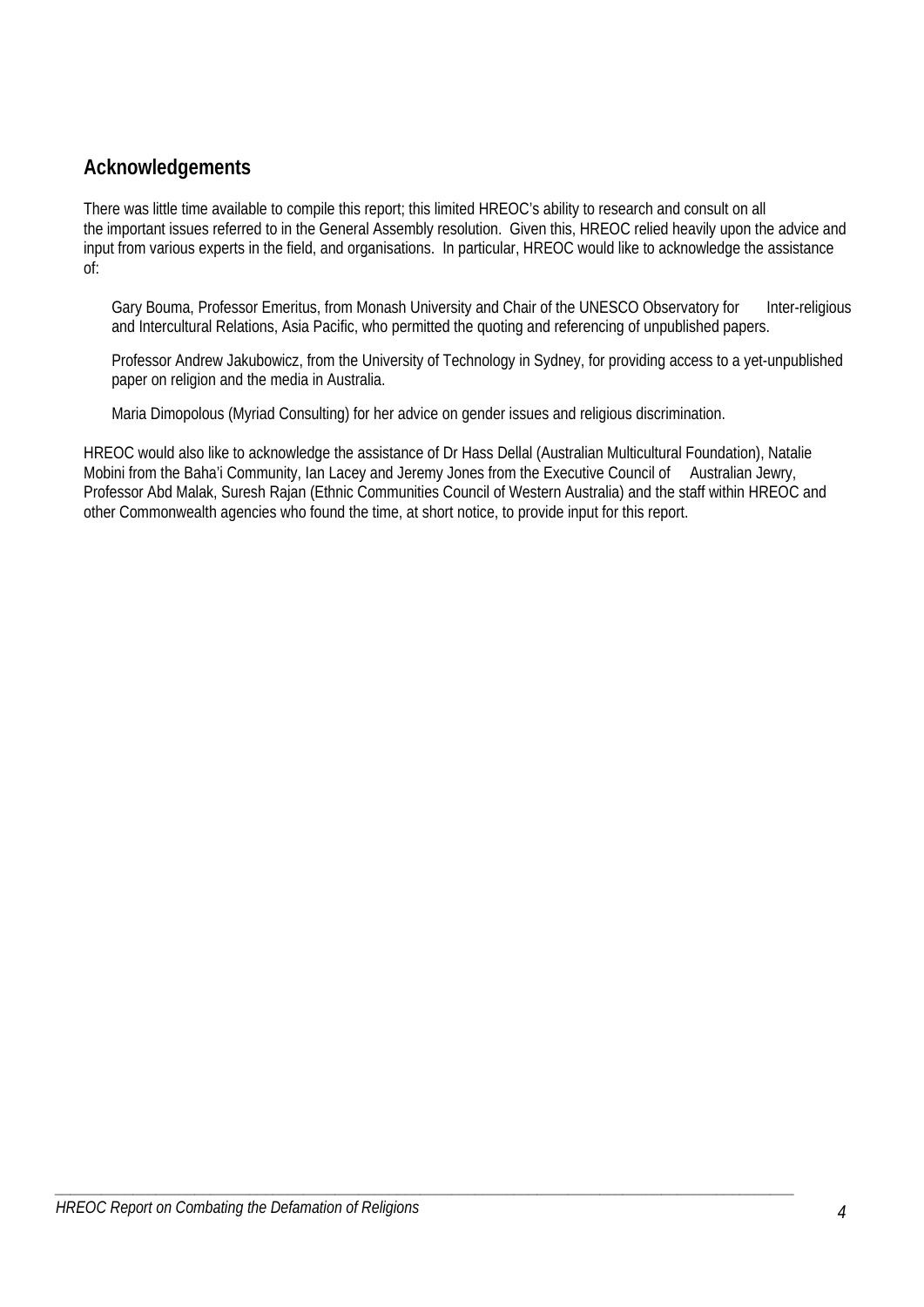# **Acknowledgements**

There was little time available to compile this report; this limited HREOC's ability to research and consult on all the important issues referred to in the General Assembly resolution. Given this, HREOC relied heavily upon the advice and input from various experts in the field, and organisations. In particular, HREOC would like to acknowledge the assistance of:

Gary Bouma, Professor Emeritus, from Monash University and Chair of the UNESCO Observatory for Inter-religious and Intercultural Relations, Asia Pacific, who permitted the quoting and referencing of unpublished papers.

Professor Andrew Jakubowicz, from the University of Technology in Sydney, for providing access to a yet-unpublished paper on religion and the media in Australia.

Maria Dimopolous (Myriad Consulting) for her advice on gender issues and religious discrimination.

*\_\_\_\_\_\_\_\_\_\_\_\_\_\_\_\_\_\_\_\_\_\_\_\_\_\_\_\_\_\_\_\_\_\_\_\_\_\_\_\_\_\_\_\_\_\_\_\_\_\_\_\_\_\_\_\_\_\_\_\_\_\_\_\_\_\_\_\_\_\_\_\_\_\_\_\_\_\_\_\_\_\_\_\_\_\_\_\_\_\_\_\_\_\_\_* 

HREOC would also like to acknowledge the assistance of Dr Hass Dellal (Australian Multicultural Foundation), Natalie Mobini from the Baha'i Community, Ian Lacey and Jeremy Jones from the Executive Council of Australian Jewry, Professor Abd Malak, Suresh Rajan (Ethnic Communities Council of Western Australia) and the staff within HREOC and other Commonwealth agencies who found the time, at short notice, to provide input for this report.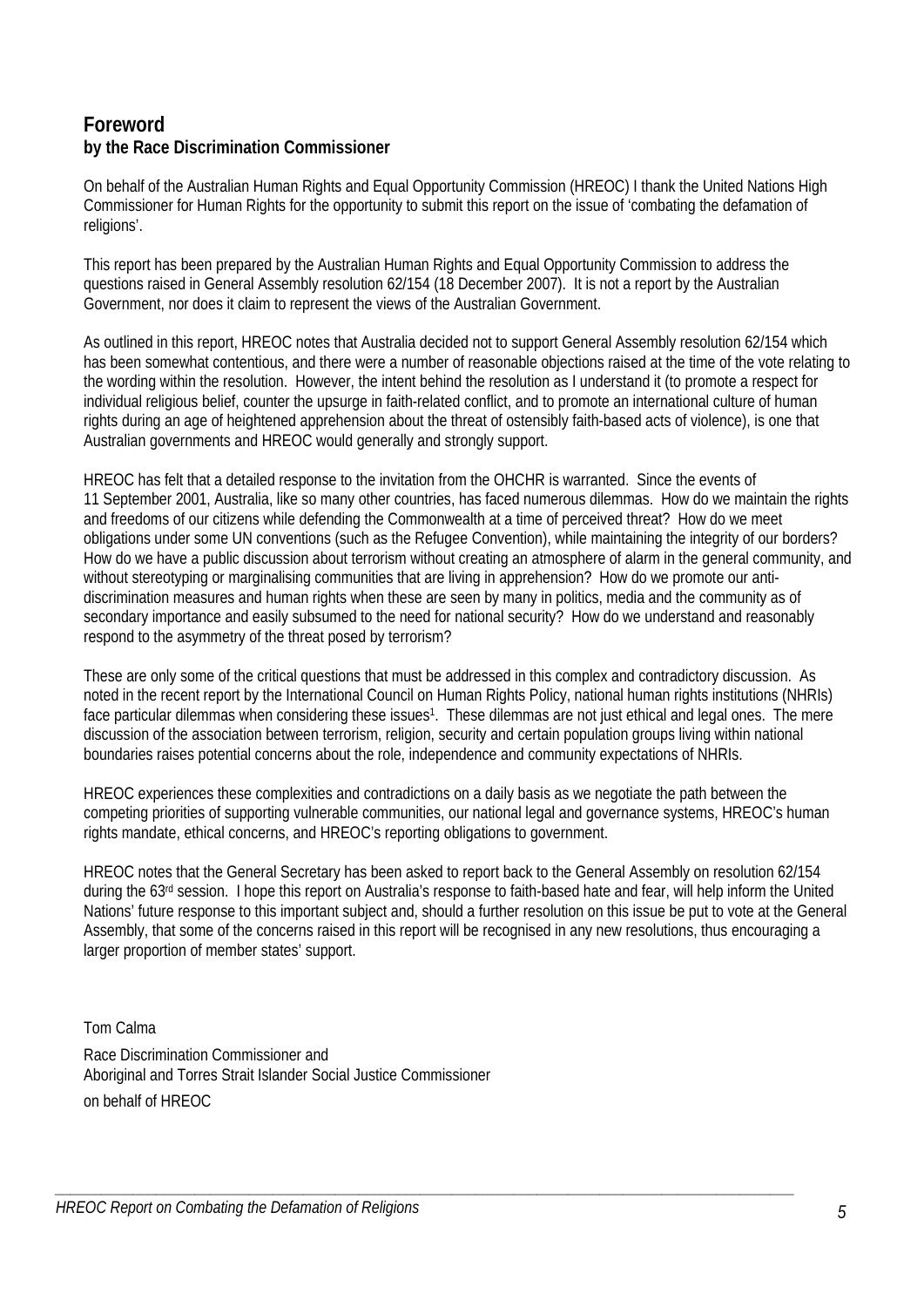# **Foreword by the Race Discrimination Commissioner**

On behalf of the Australian Human Rights and Equal Opportunity Commission (HREOC) I thank the United Nations High Commissioner for Human Rights for the opportunity to submit this report on the issue of 'combating the defamation of religions'.

This report has been prepared by the Australian Human Rights and Equal Opportunity Commission to address the questions raised in General Assembly resolution 62/154 (18 December 2007). It is not a report by the Australian Government, nor does it claim to represent the views of the Australian Government.

As outlined in this report, HREOC notes that Australia decided not to support General Assembly resolution 62/154 which has been somewhat contentious, and there were a number of reasonable objections raised at the time of the vote relating to the wording within the resolution. However, the intent behind the resolution as I understand it (to promote a respect for individual religious belief, counter the upsurge in faith-related conflict, and to promote an international culture of human rights during an age of heightened apprehension about the threat of ostensibly faith-based acts of violence), is one that Australian governments and HREOC would generally and strongly support.

HREOC has felt that a detailed response to the invitation from the OHCHR is warranted. Since the events of 11 September 2001, Australia, like so many other countries, has faced numerous dilemmas. How do we maintain the rights and freedoms of our citizens while defending the Commonwealth at a time of perceived threat? How do we meet obligations under some UN conventions (such as the Refugee Convention), while maintaining the integrity of our borders? How do we have a public discussion about terrorism without creating an atmosphere of alarm in the general community, and without stereotyping or marginalising communities that are living in apprehension? How do we promote our antidiscrimination measures and human rights when these are seen by many in politics, media and the community as of secondary importance and easily subsumed to the need for national security? How do we understand and reasonably respond to the asymmetry of the threat posed by terrorism?

These are only some of the critical questions that must be addressed in this complex and contradictory discussion. As noted in the recent report by the International Council on Human Rights Policy, national human rights institutions (NHRIs) face particular dilemmas when considering these issues<sup>1</sup>. These dilemmas are not just ethical and legal ones. The mere discussion of the association between terrorism, religion, security and certain population groups living within national boundaries raises potential concerns about the role, independence and community expectations of NHRIs.

HREOC experiences these complexities and contradictions on a daily basis as we negotiate the path between the competing priorities of supporting vulnerable communities, our national legal and governance systems, HREOC's human rights mandate, ethical concerns, and HREOC's reporting obligations to government.

HREOC notes that the General Secretary has been asked to report back to the General Assembly on resolution 62/154 during the 63rd session. I hope this report on Australia's response to faith-based hate and fear, will help inform the United Nations' future response to this important subject and, should a further resolution on this issue be put to vote at the General Assembly, that some of the concerns raised in this report will be recognised in any new resolutions, thus encouraging a larger proportion of member states' support.

*\_\_\_\_\_\_\_\_\_\_\_\_\_\_\_\_\_\_\_\_\_\_\_\_\_\_\_\_\_\_\_\_\_\_\_\_\_\_\_\_\_\_\_\_\_\_\_\_\_\_\_\_\_\_\_\_\_\_\_\_\_\_\_\_\_\_\_\_\_\_\_\_\_\_\_\_\_\_\_\_\_\_\_\_\_\_\_\_\_\_\_\_\_\_\_* 

Tom Calma

Race Discrimination Commissioner and Aboriginal and Torres Strait Islander Social Justice Commissioner on behalf of HREOC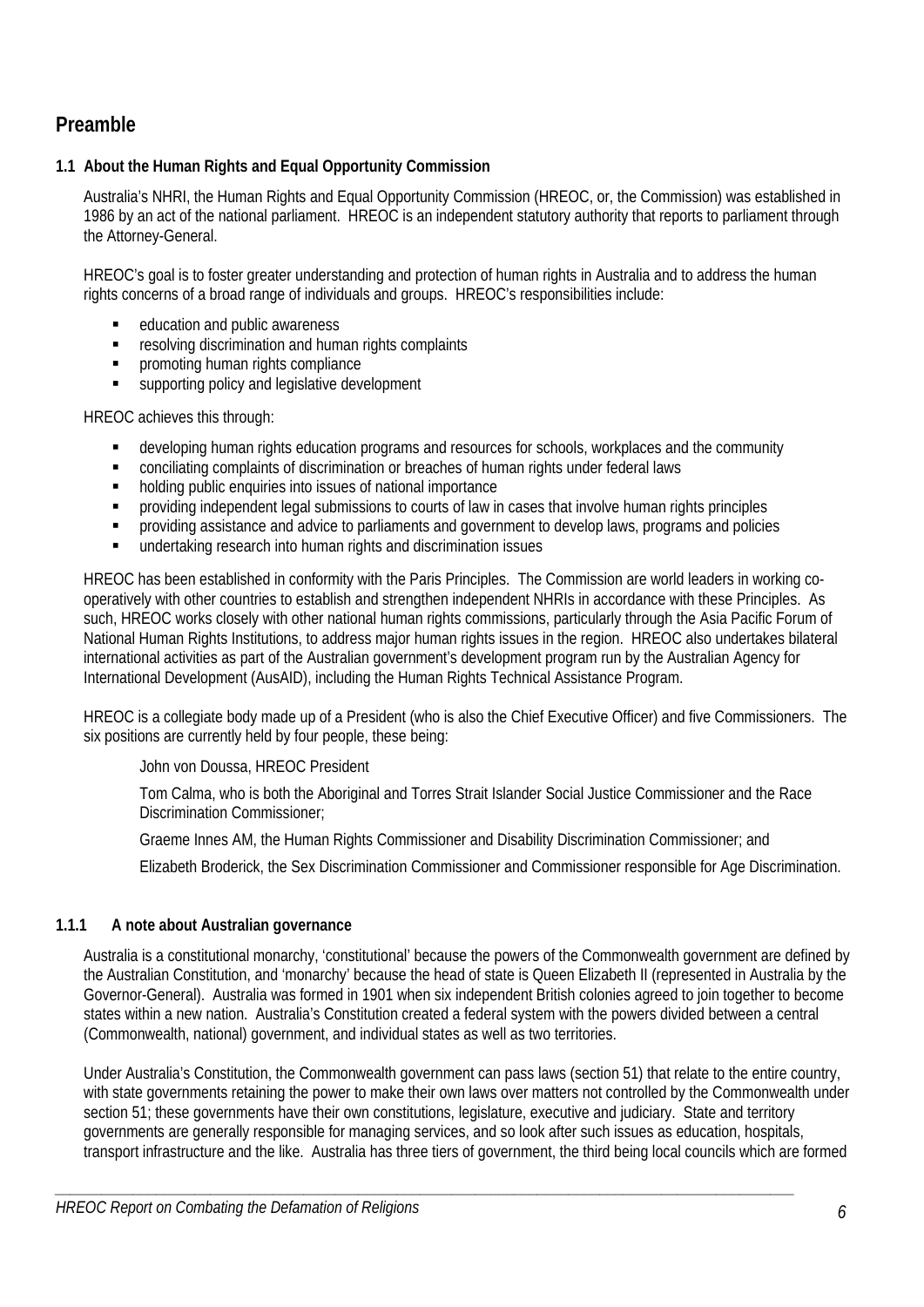# **Preamble**

# **1.1 About the Human Rights and Equal Opportunity Commission**

Australia's NHRI, the Human Rights and Equal Opportunity Commission (HREOC, or, the Commission) was established in 1986 by an act of the national parliament. HREOC is an independent statutory authority that reports to parliament through the Attorney-General.

HREOC's goal is to foster greater understanding and protection of human rights in Australia and to address the human rights concerns of a broad range of individuals and groups. HREOC's responsibilities include:

- education and public awareness
- resolving discrimination and human rights complaints
- **•** promoting human rights compliance
- supporting policy and legislative development

HREOC achieves this through:

- developing human rights education programs and resources for schools, workplaces and the community
- conciliating complaints of discrimination or breaches of human rights under federal laws
- **holding public enquiries into issues of national importance**
- providing independent legal submissions to courts of law in cases that involve human rights principles
- providing assistance and advice to parliaments and government to develop laws, programs and policies
- undertaking research into human rights and discrimination issues

HREOC has been established in conformity with the Paris Principles. The Commission are world leaders in working cooperatively with other countries to establish and strengthen independent NHRIs in accordance with these Principles. As such, HREOC works closely with other national human rights commissions, particularly through the Asia Pacific Forum of National Human Rights Institutions, to address major human rights issues in the region. HREOC also undertakes bilateral international activities as part of the Australian government's development program run by the Australian Agency for International Development (AusAID), including the Human Rights Technical Assistance Program.

HREOC is a collegiate body made up of a President (who is also the Chief Executive Officer) and five Commissioners. The six positions are currently held by four people, these being:

John von Doussa, HREOC President

Tom Calma, who is both the Aboriginal and Torres Strait Islander Social Justice Commissioner and the Race Discrimination Commissioner;

Graeme Innes AM, the Human Rights Commissioner and Disability Discrimination Commissioner; and

Elizabeth Broderick, the Sex Discrimination Commissioner and Commissioner responsible for Age Discrimination.

### **1.1.1 A note about Australian governance**

Australia is a constitutional monarchy, 'constitutional' because the powers of the Commonwealth government are defined by the Australian Constitution, and 'monarchy' because the head of state is Queen Elizabeth II (represented in Australia by the Governor-General). Australia was formed in 1901 when six independent British colonies agreed to join together to become states within a new nation. Australia's Constitution created a federal system with the powers divided between a central (Commonwealth, national) government, and individual states as well as two territories.

Under Australia's Constitution, the Commonwealth government can pass laws (section 51) that relate to the entire country, with state governments retaining the power to make their own laws over matters not controlled by the Commonwealth under section 51; these governments have their own constitutions, legislature, executive and judiciary. State and territory governments are generally responsible for managing services, and so look after such issues as education, hospitals, transport infrastructure and the like. Australia has three tiers of government, the third being local councils which are formed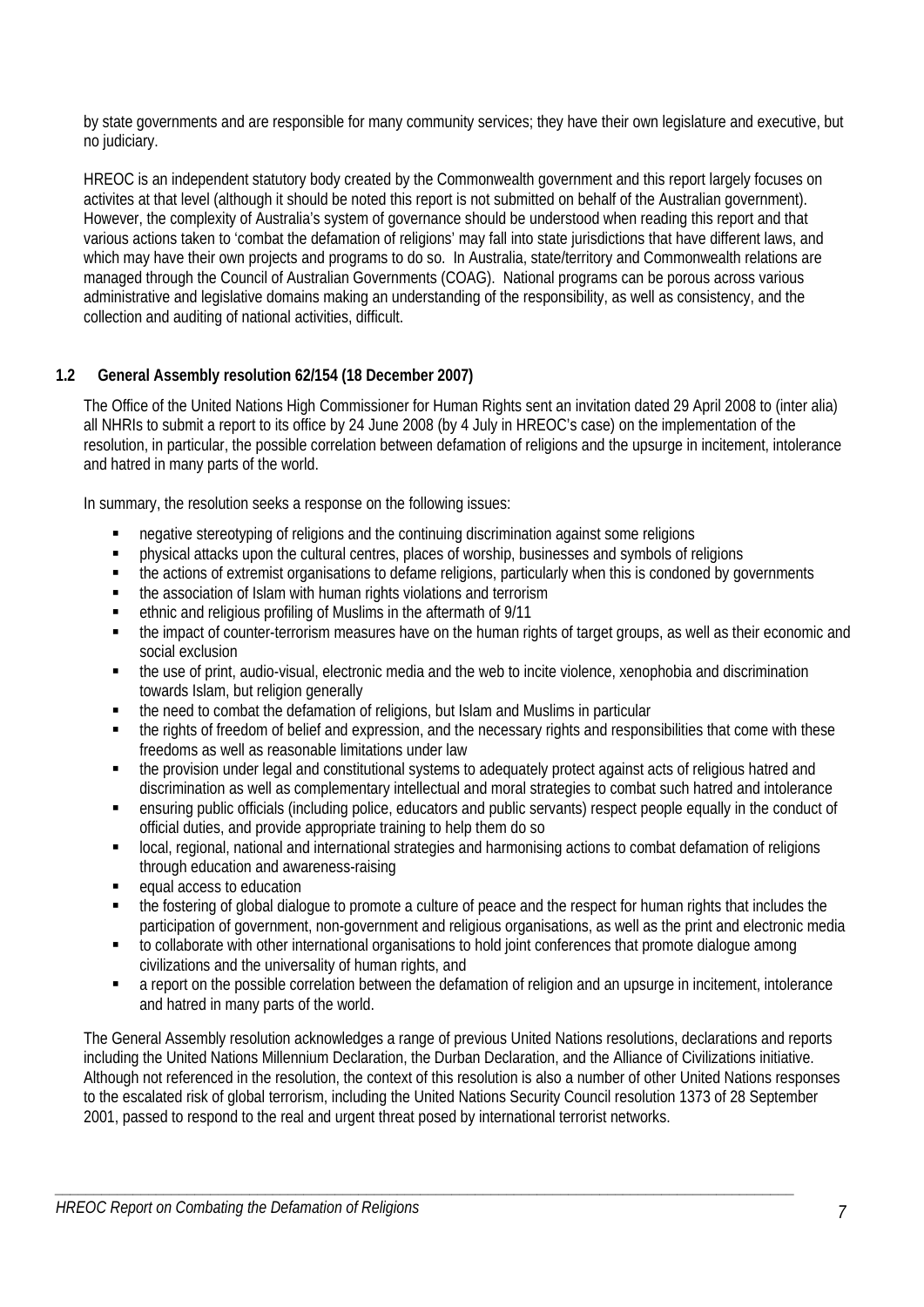by state governments and are responsible for many community services; they have their own legislature and executive, but no judiciary.

HREOC is an independent statutory body created by the Commonwealth government and this report largely focuses on activites at that level (although it should be noted this report is not submitted on behalf of the Australian government). However, the complexity of Australia's system of governance should be understood when reading this report and that various actions taken to 'combat the defamation of religions' may fall into state jurisdictions that have different laws, and which may have their own projects and programs to do so. In Australia, state/territory and Commonwealth relations are managed through the Council of Australian Governments (COAG). National programs can be porous across various administrative and legislative domains making an understanding of the responsibility, as well as consistency, and the collection and auditing of national activities, difficult.

# **1.2 General Assembly resolution 62/154 (18 December 2007)**

The Office of the United Nations High Commissioner for Human Rights sent an invitation dated 29 April 2008 to (inter alia) all NHRIs to submit a report to its office by 24 June 2008 (by 4 July in HREOC's case) on the implementation of the resolution, in particular, the possible correlation between defamation of religions and the upsurge in incitement, intolerance and hatred in many parts of the world.

In summary, the resolution seeks a response on the following issues:

- negative stereotyping of religions and the continuing discrimination against some religions
- physical attacks upon the cultural centres, places of worship, businesses and symbols of religions
- the actions of extremist organisations to defame religions, particularly when this is condoned by governments
- the association of Islam with human rights violations and terrorism
- ethnic and religious profiling of Muslims in the aftermath of 9/11
- the impact of counter-terrorism measures have on the human rights of target groups, as well as their economic and social exclusion
- the use of print, audio-visual, electronic media and the web to incite violence, xenophobia and discrimination towards Islam, but religion generally
- the need to combat the defamation of religions, but Islam and Muslims in particular
- the rights of freedom of belief and expression, and the necessary rights and responsibilities that come with these freedoms as well as reasonable limitations under law
- the provision under legal and constitutional systems to adequately protect against acts of religious hatred and discrimination as well as complementary intellectual and moral strategies to combat such hatred and intolerance
- ensuring public officials (including police, educators and public servants) respect people equally in the conduct of official duties, and provide appropriate training to help them do so
- local, regional, national and international strategies and harmonising actions to combat defamation of religions through education and awareness-raising
- equal access to education
- the fostering of global dialogue to promote a culture of peace and the respect for human rights that includes the participation of government, non-government and religious organisations, as well as the print and electronic media
- to collaborate with other international organisations to hold joint conferences that promote dialogue among civilizations and the universality of human rights, and
- a report on the possible correlation between the defamation of religion and an upsurge in incitement, intolerance and hatred in many parts of the world.

The General Assembly resolution acknowledges a range of previous United Nations resolutions, declarations and reports including the United Nations Millennium Declaration, the Durban Declaration, and the Alliance of Civilizations initiative. Although not referenced in the resolution, the context of this resolution is also a number of other United Nations responses to the escalated risk of global terrorism, including the United Nations Security Council resolution 1373 of 28 September 2001, passed to respond to the real and urgent threat posed by international terrorist networks.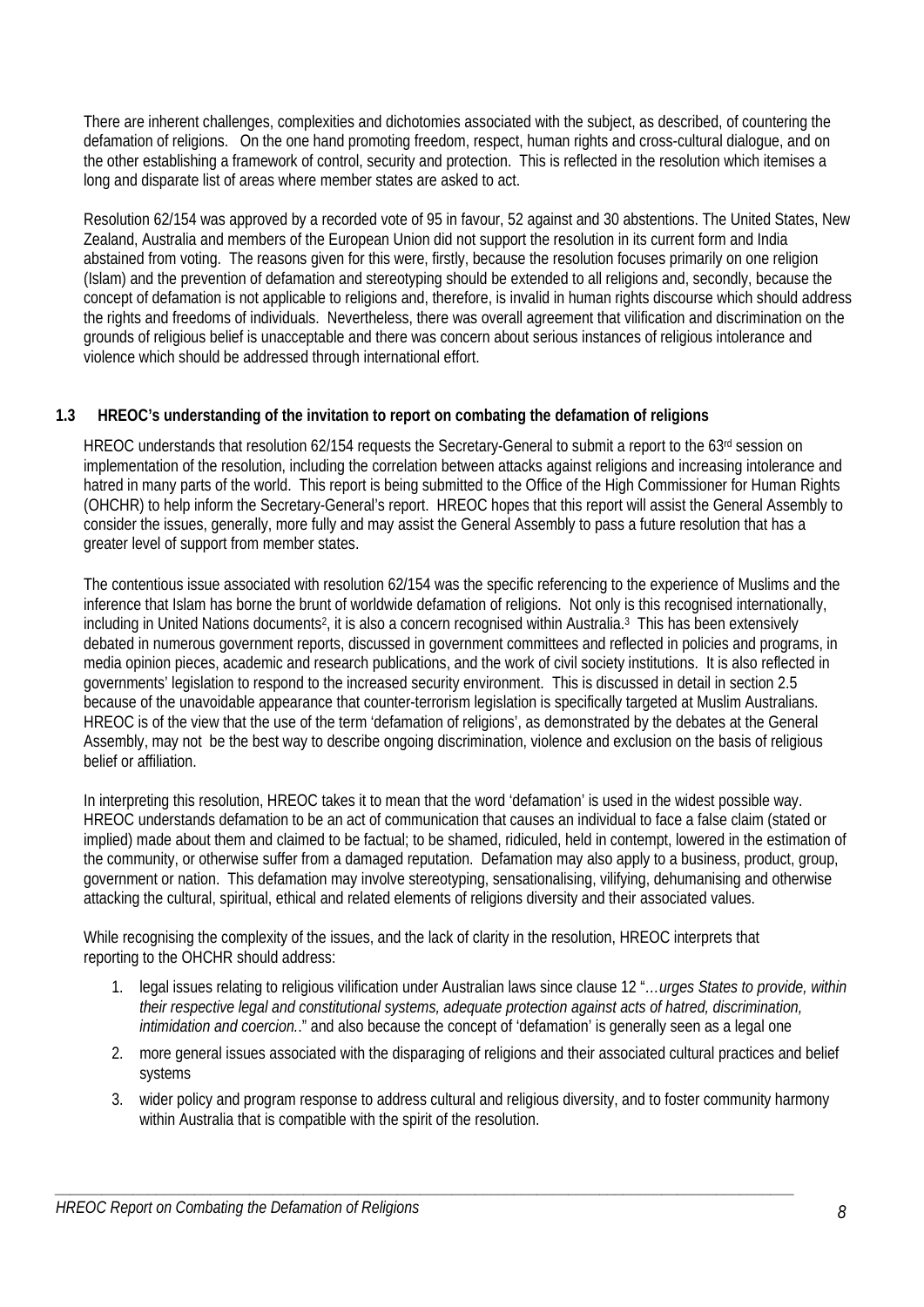There are inherent challenges, complexities and dichotomies associated with the subject, as described, of countering the defamation of religions. On the one hand promoting freedom, respect, human rights and cross-cultural dialogue, and on the other establishing a framework of control, security and protection. This is reflected in the resolution which itemises a long and disparate list of areas where member states are asked to act.

Resolution 62/154 was approved by a recorded vote of 95 in favour, 52 against and 30 abstentions. The United States, New Zealand, Australia and members of the European Union did not support the resolution in its current form and India abstained from voting. The reasons given for this were, firstly, because the resolution focuses primarily on one religion (Islam) and the prevention of defamation and stereotyping should be extended to all religions and, secondly, because the concept of defamation is not applicable to religions and, therefore, is invalid in human rights discourse which should address the rights and freedoms of individuals. Nevertheless, there was overall agreement that vilification and discrimination on the grounds of religious belief is unacceptable and there was concern about serious instances of religious intolerance and violence which should be addressed through international effort.

# **1.3 HREOC's understanding of the invitation to report on combating the defamation of religions**

HREOC understands that resolution 62/154 requests the Secretary-General to submit a report to the 63rd session on implementation of the resolution, including the correlation between attacks against religions and increasing intolerance and hatred in many parts of the world. This report is being submitted to the Office of the High Commissioner for Human Rights (OHCHR) to help inform the Secretary-General's report. HREOC hopes that this report will assist the General Assembly to consider the issues, generally, more fully and may assist the General Assembly to pass a future resolution that has a greater level of support from member states.

The contentious issue associated with resolution 62/154 was the specific referencing to the experience of Muslims and the inference that Islam has borne the brunt of worldwide defamation of religions. Not only is this recognised internationally, including in United Nations documents<sup>2</sup>, it is also a concern recognised within Australia.<sup>3</sup> This has been extensively debated in numerous government reports, discussed in government committees and reflected in policies and programs, in media opinion pieces, academic and research publications, and the work of civil society institutions. It is also reflected in governments' legislation to respond to the increased security environment. This is discussed in detail in section 2.5 because of the unavoidable appearance that counter-terrorism legislation is specifically targeted at Muslim Australians. HREOC is of the view that the use of the term 'defamation of religions', as demonstrated by the debates at the General Assembly, may not be the best way to describe ongoing discrimination, violence and exclusion on the basis of religious belief or affiliation.

In interpreting this resolution, HREOC takes it to mean that the word 'defamation' is used in the widest possible way. HREOC understands defamation to be an act of communication that causes an individual to face a false claim (stated or implied) made about them and claimed to be factual; to be shamed, ridiculed, held in contempt, lowered in the estimation of the community, or otherwise suffer from a damaged reputation. Defamation may also apply to a business, product, group, government or nation. This defamation may involve stereotyping, sensationalising, vilifying, dehumanising and otherwise attacking the cultural, spiritual, ethical and related elements of religions diversity and their associated values.

While recognising the complexity of the issues, and the lack of clarity in the resolution, HREOC interprets that reporting to the OHCHR should address:

- 1. legal issues relating to religious vilification under Australian laws since clause 12 "*…urges States to provide, within their respective legal and constitutional systems, adequate protection against acts of hatred, discrimination, intimidation and coercion.*." and also because the concept of 'defamation' is generally seen as a legal one
- 2. more general issues associated with the disparaging of religions and their associated cultural practices and belief systems
- 3. wider policy and program response to address cultural and religious diversity, and to foster community harmony within Australia that is compatible with the spirit of the resolution.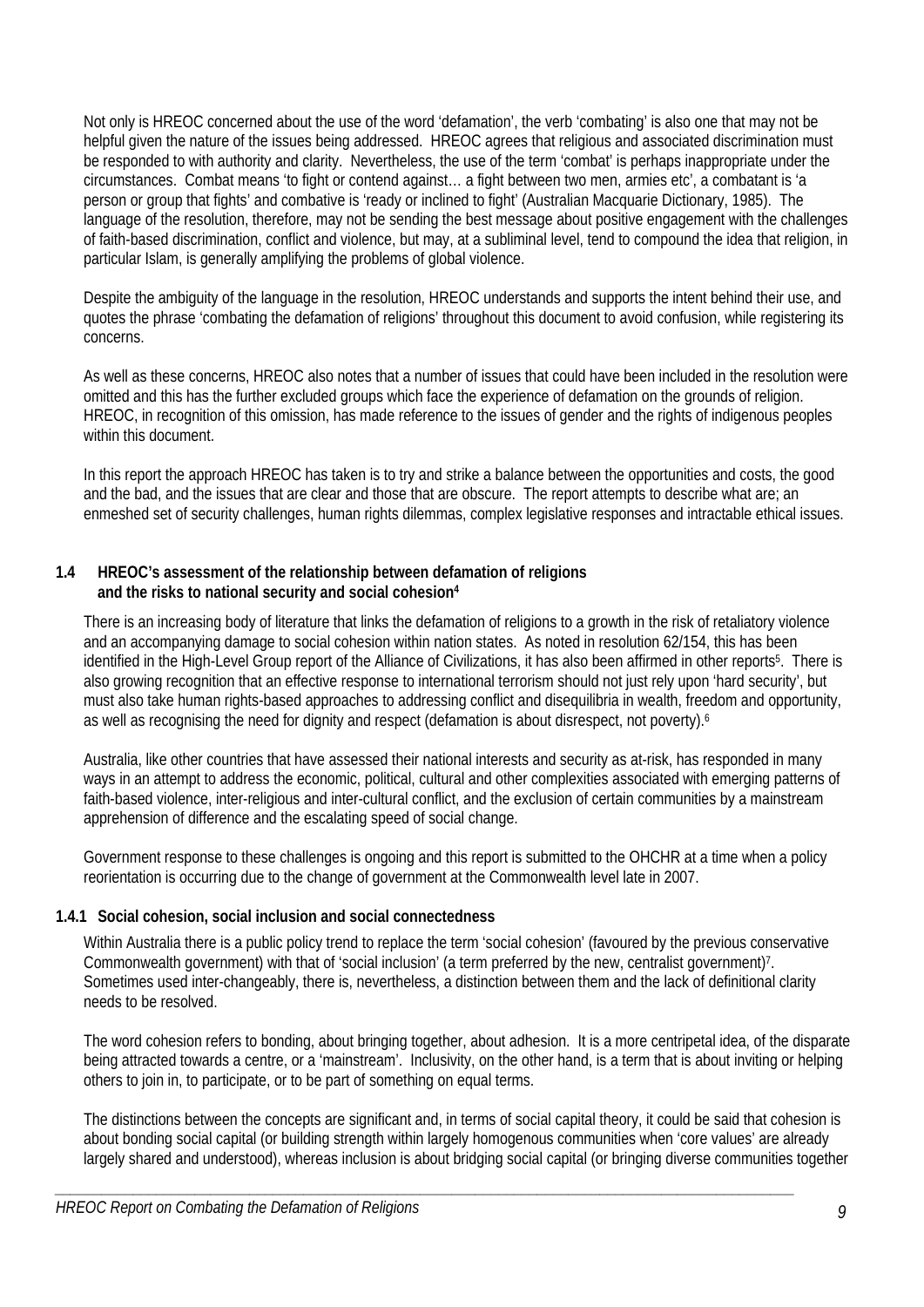Not only is HREOC concerned about the use of the word 'defamation', the verb 'combating' is also one that may not be helpful given the nature of the issues being addressed. HREOC agrees that religious and associated discrimination must be responded to with authority and clarity. Nevertheless, the use of the term 'combat' is perhaps inappropriate under the circumstances. Combat means 'to fight or contend against… a fight between two men, armies etc', a combatant is 'a person or group that fights' and combative is 'ready or inclined to fight' (Australian Macquarie Dictionary, 1985). The language of the resolution, therefore, may not be sending the best message about positive engagement with the challenges of faith-based discrimination, conflict and violence, but may, at a subliminal level, tend to compound the idea that religion, in particular Islam, is generally amplifying the problems of global violence.

Despite the ambiguity of the language in the resolution, HREOC understands and supports the intent behind their use, and quotes the phrase 'combating the defamation of religions' throughout this document to avoid confusion, while registering its concerns.

As well as these concerns, HREOC also notes that a number of issues that could have been included in the resolution were omitted and this has the further excluded groups which face the experience of defamation on the grounds of religion. HREOC, in recognition of this omission, has made reference to the issues of gender and the rights of indigenous peoples within this document.

In this report the approach HREOC has taken is to try and strike a balance between the opportunities and costs, the good and the bad, and the issues that are clear and those that are obscure. The report attempts to describe what are; an enmeshed set of security challenges, human rights dilemmas, complex legislative responses and intractable ethical issues.

### **1.4 HREOC's assessment of the relationship between defamation of religions and the risks to national security and social cohesion4**

There is an increasing body of literature that links the defamation of religions to a growth in the risk of retaliatory violence and an accompanying damage to social cohesion within nation states. As noted in resolution 62/154, this has been identified in the High-Level Group report of the Alliance of Civilizations, it has also been affirmed in other reports<sup>5</sup>. There is also growing recognition that an effective response to international terrorism should not just rely upon 'hard security', but must also take human rights-based approaches to addressing conflict and disequilibria in wealth, freedom and opportunity, as well as recognising the need for dignity and respect (defamation is about disrespect, not poverty).<sup>6</sup>

Australia, like other countries that have assessed their national interests and security as at-risk, has responded in many ways in an attempt to address the economic, political, cultural and other complexities associated with emerging patterns of faith-based violence, inter-religious and inter-cultural conflict, and the exclusion of certain communities by a mainstream apprehension of difference and the escalating speed of social change.

Government response to these challenges is ongoing and this report is submitted to the OHCHR at a time when a policy reorientation is occurring due to the change of government at the Commonwealth level late in 2007.

### **1.4.1 Social cohesion, social inclusion and social connectedness**

Within Australia there is a public policy trend to replace the term 'social cohesion' (favoured by the previous conservative Commonwealth government) with that of 'social inclusion' (a term preferred by the new, centralist government)7. Sometimes used inter-changeably, there is, nevertheless, a distinction between them and the lack of definitional clarity needs to be resolved.

The word cohesion refers to bonding, about bringing together, about adhesion. It is a more centripetal idea, of the disparate being attracted towards a centre, or a 'mainstream'. Inclusivity, on the other hand, is a term that is about inviting or helping others to join in, to participate, or to be part of something on equal terms.

The distinctions between the concepts are significant and, in terms of social capital theory, it could be said that cohesion is about bonding social capital (or building strength within largely homogenous communities when 'core values' are already largely shared and understood), whereas inclusion is about bridging social capital (or bringing diverse communities together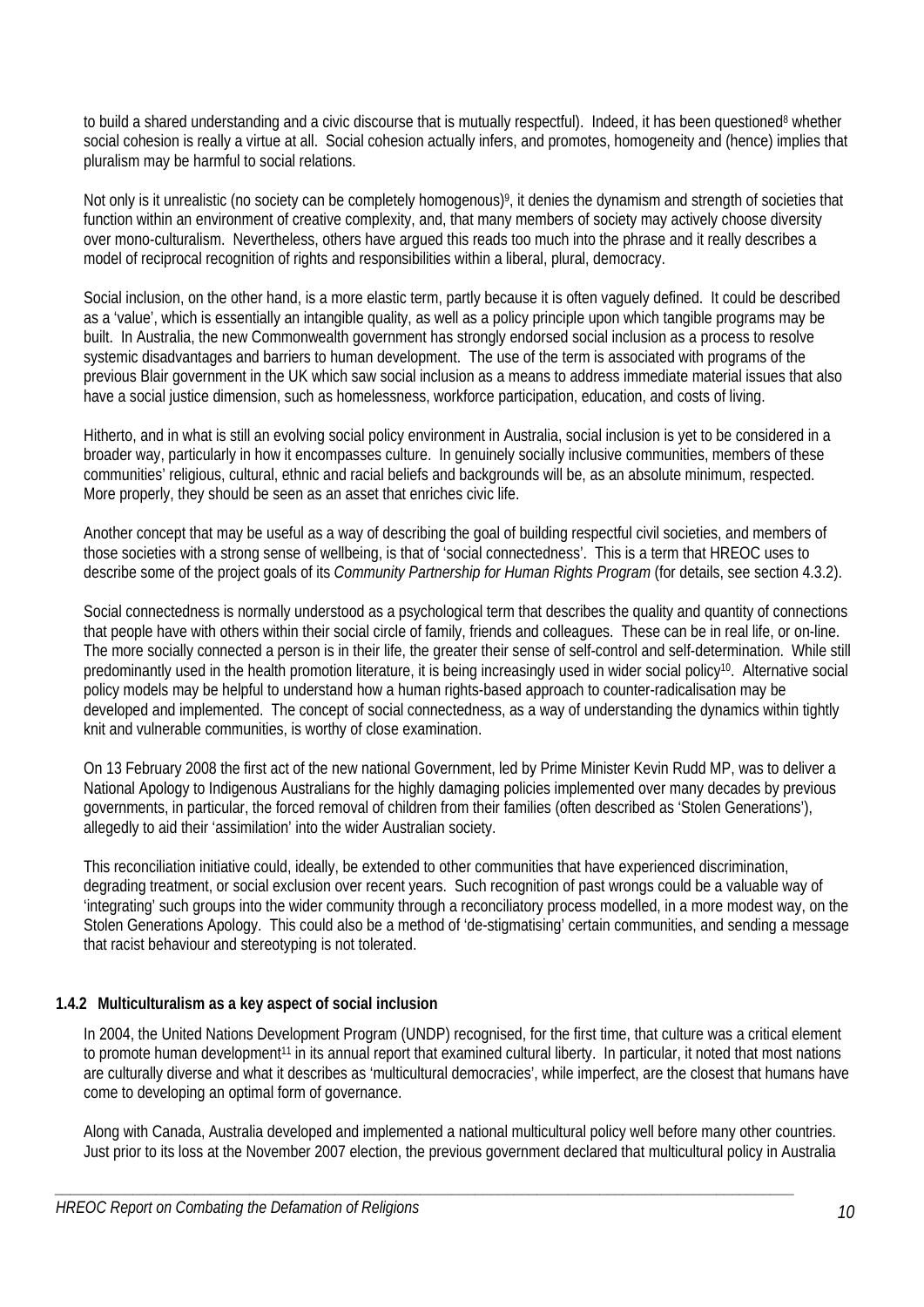to build a shared understanding and a civic discourse that is mutually respectful). Indeed, it has been questioned<sup>8</sup> whether social cohesion is really a virtue at all. Social cohesion actually infers, and promotes, homogeneity and (hence) implies that pluralism may be harmful to social relations.

Not only is it unrealistic (no society can be completely homogenous)9, it denies the dynamism and strength of societies that function within an environment of creative complexity, and, that many members of society may actively choose diversity over mono-culturalism. Nevertheless, others have argued this reads too much into the phrase and it really describes a model of reciprocal recognition of rights and responsibilities within a liberal, plural, democracy.

Social inclusion, on the other hand, is a more elastic term, partly because it is often vaguely defined. It could be described as a 'value', which is essentially an intangible quality, as well as a policy principle upon which tangible programs may be built. In Australia, the new Commonwealth government has strongly endorsed social inclusion as a process to resolve systemic disadvantages and barriers to human development. The use of the term is associated with programs of the previous Blair government in the UK which saw social inclusion as a means to address immediate material issues that also have a social justice dimension, such as homelessness, workforce participation, education, and costs of living.

Hitherto, and in what is still an evolving social policy environment in Australia, social inclusion is yet to be considered in a broader way, particularly in how it encompasses culture. In genuinely socially inclusive communities, members of these communities' religious, cultural, ethnic and racial beliefs and backgrounds will be, as an absolute minimum, respected. More properly, they should be seen as an asset that enriches civic life.

Another concept that may be useful as a way of describing the goal of building respectful civil societies, and members of those societies with a strong sense of wellbeing, is that of 'social connectedness'. This is a term that HREOC uses to describe some of the project goals of its *Community Partnership for Human Rights Program* (for details, see section 4.3.2).

Social connectedness is normally understood as a psychological term that describes the quality and quantity of connections that people have with others within their social circle of family, friends and colleagues. These can be in real life, or on-line. The more socially connected a person is in their life, the greater their sense of self-control and self-determination. While still predominantly used in the health promotion literature, it is being increasingly used in wider social policy<sup>10</sup>. Alternative social policy models may be helpful to understand how a human rights-based approach to counter-radicalisation may be developed and implemented. The concept of social connectedness, as a way of understanding the dynamics within tightly knit and vulnerable communities, is worthy of close examination.

On 13 February 2008 the first act of the new national Government, led by Prime Minister Kevin Rudd MP, was to deliver a National Apology to Indigenous Australians for the highly damaging policies implemented over many decades by previous governments, in particular, the forced removal of children from their families (often described as 'Stolen Generations'), allegedly to aid their 'assimilation' into the wider Australian society.

This reconciliation initiative could, ideally, be extended to other communities that have experienced discrimination, degrading treatment, or social exclusion over recent years. Such recognition of past wrongs could be a valuable way of 'integrating' such groups into the wider community through a reconciliatory process modelled, in a more modest way, on the Stolen Generations Apology. This could also be a method of 'de-stigmatising' certain communities, and sending a message that racist behaviour and stereotyping is not tolerated.

# **1.4.2 Multiculturalism as a key aspect of social inclusion**

In 2004, the United Nations Development Program (UNDP) recognised, for the first time, that culture was a critical element to promote human development<sup>11</sup> in its annual report that examined cultural liberty. In particular, it noted that most nations are culturally diverse and what it describes as 'multicultural democracies', while imperfect, are the closest that humans have come to developing an optimal form of governance.

Along with Canada, Australia developed and implemented a national multicultural policy well before many other countries. Just prior to its loss at the November 2007 election, the previous government declared that multicultural policy in Australia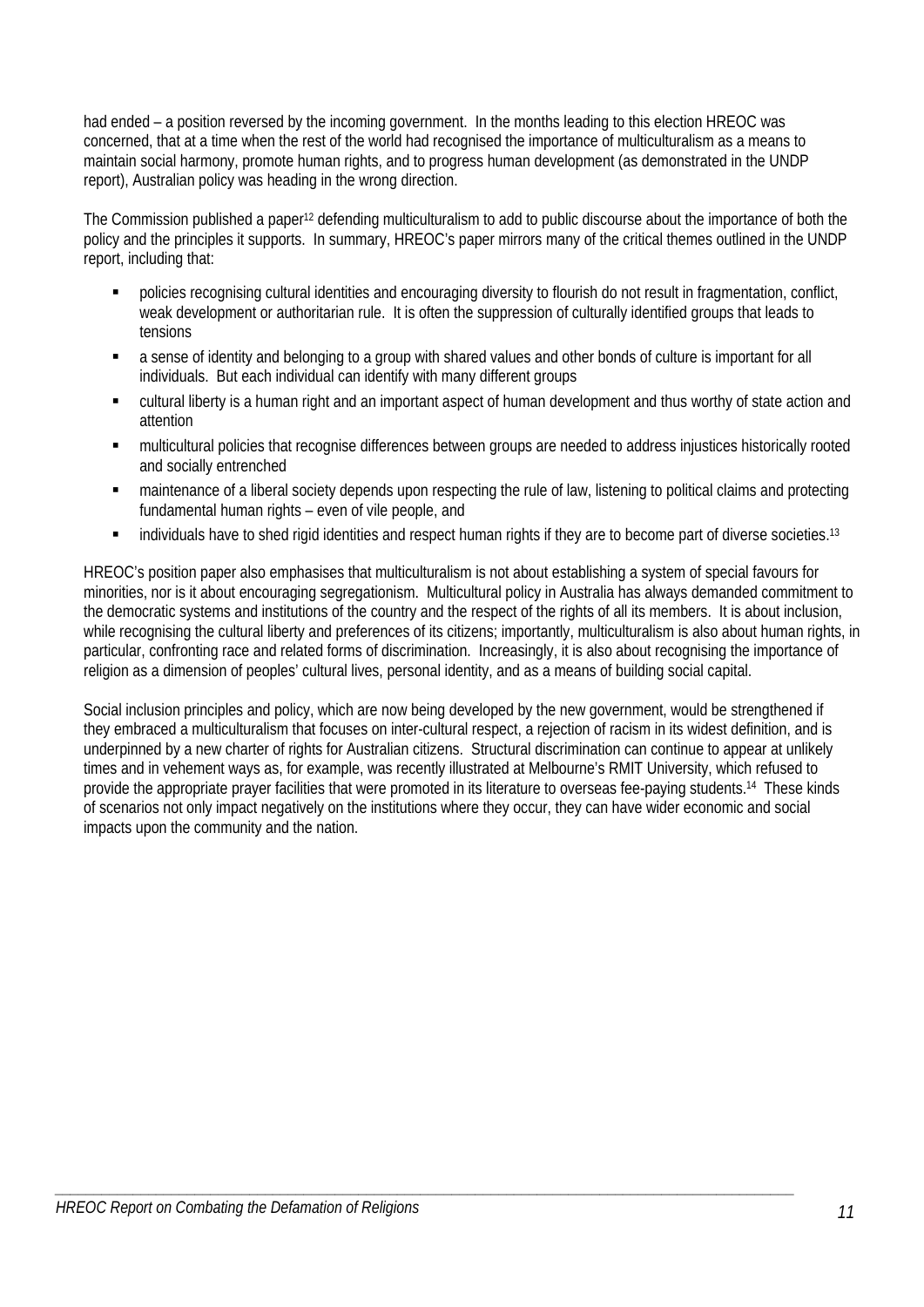had ended – a position reversed by the incoming government. In the months leading to this election HREOC was concerned, that at a time when the rest of the world had recognised the importance of multiculturalism as a means to maintain social harmony, promote human rights, and to progress human development (as demonstrated in the UNDP report), Australian policy was heading in the wrong direction.

The Commission published a paper12 defending multiculturalism to add to public discourse about the importance of both the policy and the principles it supports. In summary, HREOC's paper mirrors many of the critical themes outlined in the UNDP report, including that:

- policies recognising cultural identities and encouraging diversity to flourish do not result in fragmentation, conflict, weak development or authoritarian rule. It is often the suppression of culturally identified groups that leads to tensions
- a sense of identity and belonging to a group with shared values and other bonds of culture is important for all individuals. But each individual can identify with many different groups
- cultural liberty is a human right and an important aspect of human development and thus worthy of state action and attention
- multicultural policies that recognise differences between groups are needed to address injustices historically rooted and socially entrenched
- maintenance of a liberal society depends upon respecting the rule of law, listening to political claims and protecting fundamental human rights – even of vile people, and
- **EXECT:** individuals have to shed rigid identities and respect human rights if they are to become part of diverse societies.<sup>13</sup>

HREOC's position paper also emphasises that multiculturalism is not about establishing a system of special favours for minorities, nor is it about encouraging segregationism. Multicultural policy in Australia has always demanded commitment to the democratic systems and institutions of the country and the respect of the rights of all its members. It is about inclusion, while recognising the cultural liberty and preferences of its citizens; importantly, multiculturalism is also about human rights, in particular, confronting race and related forms of discrimination. Increasingly, it is also about recognising the importance of religion as a dimension of peoples' cultural lives, personal identity, and as a means of building social capital.

Social inclusion principles and policy, which are now being developed by the new government, would be strengthened if they embraced a multiculturalism that focuses on inter-cultural respect, a rejection of racism in its widest definition, and is underpinned by a new charter of rights for Australian citizens. Structural discrimination can continue to appear at unlikely times and in vehement ways as, for example, was recently illustrated at Melbourne's RMIT University, which refused to provide the appropriate prayer facilities that were promoted in its literature to overseas fee-paying students.14 These kinds of scenarios not only impact negatively on the institutions where they occur, they can have wider economic and social impacts upon the community and the nation.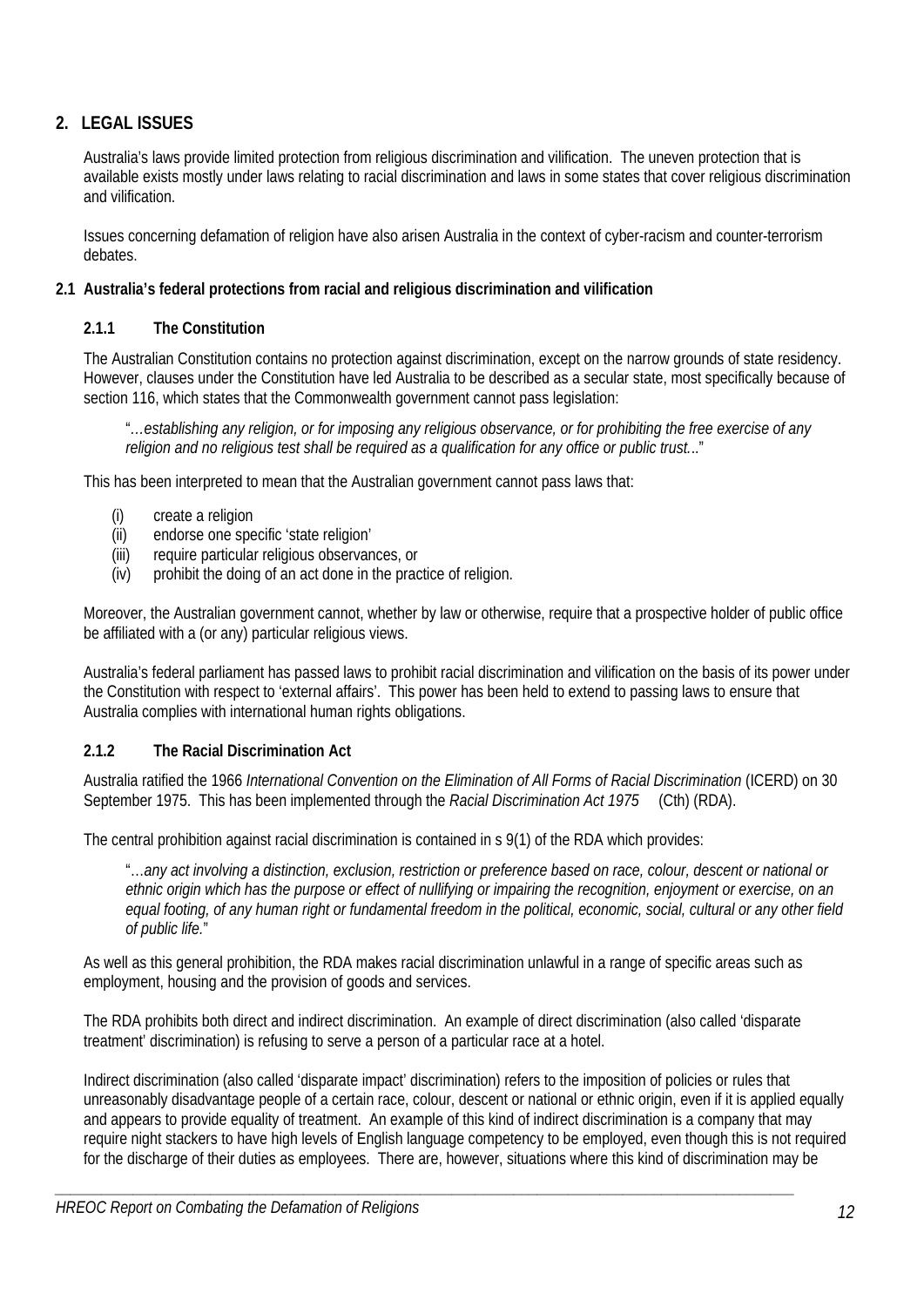# **2. LEGAL ISSUES**

Australia's laws provide limited protection from religious discrimination and vilification. The uneven protection that is available exists mostly under laws relating to racial discrimination and laws in some states that cover religious discrimination and vilification.

Issues concerning defamation of religion have also arisen Australia in the context of cyber-racism and counter-terrorism debates.

# **2.1 Australia's federal protections from racial and religious discrimination and vilification**

# **2.1.1 The Constitution**

The Australian Constitution contains no protection against discrimination, except on the narrow grounds of state residency. However, clauses under the Constitution have led Australia to be described as a secular state, most specifically because of section 116, which states that the Commonwealth government cannot pass legislation:

"*…establishing any religion, or for imposing any religious observance, or for prohibiting the free exercise of any religion and no religious test shall be required as a qualification for any office or public trust.*.."

This has been interpreted to mean that the Australian government cannot pass laws that:

- (i) create a religion
- (ii) endorse one specific 'state religion'
- (iii) require particular religious observances, or
- $(iv)$  prohibit the doing of an act done in the practice of religion.

Moreover, the Australian government cannot, whether by law or otherwise, require that a prospective holder of public office be affiliated with a (or any) particular religious views.

Australia's federal parliament has passed laws to prohibit racial discrimination and vilification on the basis of its power under the Constitution with respect to 'external affairs'. This power has been held to extend to passing laws to ensure that Australia complies with international human rights obligations.

# **2.1.2 The Racial Discrimination Act**

Australia ratified the 1966 *International Convention on the Elimination of All Forms of Racial Discrimination* (ICERD) on 30 September 1975. This has been implemented through the *Racial Discrimination Act 1975* (Cth) (RDA).

The central prohibition against racial discrimination is contained in s 9(1) of the RDA which provides:

"…*any act involving a distinction, exclusion, restriction or preference based on race, colour, descent or national or ethnic origin which has the purpose or effect of nullifying or impairing the recognition, enjoyment or exercise, on an equal footing, of any human right or fundamental freedom in the political, economic, social, cultural or any other field of public life.*"

As well as this general prohibition, the RDA makes racial discrimination unlawful in a range of specific areas such as employment, housing and the provision of goods and services.

The RDA prohibits both direct and indirect discrimination. An example of direct discrimination (also called 'disparate treatment' discrimination) is refusing to serve a person of a particular race at a hotel.

*\_\_\_\_\_\_\_\_\_\_\_\_\_\_\_\_\_\_\_\_\_\_\_\_\_\_\_\_\_\_\_\_\_\_\_\_\_\_\_\_\_\_\_\_\_\_\_\_\_\_\_\_\_\_\_\_\_\_\_\_\_\_\_\_\_\_\_\_\_\_\_\_\_\_\_\_\_\_\_\_\_\_\_\_\_\_\_\_\_\_\_\_\_\_\_* 

Indirect discrimination (also called 'disparate impact' discrimination) refers to the imposition of policies or rules that unreasonably disadvantage people of a certain race, colour, descent or national or ethnic origin, even if it is applied equally and appears to provide equality of treatment. An example of this kind of indirect discrimination is a company that may require night stackers to have high levels of English language competency to be employed, even though this is not required for the discharge of their duties as employees. There are, however, situations where this kind of discrimination may be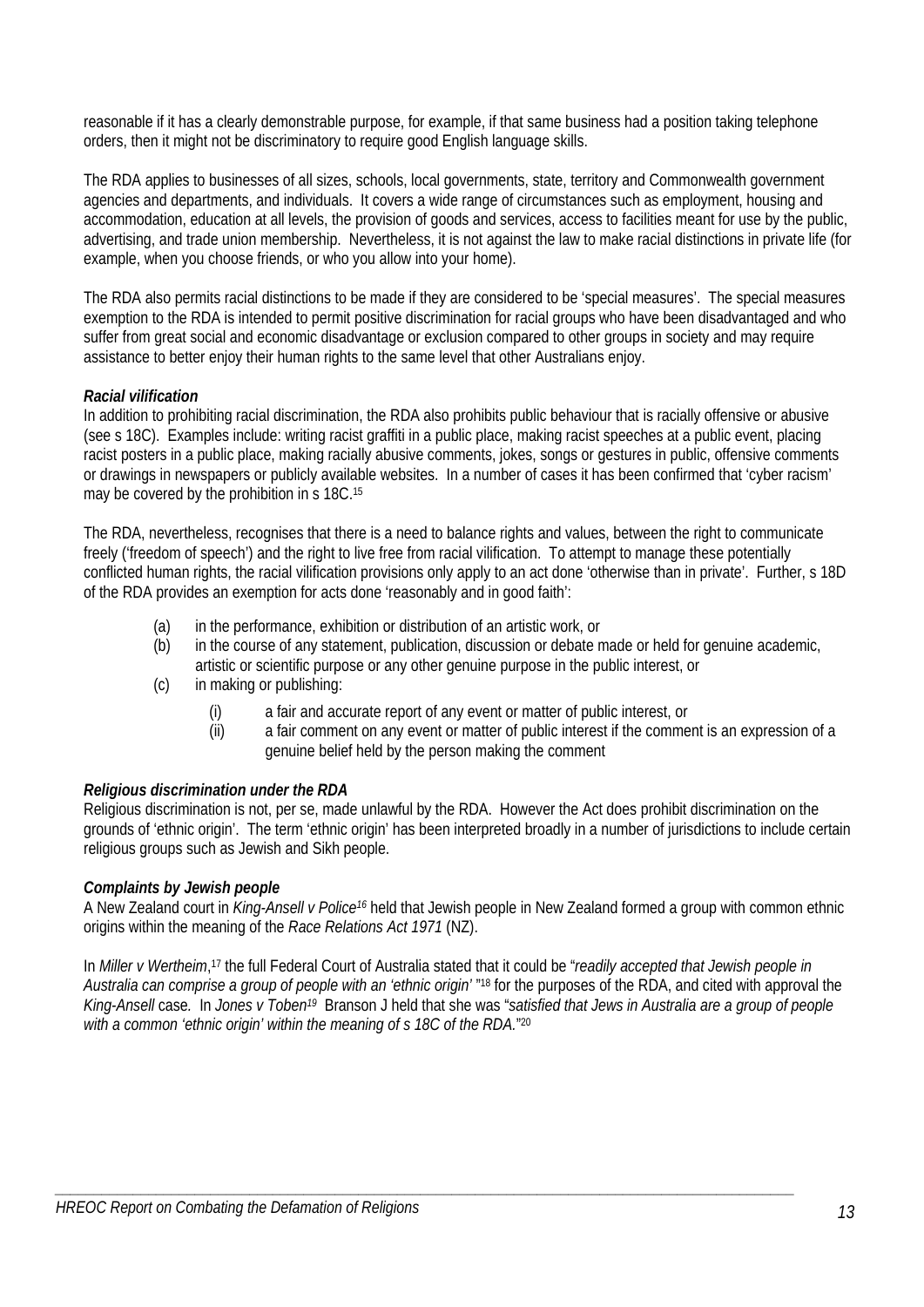reasonable if it has a clearly demonstrable purpose, for example, if that same business had a position taking telephone orders, then it might not be discriminatory to require good English language skills.

The RDA applies to businesses of all sizes, schools, local governments, state, territory and Commonwealth government agencies and departments, and individuals. It covers a wide range of circumstances such as employment, housing and accommodation, education at all levels, the provision of goods and services, access to facilities meant for use by the public, advertising, and trade union membership. Nevertheless, it is not against the law to make racial distinctions in private life (for example, when you choose friends, or who you allow into your home).

The RDA also permits racial distinctions to be made if they are considered to be 'special measures'. The special measures exemption to the RDA is intended to permit positive discrimination for racial groups who have been disadvantaged and who suffer from great social and economic disadvantage or exclusion compared to other groups in society and may require assistance to better enjoy their human rights to the same level that other Australians enjoy.

# *Racial vilification*

In addition to prohibiting racial discrimination, the RDA also prohibits public behaviour that is racially offensive or abusive (see s 18C). Examples include: writing racist graffiti in a public place, making racist speeches at a public event, placing racist posters in a public place, making racially abusive comments, jokes, songs or gestures in public, offensive comments or drawings in newspapers or publicly available websites. In a number of cases it has been confirmed that 'cyber racism' may be covered by the prohibition in s 18C.<sup>15</sup>

The RDA, nevertheless, recognises that there is a need to balance rights and values, between the right to communicate freely ('freedom of speech') and the right to live free from racial vilification. To attempt to manage these potentially conflicted human rights, the racial vilification provisions only apply to an act done 'otherwise than in private'. Further, s 18D of the RDA provides an exemption for acts done 'reasonably and in good faith':

- (a) in the performance, exhibition or distribution of an artistic work, or
- (b) in the course of any statement, publication, discussion or debate made or held for genuine academic,
	- artistic or scientific purpose or any other genuine purpose in the public interest, or
- (c) in making or publishing:
	- (i) a fair and accurate report of any event or matter of public interest, or
	- (ii) a fair comment on any event or matter of public interest if the comment is an expression of a genuine belief held by the person making the comment

# *Religious discrimination under the RDA*

Religious discrimination is not, per se, made unlawful by the RDA. However the Act does prohibit discrimination on the grounds of 'ethnic origin'. The term 'ethnic origin' has been interpreted broadly in a number of jurisdictions to include certain religious groups such as Jewish and Sikh people.

### *Complaints by Jewish people*

A New Zealand court in *King-Ansell v Police16* held that Jewish people in New Zealand formed a group with common ethnic origins within the meaning of the *Race Relations Act 1971* (NZ).

In *Miller v Wertheim*, 17 the full Federal Court of Australia stated that it could be "*readily accepted that Jewish people in Australia can comprise a group of people with an 'ethnic origin'* "18 for the purposes of the RDA, and cited with approval the *King-Ansell* case*.* In *Jones v Toben19* Branson J held that she was "*satisfied that Jews in Australia are a group of people*  with a common 'ethnic origin' within the meaning of s 18C of the RDA."<sup>20</sup>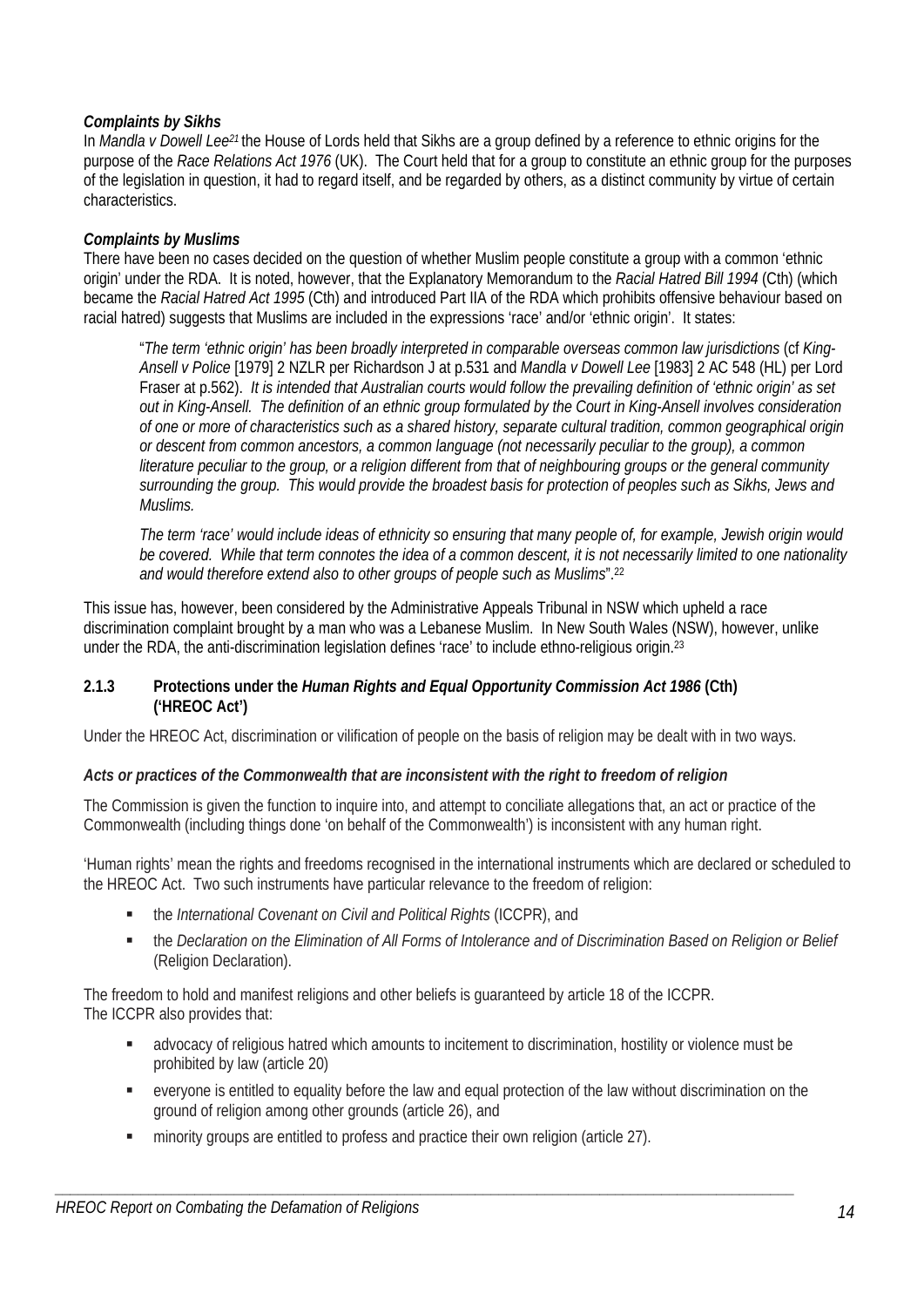# *Complaints by Sikhs*

In *Mandla v Dowell Lee21* the House of Lords held that Sikhs are a group defined by a reference to ethnic origins for the purpose of the *Race Relations Act 1976* (UK). The Court held that for a group to constitute an ethnic group for the purposes of the legislation in question, it had to regard itself, and be regarded by others, as a distinct community by virtue of certain characteristics.

# *Complaints by Muslims*

There have been no cases decided on the question of whether Muslim people constitute a group with a common 'ethnic origin' under the RDA. It is noted, however, that the Explanatory Memorandum to the *Racial Hatred Bill 1994* (Cth) (which became the *Racial Hatred Act 1995* (Cth) and introduced Part IIA of the RDA which prohibits offensive behaviour based on racial hatred) suggests that Muslims are included in the expressions 'race' and/or 'ethnic origin'. It states:

"*The term 'ethnic origin' has been broadly interpreted in comparable overseas common law jurisdictions* (cf *King-Ansell v Police* [1979] 2 NZLR per Richardson J at p.531 and *Mandla v Dowell Lee* [1983] 2 AC 548 (HL) per Lord Fraser at p.562). *It is intended that Australian courts would follow the prevailing definition of 'ethnic origin' as set out in King-Ansell. The definition of an ethnic group formulated by the Court in King-Ansell involves consideration of one or more of characteristics such as a shared history, separate cultural tradition, common geographical origin or descent from common ancestors, a common language (not necessarily peculiar to the group), a common literature peculiar to the group, or a religion different from that of neighbouring groups or the general community surrounding the group. This would provide the broadest basis for protection of peoples such as Sikhs, Jews and Muslims.* 

*The term 'race' would include ideas of ethnicity so ensuring that many people of, for example, Jewish origin would be covered. While that term connotes the idea of a common descent, it is not necessarily limited to one nationality and would therefore extend also to other groups of people such as Muslims*".22

This issue has, however, been considered by the Administrative Appeals Tribunal in NSW which upheld a race discrimination complaint brought by a man who was a Lebanese Muslim. In New South Wales (NSW), however, unlike under the RDA, the anti-discrimination legislation defines 'race' to include ethno-religious origin.<sup>23</sup>

### **2.1.3 Protections under the** *Human Rights and Equal Opportunity Commission Act 1986* **(Cth) ('HREOC Act')**

Under the HREOC Act, discrimination or vilification of people on the basis of religion may be dealt with in two ways.

### *Acts or practices of the Commonwealth that are inconsistent with the right to freedom of religion*

The Commission is given the function to inquire into, and attempt to conciliate allegations that, an act or practice of the Commonwealth (including things done 'on behalf of the Commonwealth') is inconsistent with any human right.

'Human rights' mean the rights and freedoms recognised in the international instruments which are declared or scheduled to the HREOC Act. Two such instruments have particular relevance to the freedom of religion:

- the *International Covenant on Civil and Political Rights* (ICCPR), and
- the *Declaration on the Elimination of All Forms of Intolerance and of Discrimination Based on Religion or Belief* (Religion Declaration).

The freedom to hold and manifest religions and other beliefs is guaranteed by article 18 of the ICCPR. The ICCPR also provides that:

- advocacy of religious hatred which amounts to incitement to discrimination, hostility or violence must be prohibited by law (article 20)
- everyone is entitled to equality before the law and equal protection of the law without discrimination on the ground of religion among other grounds (article 26), and
- minority groups are entitled to profess and practice their own religion (article 27).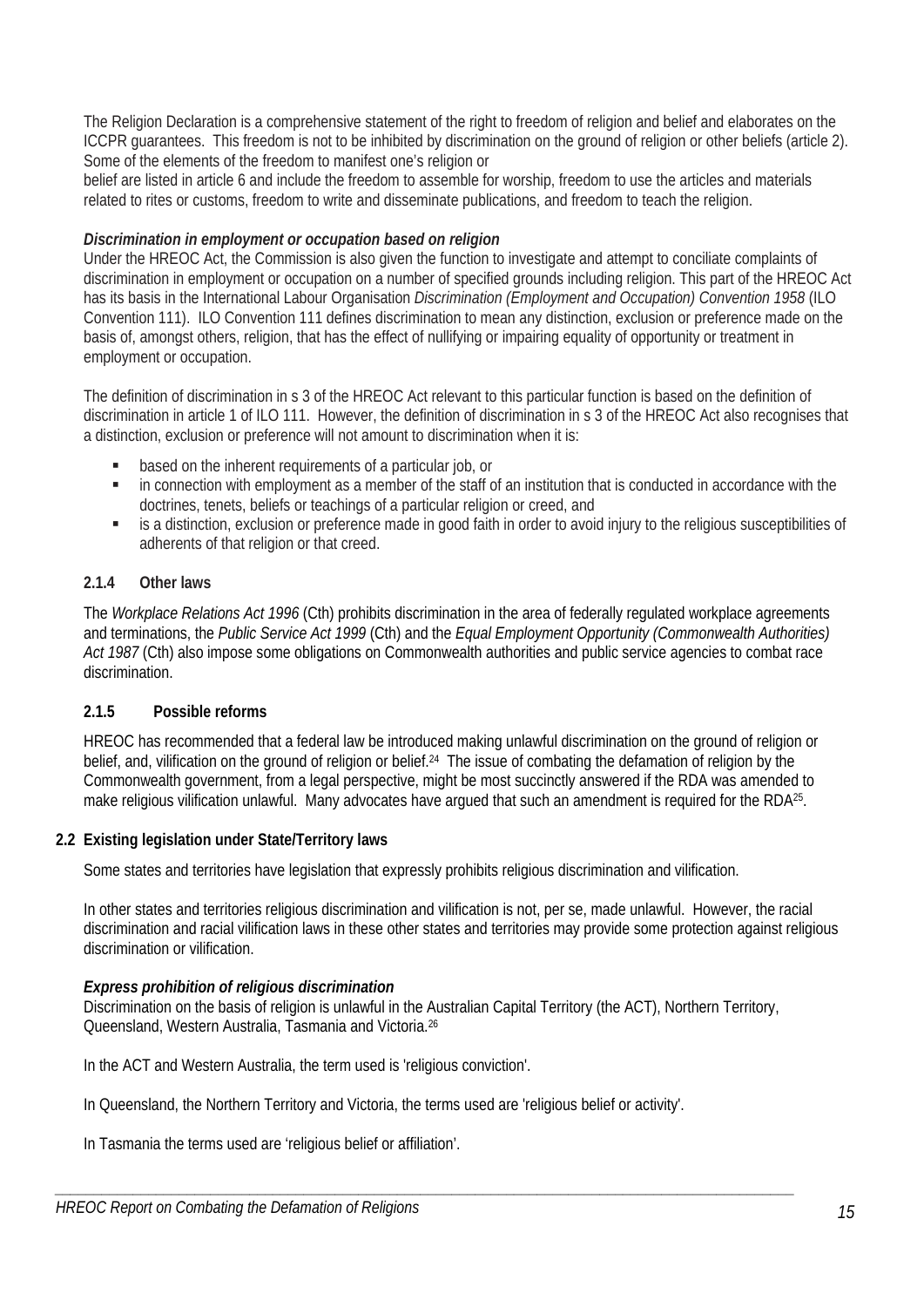The Religion Declaration is a comprehensive statement of the right to freedom of religion and belief and elaborates on the ICCPR guarantees. This freedom is not to be inhibited by discrimination on the ground of religion or other beliefs (article 2). Some of the elements of the freedom to manifest one's religion or

belief are listed in article 6 and include the freedom to assemble for worship, freedom to use the articles and materials related to rites or customs, freedom to write and disseminate publications, and freedom to teach the religion.

# *Discrimination in employment or occupation based on religion*

Under the HREOC Act, the Commission is also given the function to investigate and attempt to conciliate complaints of discrimination in employment or occupation on a number of specified grounds including religion. This part of the HREOC Act has its basis in the International Labour Organisation *Discrimination (Employment and Occupation) Convention 1958* (ILO Convention 111). ILO Convention 111 defines discrimination to mean any distinction, exclusion or preference made on the basis of, amongst others, religion, that has the effect of nullifying or impairing equality of opportunity or treatment in employment or occupation.

The definition of discrimination in s 3 of the HREOC Act relevant to this particular function is based on the definition of discrimination in article 1 of ILO 111. However, the definition of discrimination in s 3 of the HREOC Act also recognises that a distinction, exclusion or preference will not amount to discrimination when it is:

- based on the inherent requirements of a particular job, or
- in connection with employment as a member of the staff of an institution that is conducted in accordance with the doctrines, tenets, beliefs or teachings of a particular religion or creed, and
- **EXECT** is a distinction, exclusion or preference made in good faith in order to avoid injury to the religious susceptibilities of adherents of that religion or that creed.

# **2.1.4 Other laws**

The *Workplace Relations Act 1996* (Cth) prohibits discrimination in the area of federally regulated workplace agreements and terminations, the *Public Service Act 1999* (Cth) and the *Equal Employment Opportunity (Commonwealth Authorities) Act 1987* (Cth) also impose some obligations on Commonwealth authorities and public service agencies to combat race discrimination.

### **2.1.5 Possible reforms**

HREOC has recommended that a federal law be introduced making unlawful discrimination on the ground of religion or belief, and, vilification on the ground of religion or belief.24 The issue of combating the defamation of religion by the Commonwealth government, from a legal perspective, might be most succinctly answered if the RDA was amended to make religious vilification unlawful. Many advocates have argued that such an amendment is required for the RDA<sup>25</sup>.

### **2.2 Existing legislation under State/Territory laws**

Some states and territories have legislation that expressly prohibits religious discrimination and vilification.

In other states and territories religious discrimination and vilification is not, per se, made unlawful. However, the racial discrimination and racial vilification laws in these other states and territories may provide some protection against religious discrimination or vilification.

### *Express prohibition of religious discrimination*

Discrimination on the basis of religion is unlawful in the Australian Capital Territory (the ACT), Northern Territory, Queensland, Western Australia, Tasmania and Victoria.26

*\_\_\_\_\_\_\_\_\_\_\_\_\_\_\_\_\_\_\_\_\_\_\_\_\_\_\_\_\_\_\_\_\_\_\_\_\_\_\_\_\_\_\_\_\_\_\_\_\_\_\_\_\_\_\_\_\_\_\_\_\_\_\_\_\_\_\_\_\_\_\_\_\_\_\_\_\_\_\_\_\_\_\_\_\_\_\_\_\_\_\_\_\_\_\_* 

In the ACT and Western Australia, the term used is 'religious conviction'.

In Queensland, the Northern Territory and Victoria, the terms used are 'religious belief or activity'.

In Tasmania the terms used are 'religious belief or affiliation'.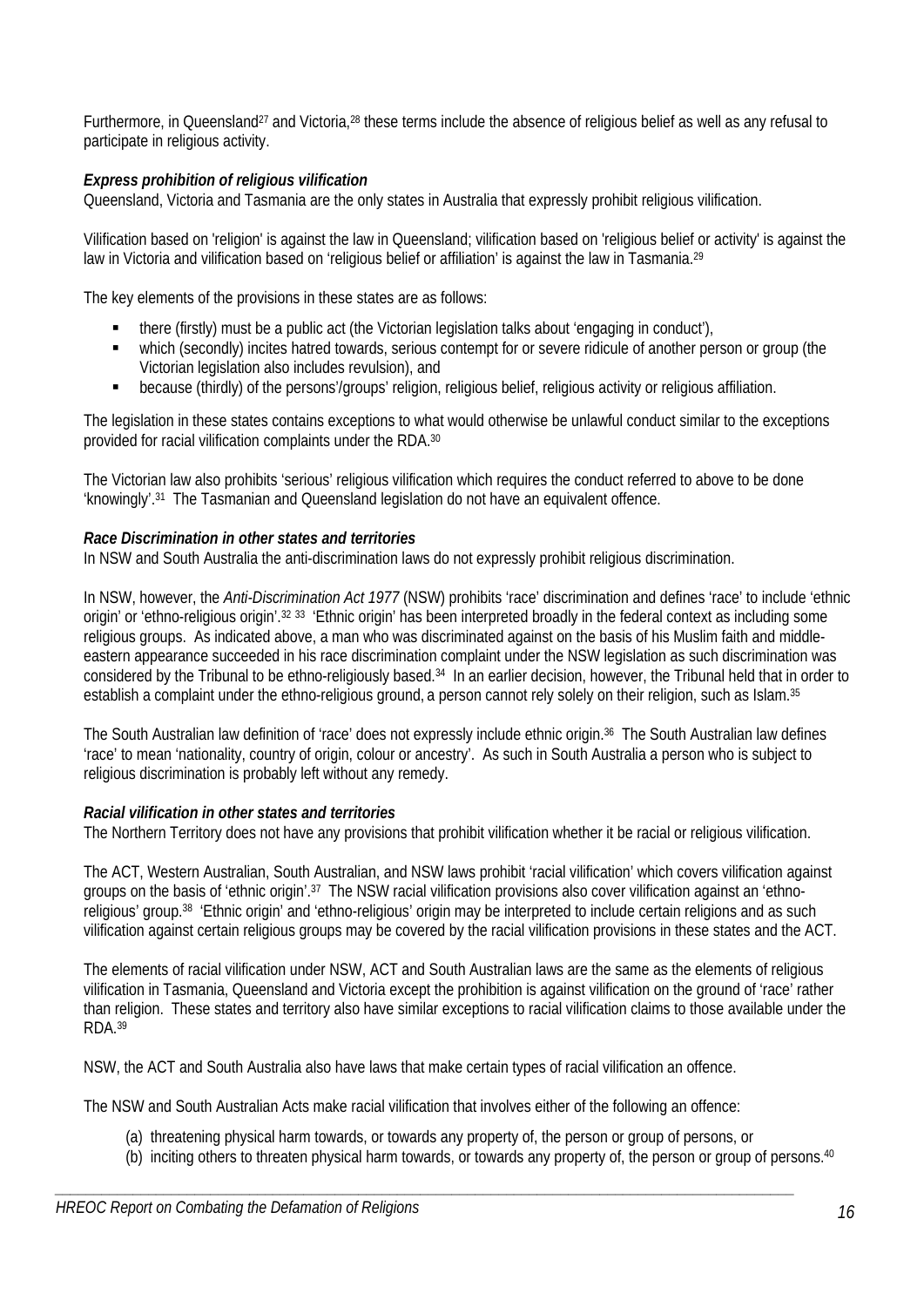Furthermore, in Queensland27 and Victoria,28 these terms include the absence of religious belief as well as any refusal to participate in religious activity.

# *Express prohibition of religious vilification*

Queensland, Victoria and Tasmania are the only states in Australia that expressly prohibit religious vilification.

Vilification based on 'religion' is against the law in Queensland; vilification based on 'religious belief or activity' is against the law in Victoria and vilification based on 'religious belief or affiliation' is against the law in Tasmania.<sup>29</sup>

The key elements of the provisions in these states are as follows:

- there (firstly) must be a public act (the Victorian legislation talks about 'engaging in conduct'),
- which (secondly) incites hatred towards, serious contempt for or severe ridicule of another person or group (the Victorian legislation also includes revulsion), and
- because (thirdly) of the persons'/groups' religion, religious belief, religious activity or religious affiliation.

The legislation in these states contains exceptions to what would otherwise be unlawful conduct similar to the exceptions provided for racial vilification complaints under the RDA.30

The Victorian law also prohibits 'serious' religious vilification which requires the conduct referred to above to be done 'knowingly'.31 The Tasmanian and Queensland legislation do not have an equivalent offence.

# *Race Discrimination in other states and territories*

In NSW and South Australia the anti-discrimination laws do not expressly prohibit religious discrimination.

In NSW, however, the *Anti-Discrimination Act 1977* (NSW) prohibits 'race' discrimination and defines 'race' to include 'ethnic origin' or 'ethno-religious origin'.32 33 'Ethnic origin' has been interpreted broadly in the federal context as including some religious groups. As indicated above, a man who was discriminated against on the basis of his Muslim faith and middleeastern appearance succeeded in his race discrimination complaint under the NSW legislation as such discrimination was considered by the Tribunal to be ethno-religiously based.34 In an earlier decision, however, the Tribunal held that in order to establish a complaint under the ethno-religious ground, a person cannot rely solely on their religion, such as Islam.<sup>35</sup>

The South Australian law definition of 'race' does not expressly include ethnic origin.36 The South Australian law defines 'race' to mean 'nationality, country of origin, colour or ancestry'. As such in South Australia a person who is subject to religious discrimination is probably left without any remedy.

### *Racial vilification in other states and territories*

The Northern Territory does not have any provisions that prohibit vilification whether it be racial or religious vilification.

The ACT, Western Australian, South Australian, and NSW laws prohibit 'racial vilification' which covers vilification against groups on the basis of 'ethnic origin'.37 The NSW racial vilification provisions also cover vilification against an 'ethnoreligious' group.38 'Ethnic origin' and 'ethno-religious' origin may be interpreted to include certain religions and as such vilification against certain religious groups may be covered by the racial vilification provisions in these states and the ACT.

The elements of racial vilification under NSW, ACT and South Australian laws are the same as the elements of religious vilification in Tasmania, Queensland and Victoria except the prohibition is against vilification on the ground of 'race' rather than religion. These states and territory also have similar exceptions to racial vilification claims to those available under the RDA.39

NSW, the ACT and South Australia also have laws that make certain types of racial vilification an offence.

The NSW and South Australian Acts make racial vilification that involves either of the following an offence:

(a) threatening physical harm towards, or towards any property of, the person or group of persons, or

*\_\_\_\_\_\_\_\_\_\_\_\_\_\_\_\_\_\_\_\_\_\_\_\_\_\_\_\_\_\_\_\_\_\_\_\_\_\_\_\_\_\_\_\_\_\_\_\_\_\_\_\_\_\_\_\_\_\_\_\_\_\_\_\_\_\_\_\_\_\_\_\_\_\_\_\_\_\_\_\_\_\_\_\_\_\_\_\_\_\_\_\_\_\_\_* 

(b) inciting others to threaten physical harm towards, or towards any property of, the person or group of persons.40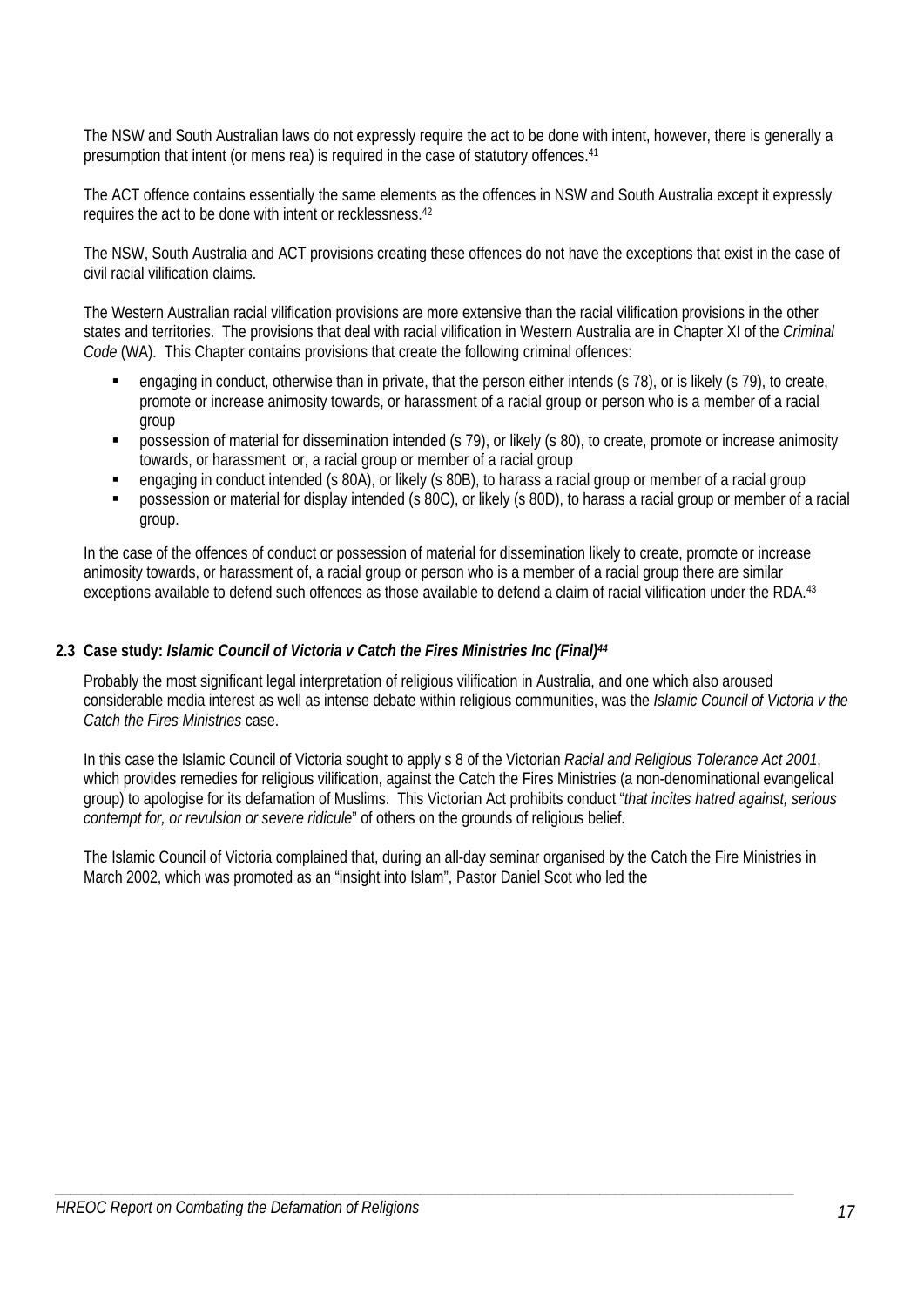The NSW and South Australian laws do not expressly require the act to be done with intent, however, there is generally a presumption that intent (or mens rea) is required in the case of statutory offences.41

The ACT offence contains essentially the same elements as the offences in NSW and South Australia except it expressly requires the act to be done with intent or recklessness.42

The NSW, South Australia and ACT provisions creating these offences do not have the exceptions that exist in the case of civil racial vilification claims.

The Western Australian racial vilification provisions are more extensive than the racial vilification provisions in the other states and territories. The provisions that deal with racial vilification in Western Australia are in Chapter XI of the *Criminal Code* (WA). This Chapter contains provisions that create the following criminal offences:

- engaging in conduct, otherwise than in private, that the person either intends (s 78), or is likely (s 79), to create, promote or increase animosity towards, or harassment of a racial group or person who is a member of a racial group
- possession of material for dissemination intended (s 79), or likely (s 80), to create, promote or increase animosity towards, or harassment or, a racial group or member of a racial group
- engaging in conduct intended (s 80A), or likely (s 80B), to harass a racial group or member of a racial group
- **Provides solution** or material for display intended (s 80C), or likely (s 80D), to harass a racial group or member of a racial group.

In the case of the offences of conduct or possession of material for dissemination likely to create, promote or increase animosity towards, or harassment of, a racial group or person who is a member of a racial group there are similar exceptions available to defend such offences as those available to defend a claim of racial vilification under the RDA.<sup>43</sup>

### **2.3 Case study:** *Islamic Council of Victoria v Catch the Fires Ministries Inc (Final)44*

Probably the most significant legal interpretation of religious vilification in Australia, and one which also aroused considerable media interest as well as intense debate within religious communities, was the *Islamic Council of Victoria v the Catch the Fires Ministries* case.

In this case the Islamic Council of Victoria sought to apply s 8 of the Victorian *Racial and Religious Tolerance Act 2001*, which provides remedies for religious vilification, against the Catch the Fires Ministries (a non-denominational evangelical group) to apologise for its defamation of Muslims. This Victorian Act prohibits conduct "*that incites hatred against, serious contempt for, or revulsion or severe ridicule*" of others on the grounds of religious belief.

The Islamic Council of Victoria complained that, during an all-day seminar organised by the Catch the Fire Ministries in March 2002, which was promoted as an "insight into Islam", Pastor Daniel Scot who led the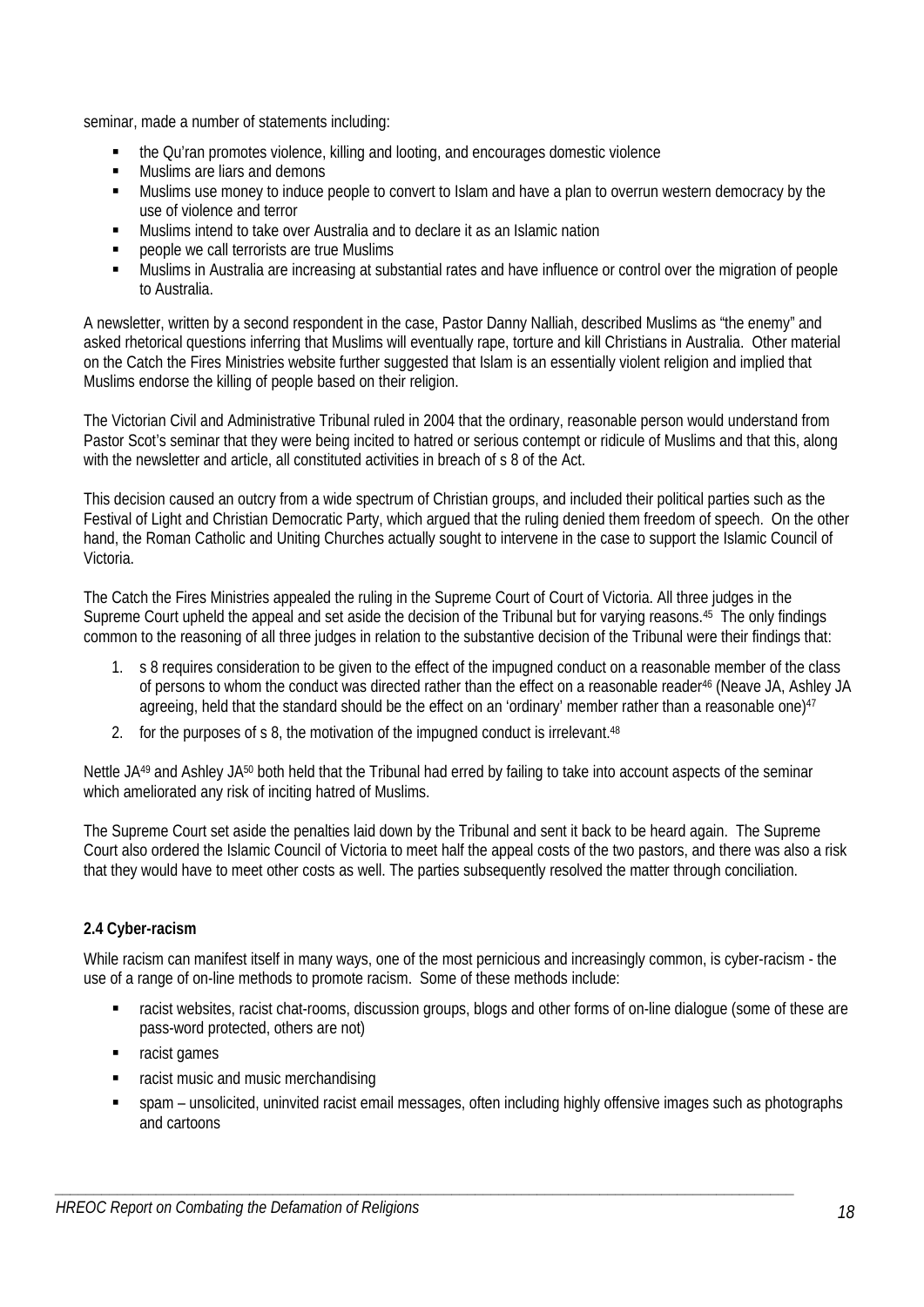seminar, made a number of statements including:

- the Qu'ran promotes violence, killing and looting, and encourages domestic violence
- **Muslims are liars and demons**
- Muslims use money to induce people to convert to Islam and have a plan to overrun western democracy by the use of violence and terror
- Muslims intend to take over Australia and to declare it as an Islamic nation
- people we call terrorists are true Muslims
- Muslims in Australia are increasing at substantial rates and have influence or control over the migration of people to Australia.

A newsletter, written by a second respondent in the case, Pastor Danny Nalliah, described Muslims as "the enemy" and asked rhetorical questions inferring that Muslims will eventually rape, torture and kill Christians in Australia. Other material on the Catch the Fires Ministries website further suggested that Islam is an essentially violent religion and implied that Muslims endorse the killing of people based on their religion.

The Victorian Civil and Administrative Tribunal ruled in 2004 that the ordinary, reasonable person would understand from Pastor Scot's seminar that they were being incited to hatred or serious contempt or ridicule of Muslims and that this, along with the newsletter and article, all constituted activities in breach of s 8 of the Act.

This decision caused an outcry from a wide spectrum of Christian groups, and included their political parties such as the Festival of Light and Christian Democratic Party, which argued that the ruling denied them freedom of speech. On the other hand, the Roman Catholic and Uniting Churches actually sought to intervene in the case to support the Islamic Council of Victoria.

The Catch the Fires Ministries appealed the ruling in the Supreme Court of Court of Victoria. All three judges in the Supreme Court upheld the appeal and set aside the decision of the Tribunal but for varying reasons.<sup>45</sup> The only findings common to the reasoning of all three judges in relation to the substantive decision of the Tribunal were their findings that:

- 1. s 8 requires consideration to be given to the effect of the impugned conduct on a reasonable member of the class of persons to whom the conduct was directed rather than the effect on a reasonable reader<sup>46</sup> (Neave JA, Ashley JA agreeing, held that the standard should be the effect on an 'ordinary' member rather than a reasonable one)<sup>47</sup>
- 2. for the purposes of s 8, the motivation of the impugned conduct is irrelevant.<sup>48</sup>

Nettle JA<sup>49</sup> and Ashley JA<sup>50</sup> both held that the Tribunal had erred by failing to take into account aspects of the seminar which ameliorated any risk of inciting hatred of Muslims.

The Supreme Court set aside the penalties laid down by the Tribunal and sent it back to be heard again. The Supreme Court also ordered the Islamic Council of Victoria to meet half the appeal costs of the two pastors, and there was also a risk that they would have to meet other costs as well. The parties subsequently resolved the matter through conciliation.

# **2.4 Cyber-racism**

While racism can manifest itself in many ways, one of the most pernicious and increasingly common, is cyber-racism - the use of a range of on-line methods to promote racism. Some of these methods include:

- racist websites, racist chat-rooms, discussion groups, blogs and other forms of on-line dialogue (some of these are pass-word protected, others are not)
- **racist games**
- racist music and music merchandising
- spam unsolicited, uninvited racist email messages, often including highly offensive images such as photographs and cartoons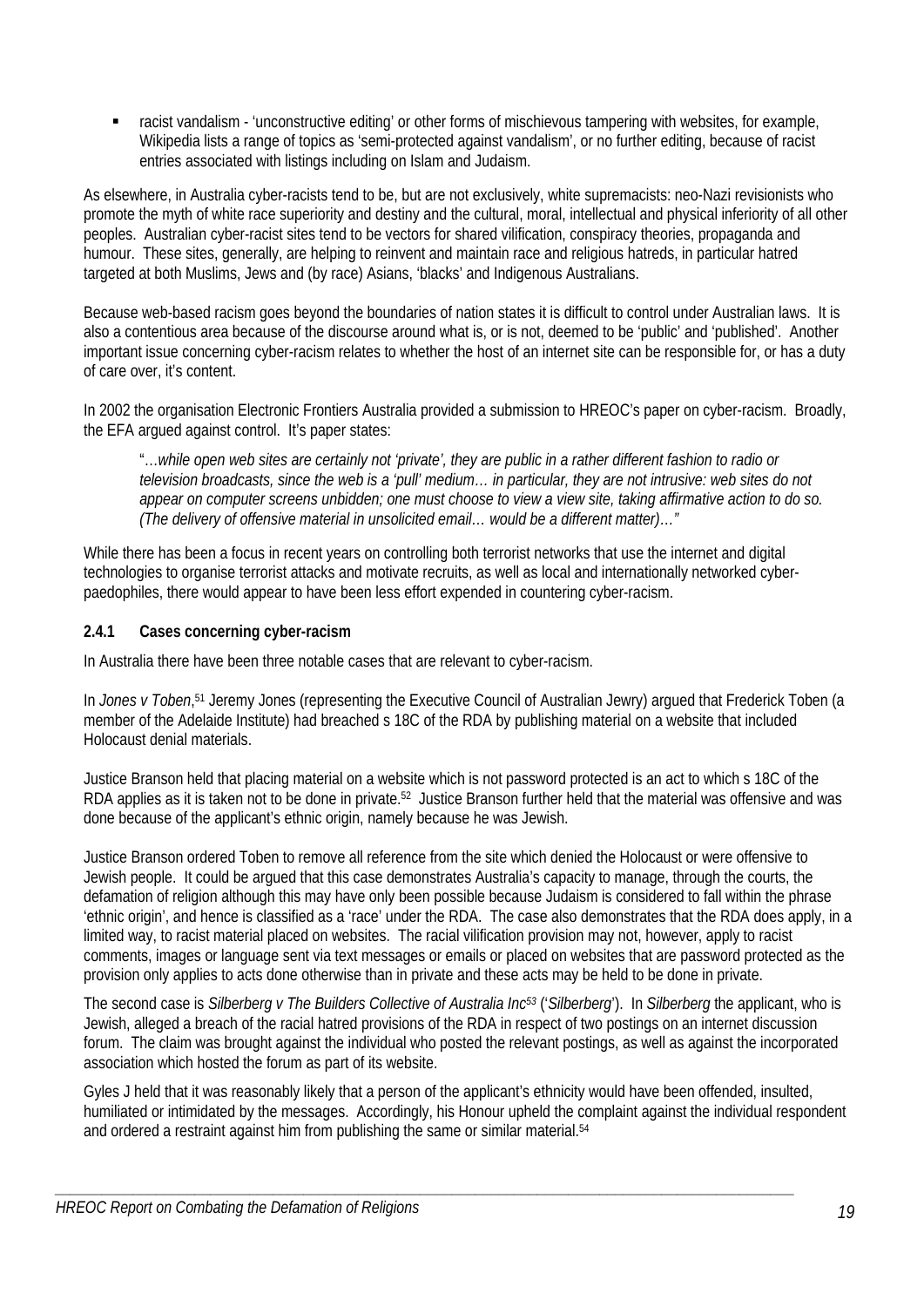racist vandalism - 'unconstructive editing' or other forms of mischievous tampering with websites, for example, Wikipedia lists a range of topics as 'semi-protected against vandalism', or no further editing, because of racist entries associated with listings including on Islam and Judaism.

As elsewhere, in Australia cyber-racists tend to be, but are not exclusively, white supremacists: neo-Nazi revisionists who promote the myth of white race superiority and destiny and the cultural, moral, intellectual and physical inferiority of all other peoples. Australian cyber-racist sites tend to be vectors for shared vilification, conspiracy theories, propaganda and humour. These sites, generally, are helping to reinvent and maintain race and religious hatreds, in particular hatred targeted at both Muslims, Jews and (by race) Asians, 'blacks' and Indigenous Australians.

Because web-based racism goes beyond the boundaries of nation states it is difficult to control under Australian laws. It is also a contentious area because of the discourse around what is, or is not, deemed to be 'public' and 'published'. Another important issue concerning cyber-racism relates to whether the host of an internet site can be responsible for, or has a duty of care over, it's content.

In 2002 the organisation Electronic Frontiers Australia provided a submission to HREOC's paper on cyber-racism. Broadly, the EFA argued against control. It's paper states:

"…*while open web sites are certainly not 'private', they are public in a rather different fashion to radio or television broadcasts, since the web is a 'pull' medium… in particular, they are not intrusive: web sites do not appear on computer screens unbidden; one must choose to view a view site, taking affirmative action to do so. (The delivery of offensive material in unsolicited email… would be a different matter)…"* 

While there has been a focus in recent years on controlling both terrorist networks that use the internet and digital technologies to organise terrorist attacks and motivate recruits, as well as local and internationally networked cyberpaedophiles, there would appear to have been less effort expended in countering cyber-racism.

# **2.4.1 Cases concerning cyber-racism**

In Australia there have been three notable cases that are relevant to cyber-racism.

In *Jones v Toben*,<sup>51</sup> Jeremy Jones (representing the Executive Council of Australian Jewry) argued that Frederick Toben (a member of the Adelaide Institute) had breached s 18C of the RDA by publishing material on a website that included Holocaust denial materials.

Justice Branson held that placing material on a website which is not password protected is an act to which s 18C of the RDA applies as it is taken not to be done in private.52 Justice Branson further held that the material was offensive and was done because of the applicant's ethnic origin, namely because he was Jewish.

Justice Branson ordered Toben to remove all reference from the site which denied the Holocaust or were offensive to Jewish people. It could be argued that this case demonstrates Australia's capacity to manage, through the courts, the defamation of religion although this may have only been possible because Judaism is considered to fall within the phrase 'ethnic origin', and hence is classified as a 'race' under the RDA. The case also demonstrates that the RDA does apply, in a limited way, to racist material placed on websites. The racial vilification provision may not, however, apply to racist comments, images or language sent via text messages or emails or placed on websites that are password protected as the provision only applies to acts done otherwise than in private and these acts may be held to be done in private.

The second case is *Silberberg v The Builders Collective of Australia Inc53* ('*Silberberg*'). In *Silberberg* the applicant, who is Jewish, alleged a breach of the racial hatred provisions of the RDA in respect of two postings on an internet discussion forum. The claim was brought against the individual who posted the relevant postings, as well as against the incorporated association which hosted the forum as part of its website.

Gyles J held that it was reasonably likely that a person of the applicant's ethnicity would have been offended, insulted, humiliated or intimidated by the messages. Accordingly, his Honour upheld the complaint against the individual respondent and ordered a restraint against him from publishing the same or similar material.<sup>54</sup>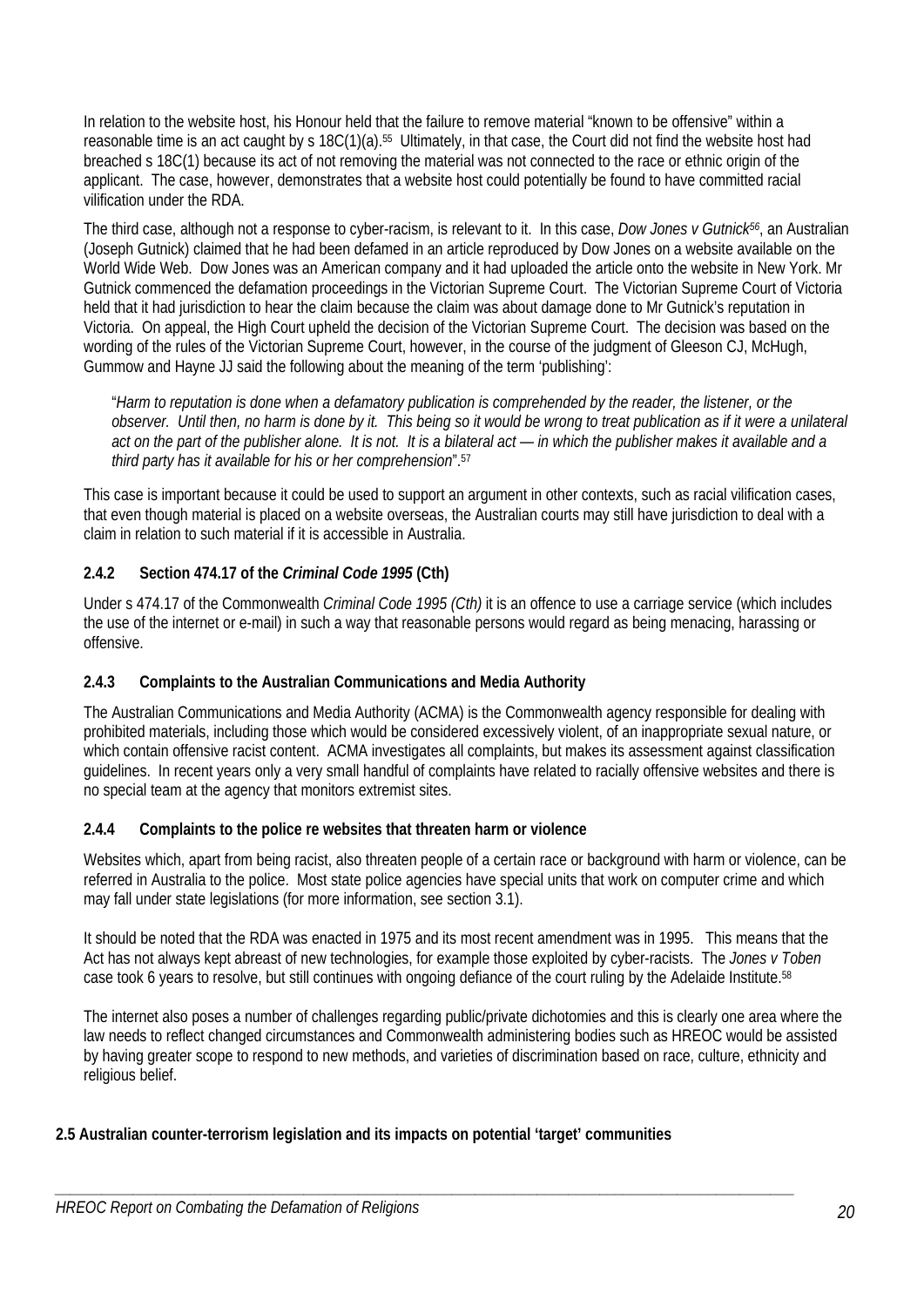In relation to the website host, his Honour held that the failure to remove material "known to be offensive" within a reasonable time is an act caught by s 18C(1)(a).55 Ultimately, in that case, the Court did not find the website host had breached s 18C(1) because its act of not removing the material was not connected to the race or ethnic origin of the applicant. The case, however, demonstrates that a website host could potentially be found to have committed racial vilification under the RDA.

The third case, although not a response to cyber-racism, is relevant to it. In this case, *Dow Jones v Gutnick56*, an Australian (Joseph Gutnick) claimed that he had been defamed in an article reproduced by Dow Jones on a website available on the World Wide Web. Dow Jones was an American company and it had uploaded the article onto the website in New York. Mr Gutnick commenced the defamation proceedings in the Victorian Supreme Court. The Victorian Supreme Court of Victoria held that it had jurisdiction to hear the claim because the claim was about damage done to Mr Gutnick's reputation in Victoria. On appeal, the High Court upheld the decision of the Victorian Supreme Court. The decision was based on the wording of the rules of the Victorian Supreme Court, however, in the course of the judgment of Gleeson CJ, McHugh, Gummow and Hayne JJ said the following about the meaning of the term 'publishing':

"*Harm to reputation is done when a defamatory publication is comprehended by the reader, the listener, or the observer. Until then, no harm is done by it. This being so it would be wrong to treat publication as if it were a unilateral act on the part of the publisher alone. It is not. It is a bilateral act — in which the publisher makes it available and a third party has it available for his or her comprehension*".57

This case is important because it could be used to support an argument in other contexts, such as racial vilification cases, that even though material is placed on a website overseas, the Australian courts may still have jurisdiction to deal with a claim in relation to such material if it is accessible in Australia.

# **2.4.2 Section 474.17 of the** *Criminal Code 1995* **(Cth)**

Under s 474.17 of the Commonwealth *Criminal Code 1995 (Cth)* it is an offence to use a carriage service (which includes the use of the internet or e-mail) in such a way that reasonable persons would regard as being menacing, harassing or offensive.

# **2.4.3 Complaints to the Australian Communications and Media Authority**

The Australian Communications and Media Authority (ACMA) is the Commonwealth agency responsible for dealing with prohibited materials, including those which would be considered excessively violent, of an inappropriate sexual nature, or which contain offensive racist content. ACMA investigates all complaints, but makes its assessment against classification guidelines. In recent years only a very small handful of complaints have related to racially offensive websites and there is no special team at the agency that monitors extremist sites.

# **2.4.4 Complaints to the police re websites that threaten harm or violence**

Websites which, apart from being racist, also threaten people of a certain race or background with harm or violence, can be referred in Australia to the police. Most state police agencies have special units that work on computer crime and which may fall under state legislations (for more information, see section 3.1).

It should be noted that the RDA was enacted in 1975 and its most recent amendment was in 1995. This means that the Act has not always kept abreast of new technologies, for example those exploited by cyber-racists. The *Jones v Toben* case took 6 years to resolve, but still continues with ongoing defiance of the court ruling by the Adelaide Institute.58

The internet also poses a number of challenges regarding public/private dichotomies and this is clearly one area where the law needs to reflect changed circumstances and Commonwealth administering bodies such as HREOC would be assisted by having greater scope to respond to new methods, and varieties of discrimination based on race, culture, ethnicity and religious belief.

# **2.5 Australian counter-terrorism legislation and its impacts on potential 'target' communities**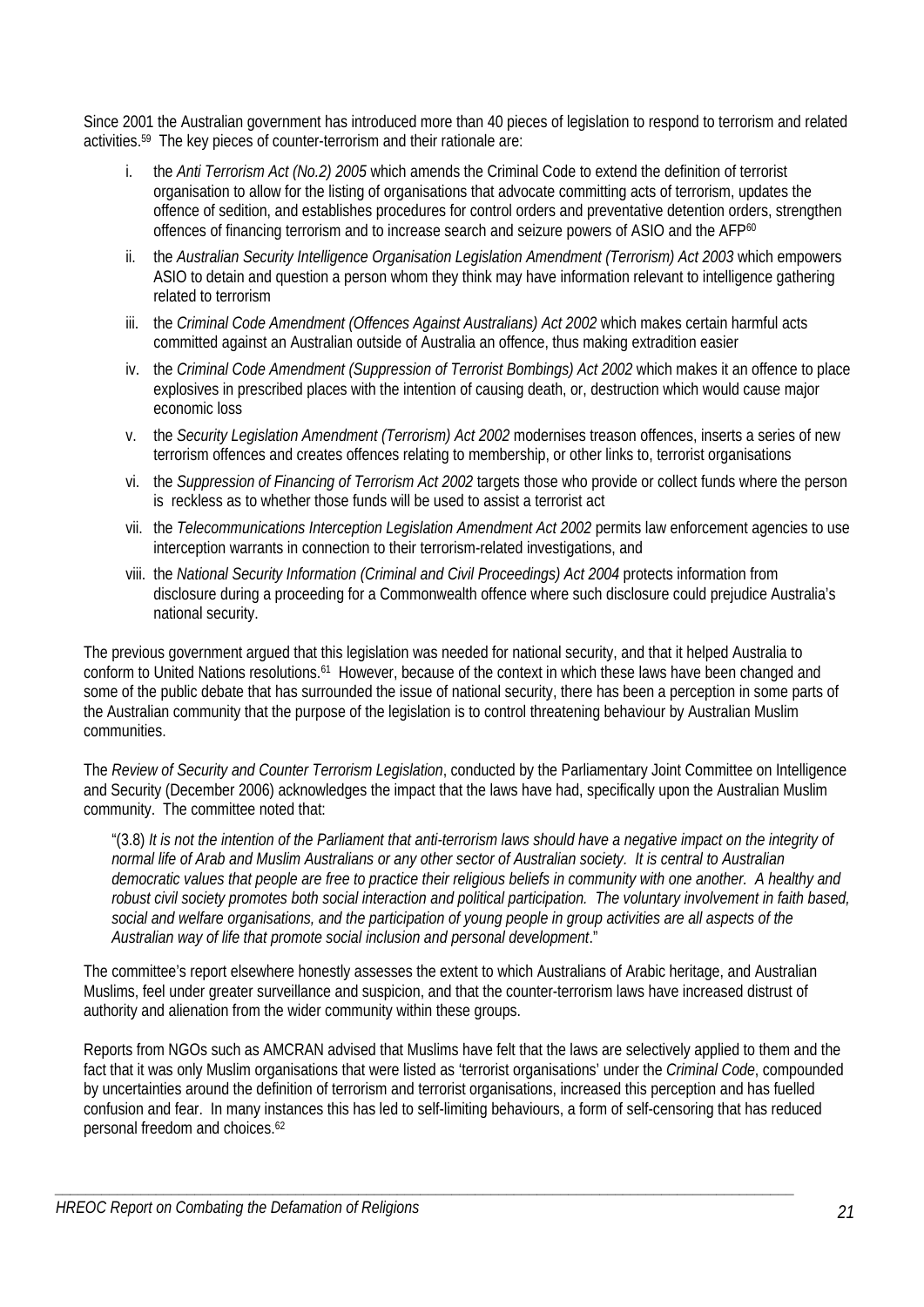Since 2001 the Australian government has introduced more than 40 pieces of legislation to respond to terrorism and related activities.59 The key pieces of counter-terrorism and their rationale are:

- i. the *Anti Terrorism Act (No.2) 2005* which amends the Criminal Code to extend the definition of terrorist organisation to allow for the listing of organisations that advocate committing acts of terrorism, updates the offence of sedition, and establishes procedures for control orders and preventative detention orders, strengthen offences of financing terrorism and to increase search and seizure powers of ASIO and the AFP<sup>60</sup>
- ii. the *Australian Security Intelligence Organisation Legislation Amendment (Terrorism) Act 2003* which empowers ASIO to detain and question a person whom they think may have information relevant to intelligence gathering related to terrorism
- iii. the *Criminal Code Amendment (Offences Against Australians) Act 2002* which makes certain harmful acts committed against an Australian outside of Australia an offence, thus making extradition easier
- iv. the *Criminal Code Amendment (Suppression of Terrorist Bombings) Act 2002* which makes it an offence to place explosives in prescribed places with the intention of causing death, or, destruction which would cause major economic loss
- v. the *Security Legislation Amendment (Terrorism) Act 2002* modernises treason offences, inserts a series of new terrorism offences and creates offences relating to membership, or other links to, terrorist organisations
- vi. the *Suppression of Financing of Terrorism Act 2002* targets those who provide or collect funds where the person is reckless as to whether those funds will be used to assist a terrorist act
- vii. the *Telecommunications Interception Legislation Amendment Act 2002* permits law enforcement agencies to use interception warrants in connection to their terrorism-related investigations, and
- viii. the *National Security Information (Criminal and Civil Proceedings) Act 2004* protects information from disclosure during a proceeding for a Commonwealth offence where such disclosure could prejudice Australia's national security.

The previous government argued that this legislation was needed for national security, and that it helped Australia to conform to United Nations resolutions.<sup>61</sup> However, because of the context in which these laws have been changed and some of the public debate that has surrounded the issue of national security, there has been a perception in some parts of the Australian community that the purpose of the legislation is to control threatening behaviour by Australian Muslim communities.

The *Review of Security and Counter Terrorism Legislation*, conducted by the Parliamentary Joint Committee on Intelligence and Security (December 2006) acknowledges the impact that the laws have had, specifically upon the Australian Muslim community. The committee noted that:

"(3.8) *It is not the intention of the Parliament that anti-terrorism laws should have a negative impact on the integrity of normal life of Arab and Muslim Australians or any other sector of Australian society. It is central to Australian democratic values that people are free to practice their religious beliefs in community with one another. A healthy and robust civil society promotes both social interaction and political participation. The voluntary involvement in faith based, social and welfare organisations, and the participation of young people in group activities are all aspects of the Australian way of life that promote social inclusion and personal development*."

The committee's report elsewhere honestly assesses the extent to which Australians of Arabic heritage, and Australian Muslims, feel under greater surveillance and suspicion, and that the counter-terrorism laws have increased distrust of authority and alienation from the wider community within these groups.

Reports from NGOs such as AMCRAN advised that Muslims have felt that the laws are selectively applied to them and the fact that it was only Muslim organisations that were listed as 'terrorist organisations' under the *Criminal Code*, compounded by uncertainties around the definition of terrorism and terrorist organisations, increased this perception and has fuelled confusion and fear. In many instances this has led to self-limiting behaviours, a form of self-censoring that has reduced personal freedom and choices.62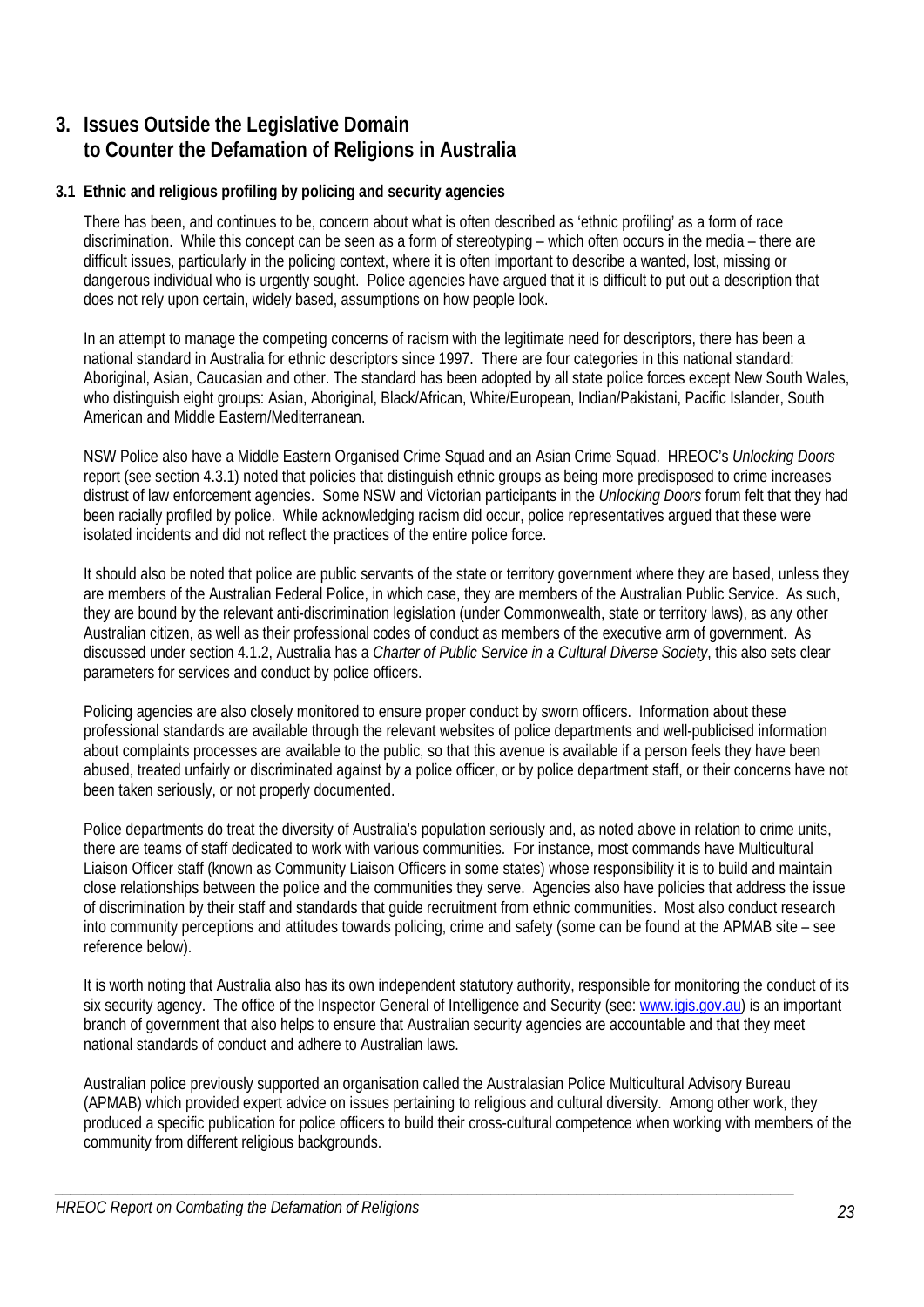# **3. Issues Outside the Legislative Domain to Counter the Defamation of Religions in Australia**

# **3.1 Ethnic and religious profiling by policing and security agencies**

There has been, and continues to be, concern about what is often described as 'ethnic profiling' as a form of race discrimination. While this concept can be seen as a form of stereotyping – which often occurs in the media – there are difficult issues, particularly in the policing context, where it is often important to describe a wanted, lost, missing or dangerous individual who is urgently sought. Police agencies have argued that it is difficult to put out a description that does not rely upon certain, widely based, assumptions on how people look.

In an attempt to manage the competing concerns of racism with the legitimate need for descriptors, there has been a national standard in Australia for ethnic descriptors since 1997. There are four categories in this national standard: Aboriginal, Asian, Caucasian and other. The standard has been adopted by all state police forces except New South Wales, who distinguish eight groups: Asian, Aboriginal, Black/African, White/European, Indian/Pakistani, Pacific Islander, South American and Middle Eastern/Mediterranean.

NSW Police also have a Middle Eastern Organised Crime Squad and an Asian Crime Squad. HREOC's *Unlocking Doors*  report (see section 4.3.1) noted that policies that distinguish ethnic groups as being more predisposed to crime increases distrust of law enforcement agencies. Some NSW and Victorian participants in the *Unlocking Doors* forum felt that they had been racially profiled by police. While acknowledging racism did occur, police representatives argued that these were isolated incidents and did not reflect the practices of the entire police force.

It should also be noted that police are public servants of the state or territory government where they are based, unless they are members of the Australian Federal Police, in which case, they are members of the Australian Public Service. As such, they are bound by the relevant anti-discrimination legislation (under Commonwealth, state or territory laws), as any other Australian citizen, as well as their professional codes of conduct as members of the executive arm of government. As discussed under section 4.1.2, Australia has a *Charter of Public Service in a Cultural Diverse Society*, this also sets clear parameters for services and conduct by police officers.

Policing agencies are also closely monitored to ensure proper conduct by sworn officers. Information about these professional standards are available through the relevant websites of police departments and well-publicised information about complaints processes are available to the public, so that this avenue is available if a person feels they have been abused, treated unfairly or discriminated against by a police officer, or by police department staff, or their concerns have not been taken seriously, or not properly documented.

Police departments do treat the diversity of Australia's population seriously and, as noted above in relation to crime units, there are teams of staff dedicated to work with various communities. For instance, most commands have Multicultural Liaison Officer staff (known as Community Liaison Officers in some states) whose responsibility it is to build and maintain close relationships between the police and the communities they serve. Agencies also have policies that address the issue of discrimination by their staff and standards that guide recruitment from ethnic communities. Most also conduct research into community perceptions and attitudes towards policing, crime and safety (some can be found at the APMAB site – see reference below).

It is worth noting that Australia also has its own independent statutory authority, responsible for monitoring the conduct of its six security agency. The office of the Inspector General of Intelligence and Security (see: www.igis.gov.au) is an important branch of government that also helps to ensure that Australian security agencies are accountable and that they meet national standards of conduct and adhere to Australian laws.

Australian police previously supported an organisation called the Australasian Police Multicultural Advisory Bureau (APMAB) which provided expert advice on issues pertaining to religious and cultural diversity. Among other work, they produced a specific publication for police officers to build their cross-cultural competence when working with members of the community from different religious backgrounds.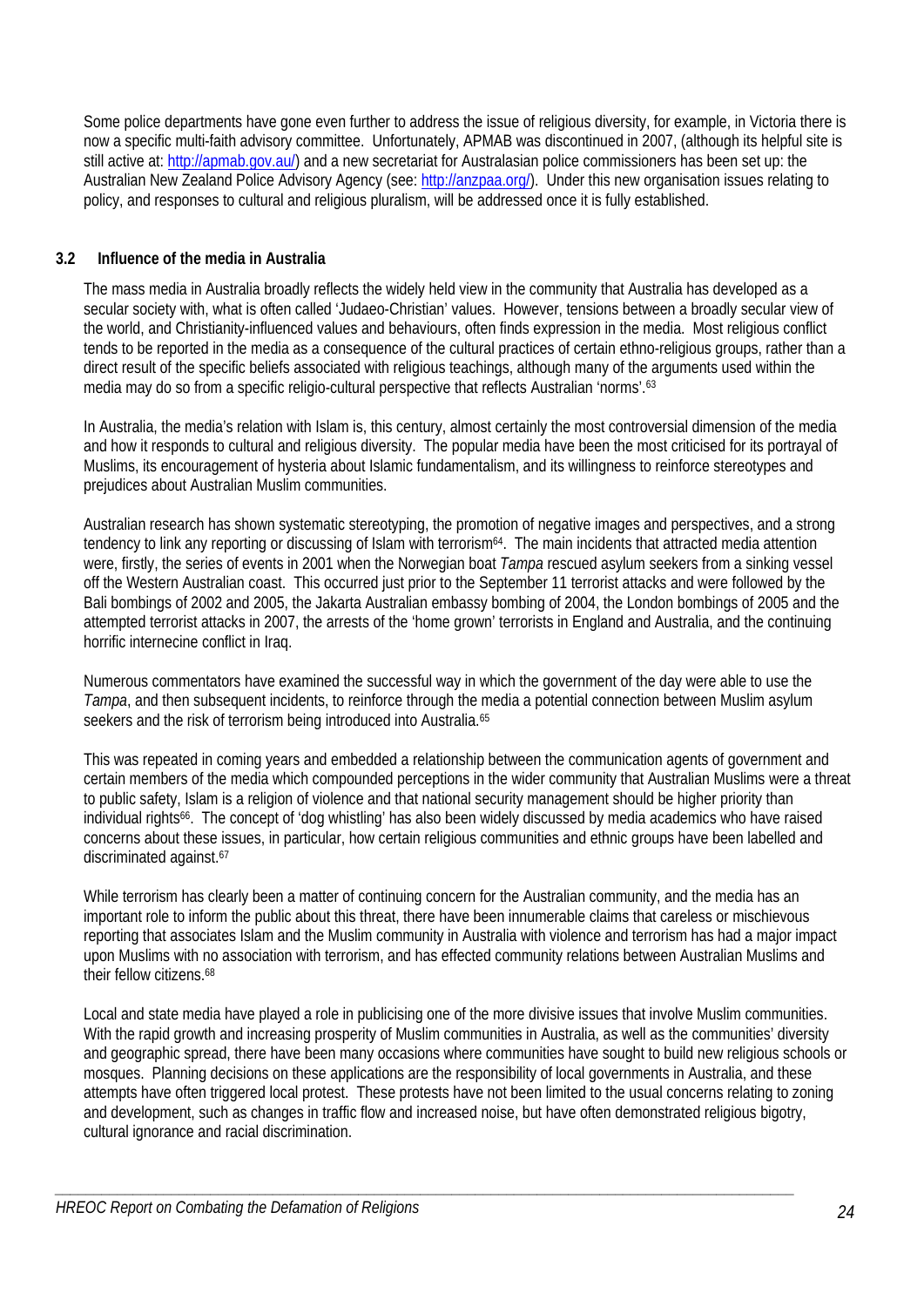Some police departments have gone even further to address the issue of religious diversity, for example, in Victoria there is now a specific multi-faith advisory committee. Unfortunately, APMAB was discontinued in 2007, (although its helpful site is still active at: http://apmab.gov.au/) and a new secretariat for Australasian police commissioners has been set up: the Australian New Zealand Police Advisory Agency (see: http://anzpaa.org/). Under this new organisation issues relating to policy, and responses to cultural and religious pluralism, will be addressed once it is fully established.

# **3.2 Influence of the media in Australia**

The mass media in Australia broadly reflects the widely held view in the community that Australia has developed as a secular society with, what is often called 'Judaeo-Christian' values. However, tensions between a broadly secular view of the world, and Christianity-influenced values and behaviours, often finds expression in the media. Most religious conflict tends to be reported in the media as a consequence of the cultural practices of certain ethno-religious groups, rather than a direct result of the specific beliefs associated with religious teachings, although many of the arguments used within the media may do so from a specific religio-cultural perspective that reflects Australian 'norms'.63

In Australia, the media's relation with Islam is, this century, almost certainly the most controversial dimension of the media and how it responds to cultural and religious diversity. The popular media have been the most criticised for its portrayal of Muslims, its encouragement of hysteria about Islamic fundamentalism, and its willingness to reinforce stereotypes and prejudices about Australian Muslim communities.

Australian research has shown systematic stereotyping, the promotion of negative images and perspectives, and a strong tendency to link any reporting or discussing of Islam with terrorism<sup>64</sup>. The main incidents that attracted media attention were, firstly, the series of events in 2001 when the Norwegian boat *Tampa* rescued asylum seekers from a sinking vessel off the Western Australian coast. This occurred just prior to the September 11 terrorist attacks and were followed by the Bali bombings of 2002 and 2005, the Jakarta Australian embassy bombing of 2004, the London bombings of 2005 and the attempted terrorist attacks in 2007, the arrests of the 'home grown' terrorists in England and Australia, and the continuing horrific internecine conflict in Iraq.

Numerous commentators have examined the successful way in which the government of the day were able to use the *Tampa*, and then subsequent incidents, to reinforce through the media a potential connection between Muslim asylum seekers and the risk of terrorism being introduced into Australia.<sup>65</sup>

This was repeated in coming years and embedded a relationship between the communication agents of government and certain members of the media which compounded perceptions in the wider community that Australian Muslims were a threat to public safety, Islam is a religion of violence and that national security management should be higher priority than individual rights<sup>66</sup>. The concept of 'dog whistling' has also been widely discussed by media academics who have raised concerns about these issues, in particular, how certain religious communities and ethnic groups have been labelled and discriminated against.<sup>67</sup>

While terrorism has clearly been a matter of continuing concern for the Australian community, and the media has an important role to inform the public about this threat, there have been innumerable claims that careless or mischievous reporting that associates Islam and the Muslim community in Australia with violence and terrorism has had a major impact upon Muslims with no association with terrorism, and has effected community relations between Australian Muslims and their fellow citizens.68

Local and state media have played a role in publicising one of the more divisive issues that involve Muslim communities. With the rapid growth and increasing prosperity of Muslim communities in Australia, as well as the communities' diversity and geographic spread, there have been many occasions where communities have sought to build new religious schools or mosques. Planning decisions on these applications are the responsibility of local governments in Australia, and these attempts have often triggered local protest. These protests have not been limited to the usual concerns relating to zoning and development, such as changes in traffic flow and increased noise, but have often demonstrated religious bigotry, cultural ignorance and racial discrimination.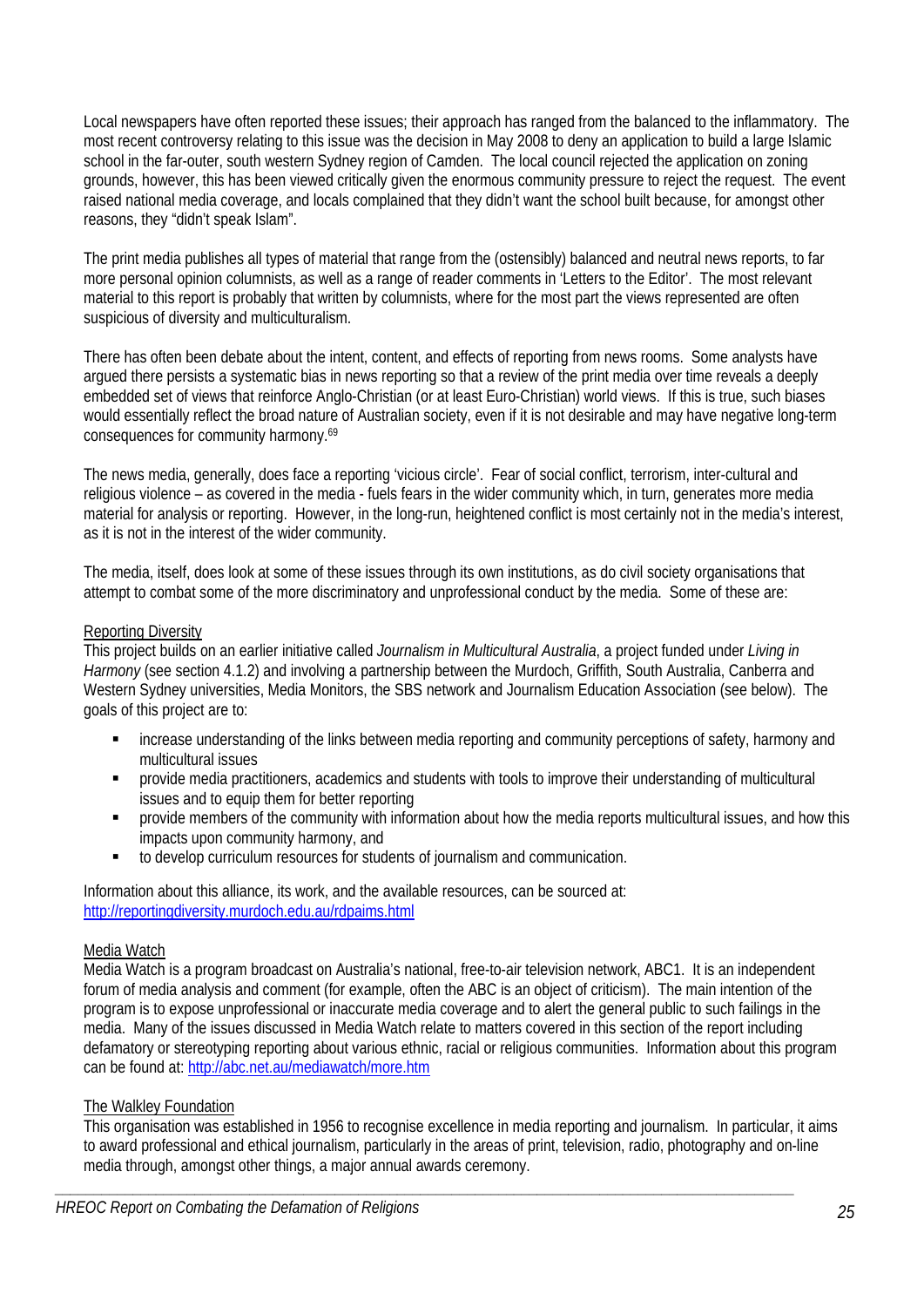Local newspapers have often reported these issues; their approach has ranged from the balanced to the inflammatory. The most recent controversy relating to this issue was the decision in May 2008 to deny an application to build a large Islamic school in the far-outer, south western Sydney region of Camden. The local council rejected the application on zoning grounds, however, this has been viewed critically given the enormous community pressure to reject the request. The event raised national media coverage, and locals complained that they didn't want the school built because, for amongst other reasons, they "didn't speak Islam".

The print media publishes all types of material that range from the (ostensibly) balanced and neutral news reports, to far more personal opinion columnists, as well as a range of reader comments in 'Letters to the Editor'. The most relevant material to this report is probably that written by columnists, where for the most part the views represented are often suspicious of diversity and multiculturalism.

There has often been debate about the intent, content, and effects of reporting from news rooms. Some analysts have argued there persists a systematic bias in news reporting so that a review of the print media over time reveals a deeply embedded set of views that reinforce Anglo-Christian (or at least Euro-Christian) world views. If this is true, such biases would essentially reflect the broad nature of Australian society, even if it is not desirable and may have negative long-term consequences for community harmony.69

The news media, generally, does face a reporting 'vicious circle'. Fear of social conflict, terrorism, inter-cultural and religious violence – as covered in the media - fuels fears in the wider community which, in turn, generates more media material for analysis or reporting. However, in the long-run, heightened conflict is most certainly not in the media's interest, as it is not in the interest of the wider community.

The media, itself, does look at some of these issues through its own institutions, as do civil society organisations that attempt to combat some of the more discriminatory and unprofessional conduct by the media. Some of these are:

# Reporting Diversity

This project builds on an earlier initiative called *Journalism in Multicultural Australia*, a project funded under *Living in Harmony* (see section 4.1.2) and involving a partnership between the Murdoch, Griffith, South Australia, Canberra and Western Sydney universities, Media Monitors, the SBS network and Journalism Education Association (see below). The goals of this project are to:

- increase understanding of the links between media reporting and community perceptions of safety, harmony and multicultural issues
- provide media practitioners, academics and students with tools to improve their understanding of multicultural issues and to equip them for better reporting
- **PEDRO)** provide members of the community with information about how the media reports multicultural issues, and how this impacts upon community harmony, and
- to develop curriculum resources for students of journalism and communication.

Information about this alliance, its work, and the available resources, can be sourced at: http://reportingdiversity.murdoch.edu.au/rdpaims.html

### Media Watch

Media Watch is a program broadcast on Australia's national, free-to-air television network, ABC1. It is an independent forum of media analysis and comment (for example, often the ABC is an object of criticism). The main intention of the program is to expose unprofessional or inaccurate media coverage and to alert the general public to such failings in the media. Many of the issues discussed in Media Watch relate to matters covered in this section of the report including defamatory or stereotyping reporting about various ethnic, racial or religious communities. Information about this program can be found at: http://abc.net.au/mediawatch/more.htm

### The Walkley Foundation

This organisation was established in 1956 to recognise excellence in media reporting and journalism. In particular, it aims to award professional and ethical journalism, particularly in the areas of print, television, radio, photography and on-line media through, amongst other things, a major annual awards ceremony.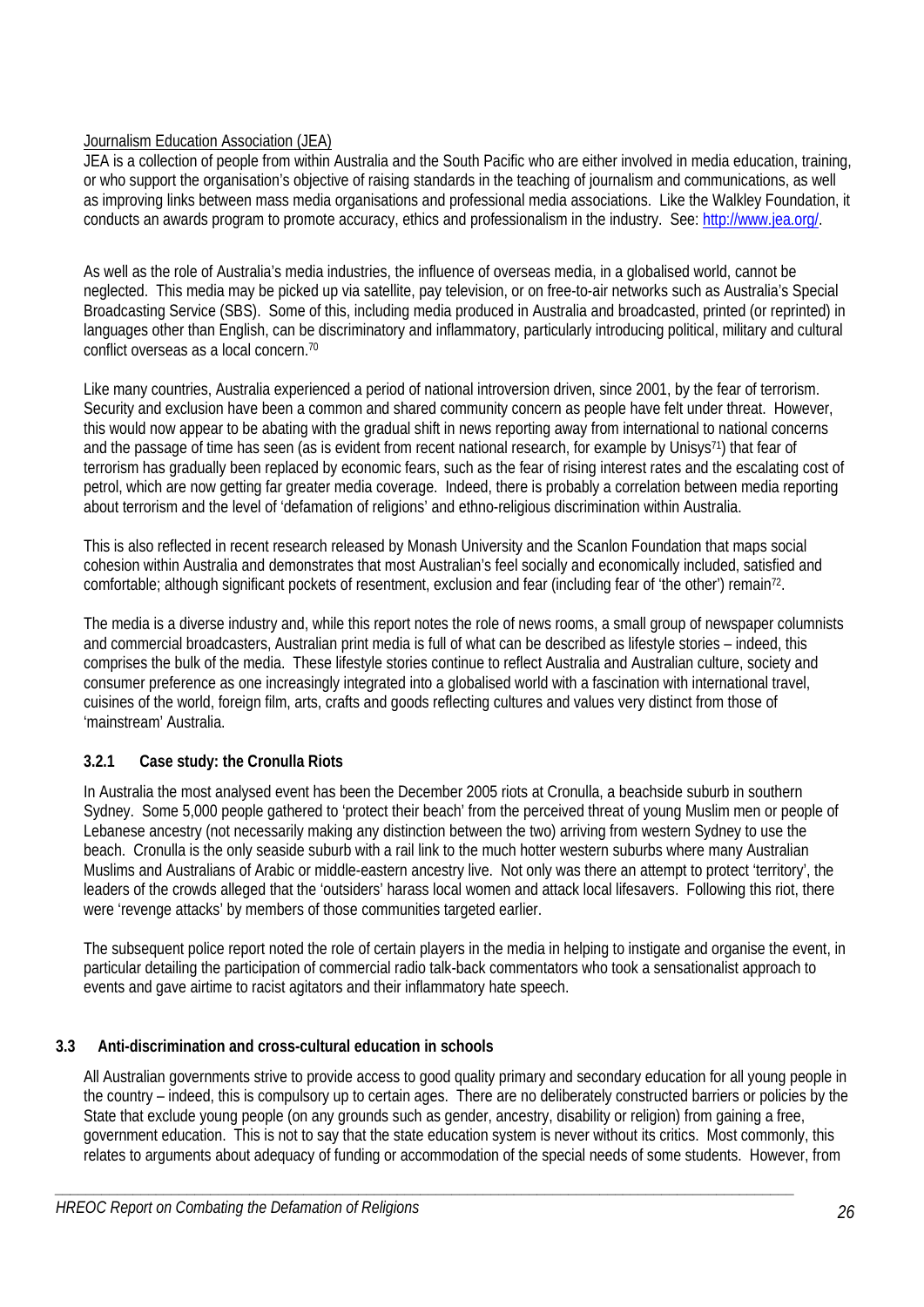# Journalism Education Association (JEA)

JEA is a collection of people from within Australia and the South Pacific who are either involved in media education, training, or who support the organisation's objective of raising standards in the teaching of journalism and communications, as well as improving links between mass media organisations and professional media associations. Like the Walkley Foundation, it conducts an awards program to promote accuracy, ethics and professionalism in the industry. See: http://www.jea.org/.

As well as the role of Australia's media industries, the influence of overseas media, in a globalised world, cannot be neglected. This media may be picked up via satellite, pay television, or on free-to-air networks such as Australia's Special Broadcasting Service (SBS). Some of this, including media produced in Australia and broadcasted, printed (or reprinted) in languages other than English, can be discriminatory and inflammatory, particularly introducing political, military and cultural conflict overseas as a local concern.70

Like many countries, Australia experienced a period of national introversion driven, since 2001, by the fear of terrorism. Security and exclusion have been a common and shared community concern as people have felt under threat. However, this would now appear to be abating with the gradual shift in news reporting away from international to national concerns and the passage of time has seen (as is evident from recent national research, for example by Unisys71) that fear of terrorism has gradually been replaced by economic fears, such as the fear of rising interest rates and the escalating cost of petrol, which are now getting far greater media coverage. Indeed, there is probably a correlation between media reporting about terrorism and the level of 'defamation of religions' and ethno-religious discrimination within Australia.

This is also reflected in recent research released by Monash University and the Scanlon Foundation that maps social cohesion within Australia and demonstrates that most Australian's feel socially and economically included, satisfied and comfortable; although significant pockets of resentment, exclusion and fear (including fear of 'the other') remain<sup>72</sup>.

The media is a diverse industry and, while this report notes the role of news rooms, a small group of newspaper columnists and commercial broadcasters, Australian print media is full of what can be described as lifestyle stories – indeed, this comprises the bulk of the media. These lifestyle stories continue to reflect Australia and Australian culture, society and consumer preference as one increasingly integrated into a globalised world with a fascination with international travel, cuisines of the world, foreign film, arts, crafts and goods reflecting cultures and values very distinct from those of 'mainstream' Australia.

# **3.2.1 Case study: the Cronulla Riots**

In Australia the most analysed event has been the December 2005 riots at Cronulla, a beachside suburb in southern Sydney. Some 5,000 people gathered to 'protect their beach' from the perceived threat of young Muslim men or people of Lebanese ancestry (not necessarily making any distinction between the two) arriving from western Sydney to use the beach. Cronulla is the only seaside suburb with a rail link to the much hotter western suburbs where many Australian Muslims and Australians of Arabic or middle-eastern ancestry live. Not only was there an attempt to protect 'territory', the leaders of the crowds alleged that the 'outsiders' harass local women and attack local lifesavers. Following this riot, there were 'revenge attacks' by members of those communities targeted earlier.

The subsequent police report noted the role of certain players in the media in helping to instigate and organise the event, in particular detailing the participation of commercial radio talk-back commentators who took a sensationalist approach to events and gave airtime to racist agitators and their inflammatory hate speech.

# **3.3 Anti-discrimination and cross-cultural education in schools**

All Australian governments strive to provide access to good quality primary and secondary education for all young people in the country – indeed, this is compulsory up to certain ages. There are no deliberately constructed barriers or policies by the State that exclude young people (on any grounds such as gender, ancestry, disability or religion) from gaining a free, government education. This is not to say that the state education system is never without its critics. Most commonly, this relates to arguments about adequacy of funding or accommodation of the special needs of some students. However, from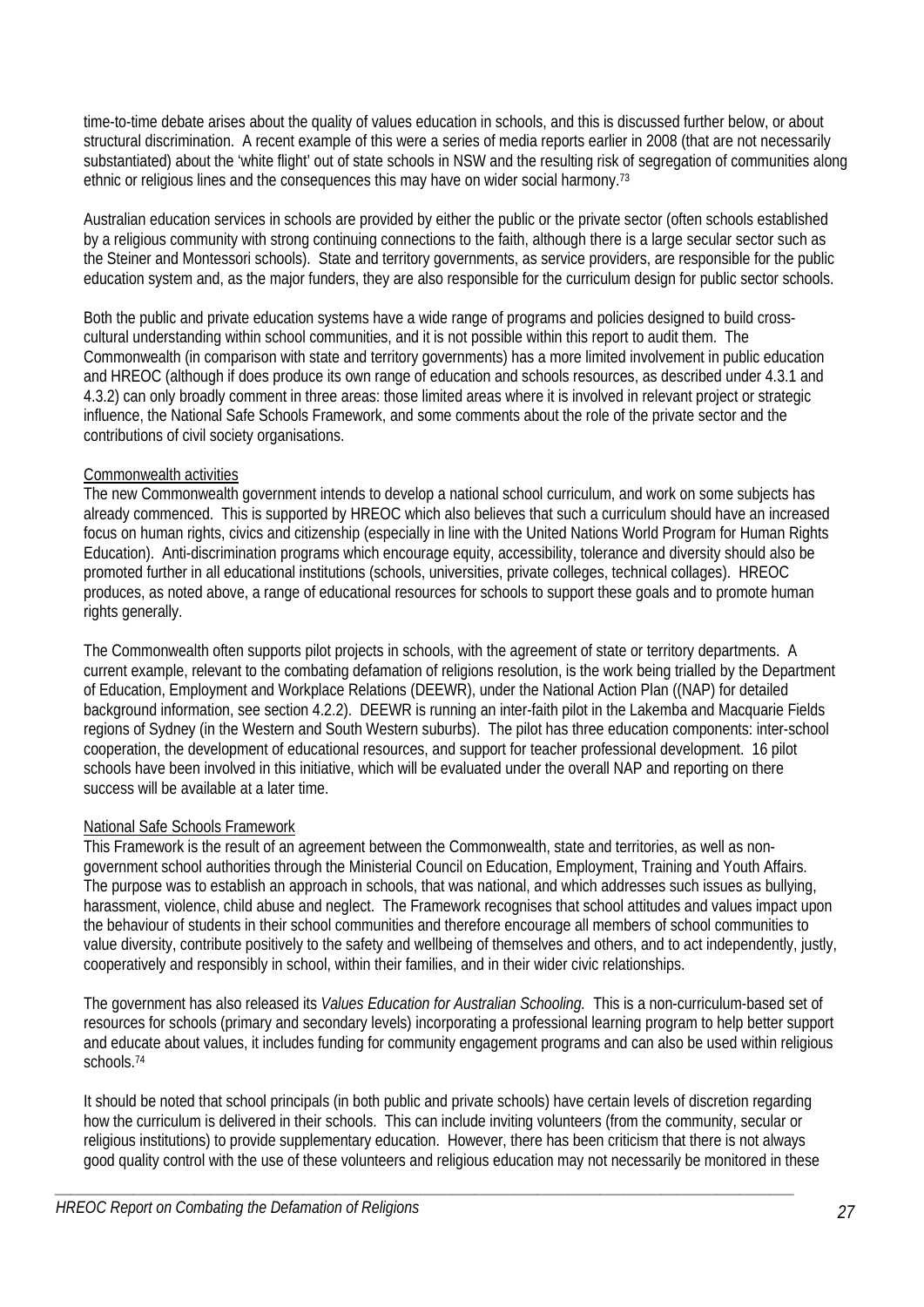time-to-time debate arises about the quality of values education in schools, and this is discussed further below, or about structural discrimination. A recent example of this were a series of media reports earlier in 2008 (that are not necessarily substantiated) about the 'white flight' out of state schools in NSW and the resulting risk of segregation of communities along ethnic or religious lines and the consequences this may have on wider social harmony.<sup>73</sup>

Australian education services in schools are provided by either the public or the private sector (often schools established by a religious community with strong continuing connections to the faith, although there is a large secular sector such as the Steiner and Montessori schools). State and territory governments, as service providers, are responsible for the public education system and, as the major funders, they are also responsible for the curriculum design for public sector schools.

Both the public and private education systems have a wide range of programs and policies designed to build crosscultural understanding within school communities, and it is not possible within this report to audit them. The Commonwealth (in comparison with state and territory governments) has a more limited involvement in public education and HREOC (although if does produce its own range of education and schools resources, as described under 4.3.1 and 4.3.2) can only broadly comment in three areas: those limited areas where it is involved in relevant project or strategic influence, the National Safe Schools Framework, and some comments about the role of the private sector and the contributions of civil society organisations.

# Commonwealth activities

The new Commonwealth government intends to develop a national school curriculum, and work on some subjects has already commenced. This is supported by HREOC which also believes that such a curriculum should have an increased focus on human rights, civics and citizenship (especially in line with the United Nations World Program for Human Rights Education). Anti-discrimination programs which encourage equity, accessibility, tolerance and diversity should also be promoted further in all educational institutions (schools, universities, private colleges, technical collages). HREOC produces, as noted above, a range of educational resources for schools to support these goals and to promote human rights generally.

The Commonwealth often supports pilot projects in schools, with the agreement of state or territory departments. A current example, relevant to the combating defamation of religions resolution, is the work being trialled by the Department of Education, Employment and Workplace Relations (DEEWR), under the National Action Plan ((NAP) for detailed background information, see section 4.2.2). DEEWR is running an inter-faith pilot in the Lakemba and Macquarie Fields regions of Sydney (in the Western and South Western suburbs). The pilot has three education components: inter-school cooperation, the development of educational resources, and support for teacher professional development. 16 pilot schools have been involved in this initiative, which will be evaluated under the overall NAP and reporting on there success will be available at a later time.

# National Safe Schools Framework

This Framework is the result of an agreement between the Commonwealth, state and territories, as well as nongovernment school authorities through the Ministerial Council on Education, Employment, Training and Youth Affairs. The purpose was to establish an approach in schools, that was national, and which addresses such issues as bullying, harassment, violence, child abuse and neglect. The Framework recognises that school attitudes and values impact upon the behaviour of students in their school communities and therefore encourage all members of school communities to value diversity, contribute positively to the safety and wellbeing of themselves and others, and to act independently, justly, cooperatively and responsibly in school, within their families, and in their wider civic relationships.

The government has also released its *Values Education for Australian Schooling.* This is a non-curriculum-based set of resources for schools (primary and secondary levels) incorporating a professional learning program to help better support and educate about values, it includes funding for community engagement programs and can also be used within religious schools.74

It should be noted that school principals (in both public and private schools) have certain levels of discretion regarding how the curriculum is delivered in their schools. This can include inviting volunteers (from the community, secular or religious institutions) to provide supplementary education. However, there has been criticism that there is not always good quality control with the use of these volunteers and religious education may not necessarily be monitored in these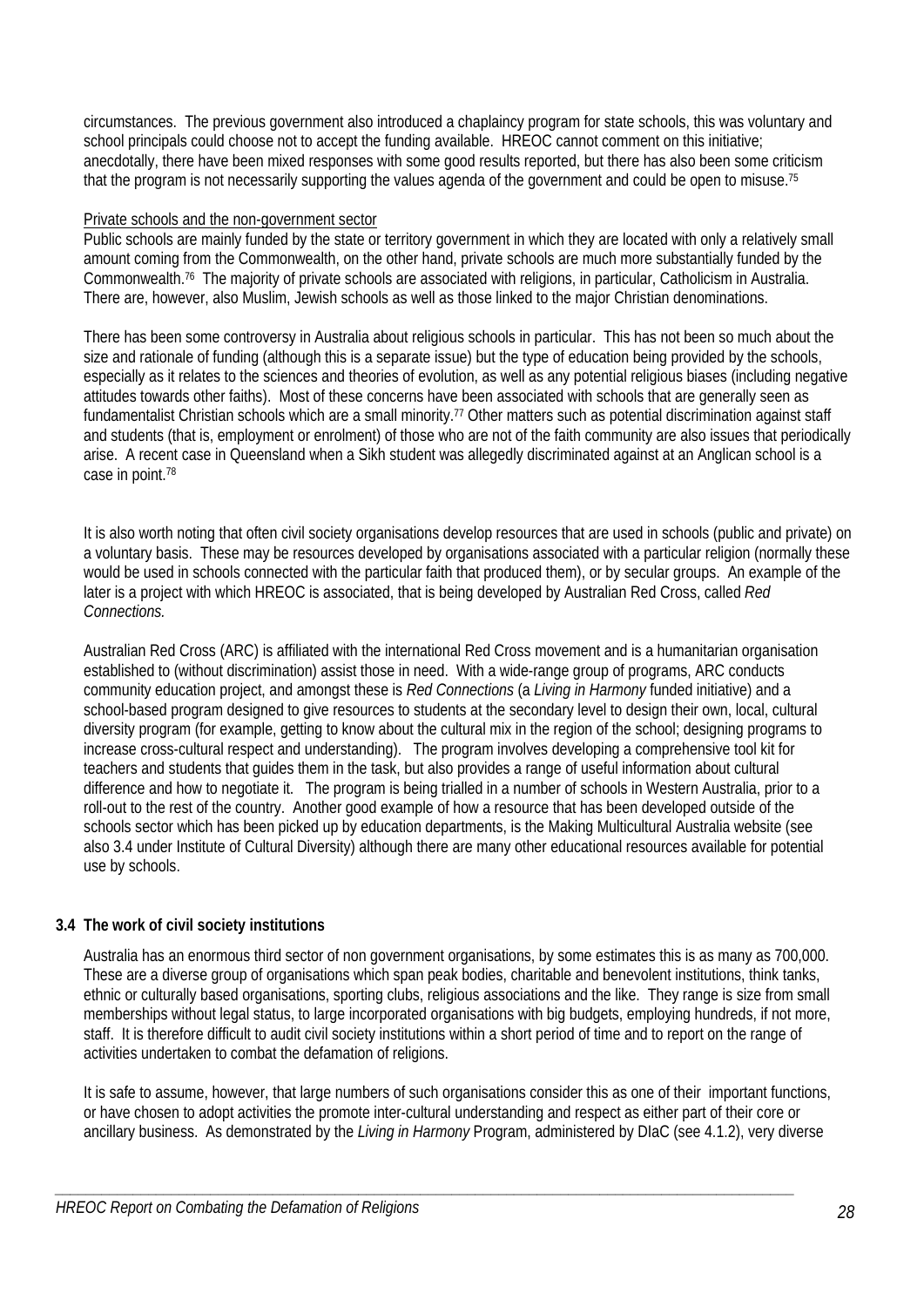circumstances. The previous government also introduced a chaplaincy program for state schools, this was voluntary and school principals could choose not to accept the funding available. HREOC cannot comment on this initiative; anecdotally, there have been mixed responses with some good results reported, but there has also been some criticism that the program is not necessarily supporting the values agenda of the government and could be open to misuse.<sup>75</sup>

### Private schools and the non-government sector

Public schools are mainly funded by the state or territory government in which they are located with only a relatively small amount coming from the Commonwealth, on the other hand, private schools are much more substantially funded by the Commonwealth.76 The majority of private schools are associated with religions, in particular, Catholicism in Australia. There are, however, also Muslim, Jewish schools as well as those linked to the major Christian denominations.

There has been some controversy in Australia about religious schools in particular. This has not been so much about the size and rationale of funding (although this is a separate issue) but the type of education being provided by the schools, especially as it relates to the sciences and theories of evolution, as well as any potential religious biases (including negative attitudes towards other faiths). Most of these concerns have been associated with schools that are generally seen as fundamentalist Christian schools which are a small minority.<sup>77</sup> Other matters such as potential discrimination against staff and students (that is, employment or enrolment) of those who are not of the faith community are also issues that periodically arise. A recent case in Queensland when a Sikh student was allegedly discriminated against at an Anglican school is a case in point.78

It is also worth noting that often civil society organisations develop resources that are used in schools (public and private) on a voluntary basis. These may be resources developed by organisations associated with a particular religion (normally these would be used in schools connected with the particular faith that produced them), or by secular groups. An example of the later is a project with which HREOC is associated, that is being developed by Australian Red Cross, called *Red Connections.*

Australian Red Cross (ARC) is affiliated with the international Red Cross movement and is a humanitarian organisation established to (without discrimination) assist those in need. With a wide-range group of programs, ARC conducts community education project, and amongst these is *Red Connections* (a *Living in Harmony* funded initiative) and a school-based program designed to give resources to students at the secondary level to design their own, local, cultural diversity program (for example, getting to know about the cultural mix in the region of the school; designing programs to increase cross-cultural respect and understanding). The program involves developing a comprehensive tool kit for teachers and students that guides them in the task, but also provides a range of useful information about cultural difference and how to negotiate it. The program is being trialled in a number of schools in Western Australia, prior to a roll-out to the rest of the country. Another good example of how a resource that has been developed outside of the schools sector which has been picked up by education departments, is the Making Multicultural Australia website (see also 3.4 under Institute of Cultural Diversity) although there are many other educational resources available for potential use by schools.

# **3.4 The work of civil society institutions**

Australia has an enormous third sector of non government organisations, by some estimates this is as many as 700,000. These are a diverse group of organisations which span peak bodies, charitable and benevolent institutions, think tanks, ethnic or culturally based organisations, sporting clubs, religious associations and the like. They range is size from small memberships without legal status, to large incorporated organisations with big budgets, employing hundreds, if not more, staff. It is therefore difficult to audit civil society institutions within a short period of time and to report on the range of activities undertaken to combat the defamation of religions.

It is safe to assume, however, that large numbers of such organisations consider this as one of their important functions, or have chosen to adopt activities the promote inter-cultural understanding and respect as either part of their core or ancillary business. As demonstrated by the *Living in Harmony* Program, administered by DIaC (see 4.1.2), very diverse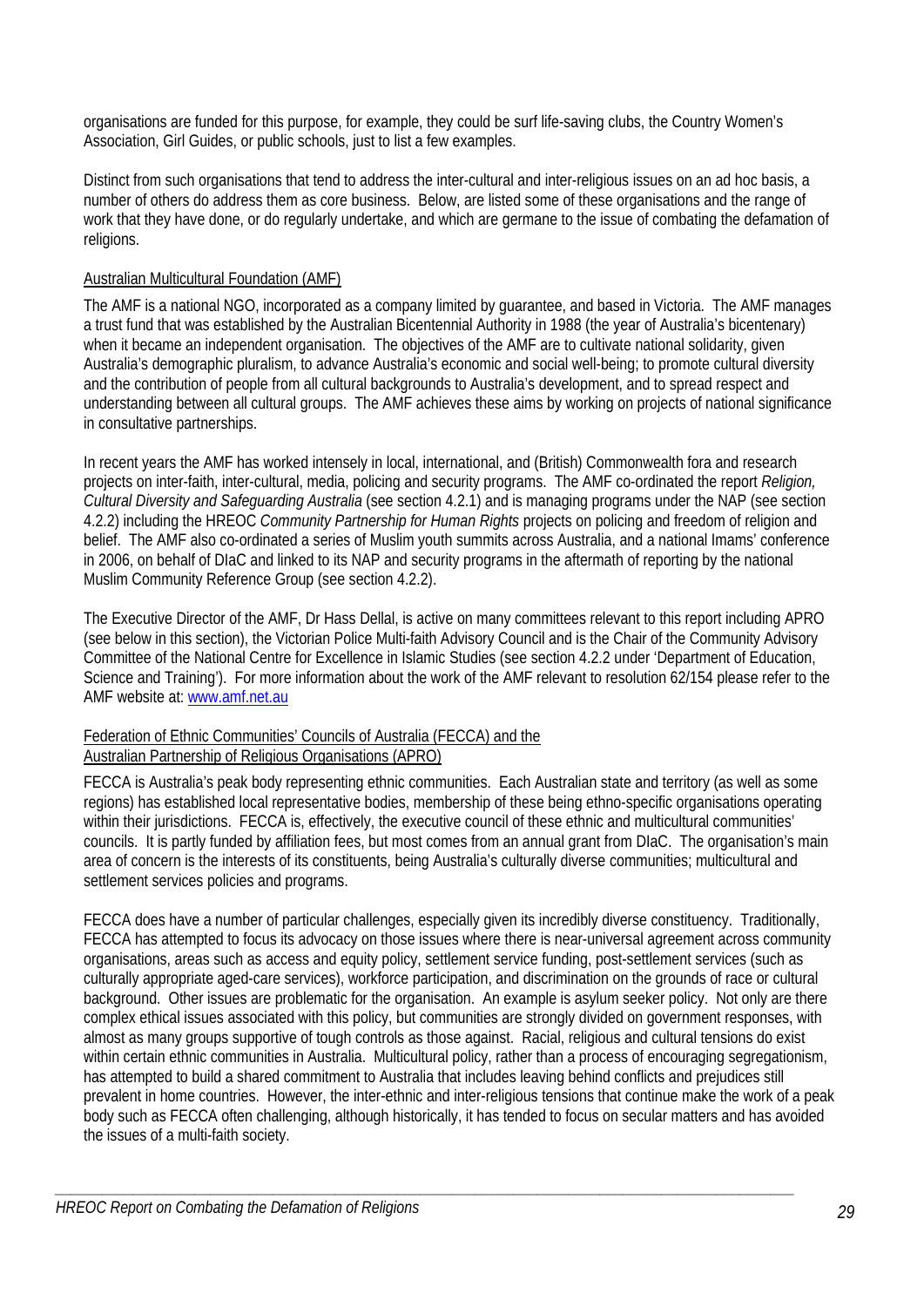organisations are funded for this purpose, for example, they could be surf life-saving clubs, the Country Women's Association, Girl Guides, or public schools, just to list a few examples.

Distinct from such organisations that tend to address the inter-cultural and inter-religious issues on an ad hoc basis, a number of others do address them as core business. Below, are listed some of these organisations and the range of work that they have done, or do regularly undertake, and which are germane to the issue of combating the defamation of religions.

# Australian Multicultural Foundation (AMF)

The AMF is a national NGO, incorporated as a company limited by guarantee, and based in Victoria. The AMF manages a trust fund that was established by the Australian Bicentennial Authority in 1988 (the year of Australia's bicentenary) when it became an independent organisation. The objectives of the AMF are to cultivate national solidarity, given Australia's demographic pluralism, to advance Australia's economic and social well-being; to promote cultural diversity and the contribution of people from all cultural backgrounds to Australia's development, and to spread respect and understanding between all cultural groups. The AMF achieves these aims by working on projects of national significance in consultative partnerships.

In recent years the AMF has worked intensely in local, international, and (British) Commonwealth fora and research projects on inter-faith, inter-cultural, media, policing and security programs. The AMF co-ordinated the report *Religion, Cultural Diversity and Safeguarding Australia* (see section 4.2.1) and is managing programs under the NAP (see section 4.2.2) including the HREOC *Community Partnership for Human Rights* projects on policing and freedom of religion and belief. The AMF also co-ordinated a series of Muslim youth summits across Australia, and a national Imams' conference in 2006, on behalf of DIaC and linked to its NAP and security programs in the aftermath of reporting by the national Muslim Community Reference Group (see section 4.2.2).

The Executive Director of the AMF, Dr Hass Dellal, is active on many committees relevant to this report including APRO (see below in this section), the Victorian Police Multi-faith Advisory Council and is the Chair of the Community Advisory Committee of the National Centre for Excellence in Islamic Studies (see section 4.2.2 under 'Department of Education, Science and Training'). For more information about the work of the AMF relevant to resolution 62/154 please refer to the AMF website at: www.amf.net.au

### Federation of Ethnic Communities' Councils of Australia (FECCA) and the Australian Partnership of Religious Organisations (APRO)

FECCA is Australia's peak body representing ethnic communities. Each Australian state and territory (as well as some regions) has established local representative bodies, membership of these being ethno-specific organisations operating within their jurisdictions. FECCA is, effectively, the executive council of these ethnic and multicultural communities' councils. It is partly funded by affiliation fees, but most comes from an annual grant from DIaC. The organisation's main area of concern is the interests of its constituents, being Australia's culturally diverse communities; multicultural and settlement services policies and programs.

FECCA does have a number of particular challenges, especially given its incredibly diverse constituency. Traditionally, FECCA has attempted to focus its advocacy on those issues where there is near-universal agreement across community organisations, areas such as access and equity policy, settlement service funding, post-settlement services (such as culturally appropriate aged-care services), workforce participation, and discrimination on the grounds of race or cultural background. Other issues are problematic for the organisation. An example is asylum seeker policy. Not only are there complex ethical issues associated with this policy, but communities are strongly divided on government responses, with almost as many groups supportive of tough controls as those against. Racial, religious and cultural tensions do exist within certain ethnic communities in Australia. Multicultural policy, rather than a process of encouraging segregationism, has attempted to build a shared commitment to Australia that includes leaving behind conflicts and prejudices still prevalent in home countries. However, the inter-ethnic and inter-religious tensions that continue make the work of a peak body such as FECCA often challenging, although historically, it has tended to focus on secular matters and has avoided the issues of a multi-faith society.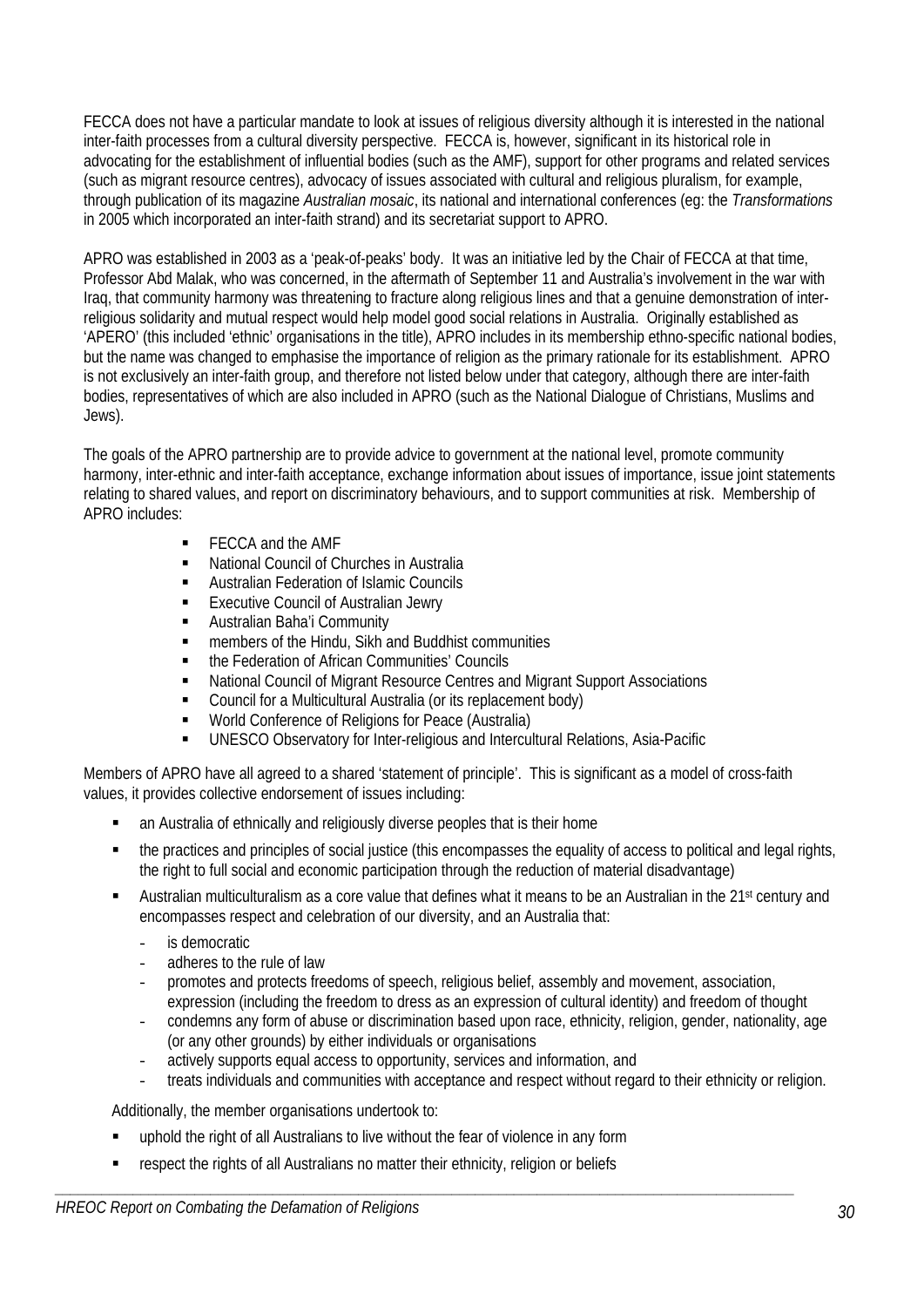FECCA does not have a particular mandate to look at issues of religious diversity although it is interested in the national inter-faith processes from a cultural diversity perspective. FECCA is, however, significant in its historical role in advocating for the establishment of influential bodies (such as the AMF), support for other programs and related services (such as migrant resource centres), advocacy of issues associated with cultural and religious pluralism, for example, through publication of its magazine *Australian mosaic*, its national and international conferences (eg: the *Transformations* in 2005 which incorporated an inter-faith strand) and its secretariat support to APRO.

APRO was established in 2003 as a 'peak-of-peaks' body. It was an initiative led by the Chair of FECCA at that time, Professor Abd Malak, who was concerned, in the aftermath of September 11 and Australia's involvement in the war with Iraq, that community harmony was threatening to fracture along religious lines and that a genuine demonstration of interreligious solidarity and mutual respect would help model good social relations in Australia. Originally established as 'APERO' (this included 'ethnic' organisations in the title), APRO includes in its membership ethno-specific national bodies, but the name was changed to emphasise the importance of religion as the primary rationale for its establishment. APRO is not exclusively an inter-faith group, and therefore not listed below under that category, although there are inter-faith bodies, representatives of which are also included in APRO (such as the National Dialogue of Christians, Muslims and Jews).

The goals of the APRO partnership are to provide advice to government at the national level, promote community harmony, inter-ethnic and inter-faith acceptance, exchange information about issues of importance, issue joint statements relating to shared values, and report on discriminatory behaviours, and to support communities at risk. Membership of APRO includes:

- FECCA and the AMF
- National Council of Churches in Australia
- **EXECUTE:** Australian Federation of Islamic Councils
- Executive Council of Australian Jewry
- **Australian Baha'i Community**
- members of the Hindu, Sikh and Buddhist communities
- **the Federation of African Communities' Councils**
- National Council of Migrant Resource Centres and Migrant Support Associations
- Council for a Multicultural Australia (or its replacement body)
- **World Conference of Religions for Peace (Australia)**
- UNESCO Observatory for Inter-religious and Intercultural Relations, Asia-Pacific

Members of APRO have all agreed to a shared 'statement of principle'. This is significant as a model of cross-faith values, it provides collective endorsement of issues including:

- an Australia of ethnically and religiously diverse peoples that is their home
- the practices and principles of social justice (this encompasses the equality of access to political and legal rights, the right to full social and economic participation through the reduction of material disadvantage)
- Australian multiculturalism as a core value that defines what it means to be an Australian in the 21<sup>st</sup> century and encompasses respect and celebration of our diversity, and an Australia that:
	- is democratic
	- adheres to the rule of law
	- promotes and protects freedoms of speech, religious belief, assembly and movement, association, expression (including the freedom to dress as an expression of cultural identity) and freedom of thought
	- condemns any form of abuse or discrimination based upon race, ethnicity, religion, gender, nationality, age (or any other grounds) by either individuals or organisations
	- actively supports equal access to opportunity, services and information, and

*\_\_\_\_\_\_\_\_\_\_\_\_\_\_\_\_\_\_\_\_\_\_\_\_\_\_\_\_\_\_\_\_\_\_\_\_\_\_\_\_\_\_\_\_\_\_\_\_\_\_\_\_\_\_\_\_\_\_\_\_\_\_\_\_\_\_\_\_\_\_\_\_\_\_\_\_\_\_\_\_\_\_\_\_\_\_\_\_\_\_\_\_\_\_\_* 

treats individuals and communities with acceptance and respect without regard to their ethnicity or religion.

Additionally, the member organisations undertook to:

- uphold the right of all Australians to live without the fear of violence in any form
- respect the rights of all Australians no matter their ethnicity, religion or beliefs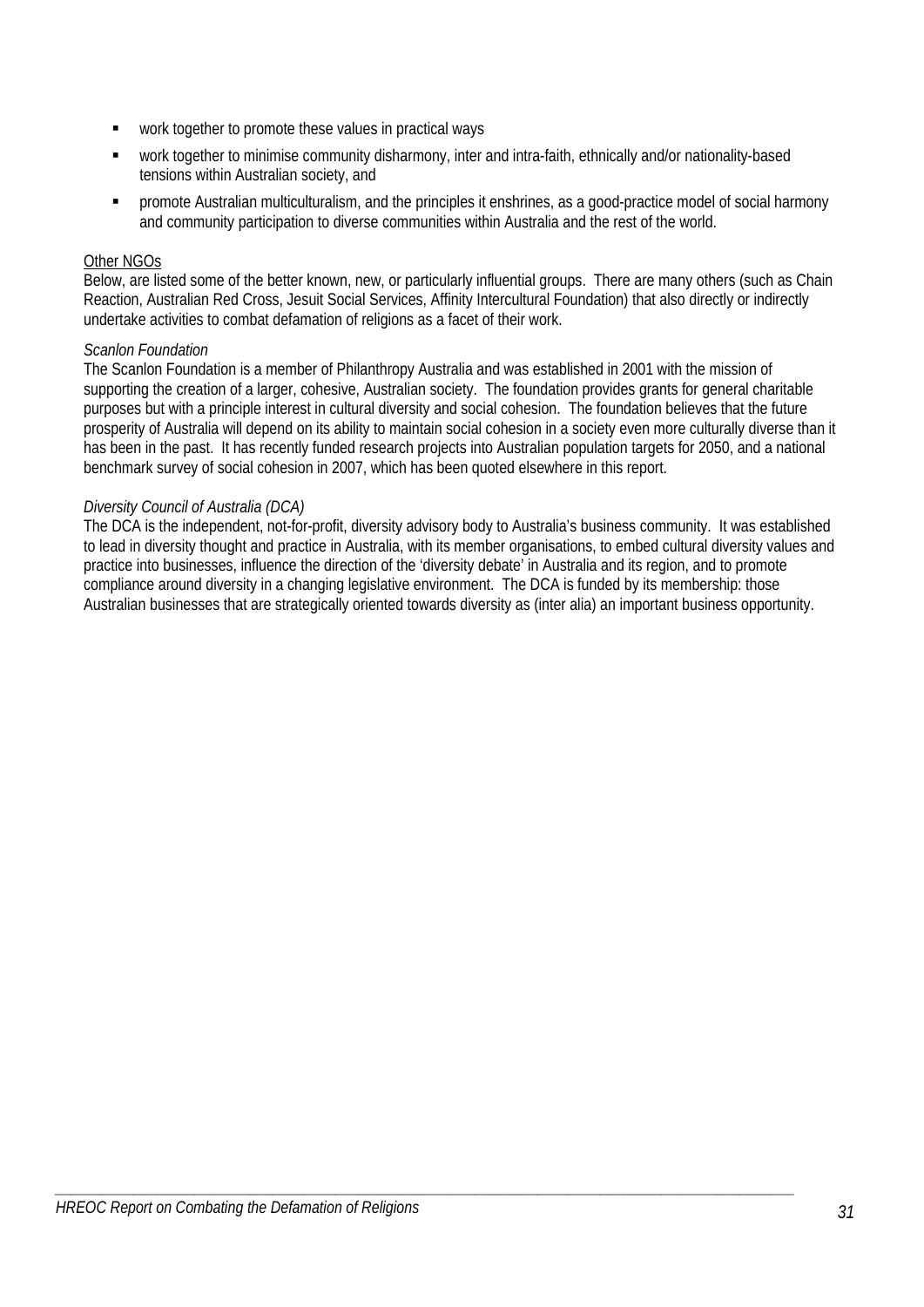- work together to promote these values in practical ways
- work together to minimise community disharmony, inter and intra-faith, ethnically and/or nationality-based tensions within Australian society, and
- promote Australian multiculturalism, and the principles it enshrines, as a good-practice model of social harmony and community participation to diverse communities within Australia and the rest of the world.

# Other NGOs

Below, are listed some of the better known, new, or particularly influential groups. There are many others (such as Chain Reaction, Australian Red Cross, Jesuit Social Services, Affinity Intercultural Foundation) that also directly or indirectly undertake activities to combat defamation of religions as a facet of their work.

### *Scanlon Foundation*

The Scanlon Foundation is a member of Philanthropy Australia and was established in 2001 with the mission of supporting the creation of a larger, cohesive, Australian society. The foundation provides grants for general charitable purposes but with a principle interest in cultural diversity and social cohesion. The foundation believes that the future prosperity of Australia will depend on its ability to maintain social cohesion in a society even more culturally diverse than it has been in the past. It has recently funded research projects into Australian population targets for 2050, and a national benchmark survey of social cohesion in 2007, which has been quoted elsewhere in this report.

# *Diversity Council of Australia (DCA)*

The DCA is the independent, not-for-profit, diversity advisory body to Australia's business community. It was established to lead in diversity thought and practice in Australia, with its member organisations, to embed cultural diversity values and practice into businesses, influence the direction of the 'diversity debate' in Australia and its region, and to promote compliance around diversity in a changing legislative environment. The DCA is funded by its membership: those Australian businesses that are strategically oriented towards diversity as (inter alia) an important business opportunity.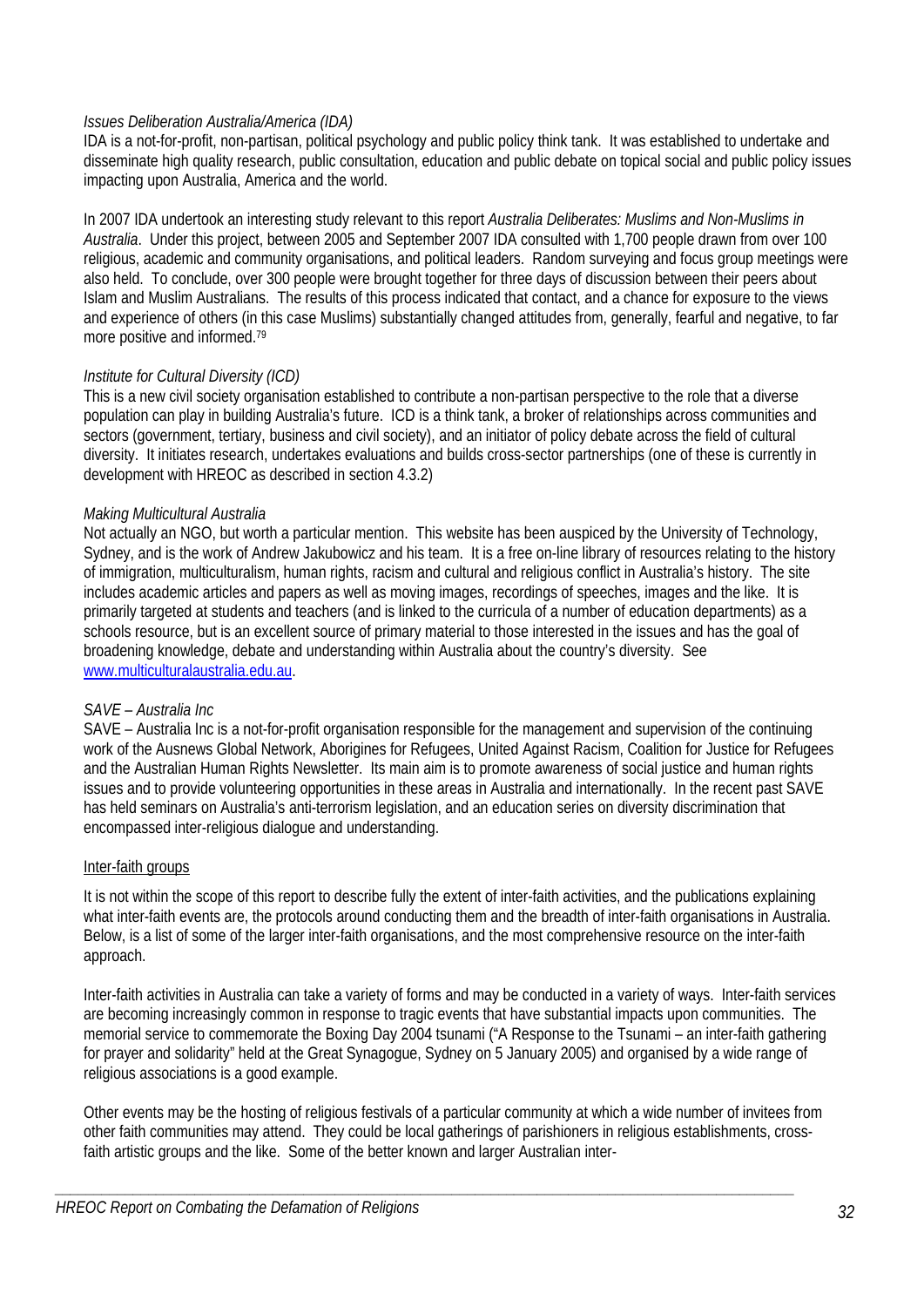### *Issues Deliberation Australia/America (IDA)*

IDA is a not-for-profit, non-partisan, political psychology and public policy think tank. It was established to undertake and disseminate high quality research, public consultation, education and public debate on topical social and public policy issues impacting upon Australia, America and the world.

In 2007 IDA undertook an interesting study relevant to this report *Australia Deliberates: Muslims and Non-Muslims in Australia*. Under this project, between 2005 and September 2007 IDA consulted with 1,700 people drawn from over 100 religious, academic and community organisations, and political leaders. Random surveying and focus group meetings were also held. To conclude, over 300 people were brought together for three days of discussion between their peers about Islam and Muslim Australians. The results of this process indicated that contact, and a chance for exposure to the views and experience of others (in this case Muslims) substantially changed attitudes from, generally, fearful and negative, to far more positive and informed.79

### *Institute for Cultural Diversity (ICD)*

This is a new civil society organisation established to contribute a non-partisan perspective to the role that a diverse population can play in building Australia's future. ICD is a think tank, a broker of relationships across communities and sectors (government, tertiary, business and civil society), and an initiator of policy debate across the field of cultural diversity. It initiates research, undertakes evaluations and builds cross-sector partnerships (one of these is currently in development with HREOC as described in section 4.3.2)

### *Making Multicultural Australia*

Not actually an NGO, but worth a particular mention. This website has been auspiced by the University of Technology, Sydney, and is the work of Andrew Jakubowicz and his team. It is a free on-line library of resources relating to the history of immigration, multiculturalism, human rights, racism and cultural and religious conflict in Australia's history. The site includes academic articles and papers as well as moving images, recordings of speeches, images and the like. It is primarily targeted at students and teachers (and is linked to the curricula of a number of education departments) as a schools resource, but is an excellent source of primary material to those interested in the issues and has the goal of broadening knowledge, debate and understanding within Australia about the country's diversity. See www.multiculturalaustralia.edu.au.

### *SAVE – Australia Inc*

SAVE – Australia Inc is a not-for-profit organisation responsible for the management and supervision of the continuing work of the Ausnews Global Network, Aborigines for Refugees, United Against Racism, Coalition for Justice for Refugees and the Australian Human Rights Newsletter. Its main aim is to promote awareness of social justice and human rights issues and to provide volunteering opportunities in these areas in Australia and internationally. In the recent past SAVE has held seminars on Australia's anti-terrorism legislation, and an education series on diversity discrimination that encompassed inter-religious dialogue and understanding.

#### Inter-faith groups

It is not within the scope of this report to describe fully the extent of inter-faith activities, and the publications explaining what inter-faith events are, the protocols around conducting them and the breadth of inter-faith organisations in Australia. Below, is a list of some of the larger inter-faith organisations, and the most comprehensive resource on the inter-faith approach.

Inter-faith activities in Australia can take a variety of forms and may be conducted in a variety of ways. Inter-faith services are becoming increasingly common in response to tragic events that have substantial impacts upon communities. The memorial service to commemorate the Boxing Day 2004 tsunami ("A Response to the Tsunami – an inter-faith gathering for prayer and solidarity" held at the Great Synagogue, Sydney on 5 January 2005) and organised by a wide range of religious associations is a good example.

Other events may be the hosting of religious festivals of a particular community at which a wide number of invitees from other faith communities may attend. They could be local gatherings of parishioners in religious establishments, crossfaith artistic groups and the like. Some of the better known and larger Australian inter-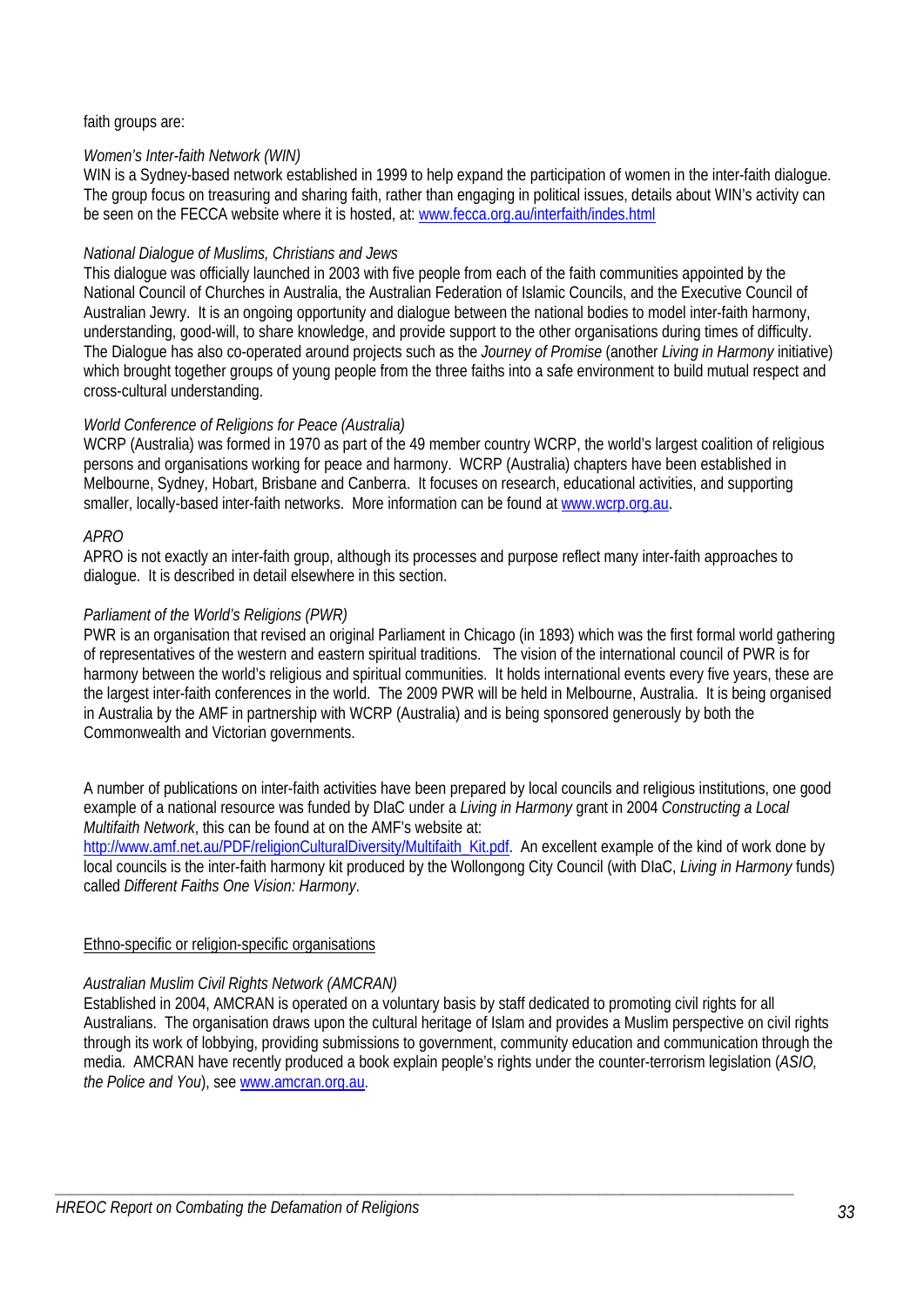### faith groups are:

# *Women's Inter-faith Network (WIN)*

WIN is a Sydney-based network established in 1999 to help expand the participation of women in the inter-faith dialogue. The group focus on treasuring and sharing faith, rather than engaging in political issues, details about WIN's activity can be seen on the FECCA website where it is hosted, at: www.fecca.org.au/interfaith/indes.html

# *National Dialogue of Muslims, Christians and Jews*

This dialogue was officially launched in 2003 with five people from each of the faith communities appointed by the National Council of Churches in Australia, the Australian Federation of Islamic Councils, and the Executive Council of Australian Jewry. It is an ongoing opportunity and dialogue between the national bodies to model inter-faith harmony, understanding, good-will, to share knowledge, and provide support to the other organisations during times of difficulty. The Dialogue has also co-operated around projects such as the *Journey of Promise* (another *Living in Harmony* initiative) which brought together groups of young people from the three faiths into a safe environment to build mutual respect and cross-cultural understanding.

# *World Conference of Religions for Peace (Australia)*

WCRP (Australia) was formed in 1970 as part of the 49 member country WCRP, the world's largest coalition of religious persons and organisations working for peace and harmony. WCRP (Australia) chapters have been established in Melbourne, Sydney, Hobart, Brisbane and Canberra. It focuses on research, educational activities, and supporting smaller, locally-based inter-faith networks. More information can be found at www.wcrp.org.au.

# *APRO*

APRO is not exactly an inter-faith group, although its processes and purpose reflect many inter-faith approaches to dialogue. It is described in detail elsewhere in this section.

# *Parliament of the World's Religions (PWR)*

PWR is an organisation that revised an original Parliament in Chicago (in 1893) which was the first formal world gathering of representatives of the western and eastern spiritual traditions. The vision of the international council of PWR is for harmony between the world's religious and spiritual communities. It holds international events every five years, these are the largest inter-faith conferences in the world. The 2009 PWR will be held in Melbourne, Australia. It is being organised in Australia by the AMF in partnership with WCRP (Australia) and is being sponsored generously by both the Commonwealth and Victorian governments.

A number of publications on inter-faith activities have been prepared by local councils and religious institutions, one good example of a national resource was funded by DIaC under a *Living in Harmony* grant in 2004 *Constructing a Local Multifaith Network*, this can be found at on the AMF's website at:

http://www.amf.net.au/PDF/religionCulturalDiversity/Multifaith\_Kit.pdf. An excellent example of the kind of work done by local councils is the inter-faith harmony kit produced by the Wollongong City Council (with DIaC, *Living in Harmony* funds) called *Different Faiths One Vision: Harmony*.

### Ethno-specific or religion-specific organisations

# *Australian Muslim Civil Rights Network (AMCRAN)*

Established in 2004, AMCRAN is operated on a voluntary basis by staff dedicated to promoting civil rights for all Australians. The organisation draws upon the cultural heritage of Islam and provides a Muslim perspective on civil rights through its work of lobbying, providing submissions to government, community education and communication through the media. AMCRAN have recently produced a book explain people's rights under the counter-terrorism legislation (*ASIO, the Police and You*), see www.amcran.org.au.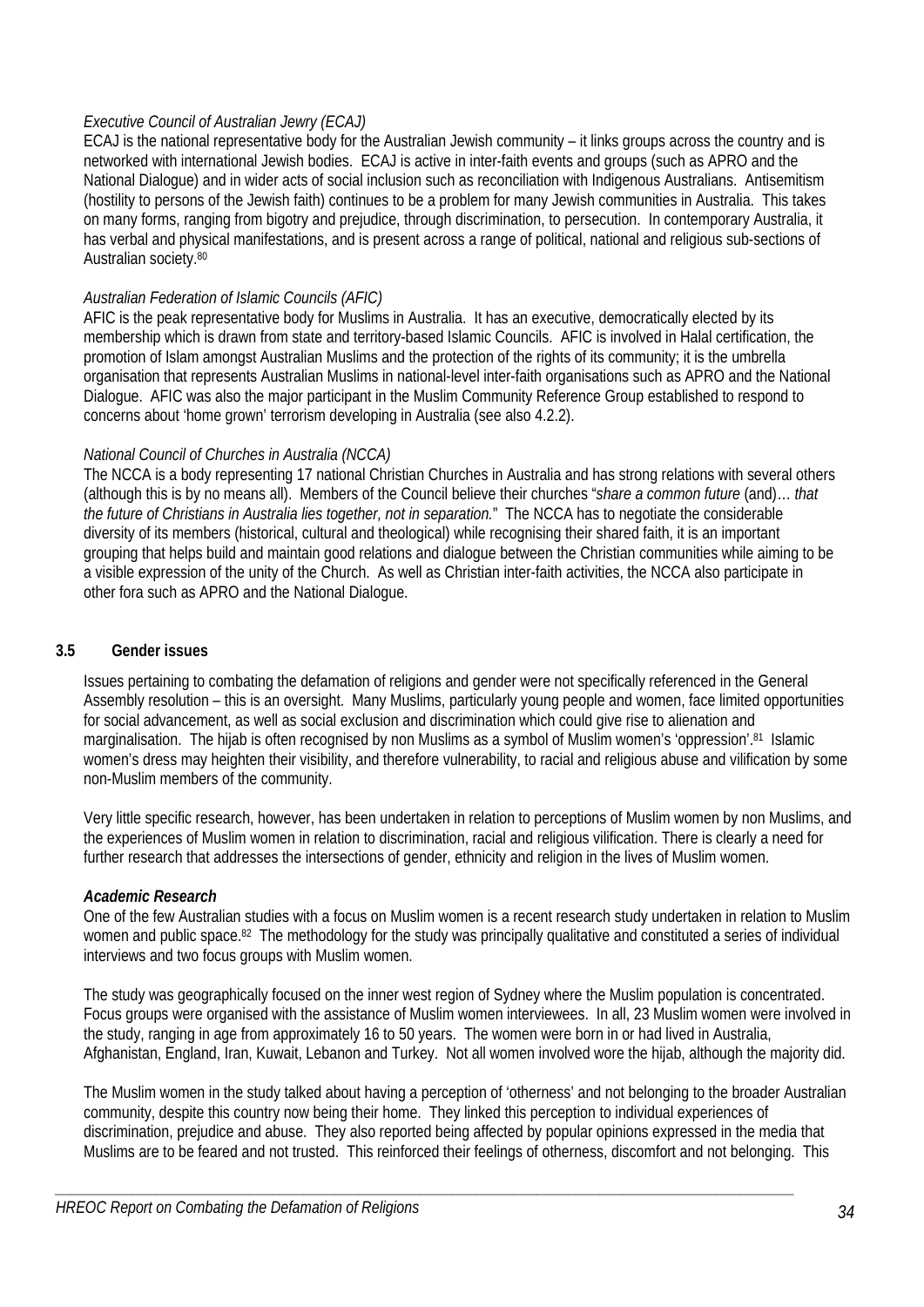# *Executive Council of Australian Jewry (ECAJ)*

ECAJ is the national representative body for the Australian Jewish community – it links groups across the country and is networked with international Jewish bodies. ECAJ is active in inter-faith events and groups (such as APRO and the National Dialogue) and in wider acts of social inclusion such as reconciliation with Indigenous Australians. Antisemitism (hostility to persons of the Jewish faith) continues to be a problem for many Jewish communities in Australia. This takes on many forms, ranging from bigotry and prejudice, through discrimination, to persecution. In contemporary Australia, it has verbal and physical manifestations, and is present across a range of political, national and religious sub-sections of Australian society.<sup>80</sup>

# *Australian Federation of Islamic Councils (AFIC)*

AFIC is the peak representative body for Muslims in Australia. It has an executive, democratically elected by its membership which is drawn from state and territory-based Islamic Councils. AFIC is involved in Halal certification, the promotion of Islam amongst Australian Muslims and the protection of the rights of its community; it is the umbrella organisation that represents Australian Muslims in national-level inter-faith organisations such as APRO and the National Dialogue. AFIC was also the major participant in the Muslim Community Reference Group established to respond to concerns about 'home grown' terrorism developing in Australia (see also 4.2.2).

# *National Council of Churches in Australia (NCCA)*

The NCCA is a body representing 17 national Christian Churches in Australia and has strong relations with several others (although this is by no means all). Members of the Council believe their churches "*share a common future* (and)… *that the future of Christians in Australia lies together, not in separation.*" The NCCA has to negotiate the considerable diversity of its members (historical, cultural and theological) while recognising their shared faith, it is an important grouping that helps build and maintain good relations and dialogue between the Christian communities while aiming to be a visible expression of the unity of the Church. As well as Christian inter-faith activities, the NCCA also participate in other fora such as APRO and the National Dialogue.

### **3.5 Gender issues**

Issues pertaining to combating the defamation of religions and gender were not specifically referenced in the General Assembly resolution – this is an oversight. Many Muslims, particularly young people and women, face limited opportunities for social advancement, as well as social exclusion and discrimination which could give rise to alienation and marginalisation. The hijab is often recognised by non Muslims as a symbol of Muslim women's 'oppression'.81 Islamic women's dress may heighten their visibility, and therefore vulnerability, to racial and religious abuse and vilification by some non-Muslim members of the community.

Very little specific research, however, has been undertaken in relation to perceptions of Muslim women by non Muslims, and the experiences of Muslim women in relation to discrimination, racial and religious vilification. There is clearly a need for further research that addresses the intersections of gender, ethnicity and religion in the lives of Muslim women.

# *Academic Research*

One of the few Australian studies with a focus on Muslim women is a recent research study undertaken in relation to Muslim women and public space.<sup>82</sup> The methodology for the study was principally qualitative and constituted a series of individual interviews and two focus groups with Muslim women.

The study was geographically focused on the inner west region of Sydney where the Muslim population is concentrated. Focus groups were organised with the assistance of Muslim women interviewees. In all, 23 Muslim women were involved in the study, ranging in age from approximately 16 to 50 years. The women were born in or had lived in Australia, Afghanistan, England, Iran, Kuwait, Lebanon and Turkey. Not all women involved wore the hijab, although the majority did.

The Muslim women in the study talked about having a perception of 'otherness' and not belonging to the broader Australian community, despite this country now being their home. They linked this perception to individual experiences of discrimination, prejudice and abuse. They also reported being affected by popular opinions expressed in the media that Muslims are to be feared and not trusted. This reinforced their feelings of otherness, discomfort and not belonging. This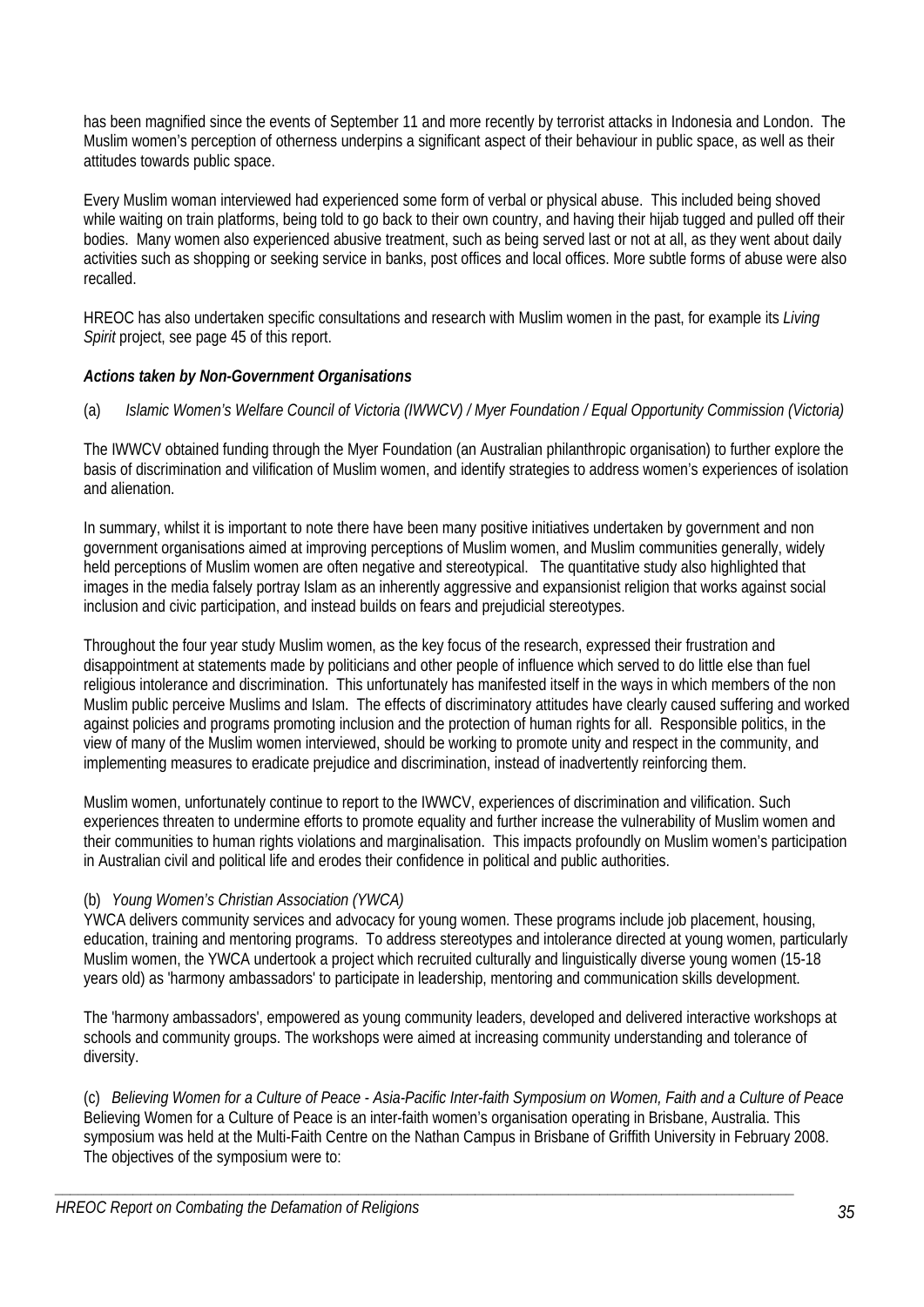has been magnified since the events of September 11 and more recently by terrorist attacks in Indonesia and London. The Muslim women's perception of otherness underpins a significant aspect of their behaviour in public space, as well as their attitudes towards public space.

Every Muslim woman interviewed had experienced some form of verbal or physical abuse. This included being shoved while waiting on train platforms, being told to go back to their own country, and having their hijab tugged and pulled off their bodies. Many women also experienced abusive treatment, such as being served last or not at all, as they went about daily activities such as shopping or seeking service in banks, post offices and local offices. More subtle forms of abuse were also recalled.

HREOC has also undertaken specific consultations and research with Muslim women in the past, for example its *Living Spirit* project, see page 45 of this report.

# *Actions taken by Non-Government Organisations*

# (a) *Islamic Women's Welfare Council of Victoria (IWWCV) / Myer Foundation / Equal Opportunity Commission (Victoria)*

The IWWCV obtained funding through the Myer Foundation (an Australian philanthropic organisation) to further explore the basis of discrimination and vilification of Muslim women, and identify strategies to address women's experiences of isolation and alienation.

In summary, whilst it is important to note there have been many positive initiatives undertaken by government and non government organisations aimed at improving perceptions of Muslim women, and Muslim communities generally, widely held perceptions of Muslim women are often negative and stereotypical. The quantitative study also highlighted that images in the media falsely portray Islam as an inherently aggressive and expansionist religion that works against social inclusion and civic participation, and instead builds on fears and prejudicial stereotypes.

Throughout the four year study Muslim women, as the key focus of the research, expressed their frustration and disappointment at statements made by politicians and other people of influence which served to do little else than fuel religious intolerance and discrimination. This unfortunately has manifested itself in the ways in which members of the non Muslim public perceive Muslims and Islam. The effects of discriminatory attitudes have clearly caused suffering and worked against policies and programs promoting inclusion and the protection of human rights for all. Responsible politics, in the view of many of the Muslim women interviewed, should be working to promote unity and respect in the community, and implementing measures to eradicate prejudice and discrimination, instead of inadvertently reinforcing them.

Muslim women, unfortunately continue to report to the IWWCV, experiences of discrimination and vilification. Such experiences threaten to undermine efforts to promote equality and further increase the vulnerability of Muslim women and their communities to human rights violations and marginalisation. This impacts profoundly on Muslim women's participation in Australian civil and political life and erodes their confidence in political and public authorities.

# (b) *Young Women's Christian Association (YWCA)*

YWCA delivers community services and advocacy for young women. These programs include job placement, housing, education, training and mentoring programs. To address stereotypes and intolerance directed at young women, particularly Muslim women, the YWCA undertook a project which recruited culturally and linguistically diverse young women (15-18 years old) as 'harmony ambassadors' to participate in leadership, mentoring and communication skills development.

The 'harmony ambassadors', empowered as young community leaders, developed and delivered interactive workshops at schools and community groups. The workshops were aimed at increasing community understanding and tolerance of diversity.

(c) *Believing Women for a Culture of Peace - Asia-Pacific Inter-faith Symposium on Women, Faith and a Culture of Peace*  Believing Women for a Culture of Peace is an inter-faith women's organisation operating in Brisbane, Australia. This symposium was held at the Multi-Faith Centre on the Nathan Campus in Brisbane of Griffith University in February 2008. The objectives of the symposium were to: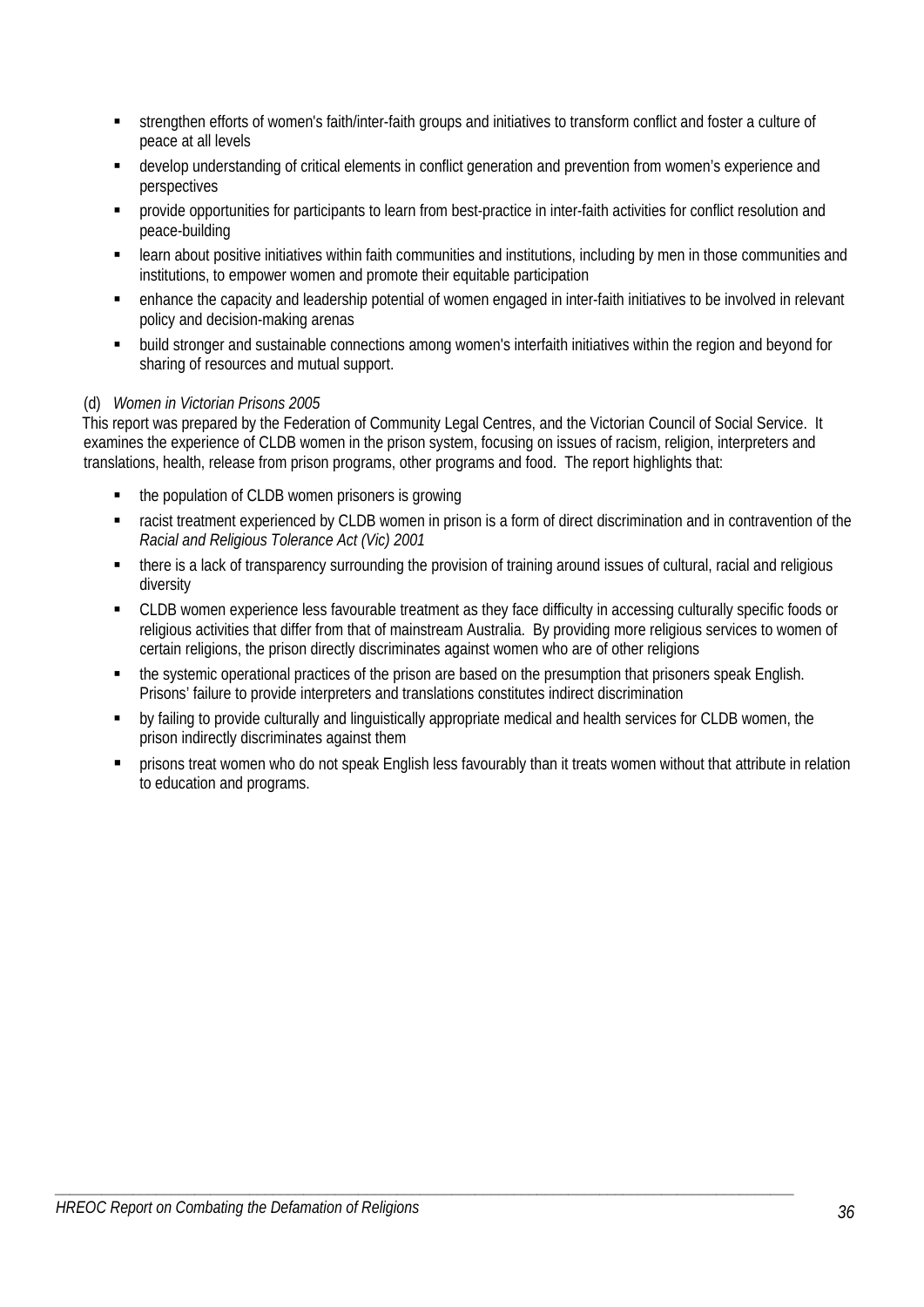- strengthen efforts of women's faith/inter-faith groups and initiatives to transform conflict and foster a culture of peace at all levels
- develop understanding of critical elements in conflict generation and prevention from women's experience and perspectives
- provide opportunities for participants to learn from best-practice in inter-faith activities for conflict resolution and peace-building
- learn about positive initiatives within faith communities and institutions, including by men in those communities and institutions, to empower women and promote their equitable participation
- enhance the capacity and leadership potential of women engaged in inter-faith initiatives to be involved in relevant policy and decision-making arenas
- build stronger and sustainable connections among women's interfaith initiatives within the region and beyond for sharing of resources and mutual support.

# (d) *Women in Victorian Prisons 2005*

This report was prepared by the Federation of Community Legal Centres, and the Victorian Council of Social Service. It examines the experience of CLDB women in the prison system, focusing on issues of racism, religion, interpreters and translations, health, release from prison programs, other programs and food. The report highlights that:

- the population of CLDB women prisoners is growing
- racist treatment experienced by CLDB women in prison is a form of direct discrimination and in contravention of the *Racial and Religious Tolerance Act (Vic) 2001*
- there is a lack of transparency surrounding the provision of training around issues of cultural, racial and religious diversity
- CLDB women experience less favourable treatment as they face difficulty in accessing culturally specific foods or religious activities that differ from that of mainstream Australia. By providing more religious services to women of certain religions, the prison directly discriminates against women who are of other religions
- the systemic operational practices of the prison are based on the presumption that prisoners speak English. Prisons' failure to provide interpreters and translations constitutes indirect discrimination
- by failing to provide culturally and linguistically appropriate medical and health services for CLDB women, the prison indirectly discriminates against them
- prisons treat women who do not speak English less favourably than it treats women without that attribute in relation to education and programs.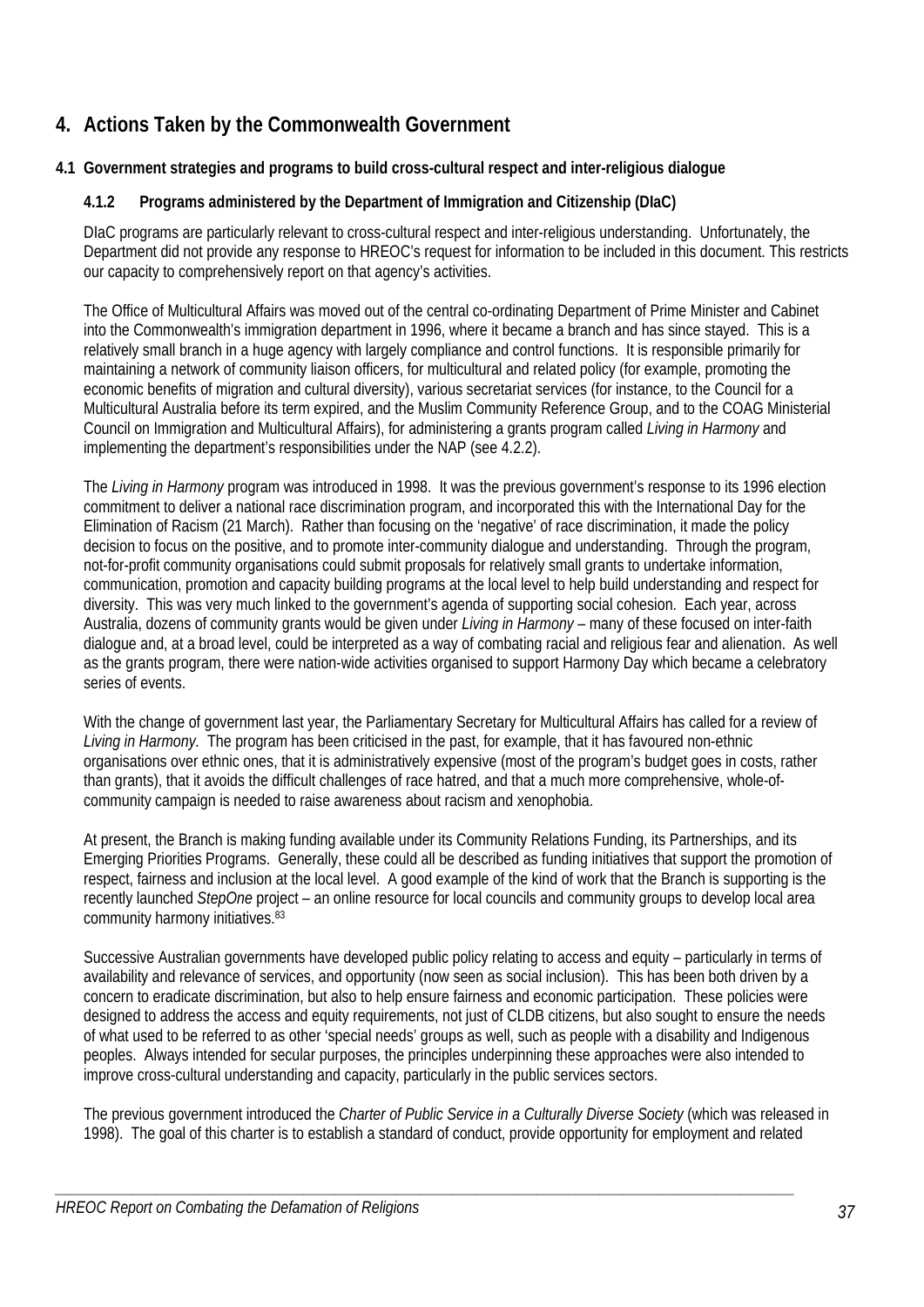# **4. Actions Taken by the Commonwealth Government**

# **4.1 Government strategies and programs to build cross-cultural respect and inter-religious dialogue**

# **4.1.2 Programs administered by the Department of Immigration and Citizenship (DIaC)**

DIaC programs are particularly relevant to cross-cultural respect and inter-religious understanding. Unfortunately, the Department did not provide any response to HREOC's request for information to be included in this document. This restricts our capacity to comprehensively report on that agency's activities.

The Office of Multicultural Affairs was moved out of the central co-ordinating Department of Prime Minister and Cabinet into the Commonwealth's immigration department in 1996, where it became a branch and has since stayed. This is a relatively small branch in a huge agency with largely compliance and control functions. It is responsible primarily for maintaining a network of community liaison officers, for multicultural and related policy (for example, promoting the economic benefits of migration and cultural diversity), various secretariat services (for instance, to the Council for a Multicultural Australia before its term expired, and the Muslim Community Reference Group, and to the COAG Ministerial Council on Immigration and Multicultural Affairs), for administering a grants program called *Living in Harmony* and implementing the department's responsibilities under the NAP (see 4.2.2).

The *Living in Harmony* program was introduced in 1998. It was the previous government's response to its 1996 election commitment to deliver a national race discrimination program, and incorporated this with the International Day for the Elimination of Racism (21 March). Rather than focusing on the 'negative' of race discrimination, it made the policy decision to focus on the positive, and to promote inter-community dialogue and understanding. Through the program, not-for-profit community organisations could submit proposals for relatively small grants to undertake information, communication, promotion and capacity building programs at the local level to help build understanding and respect for diversity. This was very much linked to the government's agenda of supporting social cohesion. Each year, across Australia, dozens of community grants would be given under *Living in Harmony* – many of these focused on inter-faith dialogue and, at a broad level, could be interpreted as a way of combating racial and religious fear and alienation. As well as the grants program, there were nation-wide activities organised to support Harmony Day which became a celebratory series of events.

With the change of government last year, the Parliamentary Secretary for Multicultural Affairs has called for a review of *Living in Harmony.* The program has been criticised in the past, for example, that it has favoured non-ethnic organisations over ethnic ones, that it is administratively expensive (most of the program's budget goes in costs, rather than grants), that it avoids the difficult challenges of race hatred, and that a much more comprehensive, whole-ofcommunity campaign is needed to raise awareness about racism and xenophobia.

At present, the Branch is making funding available under its Community Relations Funding, its Partnerships, and its Emerging Priorities Programs. Generally, these could all be described as funding initiatives that support the promotion of respect, fairness and inclusion at the local level. A good example of the kind of work that the Branch is supporting is the recently launched *StepOne* project – an online resource for local councils and community groups to develop local area community harmony initiatives.83

Successive Australian governments have developed public policy relating to access and equity – particularly in terms of availability and relevance of services, and opportunity (now seen as social inclusion). This has been both driven by a concern to eradicate discrimination, but also to help ensure fairness and economic participation. These policies were designed to address the access and equity requirements, not just of CLDB citizens, but also sought to ensure the needs of what used to be referred to as other 'special needs' groups as well, such as people with a disability and Indigenous peoples. Always intended for secular purposes, the principles underpinning these approaches were also intended to improve cross-cultural understanding and capacity, particularly in the public services sectors.

The previous government introduced the *Charter of Public Service in a Culturally Diverse Society* (which was released in 1998). The goal of this charter is to establish a standard of conduct, provide opportunity for employment and related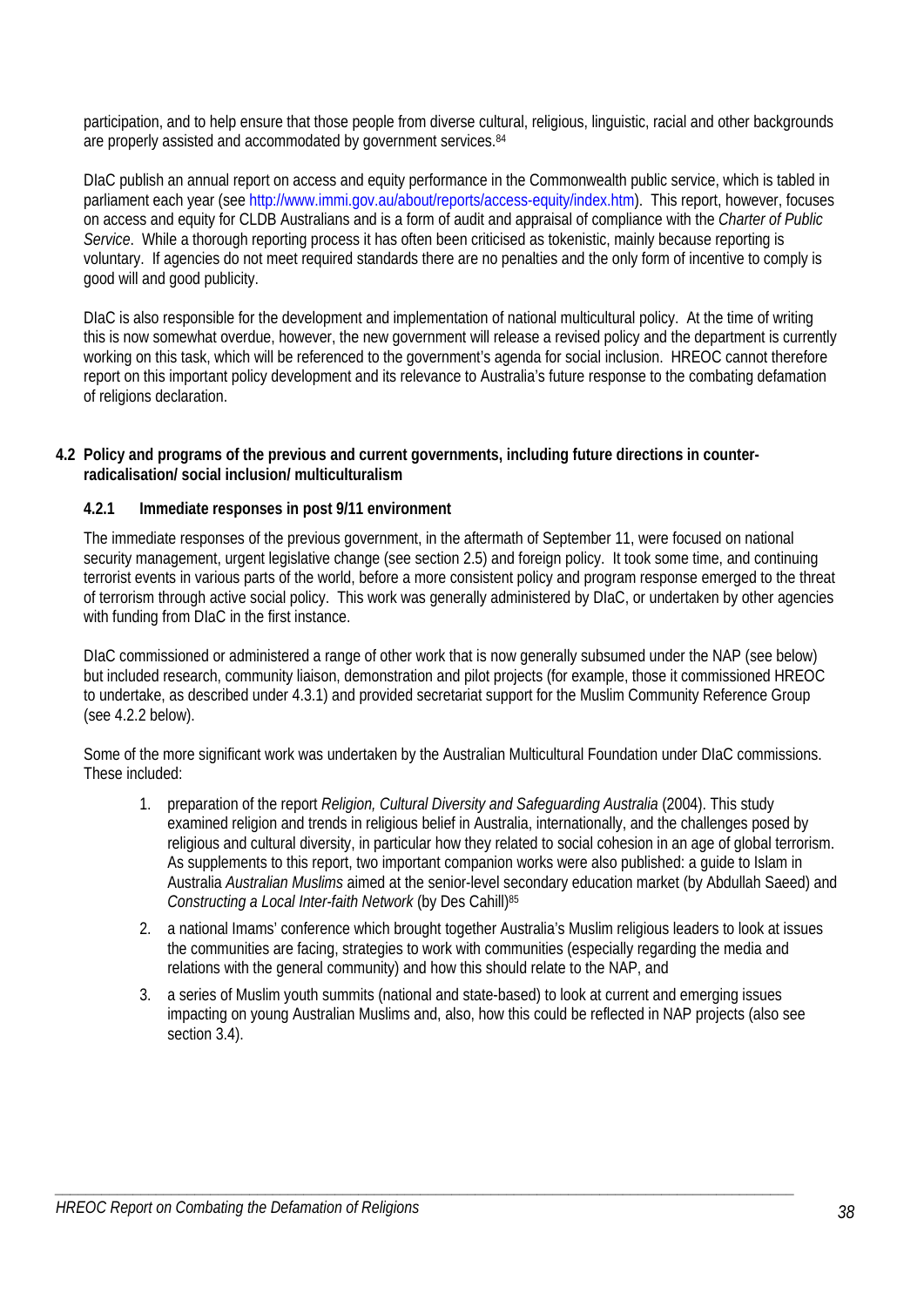participation, and to help ensure that those people from diverse cultural, religious, linguistic, racial and other backgrounds are properly assisted and accommodated by government services.<sup>84</sup>

DIaC publish an annual report on access and equity performance in the Commonwealth public service, which is tabled in parliament each year (see http://www.immi.gov.au/about/reports/access-equity/index.htm). This report, however, focuses on access and equity for CLDB Australians and is a form of audit and appraisal of compliance with the *Charter of Public Service*. While a thorough reporting process it has often been criticised as tokenistic, mainly because reporting is voluntary. If agencies do not meet required standards there are no penalties and the only form of incentive to comply is good will and good publicity.

DIaC is also responsible for the development and implementation of national multicultural policy. At the time of writing this is now somewhat overdue, however, the new government will release a revised policy and the department is currently working on this task, which will be referenced to the government's agenda for social inclusion. HREOC cannot therefore report on this important policy development and its relevance to Australia's future response to the combating defamation of religions declaration.

# **4.2 Policy and programs of the previous and current governments, including future directions in counterradicalisation/ social inclusion/ multiculturalism**

# **4.2.1 Immediate responses in post 9/11 environment**

The immediate responses of the previous government, in the aftermath of September 11, were focused on national security management, urgent legislative change (see section 2.5) and foreign policy. It took some time, and continuing terrorist events in various parts of the world, before a more consistent policy and program response emerged to the threat of terrorism through active social policy. This work was generally administered by DIaC, or undertaken by other agencies with funding from DIaC in the first instance.

DIaC commissioned or administered a range of other work that is now generally subsumed under the NAP (see below) but included research, community liaison, demonstration and pilot projects (for example, those it commissioned HREOC to undertake, as described under 4.3.1) and provided secretariat support for the Muslim Community Reference Group (see 4.2.2 below).

Some of the more significant work was undertaken by the Australian Multicultural Foundation under DIaC commissions. These included:

- 1. preparation of the report *Religion, Cultural Diversity and Safeguarding Australia* (2004). This study examined religion and trends in religious belief in Australia, internationally, and the challenges posed by religious and cultural diversity, in particular how they related to social cohesion in an age of global terrorism. As supplements to this report, two important companion works were also published: a guide to Islam in Australia *Australian Muslims* aimed at the senior-level secondary education market (by Abdullah Saeed) and *Constructing a Local Inter-faith Network* (by Des Cahill)85
- 2. a national Imams' conference which brought together Australia's Muslim religious leaders to look at issues the communities are facing, strategies to work with communities (especially regarding the media and relations with the general community) and how this should relate to the NAP, and
- 3. a series of Muslim youth summits (national and state-based) to look at current and emerging issues impacting on young Australian Muslims and, also, how this could be reflected in NAP projects (also see section 3.4).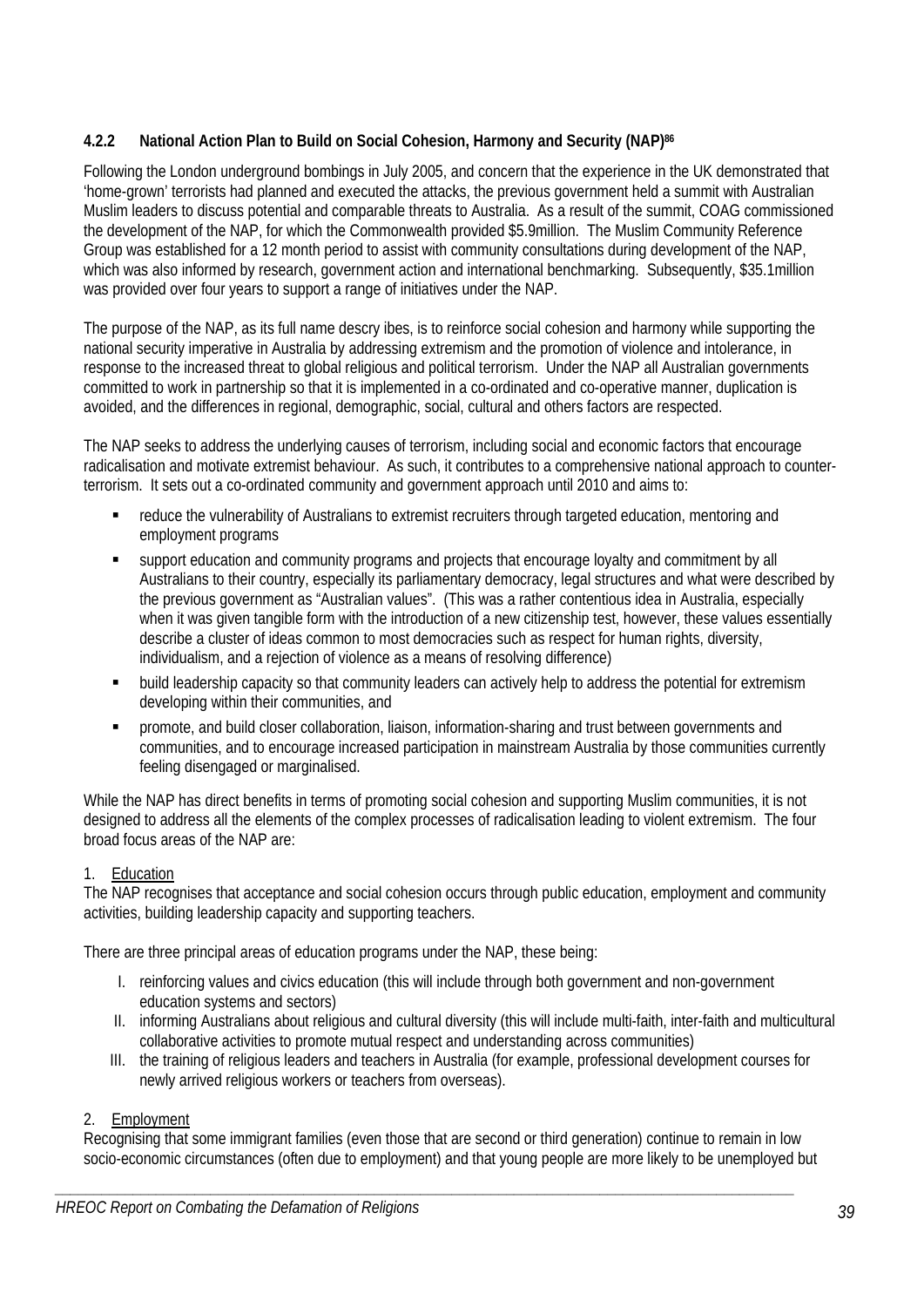# **4.2.2 National Action Plan to Build on Social Cohesion, Harmony and Security (NAP)86**

Following the London underground bombings in July 2005, and concern that the experience in the UK demonstrated that 'home-grown' terrorists had planned and executed the attacks, the previous government held a summit with Australian Muslim leaders to discuss potential and comparable threats to Australia. As a result of the summit, COAG commissioned the development of the NAP, for which the Commonwealth provided \$5.9million. The Muslim Community Reference Group was established for a 12 month period to assist with community consultations during development of the NAP, which was also informed by research, government action and international benchmarking. Subsequently, \$35.1million was provided over four years to support a range of initiatives under the NAP.

The purpose of the NAP, as its full name descry ibes, is to reinforce social cohesion and harmony while supporting the national security imperative in Australia by addressing extremism and the promotion of violence and intolerance, in response to the increased threat to global religious and political terrorism. Under the NAP all Australian governments committed to work in partnership so that it is implemented in a co-ordinated and co-operative manner, duplication is avoided, and the differences in regional, demographic, social, cultural and others factors are respected.

The NAP seeks to address the underlying causes of terrorism, including social and economic factors that encourage radicalisation and motivate extremist behaviour. As such, it contributes to a comprehensive national approach to counterterrorism. It sets out a co-ordinated community and government approach until 2010 and aims to:

- reduce the vulnerability of Australians to extremist recruiters through targeted education, mentoring and employment programs
- support education and community programs and projects that encourage loyalty and commitment by all Australians to their country, especially its parliamentary democracy, legal structures and what were described by the previous government as "Australian values". (This was a rather contentious idea in Australia, especially when it was given tangible form with the introduction of a new citizenship test, however, these values essentially describe a cluster of ideas common to most democracies such as respect for human rights, diversity, individualism, and a rejection of violence as a means of resolving difference)
- **•** build leadership capacity so that community leaders can actively help to address the potential for extremism developing within their communities, and
- promote, and build closer collaboration, liaison, information-sharing and trust between governments and communities, and to encourage increased participation in mainstream Australia by those communities currently feeling disengaged or marginalised.

While the NAP has direct benefits in terms of promoting social cohesion and supporting Muslim communities, it is not designed to address all the elements of the complex processes of radicalisation leading to violent extremism. The four broad focus areas of the NAP are:

# 1. Education

The NAP recognises that acceptance and social cohesion occurs through public education, employment and community activities, building leadership capacity and supporting teachers.

There are three principal areas of education programs under the NAP, these being:

- I. reinforcing values and civics education (this will include through both government and non-government education systems and sectors)
- II. informing Australians about religious and cultural diversity (this will include multi-faith, inter-faith and multicultural collaborative activities to promote mutual respect and understanding across communities)
- III. the training of religious leaders and teachers in Australia (for example, professional development courses for newly arrived religious workers or teachers from overseas).

### 2. Employment

Recognising that some immigrant families (even those that are second or third generation) continue to remain in low socio-economic circumstances (often due to employment) and that young people are more likely to be unemployed but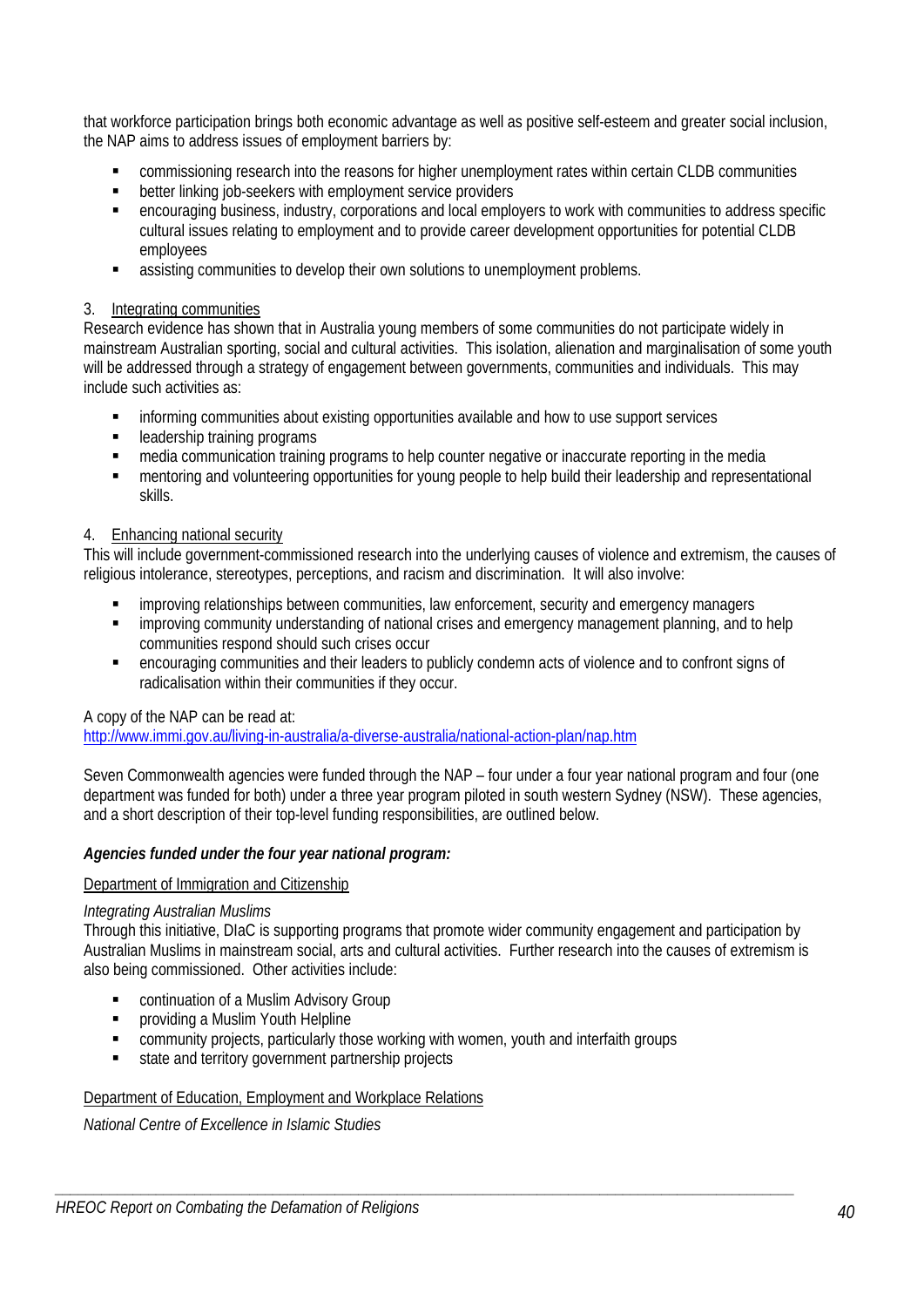that workforce participation brings both economic advantage as well as positive self-esteem and greater social inclusion, the NAP aims to address issues of employment barriers by:

- commissioning research into the reasons for higher unemployment rates within certain CLDB communities
- **EXECUTE:** better linking job-seekers with employment service providers
- encouraging business, industry, corporations and local employers to work with communities to address specific cultural issues relating to employment and to provide career development opportunities for potential CLDB employees
- assisting communities to develop their own solutions to unemployment problems.

### 3. Integrating communities

Research evidence has shown that in Australia young members of some communities do not participate widely in mainstream Australian sporting, social and cultural activities. This isolation, alienation and marginalisation of some youth will be addressed through a strategy of engagement between governments, communities and individuals. This may include such activities as:

- informing communities about existing opportunities available and how to use support services
- **EXECUTE:** leadership training programs
- media communication training programs to help counter negative or inaccurate reporting in the media
- mentoring and volunteering opportunities for young people to help build their leadership and representational skills.

### 4. Enhancing national security

This will include government-commissioned research into the underlying causes of violence and extremism, the causes of religious intolerance, stereotypes, perceptions, and racism and discrimination. It will also involve:

- improving relationships between communities, law enforcement, security and emergency managers
- improving community understanding of national crises and emergency management planning, and to help communities respond should such crises occur
- encouraging communities and their leaders to publicly condemn acts of violence and to confront signs of radicalisation within their communities if they occur.

### A copy of the NAP can be read at:

http://www.immi.gov.au/living-in-australia/a-diverse-australia/national-action-plan/nap.htm

Seven Commonwealth agencies were funded through the NAP – four under a four year national program and four (one department was funded for both) under a three year program piloted in south western Sydney (NSW). These agencies, and a short description of their top-level funding responsibilities, are outlined below.

### *Agencies funded under the four year national program:*

### Department of Immigration and Citizenship

#### *Integrating Australian Muslims*

Through this initiative, DIaC is supporting programs that promote wider community engagement and participation by Australian Muslims in mainstream social, arts and cultural activities. Further research into the causes of extremism is also being commissioned. Other activities include:

- continuation of a Muslim Advisory Group
- providing a Muslim Youth Helpline
- community projects, particularly those working with women, youth and interfaith groups
- state and territory government partnership projects

### Department of Education, Employment and Workplace Relations

*National Centre of Excellence in Islamic Studies*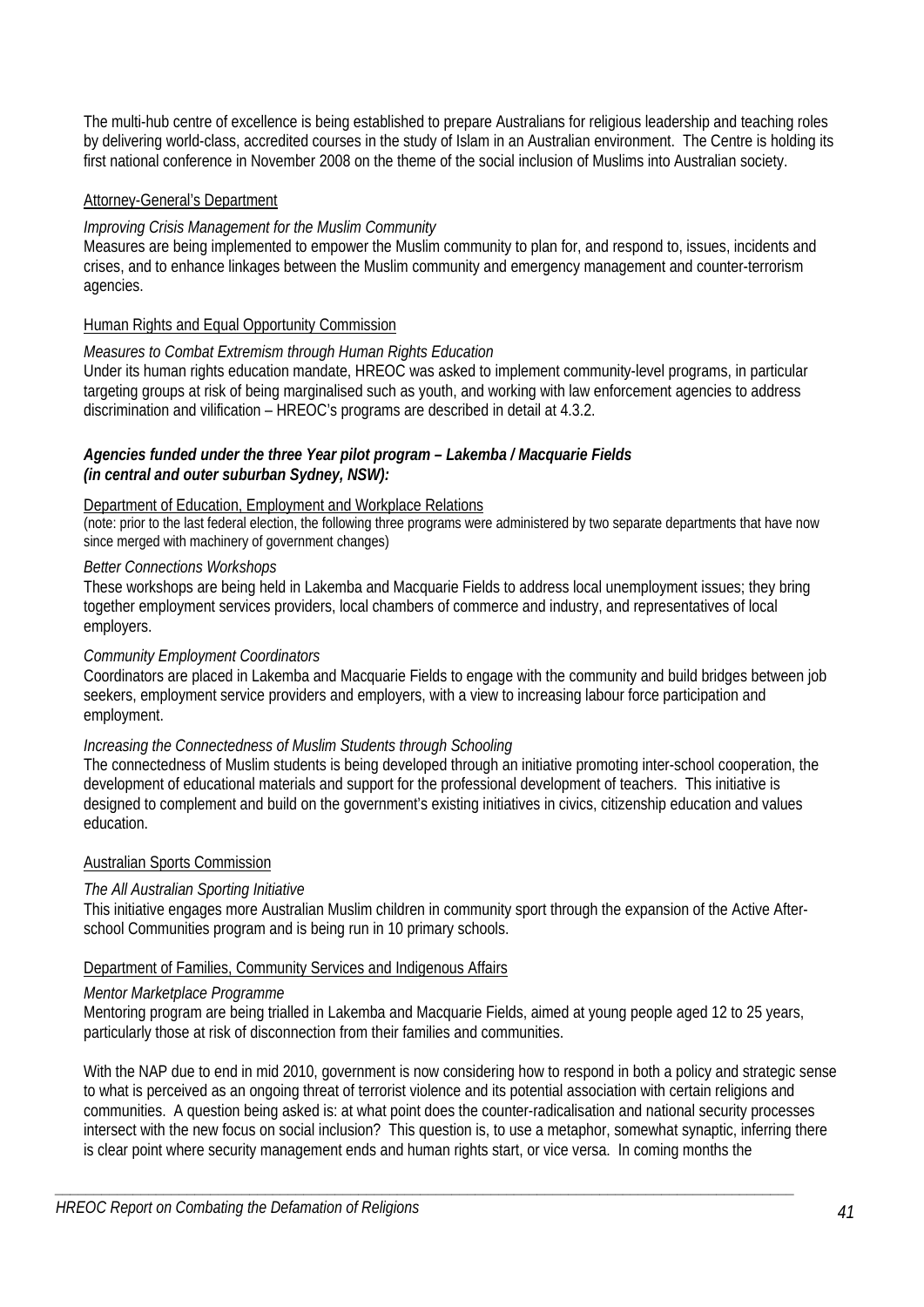The multi-hub centre of excellence is being established to prepare Australians for religious leadership and teaching roles by delivering world-class, accredited courses in the study of Islam in an Australian environment. The Centre is holding its first national conference in November 2008 on the theme of the social inclusion of Muslims into Australian society.

# Attorney-General's Department

### *Improving Crisis Management for the Muslim Community*

Measures are being implemented to empower the Muslim community to plan for, and respond to, issues, incidents and crises, and to enhance linkages between the Muslim community and emergency management and counter-terrorism agencies.

### Human Rights and Equal Opportunity Commission

### *Measures to Combat Extremism through Human Rights Education*

Under its human rights education mandate, HREOC was asked to implement community-level programs, in particular targeting groups at risk of being marginalised such as youth, and working with law enforcement agencies to address discrimination and vilification – HREOC's programs are described in detail at 4.3.2.

### *Agencies funded under the three Year pilot program – Lakemba / Macquarie Fields (in central and outer suburban Sydney, NSW):*

### Department of Education, Employment and Workplace Relations

(note: prior to the last federal election, the following three programs were administered by two separate departments that have now since merged with machinery of government changes)

### *Better Connections Workshops*

These workshops are being held in Lakemba and Macquarie Fields to address local unemployment issues; they bring together employment services providers, local chambers of commerce and industry, and representatives of local employers.

### *Community Employment Coordinators*

Coordinators are placed in Lakemba and Macquarie Fields to engage with the community and build bridges between job seekers, employment service providers and employers, with a view to increasing labour force participation and employment.

# *Increasing the Connectedness of Muslim Students through Schooling*

The connectedness of Muslim students is being developed through an initiative promoting inter-school cooperation, the development of educational materials and support for the professional development of teachers. This initiative is designed to complement and build on the government's existing initiatives in civics, citizenship education and values education.

### Australian Sports Commission

### *The All Australian Sporting Initiative*

This initiative engages more Australian Muslim children in community sport through the expansion of the Active Afterschool Communities program and is being run in 10 primary schools.

### Department of Families, Community Services and Indigenous Affairs

#### *Mentor Marketplace Programme*

Mentoring program are being trialled in Lakemba and Macquarie Fields, aimed at young people aged 12 to 25 years, particularly those at risk of disconnection from their families and communities.

With the NAP due to end in mid 2010, government is now considering how to respond in both a policy and strategic sense to what is perceived as an ongoing threat of terrorist violence and its potential association with certain religions and communities. A question being asked is: at what point does the counter-radicalisation and national security processes intersect with the new focus on social inclusion? This question is, to use a metaphor, somewhat synaptic, inferring there is clear point where security management ends and human rights start, or vice versa. In coming months the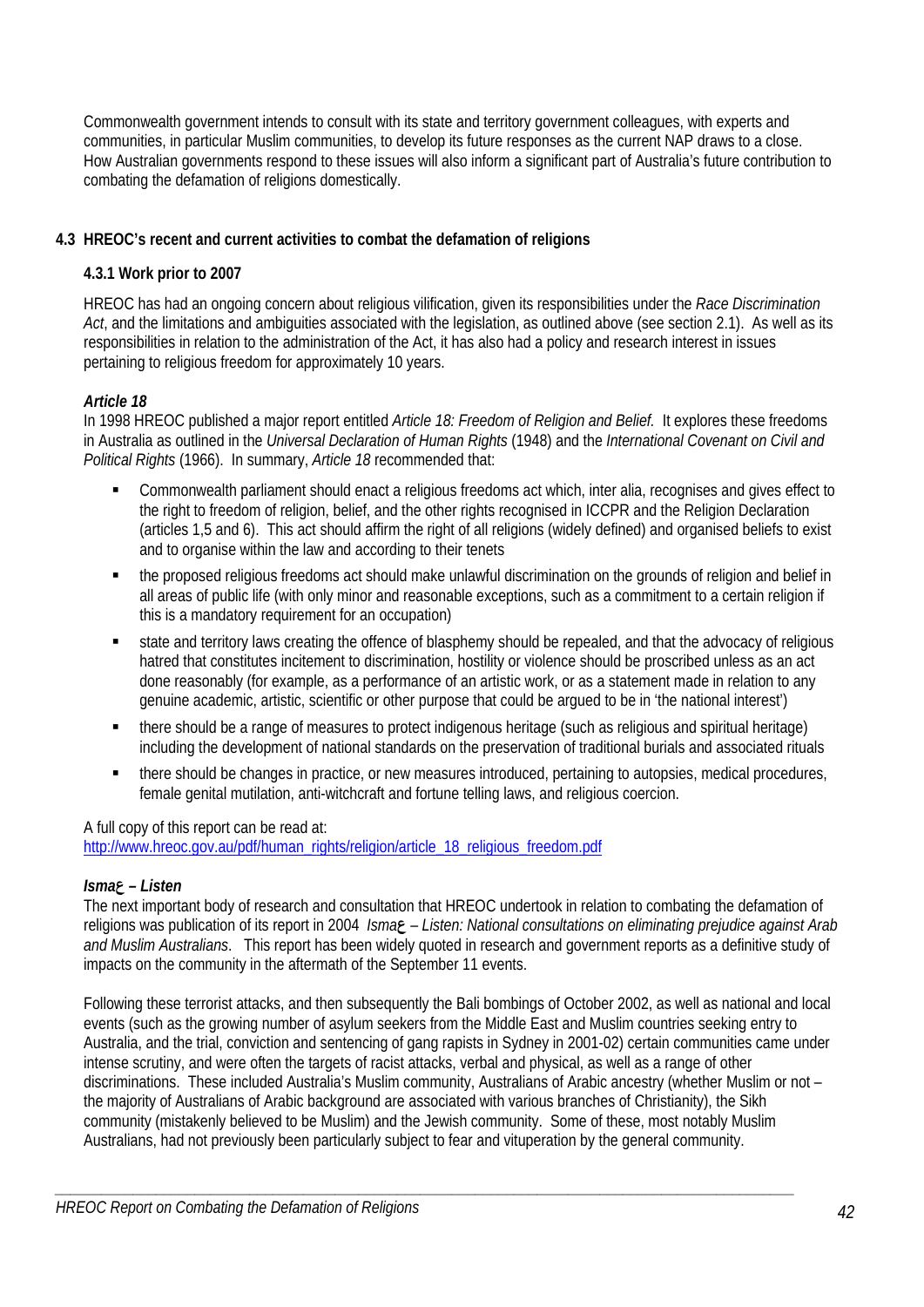Commonwealth government intends to consult with its state and territory government colleagues, with experts and communities, in particular Muslim communities, to develop its future responses as the current NAP draws to a close. How Australian governments respond to these issues will also inform a significant part of Australia's future contribution to combating the defamation of religions domestically.

# **4.3 HREOC's recent and current activities to combat the defamation of religions**

# **4.3.1 Work prior to 2007**

HREOC has had an ongoing concern about religious vilification, given its responsibilities under the *Race Discrimination Act*, and the limitations and ambiguities associated with the legislation, as outlined above (see section 2.1). As well as its responsibilities in relation to the administration of the Act, it has also had a policy and research interest in issues pertaining to religious freedom for approximately 10 years.

# *Article 18*

In 1998 HREOC published a major report entitled *Article 18: Freedom of Religion and Belief.* It explores these freedoms in Australia as outlined in the *Universal Declaration of Human Rights* (1948) and the *International Covenant on Civil and Political Rights* (1966). In summary, *Article 18* recommended that:

- Commonwealth parliament should enact a religious freedoms act which, inter alia, recognises and gives effect to the right to freedom of religion, belief, and the other rights recognised in ICCPR and the Religion Declaration (articles 1,5 and 6). This act should affirm the right of all religions (widely defined) and organised beliefs to exist and to organise within the law and according to their tenets
- the proposed religious freedoms act should make unlawful discrimination on the grounds of religion and belief in all areas of public life (with only minor and reasonable exceptions, such as a commitment to a certain religion if this is a mandatory requirement for an occupation)
- state and territory laws creating the offence of blasphemy should be repealed, and that the advocacy of religious hatred that constitutes incitement to discrimination, hostility or violence should be proscribed unless as an act done reasonably (for example, as a performance of an artistic work, or as a statement made in relation to any genuine academic, artistic, scientific or other purpose that could be argued to be in 'the national interest')
- there should be a range of measures to protect indigenous heritage (such as religious and spiritual heritage) including the development of national standards on the preservation of traditional burials and associated rituals
- there should be changes in practice, or new measures introduced, pertaining to autopsies, medical procedures, female genital mutilation, anti-witchcraft and fortune telling laws, and religious coercion.

# A full copy of this report can be read at:

http://www.hreoc.gov.au/pdf/human\_rights/religion/article\_18\_religious\_freedom.pdf

# *Isma***ع** *– Listen*

The next important body of research and consultation that HREOC undertook in relation to combating the defamation of religions was publication of its report in 2004 *Isma***ع** *– Listen: National consultations on eliminating prejudice against Arab and Muslim Australians*. This report has been widely quoted in research and government reports as a definitive study of impacts on the community in the aftermath of the September 11 events.

Following these terrorist attacks, and then subsequently the Bali bombings of October 2002, as well as national and local events (such as the growing number of asylum seekers from the Middle East and Muslim countries seeking entry to Australia, and the trial, conviction and sentencing of gang rapists in Sydney in 2001-02) certain communities came under intense scrutiny, and were often the targets of racist attacks, verbal and physical, as well as a range of other discriminations. These included Australia's Muslim community, Australians of Arabic ancestry (whether Muslim or not – the majority of Australians of Arabic background are associated with various branches of Christianity), the Sikh community (mistakenly believed to be Muslim) and the Jewish community. Some of these, most notably Muslim Australians, had not previously been particularly subject to fear and vituperation by the general community.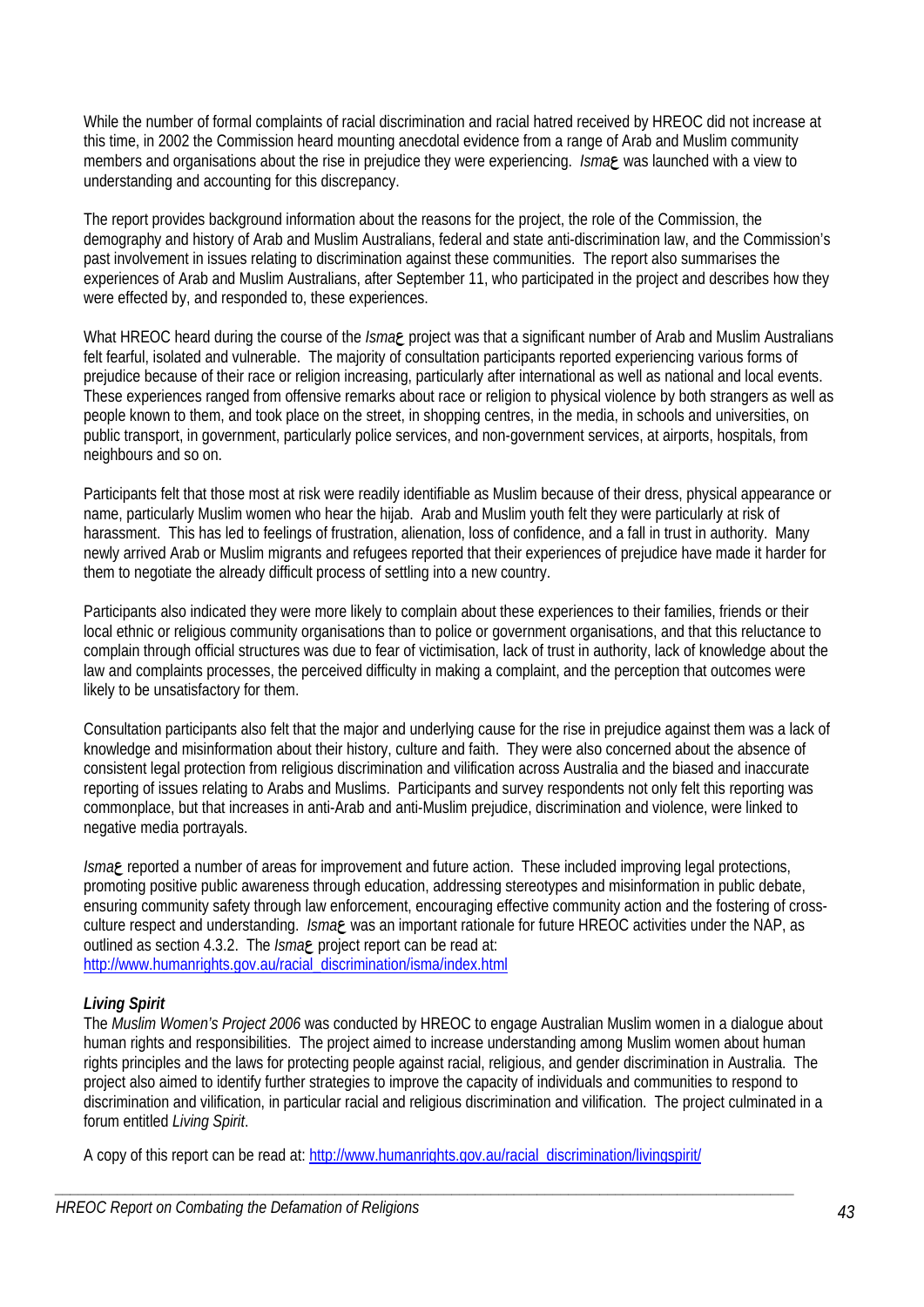While the number of formal complaints of racial discrimination and racial hatred received by HREOC did not increase at this time, in 2002 the Commission heard mounting anecdotal evidence from a range of Arab and Muslim community members and organisations about the rise in prejudice they were experiencing. *Isma***ع** was launched with a view to understanding and accounting for this discrepancy.

The report provides background information about the reasons for the project, the role of the Commission, the demography and history of Arab and Muslim Australians, federal and state anti-discrimination law, and the Commission's past involvement in issues relating to discrimination against these communities. The report also summarises the experiences of Arab and Muslim Australians, after September 11, who participated in the project and describes how they were effected by, and responded to, these experiences.

What HREOC heard during the course of the *Isma***<sub>P</sub>** project was that a significant number of Arab and Muslim Australians felt fearful, isolated and vulnerable. The majority of consultation participants reported experiencing various forms of prejudice because of their race or religion increasing, particularly after international as well as national and local events. These experiences ranged from offensive remarks about race or religion to physical violence by both strangers as well as people known to them, and took place on the street, in shopping centres, in the media, in schools and universities, on public transport, in government, particularly police services, and non-government services, at airports, hospitals, from neighbours and so on.

Participants felt that those most at risk were readily identifiable as Muslim because of their dress, physical appearance or name, particularly Muslim women who hear the hijab. Arab and Muslim youth felt they were particularly at risk of harassment. This has led to feelings of frustration, alienation, loss of confidence, and a fall in trust in authority. Many newly arrived Arab or Muslim migrants and refugees reported that their experiences of prejudice have made it harder for them to negotiate the already difficult process of settling into a new country.

Participants also indicated they were more likely to complain about these experiences to their families, friends or their local ethnic or religious community organisations than to police or government organisations, and that this reluctance to complain through official structures was due to fear of victimisation, lack of trust in authority, lack of knowledge about the law and complaints processes, the perceived difficulty in making a complaint, and the perception that outcomes were likely to be unsatisfactory for them.

Consultation participants also felt that the major and underlying cause for the rise in prejudice against them was a lack of knowledge and misinformation about their history, culture and faith. They were also concerned about the absence of consistent legal protection from religious discrimination and vilification across Australia and the biased and inaccurate reporting of issues relating to Arabs and Muslims. Participants and survey respondents not only felt this reporting was commonplace, but that increases in anti-Arab and anti-Muslim prejudice, discrimination and violence, were linked to negative media portrayals.

*Isma***ع** reported a number of areas for improvement and future action. These included improving legal protections, promoting positive public awareness through education, addressing stereotypes and misinformation in public debate, ensuring community safety through law enforcement, encouraging effective community action and the fostering of crossculture respect and understanding. *Isma***ع** was an important rationale for future HREOC activities under the NAP, as outlined as section 4.3.2. The *Isma***ع** project report can be read at: http://www.humanrights.gov.au/racial\_discrimination/isma/index.html

# *Living Spirit*

The *Muslim Women's Project 2006* was conducted by HREOC to engage Australian Muslim women in a dialogue about human rights and responsibilities. The project aimed to increase understanding among Muslim women about human rights principles and the laws for protecting people against racial, religious, and gender discrimination in Australia. The project also aimed to identify further strategies to improve the capacity of individuals and communities to respond to discrimination and vilification, in particular racial and religious discrimination and vilification. The project culminated in a forum entitled *Living Spirit*.

A copy of this report can be read at: http://www.humanrights.gov.au/racial\_discrimination/livingspirit/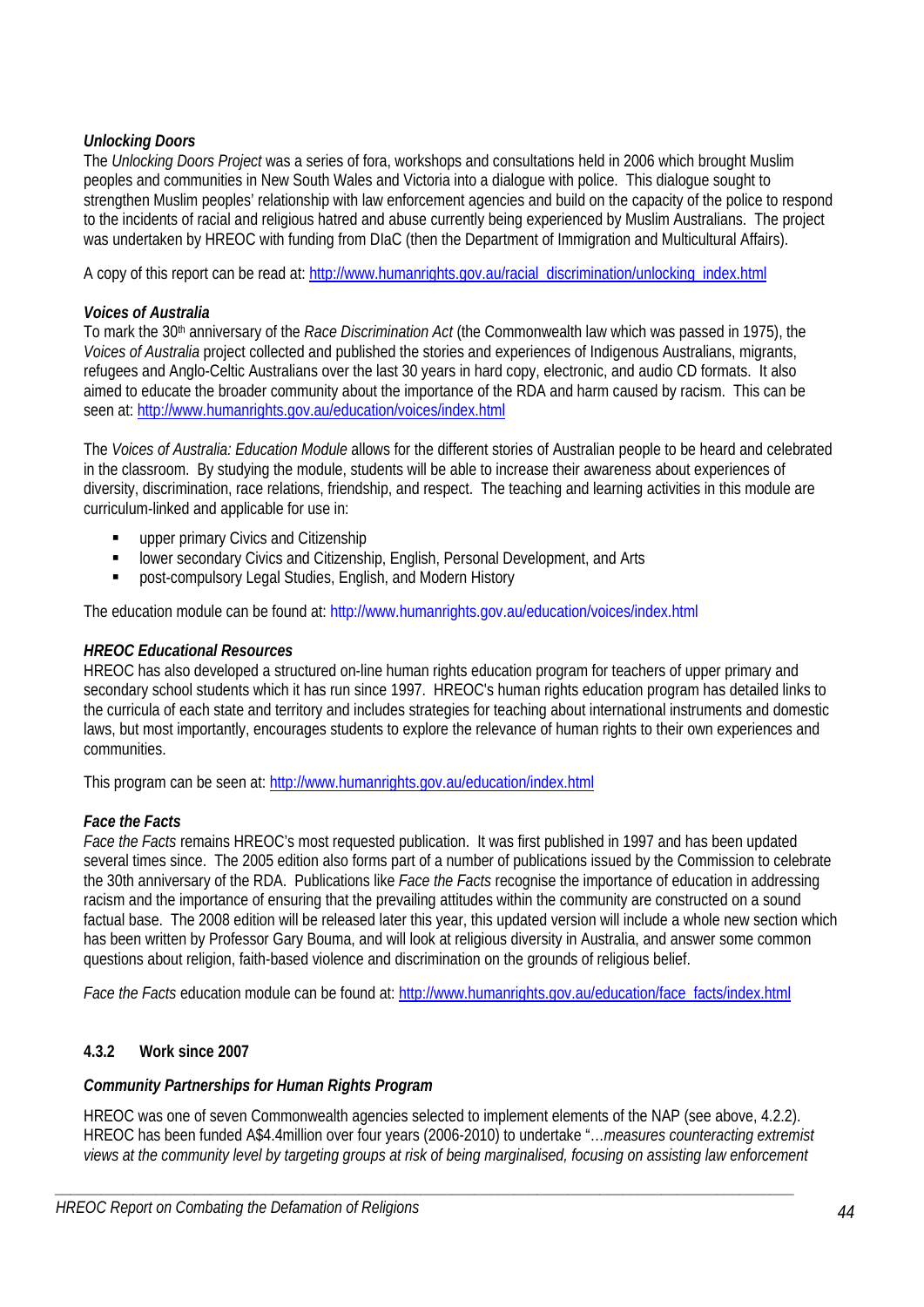# *Unlocking Doors*

The *Unlocking Doors Project* was a series of fora, workshops and consultations held in 2006 which brought Muslim peoples and communities in New South Wales and Victoria into a dialogue with police. This dialogue sought to strengthen Muslim peoples' relationship with law enforcement agencies and build on the capacity of the police to respond to the incidents of racial and religious hatred and abuse currently being experienced by Muslim Australians. The project was undertaken by HREOC with funding from DIaC (then the Department of Immigration and Multicultural Affairs).

A copy of this report can be read at: http://www.humanrights.gov.au/racial\_discrimination/unlocking\_index.html

# *Voices of Australia*

To mark the 30th anniversary of the *Race Discrimination Act* (the Commonwealth law which was passed in 1975), the *Voices of Australia* project collected and published the stories and experiences of Indigenous Australians, migrants, refugees and Anglo-Celtic Australians over the last 30 years in hard copy, electronic, and audio CD formats. It also aimed to educate the broader community about the importance of the RDA and harm caused by racism. This can be seen at: http://www.humanrights.gov.au/education/voices/index.html

The *Voices of Australia: Education Module* allows for the different stories of Australian people to be heard and celebrated in the classroom. By studying the module, students will be able to increase their awareness about experiences of diversity, discrimination, race relations, friendship, and respect. The teaching and learning activities in this module are curriculum-linked and applicable for use in:

- **upper primary Civics and Citizenship**
- **Example 2** lower secondary Civics and Citizenship, English, Personal Development, and Arts
- post-compulsory Legal Studies, English, and Modern History

The education module can be found at: http://www.humanrights.gov.au/education/voices/index.html

### *HREOC Educational Resources*

HREOC has also developed a structured on-line human rights education program for teachers of upper primary and secondary school students which it has run since 1997. HREOC's human rights education program has detailed links to the curricula of each state and territory and includes strategies for teaching about international instruments and domestic laws, but most importantly, encourages students to explore the relevance of human rights to their own experiences and communities.

This program can be seen at: http://www.humanrights.gov.au/education/index.html

### *Face the Facts*

*Face the Facts* remains HREOC's most requested publication. It was first published in 1997 and has been updated several times since. The 2005 edition also forms part of a number of publications issued by the Commission to celebrate the 30th anniversary of the RDA. Publications like *Face the Facts* recognise the importance of education in addressing racism and the importance of ensuring that the prevailing attitudes within the community are constructed on a sound factual base. The 2008 edition will be released later this year, this updated version will include a whole new section which has been written by Professor Gary Bouma, and will look at religious diversity in Australia, and answer some common questions about religion, faith-based violence and discrimination on the grounds of religious belief.

*Face the Facts* education module can be found at: http://www.humanrights.gov.au/education/face\_facts/index.html

# **4.3.2 Work since 2007**

# *Community Partnerships for Human Rights Program*

HREOC was one of seven Commonwealth agencies selected to implement elements of the NAP (see above, 4.2.2). HREOC has been funded A\$4.4million over four years (2006-2010) to undertake "…*measures counteracting extremist views at the community level by targeting groups at risk of being marginalised, focusing on assisting law enforcement*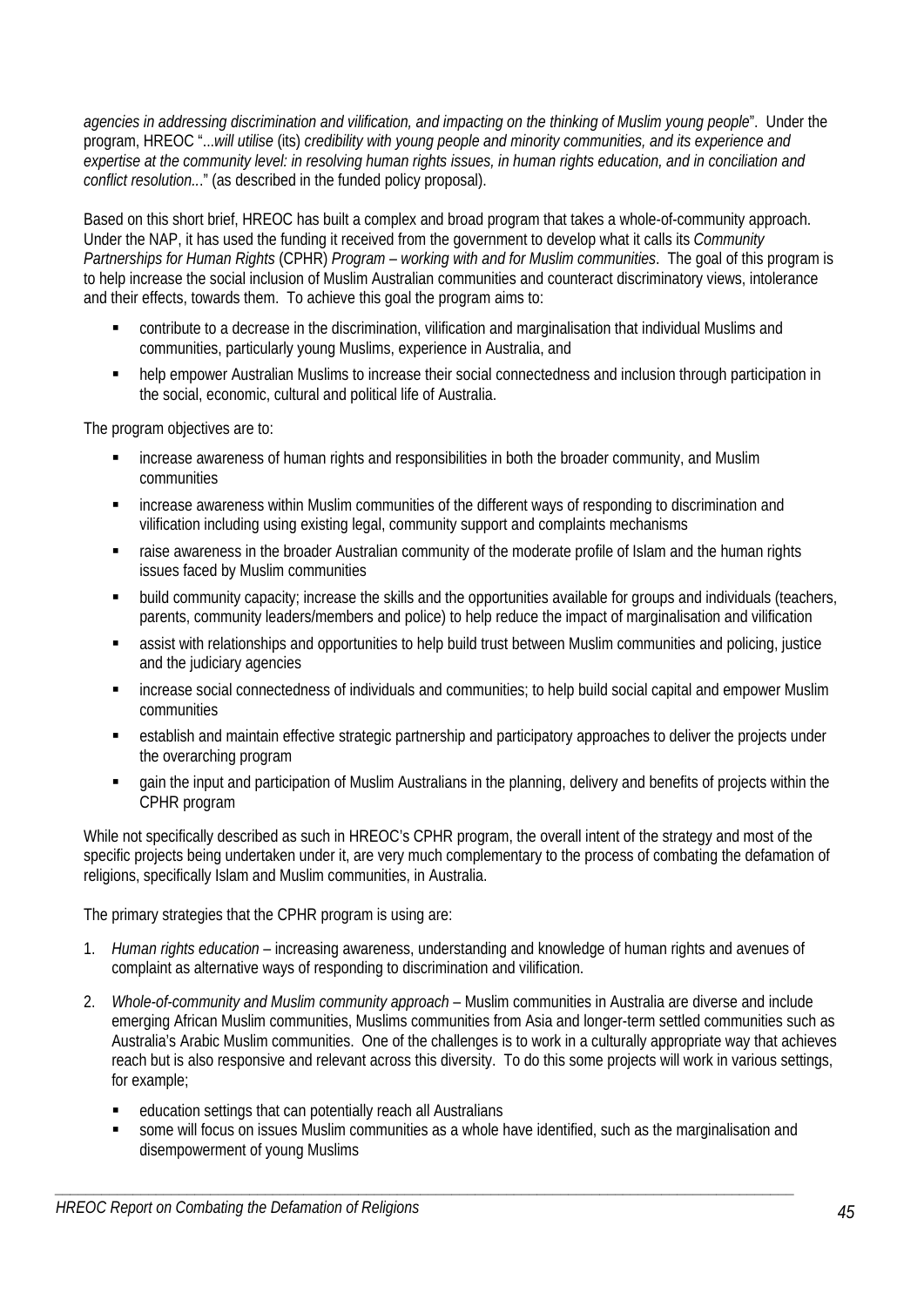*agencies in addressing discrimination and vilification, and impacting on the thinking of Muslim young people*". Under the program, HREOC "...*will utilise* (its) *credibility with young people and minority communities, and its experience and expertise at the community level: in resolving human rights issues, in human rights education, and in conciliation and conflict resolution..*." (as described in the funded policy proposal).

Based on this short brief, HREOC has built a complex and broad program that takes a whole-of-community approach. Under the NAP, it has used the funding it received from the government to develop what it calls its *Community Partnerships for Human Rights* (CPHR) *Program – working with and for Muslim communities*. The goal of this program is to help increase the social inclusion of Muslim Australian communities and counteract discriminatory views, intolerance and their effects, towards them. To achieve this goal the program aims to:

- contribute to a decrease in the discrimination, vilification and marginalisation that individual Muslims and communities, particularly young Muslims, experience in Australia, and
- help empower Australian Muslims to increase their social connectedness and inclusion through participation in the social, economic, cultural and political life of Australia.

The program objectives are to:

- increase awareness of human rights and responsibilities in both the broader community, and Muslim communities
- increase awareness within Muslim communities of the different ways of responding to discrimination and vilification including using existing legal, community support and complaints mechanisms
- raise awareness in the broader Australian community of the moderate profile of Islam and the human rights issues faced by Muslim communities
- build community capacity; increase the skills and the opportunities available for groups and individuals (teachers, parents, community leaders/members and police) to help reduce the impact of marginalisation and vilification
- assist with relationships and opportunities to help build trust between Muslim communities and policing, justice and the judiciary agencies
- increase social connectedness of individuals and communities; to help build social capital and empower Muslim communities
- establish and maintain effective strategic partnership and participatory approaches to deliver the projects under the overarching program
- gain the input and participation of Muslim Australians in the planning, delivery and benefits of projects within the CPHR program

While not specifically described as such in HREOC's CPHR program, the overall intent of the strategy and most of the specific projects being undertaken under it, are very much complementary to the process of combating the defamation of religions, specifically Islam and Muslim communities, in Australia.

The primary strategies that the CPHR program is using are:

- 1. *Human rights education* increasing awareness, understanding and knowledge of human rights and avenues of complaint as alternative ways of responding to discrimination and vilification.
- 2. *Whole-of-community and Muslim community approach* Muslim communities in Australia are diverse and include emerging African Muslim communities, Muslims communities from Asia and longer-term settled communities such as Australia's Arabic Muslim communities. One of the challenges is to work in a culturally appropriate way that achieves reach but is also responsive and relevant across this diversity. To do this some projects will work in various settings, for example;
	- education settings that can potentially reach all Australians
	- some will focus on issues Muslim communities as a whole have identified, such as the marginalisation and disempowerment of young Muslims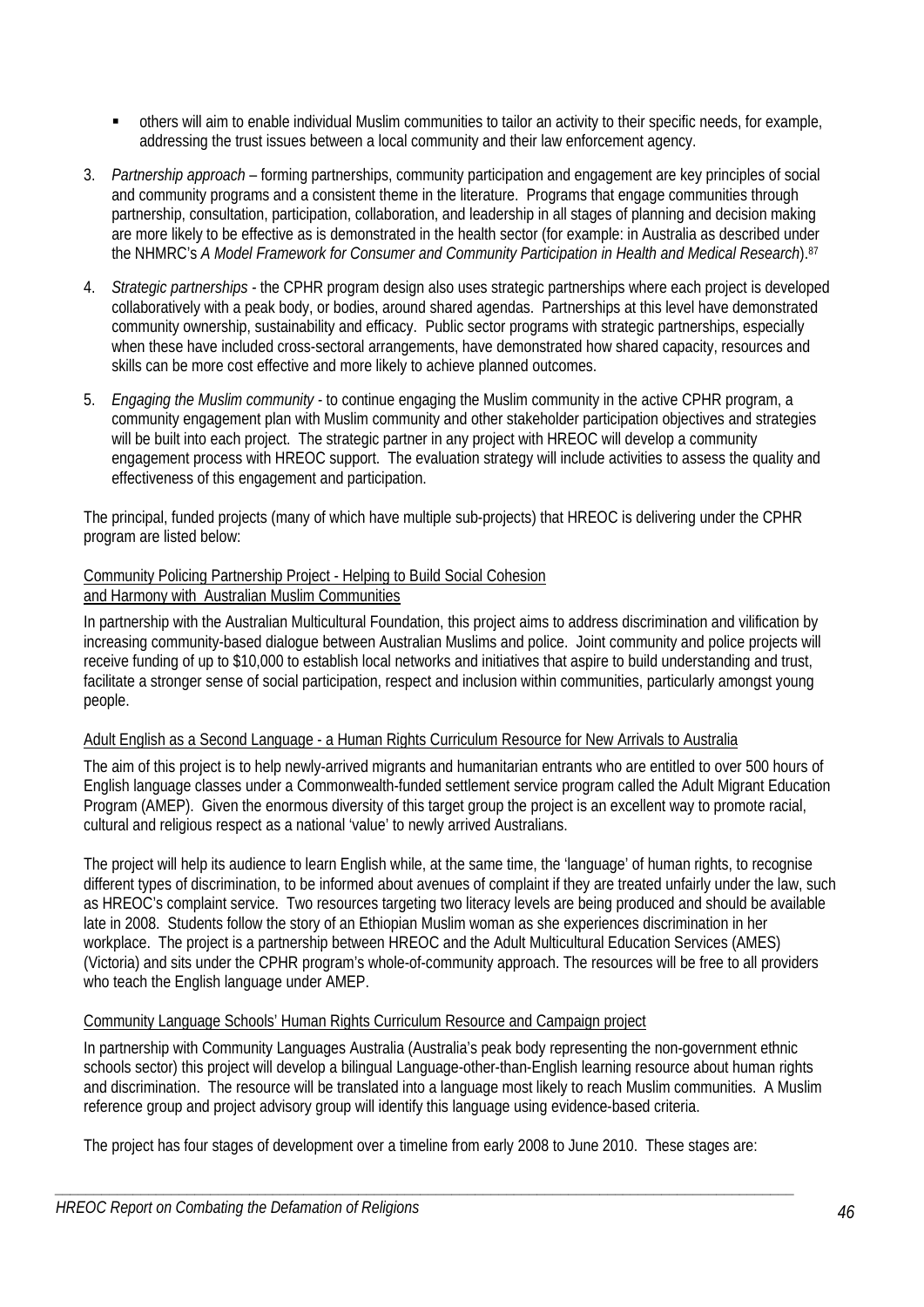- others will aim to enable individual Muslim communities to tailor an activity to their specific needs, for example, addressing the trust issues between a local community and their law enforcement agency.
- 3. *Partnership approach* forming partnerships, community participation and engagement are key principles of social and community programs and a consistent theme in the literature. Programs that engage communities through partnership, consultation, participation, collaboration, and leadership in all stages of planning and decision making are more likely to be effective as is demonstrated in the health sector (for example: in Australia as described under the NHMRC's *A Model Framework for Consumer and Community Participation in Health and Medical Research*).87
- 4. *Strategic partnerships* the CPHR program design also uses strategic partnerships where each project is developed collaboratively with a peak body, or bodies, around shared agendas. Partnerships at this level have demonstrated community ownership, sustainability and efficacy. Public sector programs with strategic partnerships, especially when these have included cross-sectoral arrangements, have demonstrated how shared capacity, resources and skills can be more cost effective and more likely to achieve planned outcomes.
- 5. *Engaging the Muslim community* to continue engaging the Muslim community in the active CPHR program, a community engagement plan with Muslim community and other stakeholder participation objectives and strategies will be built into each project. The strategic partner in any project with HREOC will develop a community engagement process with HREOC support. The evaluation strategy will include activities to assess the quality and effectiveness of this engagement and participation.

The principal, funded projects (many of which have multiple sub-projects) that HREOC is delivering under the CPHR program are listed below:

# Community Policing Partnership Project - Helping to Build Social Cohesion and Harmony with Australian Muslim Communities

In partnership with the Australian Multicultural Foundation, this project aims to address discrimination and vilification by increasing community-based dialogue between Australian Muslims and police. Joint community and police projects will receive funding of up to \$10,000 to establish local networks and initiatives that aspire to build understanding and trust, facilitate a stronger sense of social participation, respect and inclusion within communities, particularly amongst young people.

# Adult English as a Second Language - a Human Rights Curriculum Resource for New Arrivals to Australia

The aim of this project is to help newly-arrived migrants and humanitarian entrants who are entitled to over 500 hours of English language classes under a Commonwealth-funded settlement service program called the Adult Migrant Education Program (AMEP). Given the enormous diversity of this target group the project is an excellent way to promote racial, cultural and religious respect as a national 'value' to newly arrived Australians.

The project will help its audience to learn English while, at the same time, the 'language' of human rights, to recognise different types of discrimination, to be informed about avenues of complaint if they are treated unfairly under the law, such as HREOC's complaint service. Two resources targeting two literacy levels are being produced and should be available late in 2008. Students follow the story of an Ethiopian Muslim woman as she experiences discrimination in her workplace. The project is a partnership between HREOC and the Adult Multicultural Education Services (AMES) (Victoria) and sits under the CPHR program's whole-of-community approach. The resources will be free to all providers who teach the English language under AMEP.

# Community Language Schools' Human Rights Curriculum Resource and Campaign project

In partnership with Community Languages Australia (Australia's peak body representing the non-government ethnic schools sector) this project will develop a bilingual Language-other-than-English learning resource about human rights and discrimination. The resource will be translated into a language most likely to reach Muslim communities. A Muslim reference group and project advisory group will identify this language using evidence-based criteria.

The project has four stages of development over a timeline from early 2008 to June 2010. These stages are: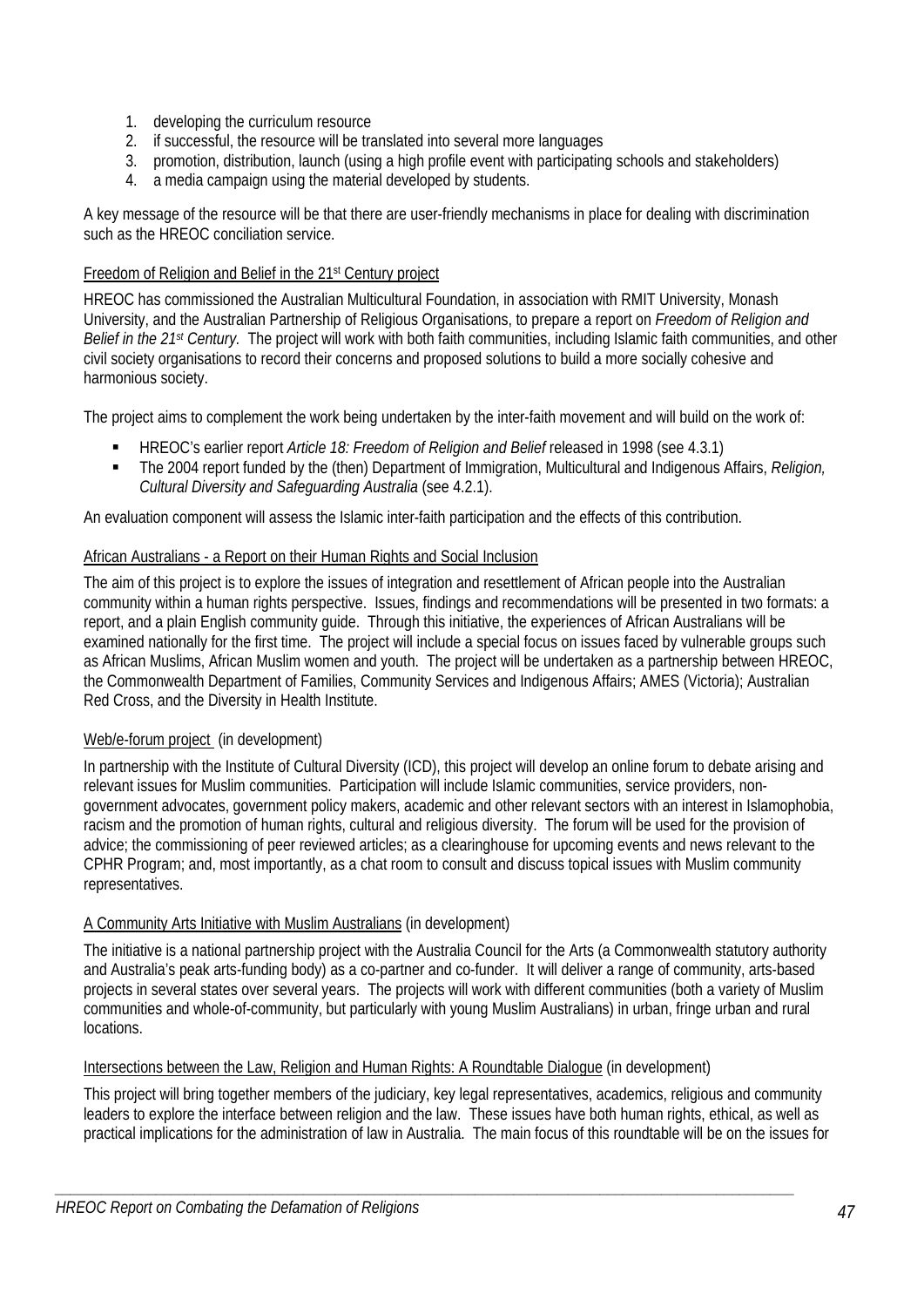- 1. developing the curriculum resource
- 2. if successful, the resource will be translated into several more languages
- 3. promotion, distribution, launch (using a high profile event with participating schools and stakeholders)
- 4. a media campaign using the material developed by students.

A key message of the resource will be that there are user-friendly mechanisms in place for dealing with discrimination such as the HREOC conciliation service.

### Freedom of Religion and Belief in the 21st Century project

HREOC has commissioned the Australian Multicultural Foundation, in association with RMIT University, Monash University, and the Australian Partnership of Religious Organisations, to prepare a report on *Freedom of Religion and Belief in the 21st Century.* The project will work with both faith communities, including Islamic faith communities, and other civil society organisations to record their concerns and proposed solutions to build a more socially cohesive and harmonious society.

The project aims to complement the work being undertaken by the inter-faith movement and will build on the work of:

- HREOC's earlier report *Article 18: Freedom of Religion and Belief* released in 1998 (see 4.3.1)
- The 2004 report funded by the (then) Department of Immigration, Multicultural and Indigenous Affairs, *Religion*, *Cultural Diversity and Safeguarding Australia* (see 4.2.1).

An evaluation component will assess the Islamic inter-faith participation and the effects of this contribution.

### African Australians - a Report on their Human Rights and Social Inclusion

The aim of this project is to explore the issues of integration and resettlement of African people into the Australian community within a human rights perspective. Issues, findings and recommendations will be presented in two formats: a report, and a plain English community guide. Through this initiative, the experiences of African Australians will be examined nationally for the first time. The project will include a special focus on issues faced by vulnerable groups such as African Muslims, African Muslim women and youth. The project will be undertaken as a partnership between HREOC, the Commonwealth Department of Families, Community Services and Indigenous Affairs; AMES (Victoria); Australian Red Cross, and the Diversity in Health Institute.

### Web/e-forum project (in development)

In partnership with the Institute of Cultural Diversity (ICD), this project will develop an online forum to debate arising and relevant issues for Muslim communities. Participation will include Islamic communities, service providers, nongovernment advocates, government policy makers, academic and other relevant sectors with an interest in Islamophobia, racism and the promotion of human rights, cultural and religious diversity. The forum will be used for the provision of advice; the commissioning of peer reviewed articles; as a clearinghouse for upcoming events and news relevant to the CPHR Program; and, most importantly, as a chat room to consult and discuss topical issues with Muslim community representatives.

# A Community Arts Initiative with Muslim Australians (in development)

The initiative is a national partnership project with the Australia Council for the Arts (a Commonwealth statutory authority and Australia's peak arts-funding body) as a co-partner and co-funder. It will deliver a range of community, arts-based projects in several states over several years. The projects will work with different communities (both a variety of Muslim communities and whole-of-community, but particularly with young Muslim Australians) in urban, fringe urban and rural locations.

# Intersections between the Law, Religion and Human Rights: A Roundtable Dialogue (in development)

This project will bring together members of the judiciary, key legal representatives, academics, religious and community leaders to explore the interface between religion and the law. These issues have both human rights, ethical, as well as practical implications for the administration of law in Australia. The main focus of this roundtable will be on the issues for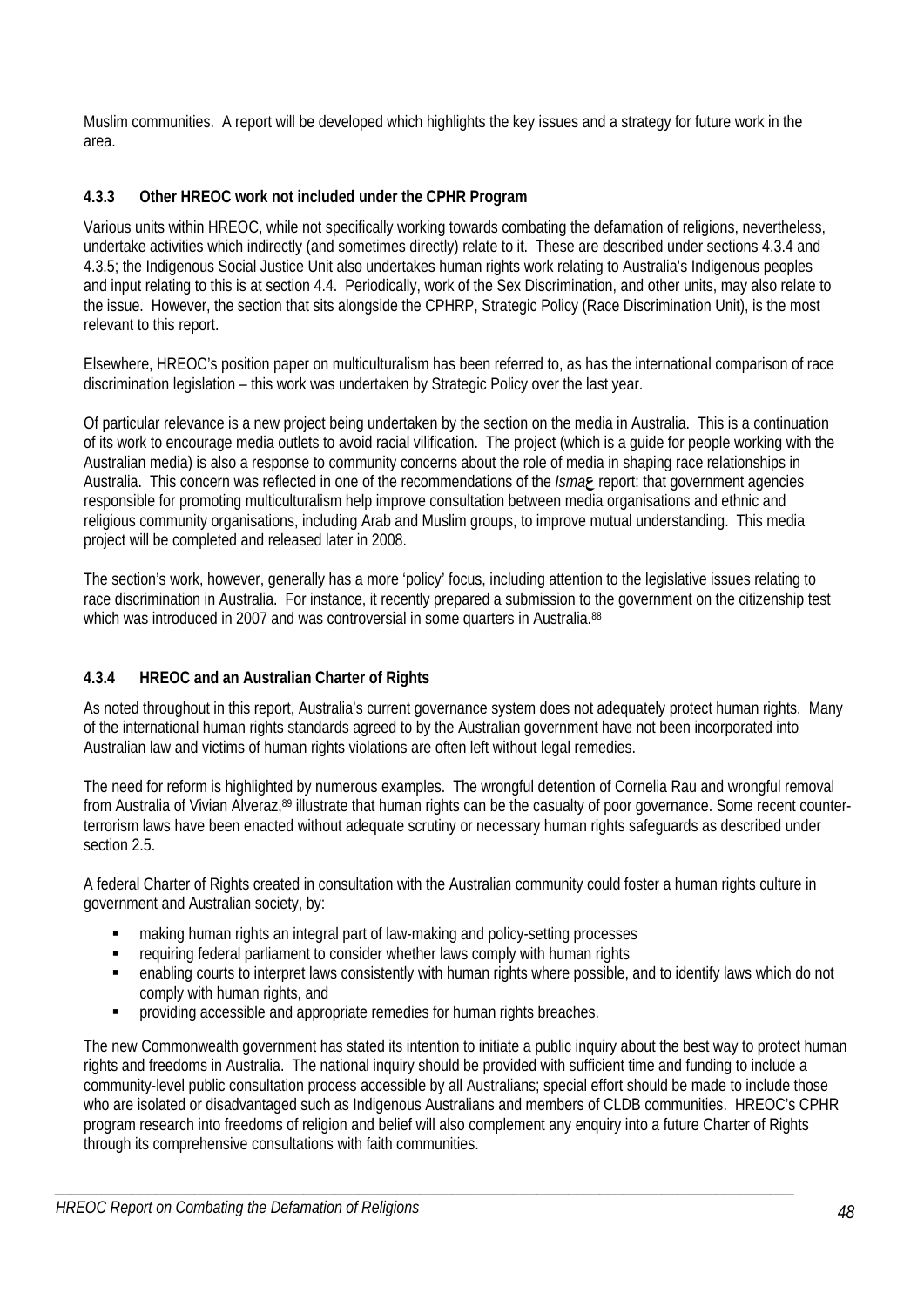Muslim communities. A report will be developed which highlights the key issues and a strategy for future work in the area.

# **4.3.3 Other HREOC work not included under the CPHR Program**

Various units within HREOC, while not specifically working towards combating the defamation of religions, nevertheless, undertake activities which indirectly (and sometimes directly) relate to it. These are described under sections 4.3.4 and 4.3.5; the Indigenous Social Justice Unit also undertakes human rights work relating to Australia's Indigenous peoples and input relating to this is at section 4.4. Periodically, work of the Sex Discrimination, and other units, may also relate to the issue. However, the section that sits alongside the CPHRP, Strategic Policy (Race Discrimination Unit), is the most relevant to this report.

Elsewhere, HREOC's position paper on multiculturalism has been referred to, as has the international comparison of race discrimination legislation – this work was undertaken by Strategic Policy over the last year.

Of particular relevance is a new project being undertaken by the section on the media in Australia. This is a continuation of its work to encourage media outlets to avoid racial vilification. The project (which is a guide for people working with the Australian media) is also a response to community concerns about the role of media in shaping race relationships in Australia. This concern was reflected in one of the recommendations of the *Isma***ع** report: that government agencies responsible for promoting multiculturalism help improve consultation between media organisations and ethnic and religious community organisations, including Arab and Muslim groups, to improve mutual understanding. This media project will be completed and released later in 2008.

The section's work, however, generally has a more 'policy' focus, including attention to the legislative issues relating to race discrimination in Australia. For instance, it recently prepared a submission to the government on the citizenship test which was introduced in 2007 and was controversial in some quarters in Australia.<sup>88</sup>

# **4.3.4 HREOC and an Australian Charter of Rights**

As noted throughout in this report, Australia's current governance system does not adequately protect human rights. Many of the international human rights standards agreed to by the Australian government have not been incorporated into Australian law and victims of human rights violations are often left without legal remedies.

The need for reform is highlighted by numerous examples. The wrongful detention of Cornelia Rau and wrongful removal from Australia of Vivian Alveraz,89 illustrate that human rights can be the casualty of poor governance. Some recent counterterrorism laws have been enacted without adequate scrutiny or necessary human rights safeguards as described under section 2.5.

A federal Charter of Rights created in consultation with the Australian community could foster a human rights culture in government and Australian society, by:

- making human rights an integral part of law-making and policy-setting processes
- requiring federal parliament to consider whether laws comply with human rights
- enabling courts to interpret laws consistently with human rights where possible, and to identify laws which do not comply with human rights, and
- **•** providing accessible and appropriate remedies for human rights breaches.

The new Commonwealth government has stated its intention to initiate a public inquiry about the best way to protect human rights and freedoms in Australia. The national inquiry should be provided with sufficient time and funding to include a community-level public consultation process accessible by all Australians; special effort should be made to include those who are isolated or disadvantaged such as Indigenous Australians and members of CLDB communities. HREOC's CPHR program research into freedoms of religion and belief will also complement any enquiry into a future Charter of Rights through its comprehensive consultations with faith communities.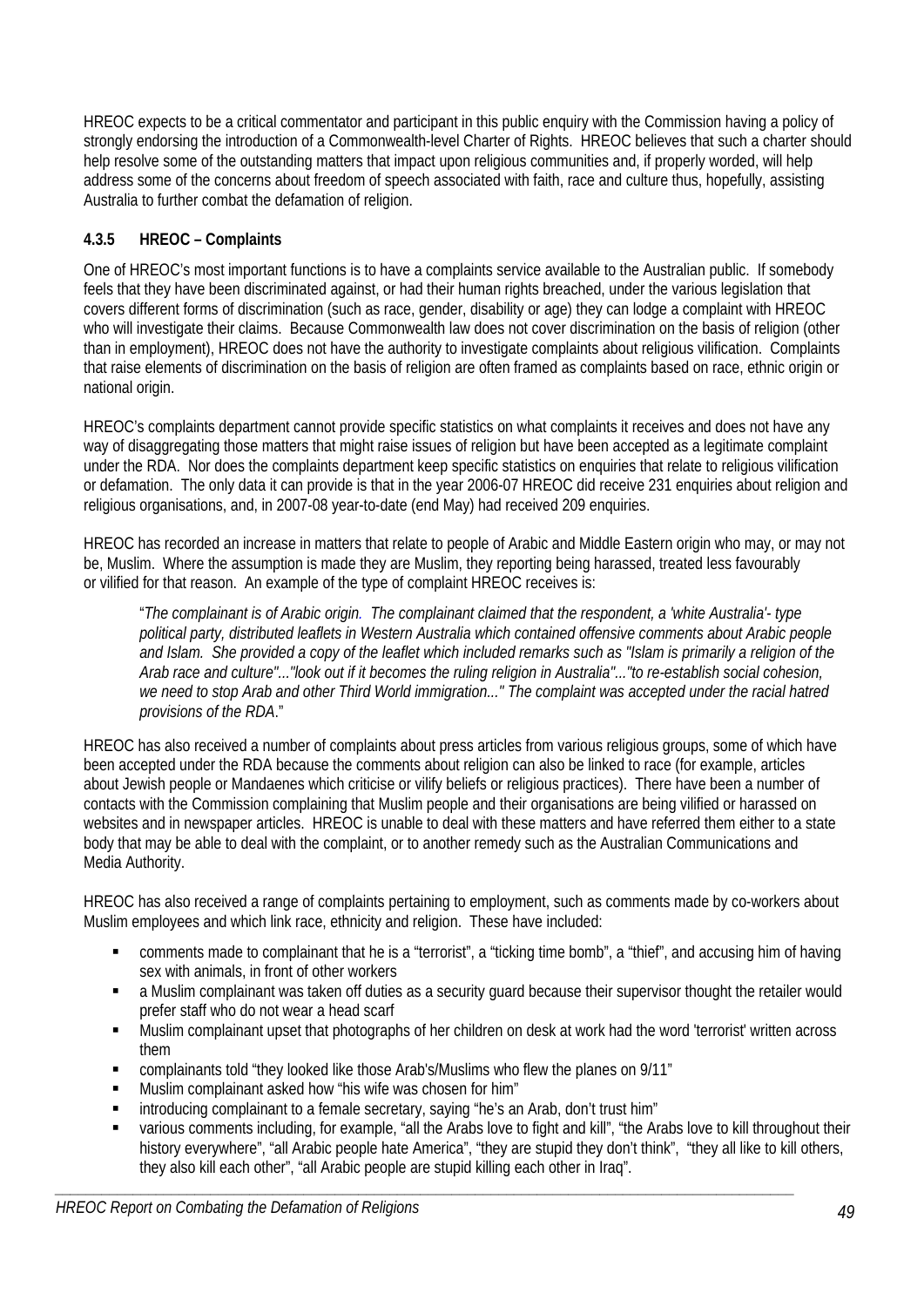HREOC expects to be a critical commentator and participant in this public enquiry with the Commission having a policy of strongly endorsing the introduction of a Commonwealth-level Charter of Rights. HREOC believes that such a charter should help resolve some of the outstanding matters that impact upon religious communities and, if properly worded, will help address some of the concerns about freedom of speech associated with faith, race and culture thus, hopefully, assisting Australia to further combat the defamation of religion.

# **4.3.5 HREOC – Complaints**

One of HREOC's most important functions is to have a complaints service available to the Australian public. If somebody feels that they have been discriminated against, or had their human rights breached, under the various legislation that covers different forms of discrimination (such as race, gender, disability or age) they can lodge a complaint with HREOC who will investigate their claims. Because Commonwealth law does not cover discrimination on the basis of religion (other than in employment), HREOC does not have the authority to investigate complaints about religious vilification. Complaints that raise elements of discrimination on the basis of religion are often framed as complaints based on race, ethnic origin or national origin.

HREOC's complaints department cannot provide specific statistics on what complaints it receives and does not have any way of disaggregating those matters that might raise issues of religion but have been accepted as a legitimate complaint under the RDA. Nor does the complaints department keep specific statistics on enquiries that relate to religious vilification or defamation. The only data it can provide is that in the year 2006-07 HREOC did receive 231 enquiries about religion and religious organisations, and, in 2007-08 year-to-date (end May) had received 209 enquiries.

HREOC has recorded an increase in matters that relate to people of Arabic and Middle Eastern origin who may, or may not be, Muslim. Where the assumption is made they are Muslim, they reporting being harassed, treated less favourably or vilified for that reason. An example of the type of complaint HREOC receives is:

"*The complainant is of Arabic origin. The complainant claimed that the respondent, a 'white Australia'- type political party, distributed leaflets in Western Australia which contained offensive comments about Arabic people and Islam. She provided a copy of the leaflet which included remarks such as "Islam is primarily a religion of the Arab race and culture"..."look out if it becomes the ruling religion in Australia"..."to re-establish social cohesion, we need to stop Arab and other Third World immigration..." The complaint was accepted under the racial hatred provisions of the RDA*."

HREOC has also received a number of complaints about press articles from various religious groups, some of which have been accepted under the RDA because the comments about religion can also be linked to race (for example, articles about Jewish people or Mandaenes which criticise or vilify beliefs or religious practices). There have been a number of contacts with the Commission complaining that Muslim people and their organisations are being vilified or harassed on websites and in newspaper articles. HREOC is unable to deal with these matters and have referred them either to a state body that may be able to deal with the complaint, or to another remedy such as the Australian Communications and Media Authority.

HREOC has also received a range of complaints pertaining to employment, such as comments made by co-workers about Muslim employees and which link race, ethnicity and religion. These have included:

- comments made to complainant that he is a "terrorist", a "ticking time bomb", a "thief", and accusing him of having sex with animals, in front of other workers
- a Muslim complainant was taken off duties as a security guard because their supervisor thought the retailer would prefer staff who do not wear a head scarf
- Muslim complainant upset that photographs of her children on desk at work had the word 'terrorist' written across them
- complainants told "they looked like those Arab's/Muslims who flew the planes on 9/11"
- Muslim complainant asked how "his wife was chosen for him"
- introducing complainant to a female secretary, saying "he's an Arab, don't trust him"
- various comments including, for example, "all the Arabs love to fight and kill", "the Arabs love to kill throughout their history everywhere", "all Arabic people hate America", "they are stupid they don't think", "they all like to kill others, they also kill each other", "all Arabic people are stupid killing each other in Iraq".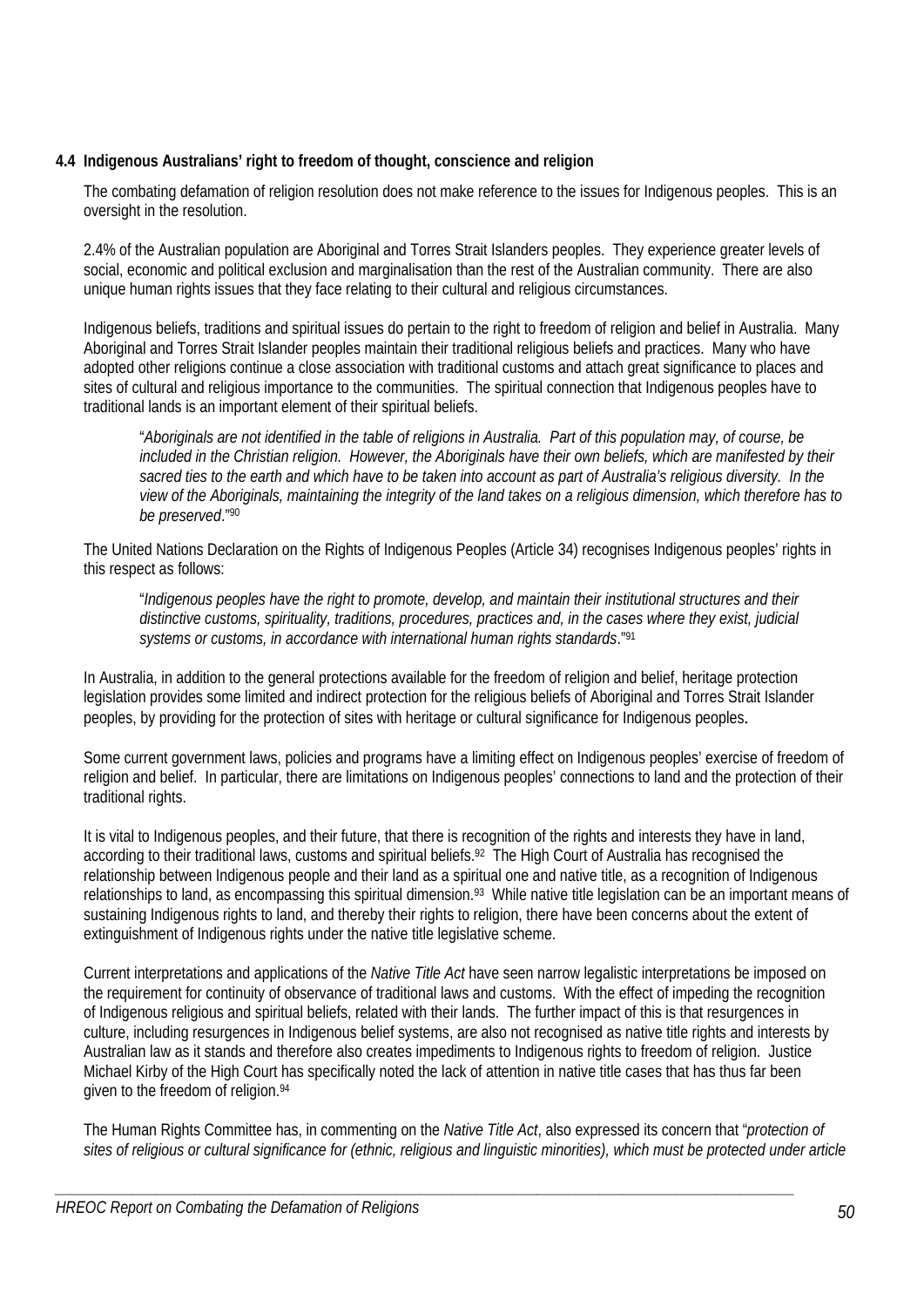# **4.4 Indigenous Australians' right to freedom of thought, conscience and religion**

The combating defamation of religion resolution does not make reference to the issues for Indigenous peoples. This is an oversight in the resolution.

2.4% of the Australian population are Aboriginal and Torres Strait Islanders peoples. They experience greater levels of social, economic and political exclusion and marginalisation than the rest of the Australian community. There are also unique human rights issues that they face relating to their cultural and religious circumstances.

Indigenous beliefs, traditions and spiritual issues do pertain to the right to freedom of religion and belief in Australia. Many Aboriginal and Torres Strait Islander peoples maintain their traditional religious beliefs and practices. Many who have adopted other religions continue a close association with traditional customs and attach great significance to places and sites of cultural and religious importance to the communities. The spiritual connection that Indigenous peoples have to traditional lands is an important element of their spiritual beliefs.

"*Aboriginals are not identified in the table of religions in Australia. Part of this population may, of course, be included in the Christian religion. However, the Aboriginals have their own beliefs, which are manifested by their sacred ties to the earth and which have to be taken into account as part of Australia's religious diversity. In the view of the Aboriginals, maintaining the integrity of the land takes on a religious dimension, which therefore has to be preserved*."90

The United Nations Declaration on the Rights of Indigenous Peoples (Article 34) recognises Indigenous peoples' rights in this respect as follows:

"*Indigenous peoples have the right to promote, develop, and maintain their institutional structures and their distinctive customs, spirituality, traditions, procedures, practices and, in the cases where they exist, judicial systems or customs, in accordance with international human rights standards*."91

In Australia, in addition to the general protections available for the freedom of religion and belief, heritage protection legislation provides some limited and indirect protection for the religious beliefs of Aboriginal and Torres Strait Islander peoples, by providing for the protection of sites with heritage or cultural significance for Indigenous peoples.

Some current government laws, policies and programs have a limiting effect on Indigenous peoples' exercise of freedom of religion and belief. In particular, there are limitations on Indigenous peoples' connections to land and the protection of their traditional rights.

It is vital to Indigenous peoples, and their future, that there is recognition of the rights and interests they have in land, according to their traditional laws, customs and spiritual beliefs.<sup>92</sup> The High Court of Australia has recognised the relationship between Indigenous people and their land as a spiritual one and native title, as a recognition of Indigenous relationships to land, as encompassing this spiritual dimension.<sup>93</sup> While native title legislation can be an important means of sustaining Indigenous rights to land, and thereby their rights to religion, there have been concerns about the extent of extinguishment of Indigenous rights under the native title legislative scheme.

Current interpretations and applications of the *Native Title Act* have seen narrow legalistic interpretations be imposed on the requirement for continuity of observance of traditional laws and customs. With the effect of impeding the recognition of Indigenous religious and spiritual beliefs, related with their lands. The further impact of this is that resurgences in culture, including resurgences in Indigenous belief systems, are also not recognised as native title rights and interests by Australian law as it stands and therefore also creates impediments to Indigenous rights to freedom of religion. Justice Michael Kirby of the High Court has specifically noted the lack of attention in native title cases that has thus far been given to the freedom of religion.<sup>94</sup>

The Human Rights Committee has, in commenting on the *Native Title Act*, also expressed its concern that "*protection of sites of religious or cultural significance for (ethnic, religious and linguistic minorities), which must be protected under article*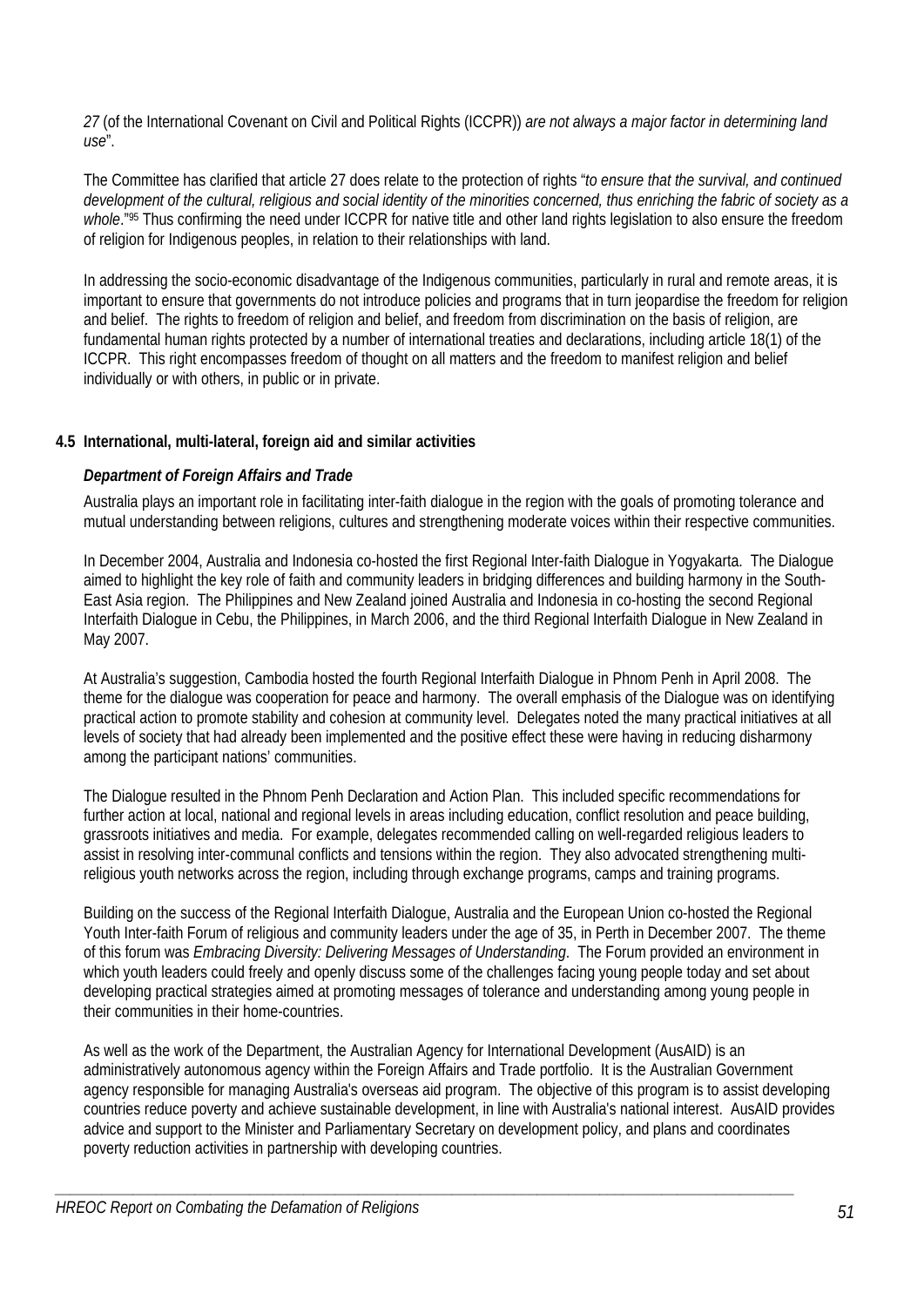*27* (of the International Covenant on Civil and Political Rights (ICCPR)) *are not always a major factor in determining land use*".

The Committee has clarified that article 27 does relate to the protection of rights "*to ensure that the survival, and continued development of the cultural, religious and social identity of the minorities concerned, thus enriching the fabric of society as a*  whole."<sup>95</sup> Thus confirming the need under ICCPR for native title and other land rights legislation to also ensure the freedom of religion for Indigenous peoples, in relation to their relationships with land.

In addressing the socio-economic disadvantage of the Indigenous communities, particularly in rural and remote areas, it is important to ensure that governments do not introduce policies and programs that in turn jeopardise the freedom for religion and belief. The rights to freedom of religion and belief, and freedom from discrimination on the basis of religion, are fundamental human rights protected by a number of international treaties and declarations, including article 18(1) of the ICCPR. This right encompasses freedom of thought on all matters and the freedom to manifest religion and belief individually or with others, in public or in private.

# **4.5 International, multi-lateral, foreign aid and similar activities**

### *Department of Foreign Affairs and Trade*

Australia plays an important role in facilitating inter-faith dialogue in the region with the goals of promoting tolerance and mutual understanding between religions, cultures and strengthening moderate voices within their respective communities.

In December 2004, Australia and Indonesia co-hosted the first Regional Inter-faith Dialogue in Yogyakarta. The Dialogue aimed to highlight the key role of faith and community leaders in bridging differences and building harmony in the South-East Asia region. The Philippines and New Zealand joined Australia and Indonesia in co-hosting the second Regional Interfaith Dialogue in Cebu, the Philippines, in March 2006, and the third Regional Interfaith Dialogue in New Zealand in May 2007.

At Australia's suggestion, Cambodia hosted the fourth Regional Interfaith Dialogue in Phnom Penh in April 2008. The theme for the dialogue was cooperation for peace and harmony. The overall emphasis of the Dialogue was on identifying practical action to promote stability and cohesion at community level. Delegates noted the many practical initiatives at all levels of society that had already been implemented and the positive effect these were having in reducing disharmony among the participant nations' communities.

The Dialogue resulted in the Phnom Penh Declaration and Action Plan. This included specific recommendations for further action at local, national and regional levels in areas including education, conflict resolution and peace building, grassroots initiatives and media. For example, delegates recommended calling on well-regarded religious leaders to assist in resolving inter-communal conflicts and tensions within the region. They also advocated strengthening multireligious youth networks across the region, including through exchange programs, camps and training programs.

Building on the success of the Regional Interfaith Dialogue, Australia and the European Union co-hosted the Regional Youth Inter-faith Forum of religious and community leaders under the age of 35, in Perth in December 2007. The theme of this forum was *Embracing Diversity: Delivering Messages of Understanding*. The Forum provided an environment in which youth leaders could freely and openly discuss some of the challenges facing young people today and set about developing practical strategies aimed at promoting messages of tolerance and understanding among young people in their communities in their home-countries.

As well as the work of the Department, the Australian Agency for International Development (AusAID) is an administratively autonomous agency within the Foreign Affairs and Trade portfolio. It is the Australian Government agency responsible for managing Australia's overseas aid program. The objective of this program is to assist developing countries reduce poverty and achieve sustainable development, in line with Australia's national interest. AusAID provides advice and support to the Minister and Parliamentary Secretary on development policy, and plans and coordinates poverty reduction activities in partnership with developing countries.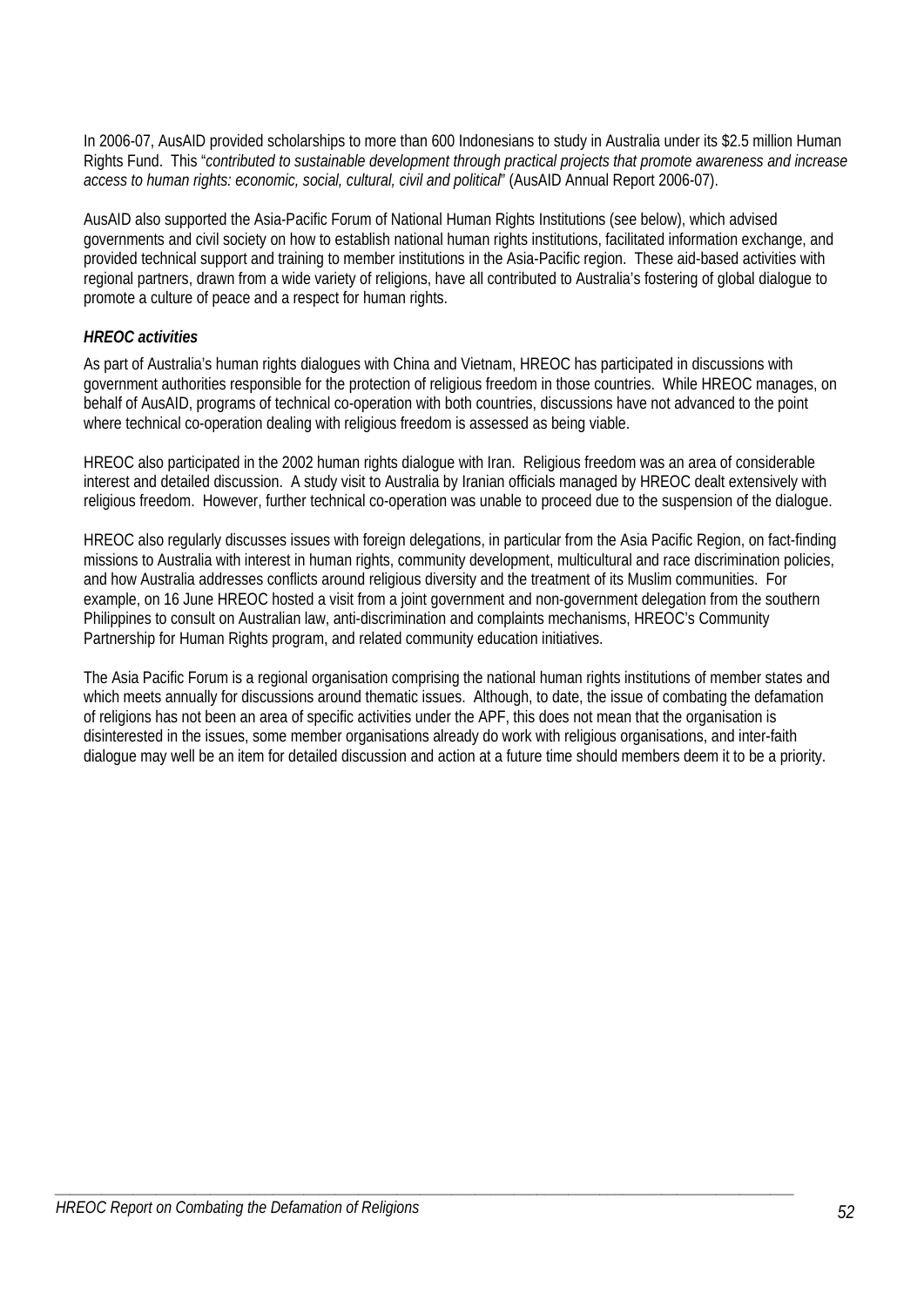In 2006-07, AusAID provided scholarships to more than 600 Indonesians to study in Australia under its \$2.5 million Human Rights Fund. This "*contributed to sustainable development through practical projects that promote awareness and increase access to human rights: economic, social, cultural, civil and political*" (AusAID Annual Report 2006-07).

AusAID also supported the Asia-Pacific Forum of National Human Rights Institutions (see below), which advised governments and civil society on how to establish national human rights institutions, facilitated information exchange, and provided technical support and training to member institutions in the Asia-Pacific region. These aid-based activities with regional partners, drawn from a wide variety of religions, have all contributed to Australia's fostering of global dialogue to promote a culture of peace and a respect for human rights.

# *HREOC activities*

As part of Australia's human rights dialogues with China and Vietnam, HREOC has participated in discussions with government authorities responsible for the protection of religious freedom in those countries. While HREOC manages, on behalf of AusAID, programs of technical co-operation with both countries, discussions have not advanced to the point where technical co-operation dealing with religious freedom is assessed as being viable.

HREOC also participated in the 2002 human rights dialogue with Iran. Religious freedom was an area of considerable interest and detailed discussion. A study visit to Australia by Iranian officials managed by HREOC dealt extensively with religious freedom. However, further technical co-operation was unable to proceed due to the suspension of the dialogue.

HREOC also regularly discusses issues with foreign delegations, in particular from the Asia Pacific Region, on fact-finding missions to Australia with interest in human rights, community development, multicultural and race discrimination policies, and how Australia addresses conflicts around religious diversity and the treatment of its Muslim communities. For example, on 16 June HREOC hosted a visit from a joint government and non-government delegation from the southern Philippines to consult on Australian law, anti-discrimination and complaints mechanisms, HREOC's Community Partnership for Human Rights program, and related community education initiatives.

The Asia Pacific Forum is a regional organisation comprising the national human rights institutions of member states and which meets annually for discussions around thematic issues. Although, to date, the issue of combating the defamation of religions has not been an area of specific activities under the APF, this does not mean that the organisation is disinterested in the issues, some member organisations already do work with religious organisations, and inter-faith dialogue may well be an item for detailed discussion and action at a future time should members deem it to be a priority.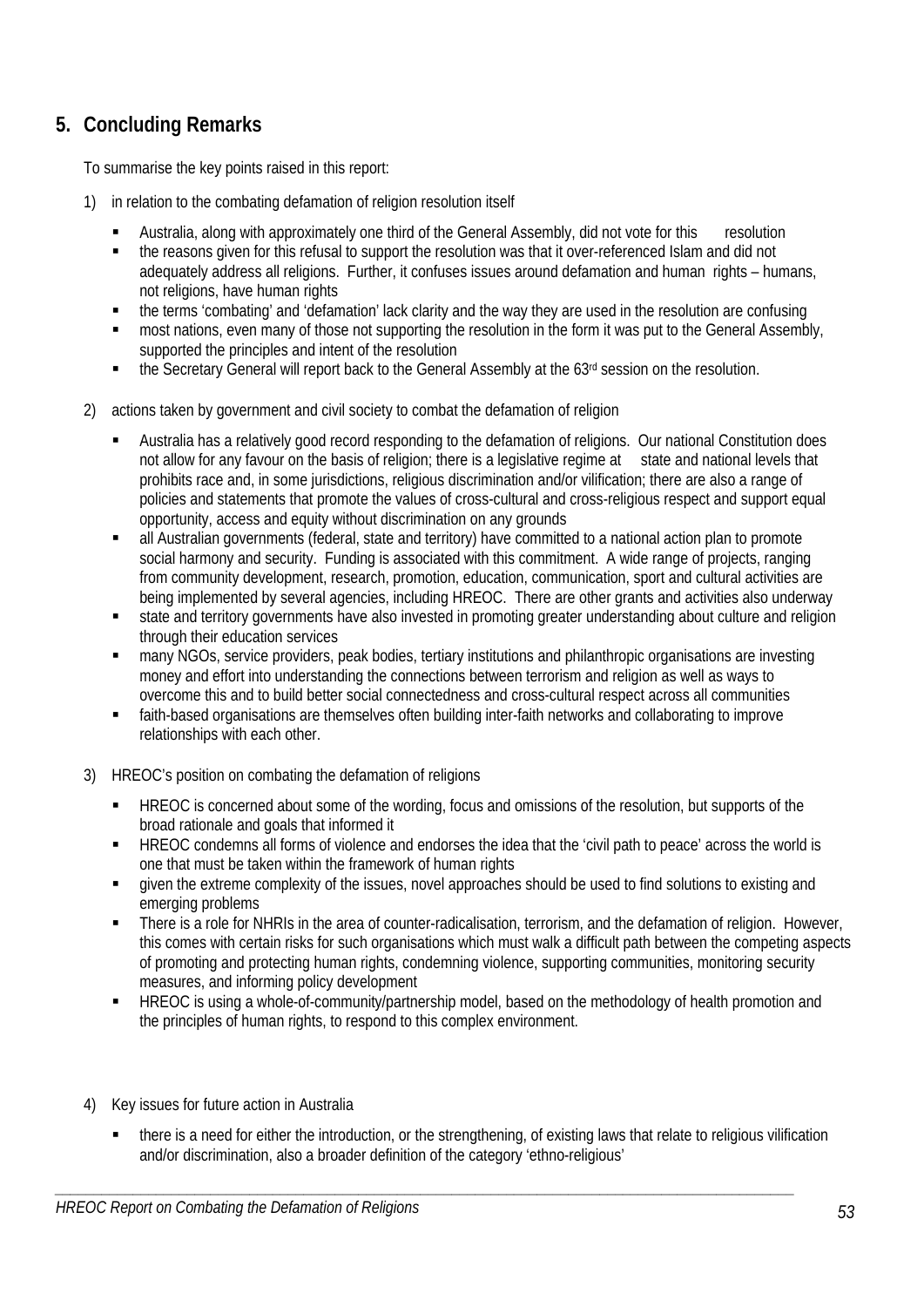# **5. Concluding Remarks**

To summarise the key points raised in this report:

- 1) in relation to the combating defamation of religion resolution itself
	- Australia, along with approximately one third of the General Assembly, did not vote for this resolution
	- the reasons given for this refusal to support the resolution was that it over-referenced Islam and did not adequately address all religions. Further, it confuses issues around defamation and human rights – humans, not religions, have human rights
	- the terms 'combating' and 'defamation' lack clarity and the way they are used in the resolution are confusing
	- most nations, even many of those not supporting the resolution in the form it was put to the General Assembly, supported the principles and intent of the resolution
	- **the Secretary General will report back to the General Assembly at the 63<sup>rd</sup> session on the resolution.**
- 2) actions taken by government and civil society to combat the defamation of religion
	- Australia has a relatively good record responding to the defamation of religions. Our national Constitution does not allow for any favour on the basis of religion; there is a legislative regime at state and national levels that prohibits race and, in some jurisdictions, religious discrimination and/or vilification; there are also a range of policies and statements that promote the values of cross-cultural and cross-religious respect and support equal opportunity, access and equity without discrimination on any grounds
	- all Australian governments (federal, state and territory) have committed to a national action plan to promote social harmony and security. Funding is associated with this commitment. A wide range of projects, ranging from community development, research, promotion, education, communication, sport and cultural activities are being implemented by several agencies, including HREOC. There are other grants and activities also underway
	- state and territory governments have also invested in promoting greater understanding about culture and religion through their education services
	- many NGOs, service providers, peak bodies, tertiary institutions and philanthropic organisations are investing money and effort into understanding the connections between terrorism and religion as well as ways to overcome this and to build better social connectedness and cross-cultural respect across all communities
	- faith-based organisations are themselves often building inter-faith networks and collaborating to improve relationships with each other.
- 3) HREOC's position on combating the defamation of religions
	- HREOC is concerned about some of the wording, focus and omissions of the resolution, but supports of the broad rationale and goals that informed it
	- HREOC condemns all forms of violence and endorses the idea that the 'civil path to peace' across the world is one that must be taken within the framework of human rights
	- given the extreme complexity of the issues, novel approaches should be used to find solutions to existing and emerging problems
	- There is a role for NHRIs in the area of counter-radicalisation, terrorism, and the defamation of religion. However, this comes with certain risks for such organisations which must walk a difficult path between the competing aspects of promoting and protecting human rights, condemning violence, supporting communities, monitoring security measures, and informing policy development
	- HREOC is using a whole-of-community/partnership model, based on the methodology of health promotion and the principles of human rights, to respond to this complex environment.
- 4) Key issues for future action in Australia
	- there is a need for either the introduction, or the strengthening, of existing laws that relate to religious vilification and/or discrimination, also a broader definition of the category 'ethno-religious'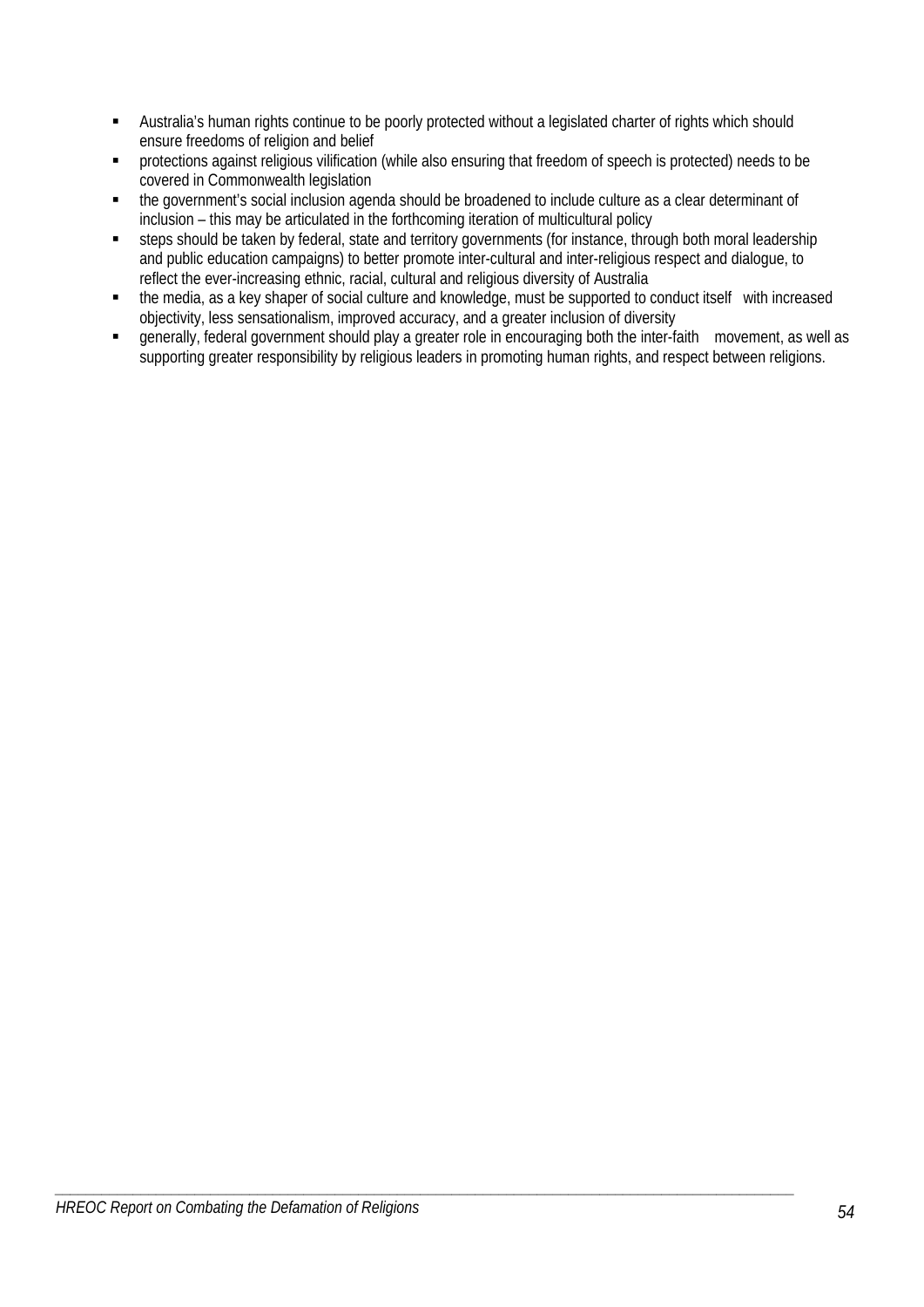- Australia's human rights continue to be poorly protected without a legislated charter of rights which should ensure freedoms of religion and belief
- **•** protections against religious vilification (while also ensuring that freedom of speech is protected) needs to be covered in Commonwealth legislation
- the government's social inclusion agenda should be broadened to include culture as a clear determinant of inclusion – this may be articulated in the forthcoming iteration of multicultural policy
- steps should be taken by federal, state and territory governments (for instance, through both moral leadership and public education campaigns) to better promote inter-cultural and inter-religious respect and dialogue, to reflect the ever-increasing ethnic, racial, cultural and religious diversity of Australia
- the media, as a key shaper of social culture and knowledge, must be supported to conduct itself with increased objectivity, less sensationalism, improved accuracy, and a greater inclusion of diversity
- generally, federal government should play a greater role in encouraging both the inter-faith movement, as well as supporting greater responsibility by religious leaders in promoting human rights, and respect between religions.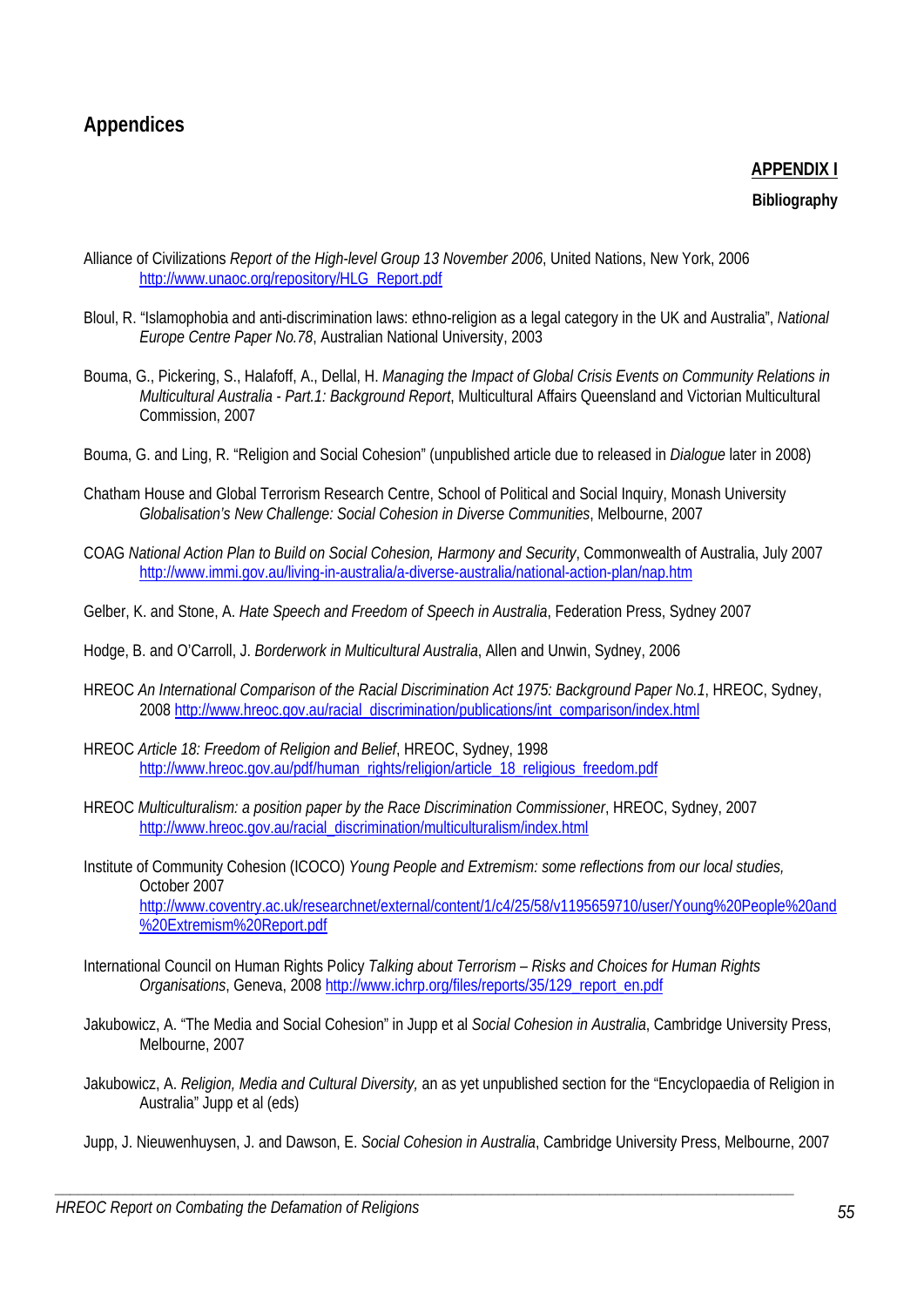# **Appendices**

# **APPENDIX I**

### **Bibliography**

- Alliance of Civilizations *Report of the High-level Group 13 November 2006*, United Nations, New York, 2006 http://www.unaoc.org/repository/HLG\_Report.pdf
- Bloul, R. "Islamophobia and anti-discrimination laws: ethno-religion as a legal category in the UK and Australia", *National Europe Centre Paper No.78*, Australian National University, 2003
- Bouma, G., Pickering, S., Halafoff, A., Dellal, H. *Managing the Impact of Global Crisis Events on Community Relations in Multicultural Australia - Part.1: Background Report*, Multicultural Affairs Queensland and Victorian Multicultural Commission, 2007
- Bouma, G. and Ling, R. "Religion and Social Cohesion" (unpublished article due to released in *Dialogue* later in 2008)
- Chatham House and Global Terrorism Research Centre, School of Political and Social Inquiry, Monash University *Globalisation's New Challenge: Social Cohesion in Diverse Communities*, Melbourne, 2007
- COAG *National Action Plan to Build on Social Cohesion, Harmony and Security*, Commonwealth of Australia, July 2007 http://www.immi.gov.au/living-in-australia/a-diverse-australia/national-action-plan/nap.htm
- Gelber, K. and Stone, A. *Hate Speech and Freedom of Speech in Australia*, Federation Press, Sydney 2007
- Hodge, B. and O'Carroll, J. *Borderwork in Multicultural Australia*, Allen and Unwin, Sydney, 2006
- HREOC *An International Comparison of the Racial Discrimination Act 1975: Background Paper No.1*, HREOC, Sydney, 2008 http://www.hreoc.gov.au/racial\_discrimination/publications/int\_comparison/index.html
- HREOC *Article 18: Freedom of Religion and Belief*, HREOC, Sydney, 1998 http://www.hreoc.gov.au/pdf/human\_rights/religion/article\_18\_religious\_freedom.pdf
- HREOC *Multiculturalism: a position paper by the Race Discrimination Commissioner*, HREOC, Sydney, 2007 http://www.hreoc.gov.au/racial\_discrimination/multiculturalism/index.html
- Institute of Community Cohesion (ICOCO) *Young People and Extremism: some reflections from our local studies,*  October 2007 http://www.coventry.ac.uk/researchnet/external/content/1/c4/25/58/v1195659710/user/Young%20People%20and %20Extremism%20Report.pdf
- International Council on Human Rights Policy *Talking about Terrorism Risks and Choices for Human Rights Organisations*, Geneva, 2008 http://www.ichrp.org/files/reports/35/129\_report\_en.pdf
- Jakubowicz, A. "The Media and Social Cohesion" in Jupp et al *Social Cohesion in Australia*, Cambridge University Press, Melbourne, 2007
- Jakubowicz, A. *Religion, Media and Cultural Diversity,* an as yet unpublished section for the "Encyclopaedia of Religion in Australia" Jupp et al (eds)
- Jupp, J. Nieuwenhuysen, J. and Dawson, E. *Social Cohesion in Australia*, Cambridge University Press, Melbourne, 2007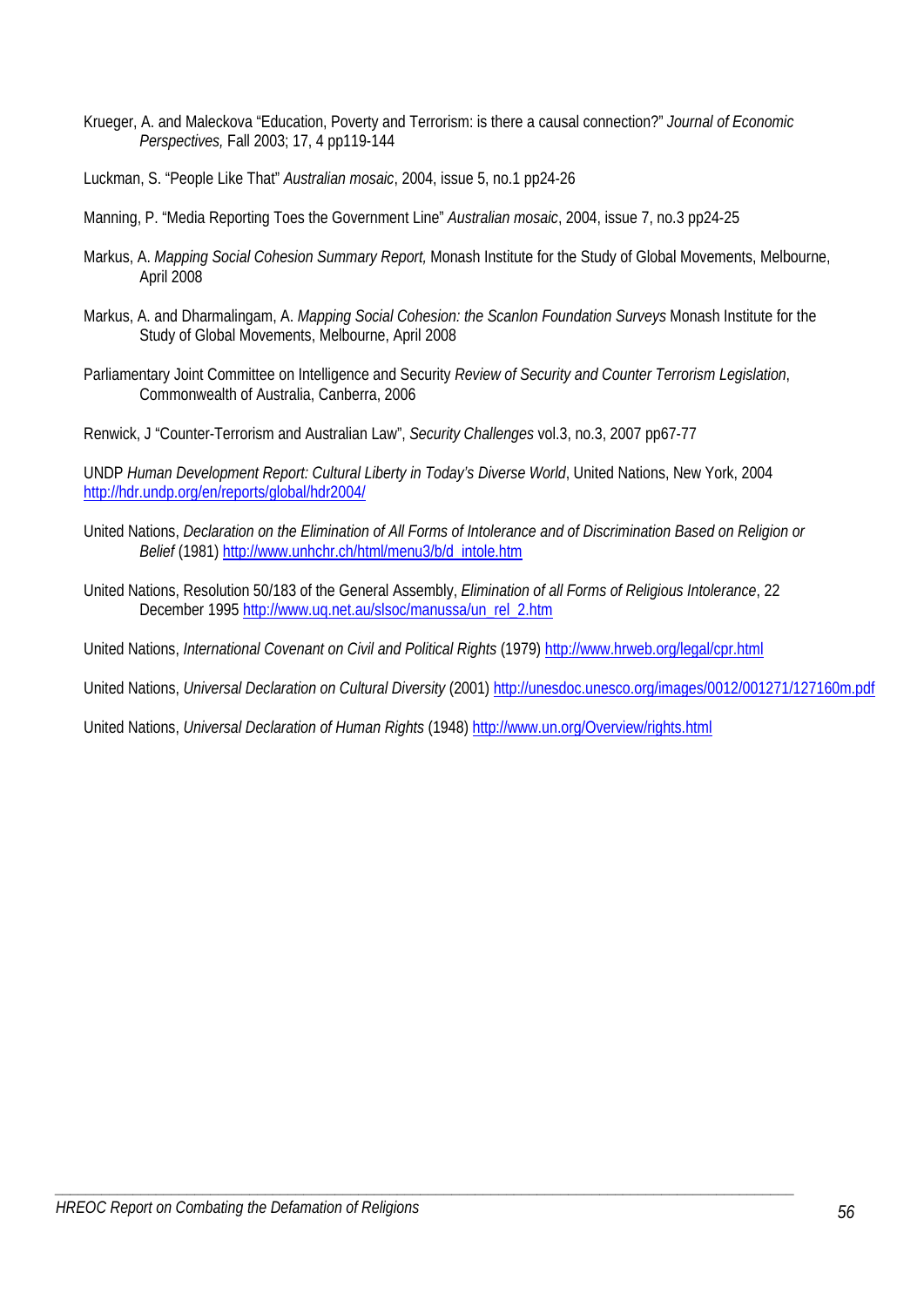- Krueger, A. and Maleckova "Education, Poverty and Terrorism: is there a causal connection?" *Journal of Economic Perspectives,* Fall 2003; 17, 4 pp119-144
- Luckman, S. "People Like That" *Australian mosaic*, 2004, issue 5, no.1 pp24-26
- Manning, P. "Media Reporting Toes the Government Line" *Australian mosaic*, 2004, issue 7, no.3 pp24-25
- Markus, A. *Mapping Social Cohesion Summary Report,* Monash Institute for the Study of Global Movements, Melbourne, April 2008
- Markus, A. and Dharmalingam, A. *Mapping Social Cohesion: the Scanlon Foundation Surveys* Monash Institute for the Study of Global Movements, Melbourne, April 2008
- Parliamentary Joint Committee on Intelligence and Security *Review of Security and Counter Terrorism Legislation*, Commonwealth of Australia, Canberra, 2006
- Renwick, J "Counter-Terrorism and Australian Law", *Security Challenges* vol.3, no.3, 2007 pp67-77

UNDP *Human Development Report: Cultural Liberty in Today's Diverse World*, United Nations, New York, 2004 http://hdr.undp.org/en/reports/global/hdr2004/

- United Nations, *Declaration on the Elimination of All Forms of Intolerance and of Discrimination Based on Religion or Belief* (1981) http://www.unhchr.ch/html/menu3/b/d\_intole.htm
- United Nations, Resolution 50/183 of the General Assembly, *Elimination of all Forms of Religious Intolerance*, 22 December 1995 http://www.uq.net.au/slsoc/manussa/un\_rel\_2.htm
- United Nations, *International Covenant on Civil and Political Rights* (1979) http://www.hrweb.org/legal/cpr.html

*\_\_\_\_\_\_\_\_\_\_\_\_\_\_\_\_\_\_\_\_\_\_\_\_\_\_\_\_\_\_\_\_\_\_\_\_\_\_\_\_\_\_\_\_\_\_\_\_\_\_\_\_\_\_\_\_\_\_\_\_\_\_\_\_\_\_\_\_\_\_\_\_\_\_\_\_\_\_\_\_\_\_\_\_\_\_\_\_\_\_\_\_\_\_\_* 

United Nations, *Universal Declaration on Cultural Diversity* (2001) http://unesdoc.unesco.org/images/0012/001271/127160m.pdf

United Nations, *Universal Declaration of Human Rights* (1948) http://www.un.org/Overview/rights.html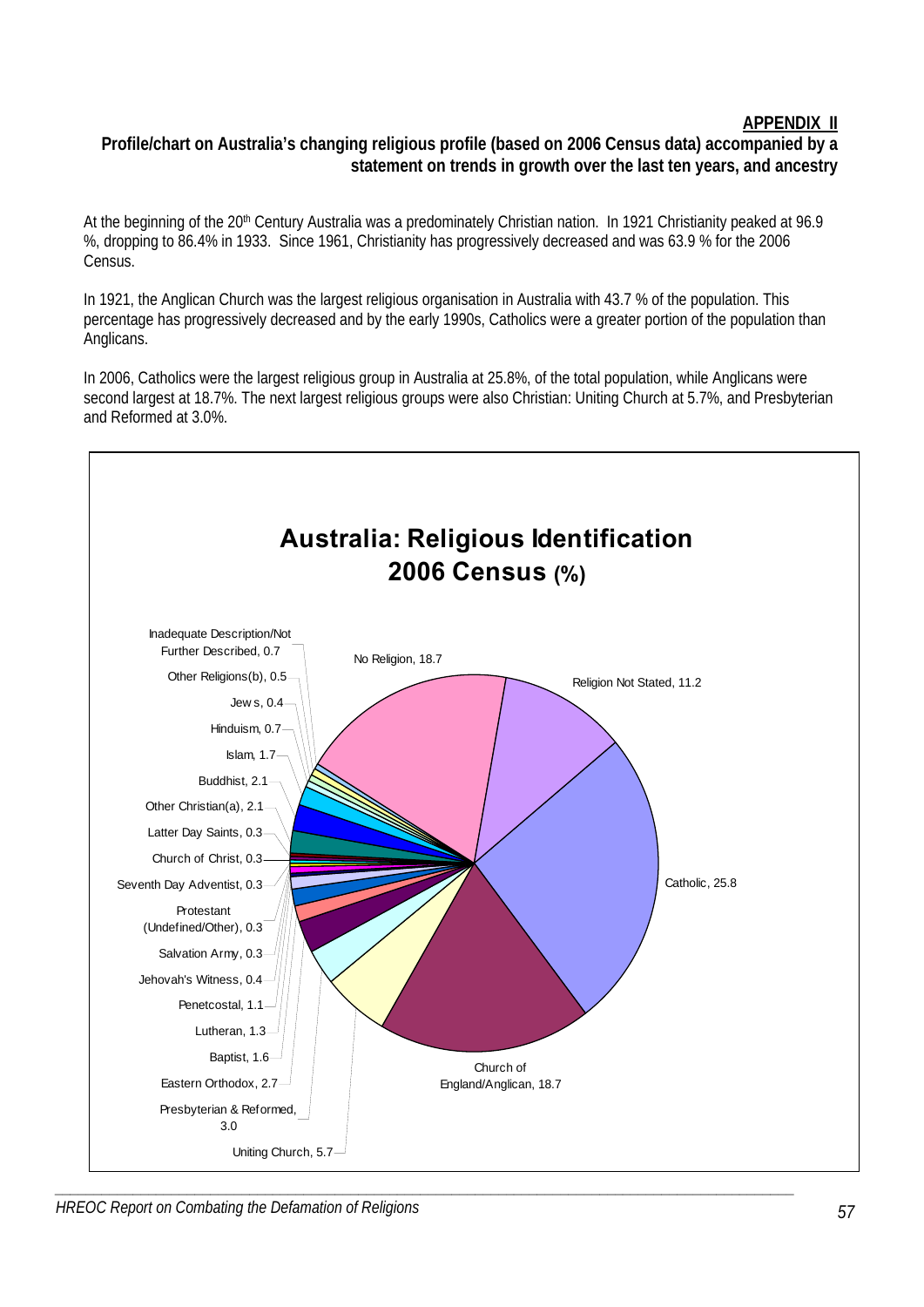# **APPENDIX II**

# **Profile/chart on Australia's changing religious profile (based on 2006 Census data) accompanied by a statement on trends in growth over the last ten years, and ancestry**

At the beginning of the 20<sup>th</sup> Century Australia was a predominately Christian nation. In 1921 Christianity peaked at 96.9 %, dropping to 86.4% in 1933. Since 1961, Christianity has progressively decreased and was 63.9 % for the 2006 Census.

In 1921, the Anglican Church was the largest religious organisation in Australia with 43.7 % of the population. This percentage has progressively decreased and by the early 1990s, Catholics were a greater portion of the population than Anglicans.

In 2006, Catholics were the largest religious group in Australia at 25.8%, of the total population, while Anglicans were second largest at 18.7%. The next largest religious groups were also Christian: Uniting Church at 5.7%, and Presbyterian and Reformed at 3.0%.



*HREOC Report on Combating the Defamation of Religions*  $57$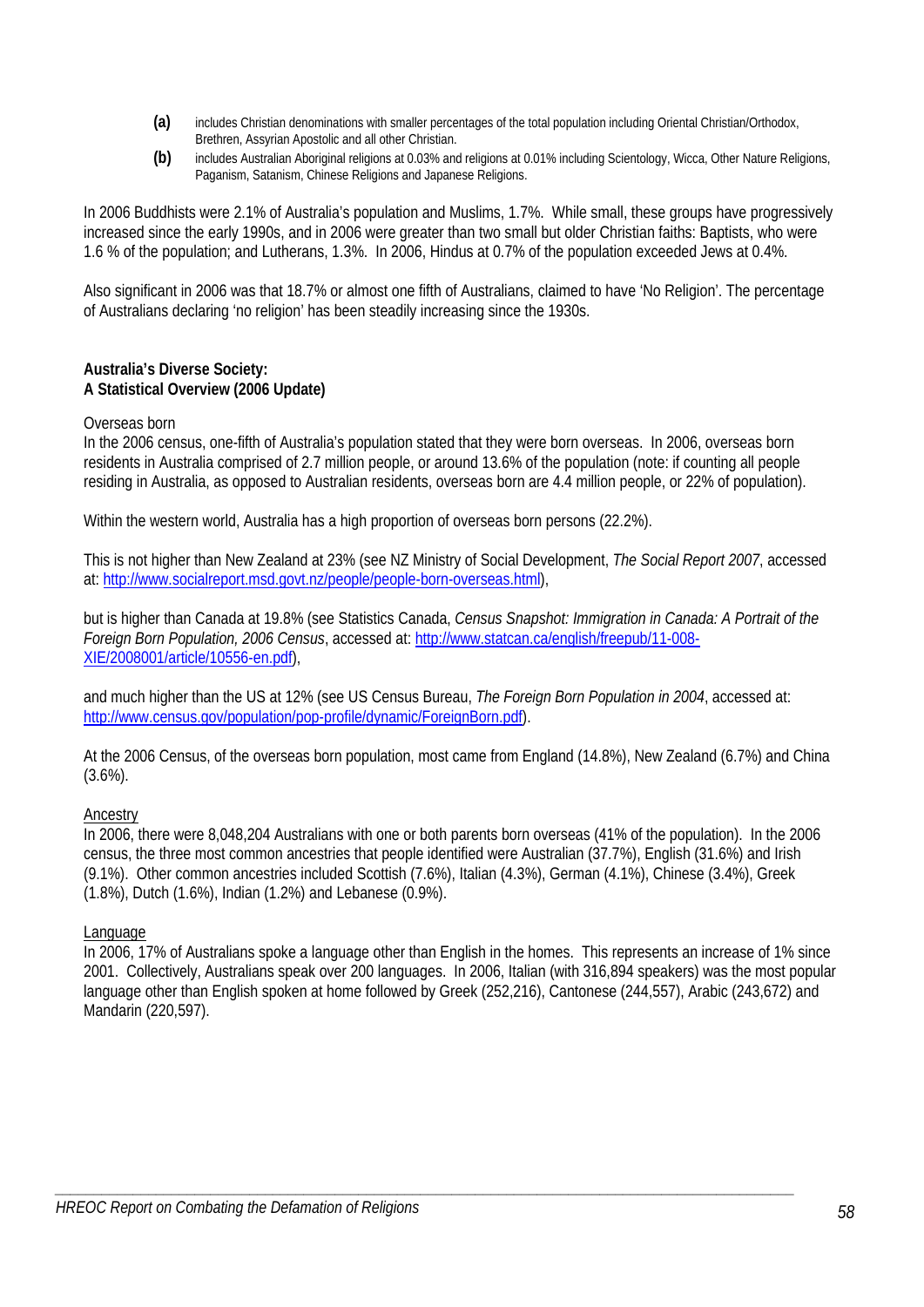- **(a)** includes Christian denominations with smaller percentages of the total population including Oriental Christian/Orthodox, Brethren, Assyrian Apostolic and all other Christian.
- **(b)** includes Australian Aboriginal religions at 0.03% and religions at 0.01% including Scientology, Wicca, Other Nature Religions, Paganism, Satanism, Chinese Religions and Japanese Religions.

In 2006 Buddhists were 2.1% of Australia's population and Muslims, 1.7%. While small, these groups have progressively increased since the early 1990s, and in 2006 were greater than two small but older Christian faiths: Baptists, who were 1.6 % of the population; and Lutherans, 1.3%. In 2006, Hindus at 0.7% of the population exceeded Jews at 0.4%.

Also significant in 2006 was that 18.7% or almost one fifth of Australians, claimed to have 'No Religion'. The percentage of Australians declaring 'no religion' has been steadily increasing since the 1930s.

#### **Australia's Diverse Society: A Statistical Overview (2006 Update)**

### Overseas born

In the 2006 census, one-fifth of Australia's population stated that they were born overseas. In 2006, overseas born residents in Australia comprised of 2.7 million people, or around 13.6% of the population (note: if counting all people residing in Australia, as opposed to Australian residents, overseas born are 4.4 million people, or 22% of population).

Within the western world, Australia has a high proportion of overseas born persons (22.2%).

This is not higher than New Zealand at 23% (see NZ Ministry of Social Development, *The Social Report 2007*, accessed at: http://www.socialreport.msd.govt.nz/people/people-born-overseas.html),

but is higher than Canada at 19.8% (see Statistics Canada, *Census Snapshot: Immigration in Canada: A Portrait of the Foreign Born Population, 2006 Census*, accessed at: http://www.statcan.ca/english/freepub/11-008- XIE/2008001/article/10556-en.pdf),

and much higher than the US at 12% (see US Census Bureau, *The Foreign Born Population in 2004*, accessed at: http://www.census.gov/population/pop-profile/dynamic/ForeignBorn.pdf).

At the 2006 Census, of the overseas born population, most came from England (14.8%), New Zealand (6.7%) and China (3.6%).

#### Ancestry

In 2006, there were 8,048,204 Australians with one or both parents born overseas (41% of the population). In the 2006 census, the three most common ancestries that people identified were Australian (37.7%), English (31.6%) and Irish (9.1%). Other common ancestries included Scottish (7.6%), Italian (4.3%), German (4.1%), Chinese (3.4%), Greek (1.8%), Dutch (1.6%), Indian (1.2%) and Lebanese (0.9%).

#### Language

In 2006, 17% of Australians spoke a language other than English in the homes. This represents an increase of 1% since 2001. Collectively, Australians speak over 200 languages. In 2006, Italian (with 316,894 speakers) was the most popular language other than English spoken at home followed by Greek (252,216), Cantonese (244,557), Arabic (243,672) and Mandarin (220,597).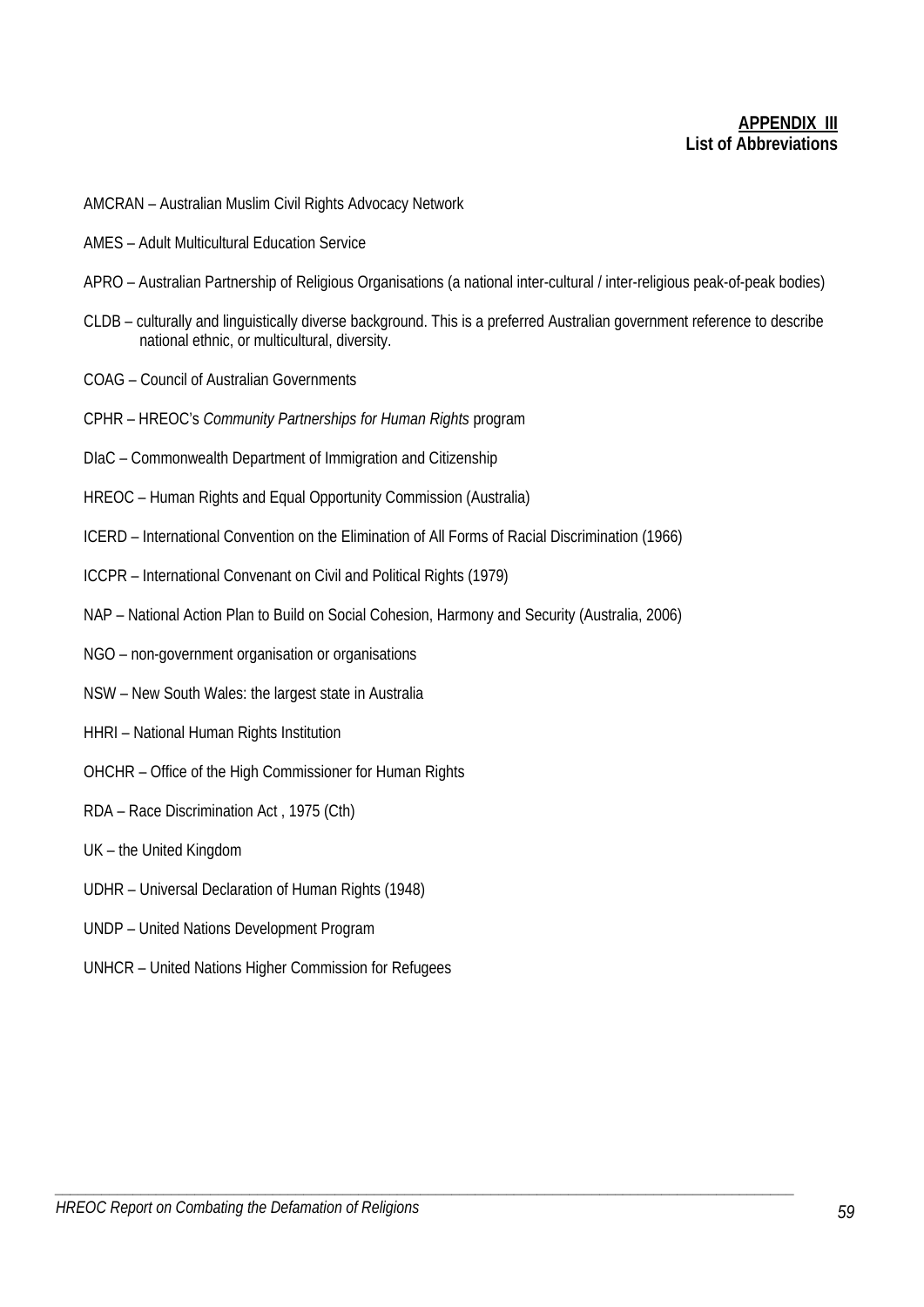# **APPENDIX III List of Abbreviations**

- AMCRAN Australian Muslim Civil Rights Advocacy Network
- AMES Adult Multicultural Education Service
- APRO Australian Partnership of Religious Organisations (a national inter-cultural / inter-religious peak-of-peak bodies)
- CLDB culturally and linguistically diverse background. This is a preferred Australian government reference to describe national ethnic, or multicultural, diversity.
- COAG Council of Australian Governments
- CPHR HREOC's *Community Partnerships for Human Rights* program
- DIaC Commonwealth Department of Immigration and Citizenship
- HREOC Human Rights and Equal Opportunity Commission (Australia)
- ICERD International Convention on the Elimination of All Forms of Racial Discrimination (1966)
- ICCPR International Convenant on Civil and Political Rights (1979)
- NAP National Action Plan to Build on Social Cohesion, Harmony and Security (Australia, 2006)

- NGO non-government organisation or organisations
- NSW New South Wales: the largest state in Australia
- HHRI National Human Rights Institution
- OHCHR Office of the High Commissioner for Human Rights
- RDA Race Discrimination Act , 1975 (Cth)
- UK the United Kingdom
- UDHR Universal Declaration of Human Rights (1948)
- UNDP United Nations Development Program
- UNHCR United Nations Higher Commission for Refugees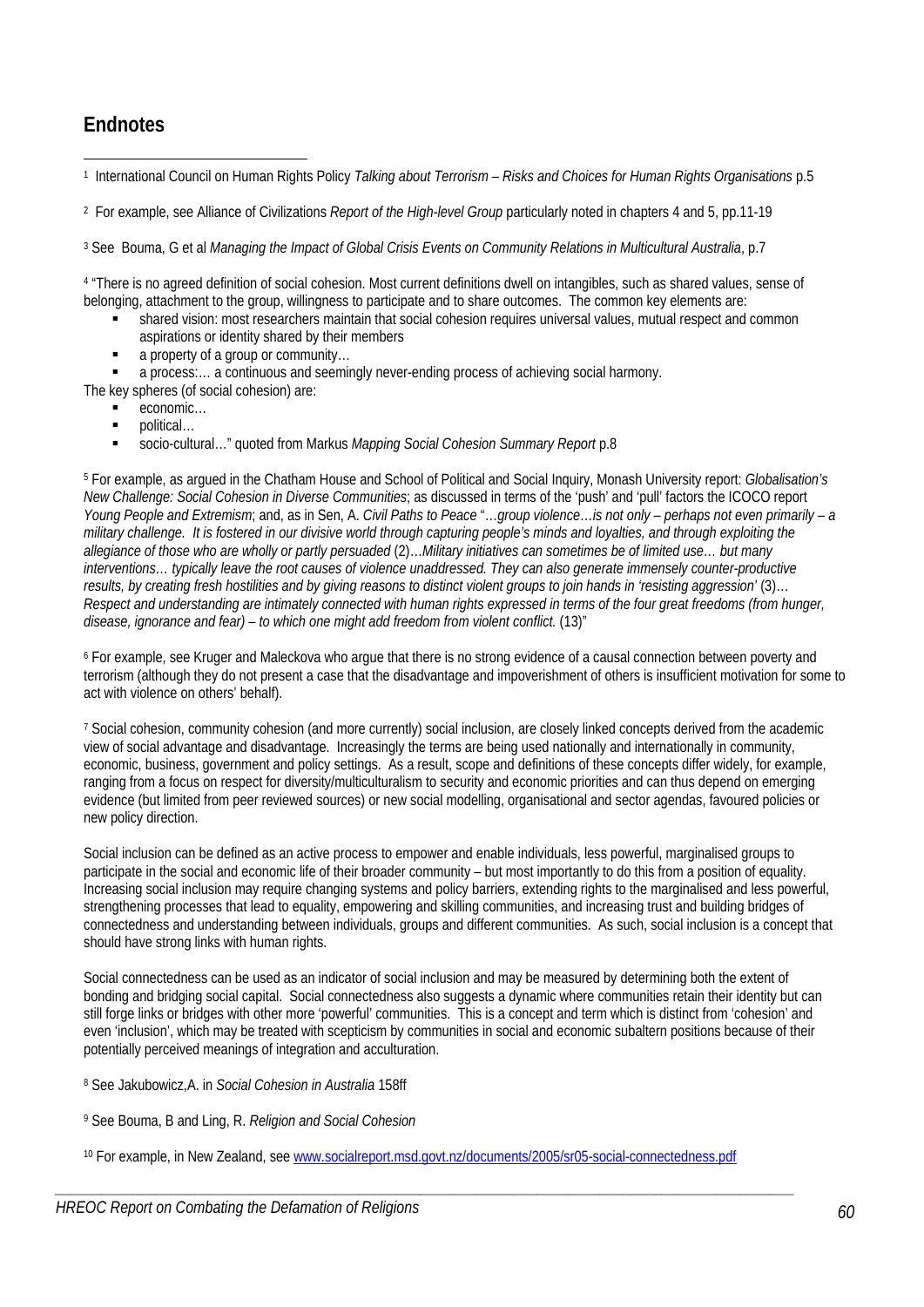# **Endnotes**

1 1 International Council on Human Rights Policy *Talking about Terrorism – Risks and Choices for Human Rights Organisations* p.5

2 For example, see Alliance of Civilizations *Report of the High-level Group* particularly noted in chapters 4 and 5, pp.11-19

<sup>3</sup> See Bouma, G et al *Managing the Impact of Global Crisis Events on Community Relations in Multicultural Australia, p.7* 

4 "There is no agreed definition of social cohesion. Most current definitions dwell on intangibles, such as shared values, sense of belonging, attachment to the group, willingness to participate and to share outcomes. The common key elements are:

- shared vision: most researchers maintain that social cohesion requires universal values, mutual respect and common aspirations or identity shared by their members
- a property of a group or community…

a process:… a continuous and seemingly never-ending process of achieving social harmony.

The key spheres (of social cohesion) are:

- economic…
- political…
- socio-cultural…" quoted from Markus *Mapping Social Cohesion Summary Report* p.8

5 For example, as argued in the Chatham House and School of Political and Social Inquiry, Monash University report: *Globalisation's New Challenge: Social Cohesion in Diverse Communities*; as discussed in terms of the 'push' and 'pull' factors the ICOCO report *Young People and Extremism*; and, as in Sen, A. *Civil Paths to Peace* "…*group violence…is not only – perhaps not even primarily – a military challenge. It is fostered in our divisive world through capturing people's minds and loyalties, and through exploiting the allegiance of those who are wholly or partly persuaded* (2)…*Military initiatives can sometimes be of limited use… but many interventions… typically leave the root causes of violence unaddressed. They can also generate immensely counter-productive results, by creating fresh hostilities and by giving reasons to distinct violent groups to join hands in 'resisting aggression'* (3)… *Respect and understanding are intimately connected with human rights expressed in terms of the four great freedoms (from hunger, disease, ignorance and fear) – to which one might add freedom from violent conflict.* (13)"

6 For example, see Kruger and Maleckova who argue that there is no strong evidence of a causal connection between poverty and terrorism (although they do not present a case that the disadvantage and impoverishment of others is insufficient motivation for some to act with violence on others' behalf).

7 Social cohesion, community cohesion (and more currently) social inclusion, are closely linked concepts derived from the academic view of social advantage and disadvantage. Increasingly the terms are being used nationally and internationally in community, economic, business, government and policy settings. As a result, scope and definitions of these concepts differ widely, for example, ranging from a focus on respect for diversity/multiculturalism to security and economic priorities and can thus depend on emerging evidence (but limited from peer reviewed sources) or new social modelling, organisational and sector agendas, favoured policies or new policy direction.

Social inclusion can be defined as an active process to empower and enable individuals, less powerful, marginalised groups to participate in the social and economic life of their broader community – but most importantly to do this from a position of equality. Increasing social inclusion may require changing systems and policy barriers, extending rights to the marginalised and less powerful, strengthening processes that lead to equality, empowering and skilling communities, and increasing trust and building bridges of connectedness and understanding between individuals, groups and different communities. As such, social inclusion is a concept that should have strong links with human rights.

Social connectedness can be used as an indicator of social inclusion and may be measured by determining both the extent of bonding and bridging social capital. Social connectedness also suggests a dynamic where communities retain their identity but can still forge links or bridges with other more 'powerful' communities. This is a concept and term which is distinct from 'cohesion' and even 'inclusion', which may be treated with scepticism by communities in social and economic subaltern positions because of their potentially perceived meanings of integration and acculturation.

- 8 See Jakubowicz,A. in *Social Cohesion in Australia* 158ff
- 9 See Bouma, B and Ling, R. *Religion and Social Cohesion*
- 10 For example, in New Zealand, see www.socialreport.msd.govt.nz/documents/2005/sr05-social-connectedness.pdf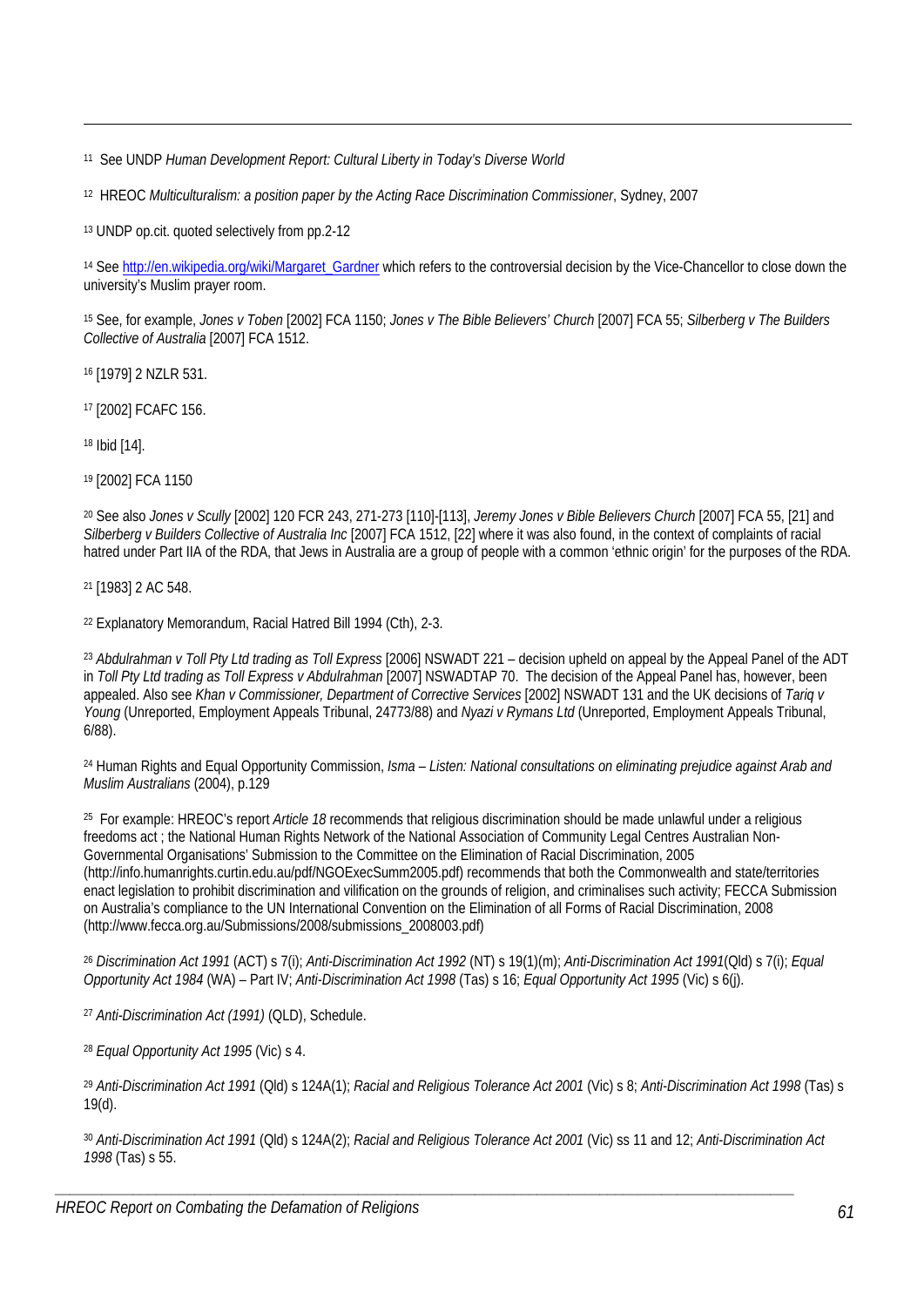11 See UNDP *Human Development Report: Cultural Liberty in Today's Diverse World*

12 HREOC *Multiculturalism: a position paper by the Acting Race Discrimination Commissioner*, Sydney, 2007

13 UNDP op.cit. quoted selectively from pp.2-12

<sup>14</sup> See http://en.wikipedia.org/wiki/Margaret\_Gardner which refers to the controversial decision by the Vice-Chancellor to close down the university's Muslim prayer room.

15 See, for example, *Jones v Toben* [2002] FCA 1150; *Jones v The Bible Believers' Church* [2007] FCA 55; *Silberberg v The Builders Collective of Australia* [2007] FCA 1512.

16 [1979] 2 NZLR 531.

17 [2002] FCAFC 156.

18 Ibid [14].

1

19 [2002] FCA 1150

20 See also *Jones v Scully* [2002] 120 FCR 243, 271-273 [110]-[113], *Jeremy Jones v Bible Believers Church* [2007] FCA 55, [21] and *Silberberg v Builders Collective of Australia Inc* [2007] FCA 1512, [22] where it was also found, in the context of complaints of racial hatred under Part IIA of the RDA, that Jews in Australia are a group of people with a common 'ethnic origin' for the purposes of the RDA.

21 [1983] 2 AC 548.

22 Explanatory Memorandum, Racial Hatred Bill 1994 (Cth), 2-3.

<sup>23</sup> *Abdulrahman v Toll Pty Ltd trading as Toll Express* [2006] NSWADT 221 – decision upheld on appeal by the Appeal Panel of the ADT in *Toll Pty Ltd trading as Toll Express v Abdulrahman* [2007] NSWADTAP 70. The decision of the Appeal Panel has, however, been appealed. Also see *Khan v Commissioner, Department of Corrective Services* [2002] NSWADT 131 and the UK decisions of *Tariq v Young* (Unreported, Employment Appeals Tribunal, 24773/88) and *Nyazi v Rymans Ltd* (Unreported, Employment Appeals Tribunal, 6/88).

24 Human Rights and Equal Opportunity Commission, *Isma – Listen: National consultations on eliminating prejudice against Arab and Muslim Australians* (2004), p.129

25 For example: HREOC's report *Article 18* recommends that religious discrimination should be made unlawful under a religious freedoms act ; the National Human Rights Network of the National Association of Community Legal Centres Australian Non-Governmental Organisations' Submission to the Committee on the Elimination of Racial Discrimination, 2005 (http://info.humanrights.curtin.edu.au/pdf/NGOExecSumm2005.pdf) recommends that both the Commonwealth and state/territories enact legislation to prohibit discrimination and vilification on the grounds of religion, and criminalises such activity; FECCA Submission on Australia's compliance to the UN International Convention on the Elimination of all Forms of Racial Discrimination, 2008 (http://www.fecca.org.au/Submissions/2008/submissions\_2008003.pdf)

<sup>26</sup> *Discrimination Act 1991* (ACT) s 7(i); *Anti-Discrimination Act 1992* (NT) s 19(1)(m); *Anti-Discrimination Act 1991*(Qld) s 7(i); *Equal Opportunity Act 1984* (WA) – Part IV; *Anti-Discrimination Act 1998* (Tas) s 16; *Equal Opportunity Act 1995* (Vic) s 6(j).

<sup>27</sup> *Anti-Discrimination Act (1991)* (QLD), Schedule.

<sup>28</sup> *Equal Opportunity Act 1995* (Vic) s 4.

<sup>29</sup> *Anti-Discrimination Act 1991* (Qld) s 124A(1); *Racial and Religious Tolerance Act 2001* (Vic) s 8; *Anti-Discrimination Act 1998* (Tas) s 19(d).

<sup>30</sup> *Anti-Discrimination Act 1991* (Qld) s 124A(2); *Racial and Religious Tolerance Act 2001* (Vic) ss 11 and 12; *Anti-Discrimination Act 1998* (Tas) s 55.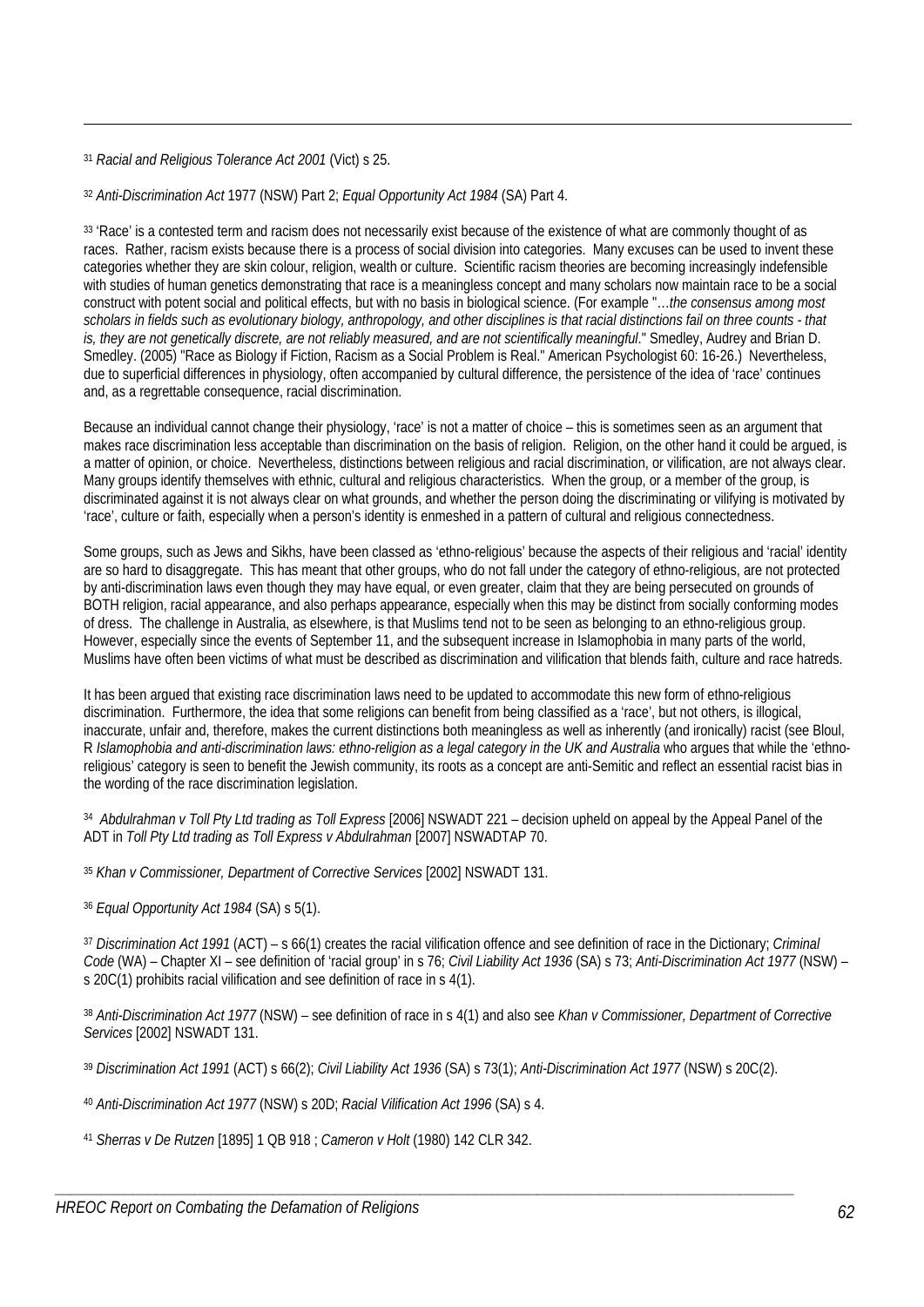<sup>31</sup> *Racial and Religious Tolerance Act 2001* (Vict) s 25.

1

<sup>32</sup> *Anti-Discrimination Act* 1977 (NSW) Part 2; *Equal Opportunity Act 1984* (SA) Part 4.

<sup>33</sup> 'Race' is a contested term and racism does not necessarily exist because of the existence of what are commonly thought of as races. Rather, racism exists because there is a process of social division into categories. Many excuses can be used to invent these categories whether they are skin colour, religion, wealth or culture. Scientific racism theories are becoming increasingly indefensible with studies of human genetics demonstrating that race is a meaningless concept and many scholars now maintain race to be a social construct with potent social and political effects, but with no basis in biological science. (For example "…*the consensus among most scholars in fields such as evolutionary biology, anthropology, and other disciplines is that racial distinctions fail on three counts - that is, they are not genetically discrete, are not reliably measured, and are not scientifically meaningful*." Smedley, Audrey and Brian D. Smedley. (2005) "Race as Biology if Fiction, Racism as a Social Problem is Real." American Psychologist 60: 16-26.) Nevertheless, due to superficial differences in physiology, often accompanied by cultural difference, the persistence of the idea of 'race' continues and, as a regrettable consequence, racial discrimination.

Because an individual cannot change their physiology, 'race' is not a matter of choice – this is sometimes seen as an argument that makes race discrimination less acceptable than discrimination on the basis of religion. Religion, on the other hand it could be argued, is a matter of opinion, or choice. Nevertheless, distinctions between religious and racial discrimination, or vilification, are not always clear. Many groups identify themselves with ethnic, cultural and religious characteristics. When the group, or a member of the group, is discriminated against it is not always clear on what grounds, and whether the person doing the discriminating or vilifying is motivated by 'race', culture or faith, especially when a person's identity is enmeshed in a pattern of cultural and religious connectedness.

Some groups, such as Jews and Sikhs, have been classed as 'ethno-religious' because the aspects of their religious and 'racial' identity are so hard to disaggregate. This has meant that other groups, who do not fall under the category of ethno-religious, are not protected by anti-discrimination laws even though they may have equal, or even greater, claim that they are being persecuted on grounds of BOTH religion, racial appearance, and also perhaps appearance, especially when this may be distinct from socially conforming modes of dress. The challenge in Australia, as elsewhere, is that Muslims tend not to be seen as belonging to an ethno-religious group. However, especially since the events of September 11, and the subsequent increase in Islamophobia in many parts of the world, Muslims have often been victims of what must be described as discrimination and vilification that blends faith, culture and race hatreds.

It has been argued that existing race discrimination laws need to be updated to accommodate this new form of ethno-religious discrimination. Furthermore, the idea that some religions can benefit from being classified as a 'race', but not others, is illogical, inaccurate, unfair and, therefore, makes the current distinctions both meaningless as well as inherently (and ironically) racist (see Bloul, R *Islamophobia and anti-discrimination laws: ethno-religion as a legal category in the UK and Australia* who argues that while the 'ethnoreligious' category is seen to benefit the Jewish community, its roots as a concept are anti-Semitic and reflect an essential racist bias in the wording of the race discrimination legislation.

34 *Abdulrahman v Toll Pty Ltd trading as Toll Express* [2006] NSWADT 221 – decision upheld on appeal by the Appeal Panel of the ADT in *Toll Pty Ltd trading as Toll Express v Abdulrahman* [2007] NSWADTAP 70.

<sup>35</sup> *Khan v Commissioner, Department of Corrective Services* [2002] NSWADT 131.

<sup>36</sup> *Equal Opportunity Act 1984* (SA) s 5(1).

<sup>37</sup> *Discrimination Act 1991* (ACT) – s 66(1) creates the racial vilification offence and see definition of race in the Dictionary; *Criminal Code* (WA) – Chapter XI – see definition of 'racial group' in s 76; *Civil Liability Act 1936* (SA) s 73; *Anti-Discrimination Act 1977* (NSW) – s 20C(1) prohibits racial vilification and see definition of race in s 4(1).

<sup>38</sup> *Anti-Discrimination Act 1977* (NSW) – see definition of race in s 4(1) and also see *Khan v Commissioner, Department of Corrective Services* [2002] NSWADT 131.

<sup>39</sup> *Discrimination Act 1991* (ACT) s 66(2); *Civil Liability Act 1936* (SA) s 73(1); *Anti-Discrimination Act 1977* (NSW) s 20C(2).

- <sup>40</sup> *Anti-Discrimination Act 1977* (NSW) s 20D; *Racial Vilification Act 1996* (SA) s 4.
- <sup>41</sup> *Sherras v De Rutzen* [1895] 1 QB 918 ; *Cameron v Holt* (1980) 142 CLR 342.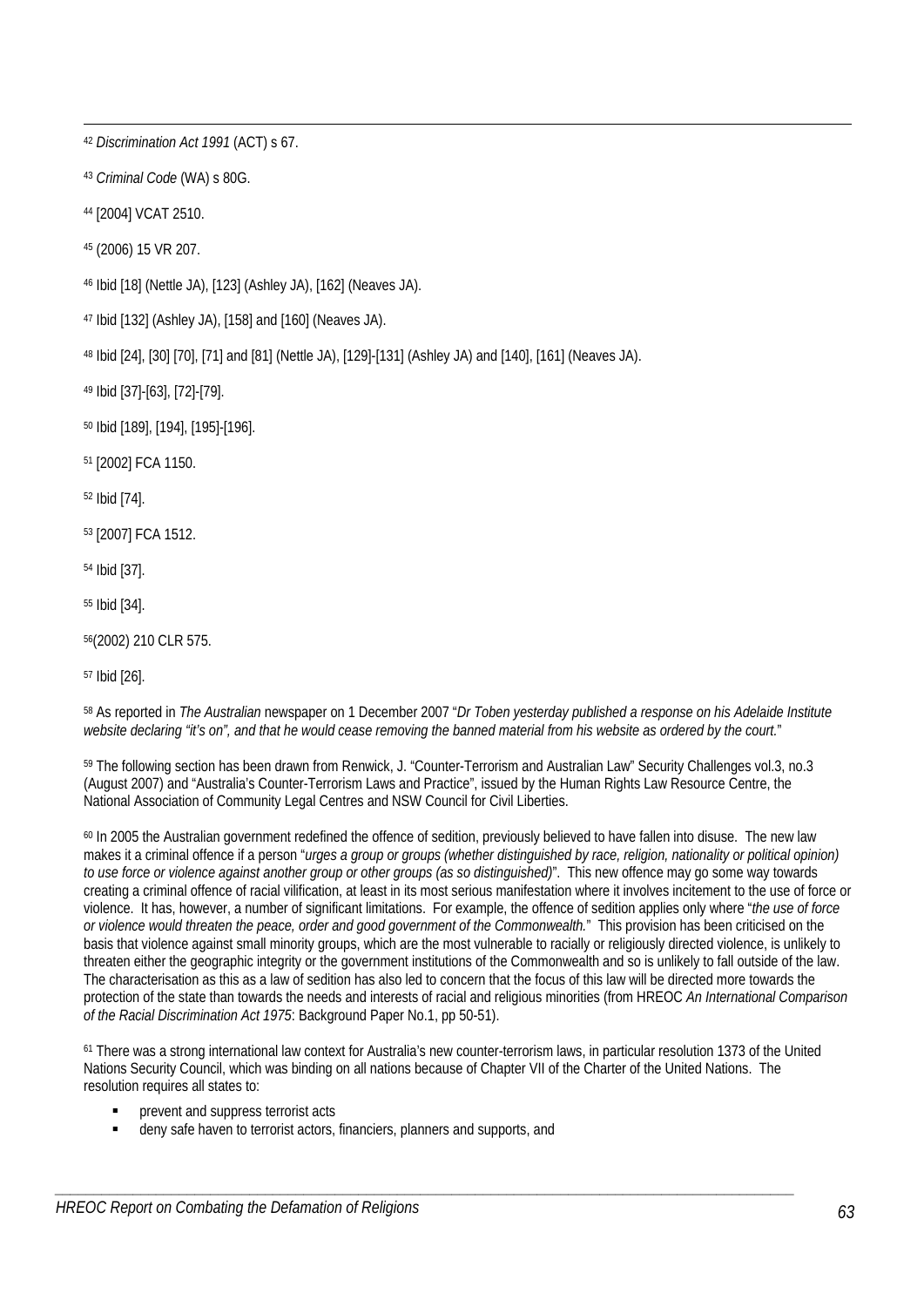1 <sup>42</sup> *Discrimination Act 1991* (ACT) s 67.

<sup>43</sup> *Criminal Code* (WA) s 80G.

44 [2004] VCAT 2510.

45 (2006) 15 VR 207.

46 Ibid [18] (Nettle JA), [123] (Ashley JA), [162] (Neaves JA).

47 Ibid [132] (Ashley JA), [158] and [160] (Neaves JA).

48 Ibid [24], [30] [70], [71] and [81] (Nettle JA), [129]-[131] (Ashley JA) and [140], [161] (Neaves JA).

49 Ibid [37]-[63], [72]-[79].

50 Ibid [189], [194], [195]-[196].

51 [2002] FCA 1150.

52 Ibid [74].

53 [2007] FCA 1512.

54 Ibid [37].

55 Ibid [34].

56(2002) 210 CLR 575.

57 Ibid [26].

58 As reported in *The Australian* newspaper on 1 December 2007 "*Dr Toben yesterday published a response on his Adelaide Institute website declaring "it's on", and that he would cease removing the banned material from his website as ordered by the court.*"

59 The following section has been drawn from Renwick, J. "Counter-Terrorism and Australian Law" Security Challenges vol.3, no.3 (August 2007) and "Australia's Counter-Terrorism Laws and Practice", issued by the Human Rights Law Resource Centre, the National Association of Community Legal Centres and NSW Council for Civil Liberties.

60 In 2005 the Australian government redefined the offence of sedition, previously believed to have fallen into disuse. The new law makes it a criminal offence if a person "*urges a group or groups (whether distinguished by race, religion, nationality or political opinion) to use force or violence against another group or other groups (as so distinguished)*". This new offence may go some way towards creating a criminal offence of racial vilification, at least in its most serious manifestation where it involves incitement to the use of force or violence. It has, however, a number of significant limitations. For example, the offence of sedition applies only where "*the use of force or violence would threaten the peace, order and good government of the Commonwealth.*" This provision has been criticised on the basis that violence against small minority groups, which are the most vulnerable to racially or religiously directed violence, is unlikely to threaten either the geographic integrity or the government institutions of the Commonwealth and so is unlikely to fall outside of the law. The characterisation as this as a law of sedition has also led to concern that the focus of this law will be directed more towards the protection of the state than towards the needs and interests of racial and religious minorities (from HREOC *An International Comparison of the Racial Discrimination Act 1975*: Background Paper No.1, pp 50-51).

61 There was a strong international law context for Australia's new counter-terrorism laws, in particular resolution 1373 of the United Nations Security Council, which was binding on all nations because of Chapter VII of the Charter of the United Nations. The resolution requires all states to:

- prevent and suppress terrorist acts
- deny safe haven to terrorist actors, financiers, planners and supports, and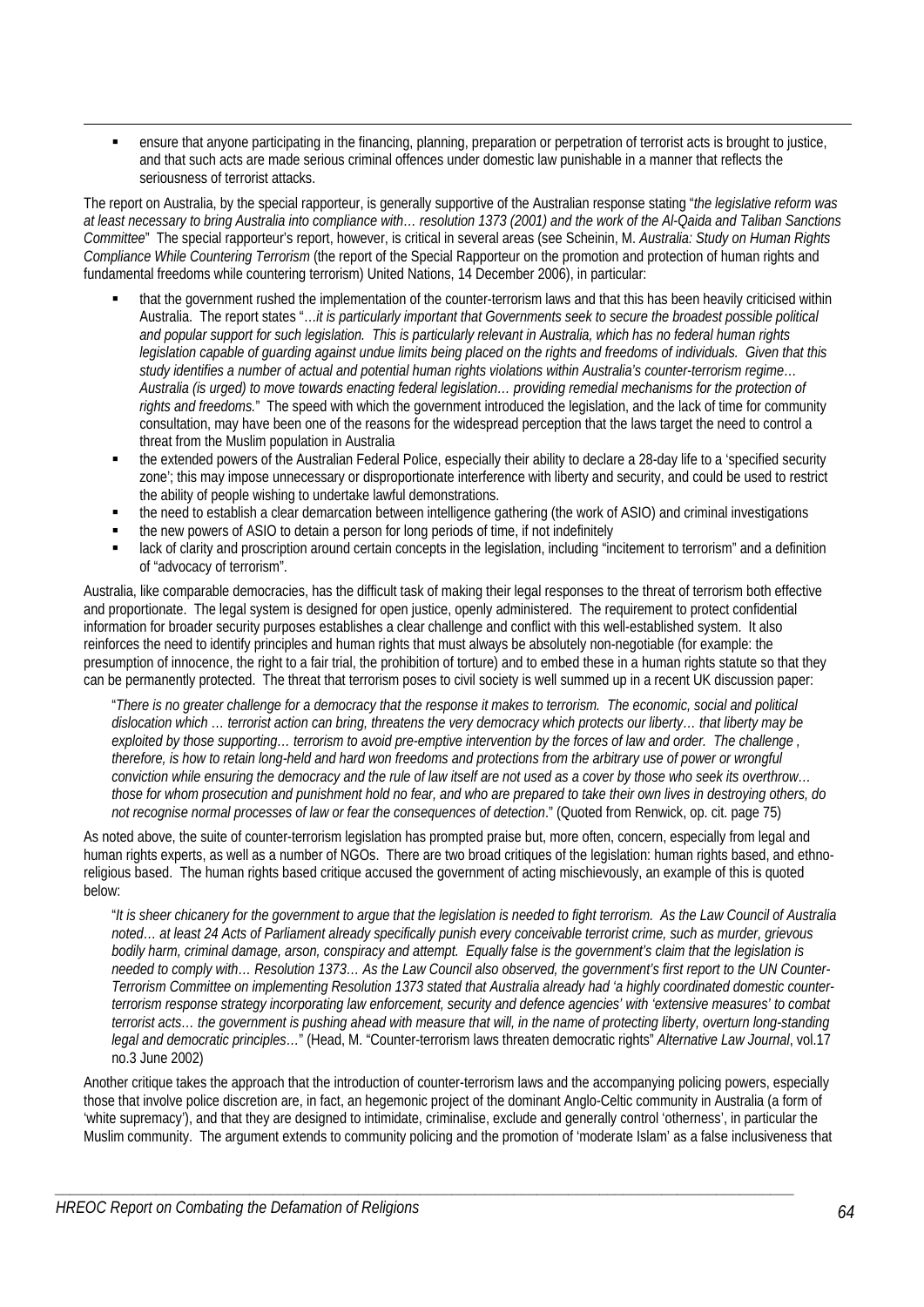ensure that anyone participating in the financing, planning, preparation or perpetration of terrorist acts is brought to justice, and that such acts are made serious criminal offences under domestic law punishable in a manner that reflects the seriousness of terrorist attacks.

The report on Australia, by the special rapporteur, is generally supportive of the Australian response stating "*the legislative reform was at least necessary to bring Australia into compliance with… resolution 1373 (2001) and the work of the Al-Qaida and Taliban Sanctions Committee*" The special rapporteur's report, however, is critical in several areas (see Scheinin, M. *Australia: Study on Human Rights Compliance While Countering Terrorism* (the report of the Special Rapporteur on the promotion and protection of human rights and fundamental freedoms while countering terrorism) United Nations, 14 December 2006), in particular:

- that the government rushed the implementation of the counter-terrorism laws and that this has been heavily criticised within Australia. The report states "…*it is particularly important that Governments seek to secure the broadest possible political and popular support for such legislation. This is particularly relevant in Australia, which has no federal human rights legislation capable of guarding against undue limits being placed on the rights and freedoms of individuals. Given that this study identifies a number of actual and potential human rights violations within Australia's counter-terrorism regime… Australia (is urged) to move towards enacting federal legislation… providing remedial mechanisms for the protection of*  rights and freedoms." The speed with which the government introduced the legislation, and the lack of time for community consultation, may have been one of the reasons for the widespread perception that the laws target the need to control a threat from the Muslim population in Australia
- the extended powers of the Australian Federal Police, especially their ability to declare a 28-day life to a 'specified security zone'; this may impose unnecessary or disproportionate interference with liberty and security, and could be used to restrict the ability of people wishing to undertake lawful demonstrations.
- the need to establish a clear demarcation between intelligence gathering (the work of ASIO) and criminal investigations
- the new powers of ASIO to detain a person for long periods of time, if not indefinitely

1

 lack of clarity and proscription around certain concepts in the legislation, including "incitement to terrorism" and a definition of "advocacy of terrorism".

Australia, like comparable democracies, has the difficult task of making their legal responses to the threat of terrorism both effective and proportionate. The legal system is designed for open justice, openly administered. The requirement to protect confidential information for broader security purposes establishes a clear challenge and conflict with this well-established system. It also reinforces the need to identify principles and human rights that must always be absolutely non-negotiable (for example: the presumption of innocence, the right to a fair trial, the prohibition of torture) and to embed these in a human rights statute so that they can be permanently protected. The threat that terrorism poses to civil society is well summed up in a recent UK discussion paper:

"*There is no greater challenge for a democracy that the response it makes to terrorism. The economic, social and political dislocation which … terrorist action can bring, threatens the very democracy which protects our liberty… that liberty may be*  exploited by those supporting… terrorism to avoid pre-emptive intervention by the forces of law and order. The challenge, *therefore, is how to retain long-held and hard won freedoms and protections from the arbitrary use of power or wrongful conviction while ensuring the democracy and the rule of law itself are not used as a cover by those who seek its overthrow… those for whom prosecution and punishment hold no fear, and who are prepared to take their own lives in destroying others, do not recognise normal processes of law or fear the consequences of detection*." (Quoted from Renwick, op. cit. page 75)

As noted above, the suite of counter-terrorism legislation has prompted praise but, more often, concern, especially from legal and human rights experts, as well as a number of NGOs. There are two broad critiques of the legislation: human rights based, and ethnoreligious based. The human rights based critique accused the government of acting mischievously, an example of this is quoted below:

"*It is sheer chicanery for the government to argue that the legislation is needed to fight terrorism. As the Law Council of Australia noted… at least 24 Acts of Parliament already specifically punish every conceivable terrorist crime, such as murder, grievous bodily harm, criminal damage, arson, conspiracy and attempt. Equally false is the government's claim that the legislation is needed to comply with… Resolution 1373… As the Law Council also observed, the government's first report to the UN Counter-Terrorism Committee on implementing Resolution 1373 stated that Australia already had 'a highly coordinated domestic counterterrorism response strategy incorporating law enforcement, security and defence agencies' with 'extensive measures' to combat terrorist acts… the government is pushing ahead with measure that will, in the name of protecting liberty, overturn long-standing legal and democratic principles…*" (Head, M. "Counter-terrorism laws threaten democratic rights" *Alternative Law Journal*, vol.17 no.3 June 2002)

Another critique takes the approach that the introduction of counter-terrorism laws and the accompanying policing powers, especially those that involve police discretion are, in fact, an hegemonic project of the dominant Anglo-Celtic community in Australia (a form of 'white supremacy'), and that they are designed to intimidate, criminalise, exclude and generally control 'otherness', in particular the Muslim community. The argument extends to community policing and the promotion of 'moderate Islam' as a false inclusiveness that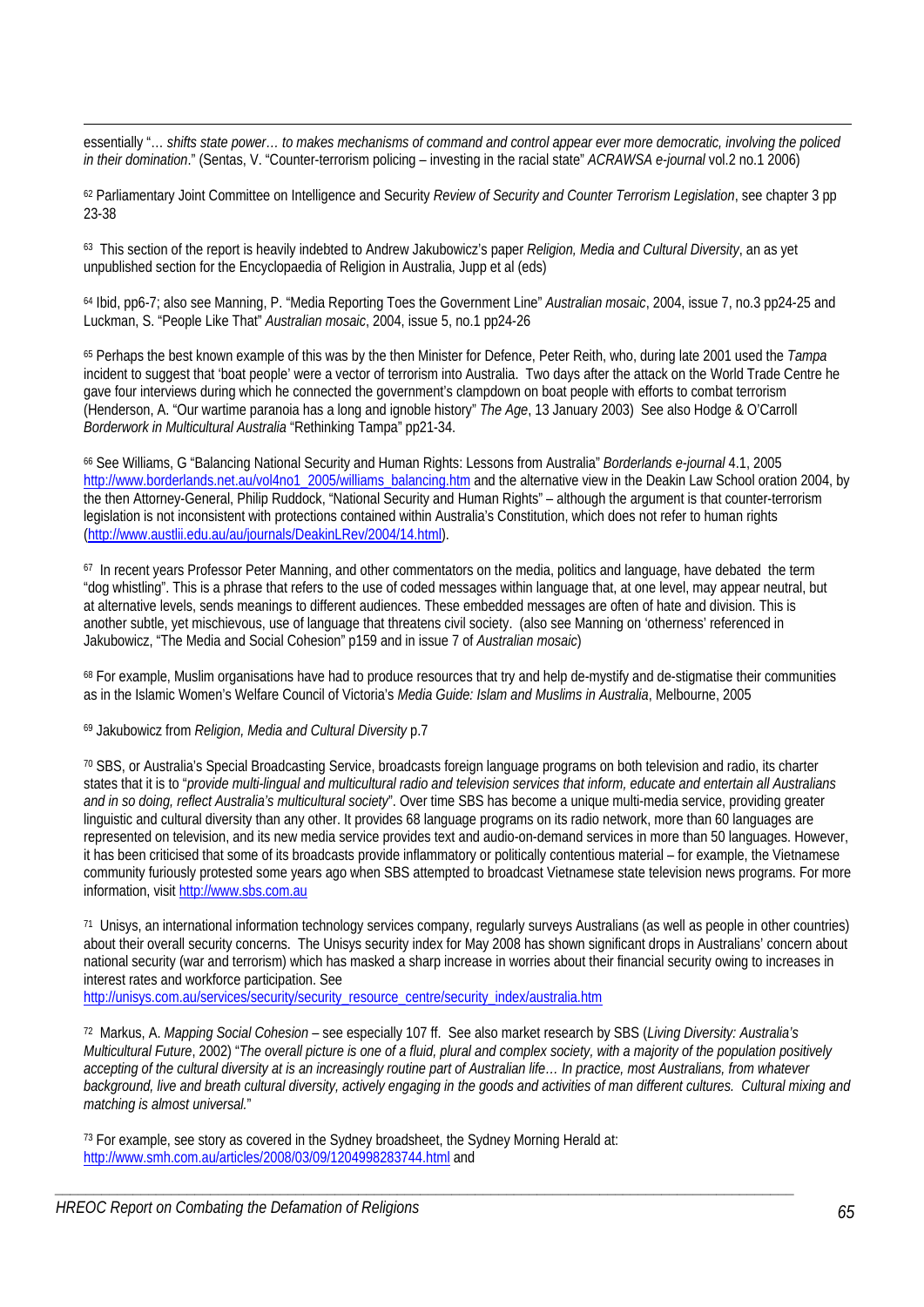essentially "… *shifts state power… to makes mechanisms of command and control appear ever more democratic, involving the policed in their domination*." (Sentas, V. "Counter-terrorism policing – investing in the racial state" *ACRAWSA e-journal* vol.2 no.1 2006)

62 Parliamentary Joint Committee on Intelligence and Security *Review of Security and Counter Terrorism Legislation*, see chapter 3 pp 23-38

63 This section of the report is heavily indebted to Andrew Jakubowicz's paper *Religion, Media and Cultural Diversity*, an as yet unpublished section for the Encyclopaedia of Religion in Australia, Jupp et al (eds)

64 Ibid, pp6-7; also see Manning, P. "Media Reporting Toes the Government Line" *Australian mosaic*, 2004, issue 7, no.3 pp24-25 and Luckman, S. "People Like That" *Australian mosaic*, 2004, issue 5, no.1 pp24-26

65 Perhaps the best known example of this was by the then Minister for Defence, Peter Reith, who, during late 2001 used the *Tampa* incident to suggest that 'boat people' were a vector of terrorism into Australia. Two days after the attack on the World Trade Centre he gave four interviews during which he connected the government's clampdown on boat people with efforts to combat terrorism (Henderson, A. "Our wartime paranoia has a long and ignoble history" *The Age*, 13 January 2003) See also Hodge & O'Carroll *Borderwork in Multicultural Australia* "Rethinking Tampa" pp21-34.

66 See Williams, G "Balancing National Security and Human Rights: Lessons from Australia" *Borderlands e-journal* 4.1, 2005 http://www.borderlands.net.au/vol4no1\_2005/williams\_balancing.htm and the alternative view in the Deakin Law School oration 2004, by the then Attorney-General, Philip Ruddock, "National Security and Human Rights" – although the argument is that counter-terrorism legislation is not inconsistent with protections contained within Australia's Constitution, which does not refer to human rights (http://www.austlii.edu.au/au/journals/DeakinLRev/2004/14.html).

67 In recent years Professor Peter Manning, and other commentators on the media, politics and language, have debated the term "dog whistling". This is a phrase that refers to the use of coded messages within language that, at one level, may appear neutral, but at alternative levels, sends meanings to different audiences. These embedded messages are often of hate and division. This is another subtle, yet mischievous, use of language that threatens civil society. (also see Manning on 'otherness' referenced in Jakubowicz, "The Media and Social Cohesion" p159 and in issue 7 of *Australian mosaic*)

68 For example, Muslim organisations have had to produce resources that try and help de-mystify and de-stigmatise their communities as in the Islamic Women's Welfare Council of Victoria's *Media Guide: Islam and Muslims in Australia*, Melbourne, 2005

69 Jakubowicz from *Religion, Media and Cultural Diversity* p.7

1

70 SBS, or Australia's Special Broadcasting Service, broadcasts foreign language programs on both television and radio, its charter states that it is to "*provide multi-lingual and multicultural radio and television services that inform, educate and entertain all Australians and in so doing, reflect Australia's multicultural society*". Over time SBS has become a unique multi-media service, providing greater linguistic and cultural diversity than any other. It provides 68 language programs on its radio network, more than 60 languages are represented on television, and its new media service provides text and audio-on-demand services in more than 50 languages. However, it has been criticised that some of its broadcasts provide inflammatory or politically contentious material – for example, the Vietnamese community furiously protested some years ago when SBS attempted to broadcast Vietnamese state television news programs. For more information, visit http://www.sbs.com.au

71 Unisys, an international information technology services company, regularly surveys Australians (as well as people in other countries) about their overall security concerns. The Unisys security index for May 2008 has shown significant drops in Australians' concern about national security (war and terrorism) which has masked a sharp increase in worries about their financial security owing to increases in interest rates and workforce participation. See

http://unisys.com.au/services/security/security\_resource\_centre/security\_index/australia.htm

72 Markus, A. *Mapping Social Cohesion* – see especially 107 ff. See also market research by SBS (*Living Diversity: Australia's Multicultural Future*, 2002) "*The overall picture is one of a fluid, plural and complex society, with a majority of the population positively accepting of the cultural diversity at is an increasingly routine part of Australian life… In practice, most Australians, from whatever background, live and breath cultural diversity, actively engaging in the goods and activities of man different cultures. Cultural mixing and matching is almost universal.*"

*\_\_\_\_\_\_\_\_\_\_\_\_\_\_\_\_\_\_\_\_\_\_\_\_\_\_\_\_\_\_\_\_\_\_\_\_\_\_\_\_\_\_\_\_\_\_\_\_\_\_\_\_\_\_\_\_\_\_\_\_\_\_\_\_\_\_\_\_\_\_\_\_\_\_\_\_\_\_\_\_\_\_\_\_\_\_\_\_\_\_\_\_\_\_\_* 

73 For example, see story as covered in the Sydney broadsheet, the Sydney Morning Herald at: http://www.smh.com.au/articles/2008/03/09/1204998283744.html and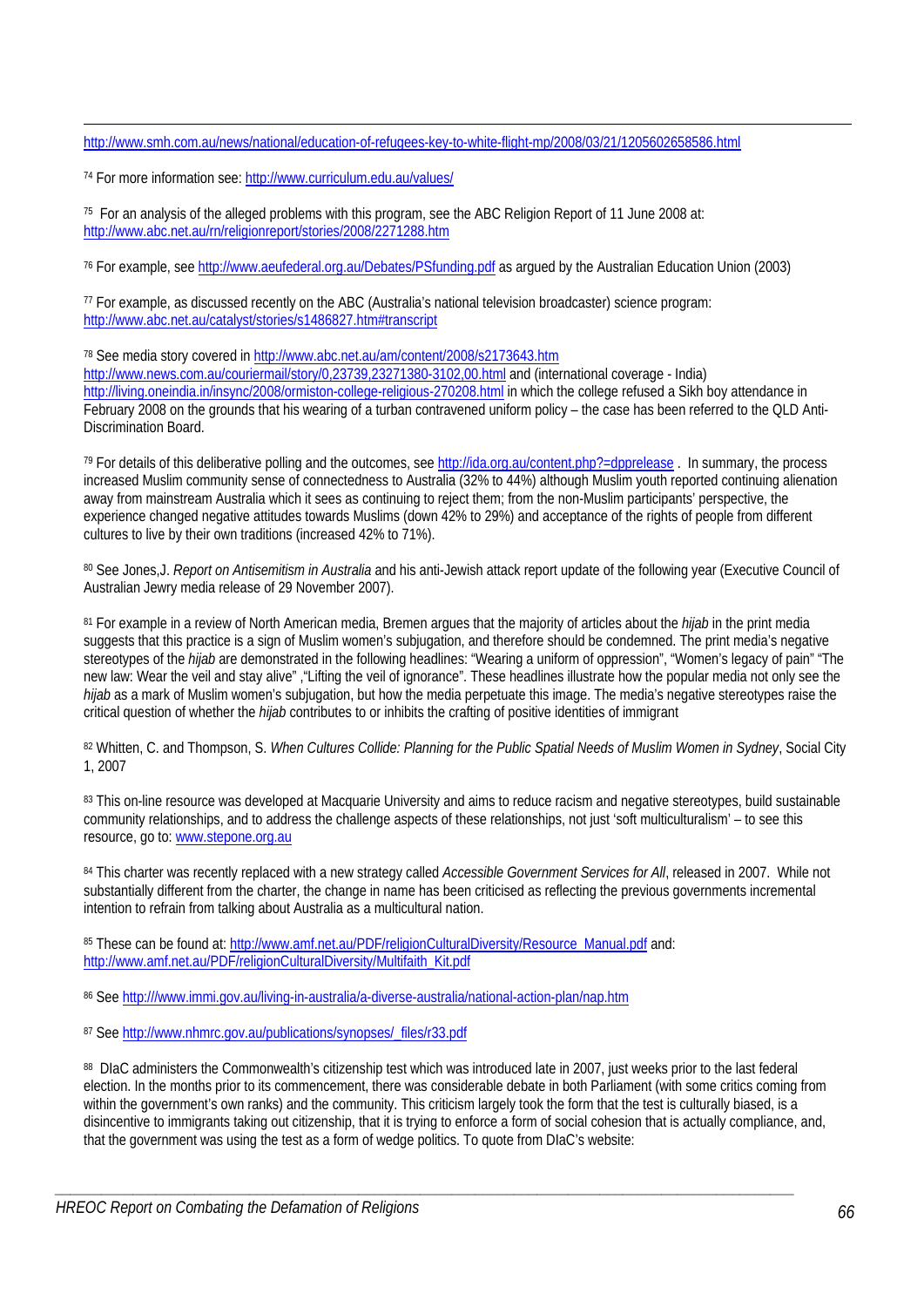http://www.smh.com.au/news/national/education-of-refugees-key-to-white-flight-mp/2008/03/21/1205602658586.html

74 For more information see: http://www.curriculum.edu.au/values/

1

75 For an analysis of the alleged problems with this program, see the ABC Religion Report of 11 June 2008 at: http://www.abc.net.au/rn/religionreport/stories/2008/2271288.htm

76 For example, see http://www.aeufederal.org.au/Debates/PSfunding.pdf as argued by the Australian Education Union (2003)

77 For example, as discussed recently on the ABC (Australia's national television broadcaster) science program: http://www.abc.net.au/catalyst/stories/s1486827.htm#transcript

78 See media story covered in http://www.abc.net.au/am/content/2008/s2173643.htm http://www.news.com.au/couriermail/story/0,23739,23271380-3102,00.html and (international coverage - India) http://living.oneindia.in/insync/2008/ormiston-college-religious-270208.html in which the college refused a Sikh boy attendance in February 2008 on the grounds that his wearing of a turban contravened uniform policy – the case has been referred to the QLD Anti-Discrimination Board.

79 For details of this deliberative polling and the outcomes, see http://ida.org.au/content.php?=dpprelease . In summary, the process increased Muslim community sense of connectedness to Australia (32% to 44%) although Muslim youth reported continuing alienation away from mainstream Australia which it sees as continuing to reject them; from the non-Muslim participants' perspective, the experience changed negative attitudes towards Muslims (down 42% to 29%) and acceptance of the rights of people from different cultures to live by their own traditions (increased 42% to 71%).

80 See Jones,J. *Report on Antisemitism in Australia* and his anti-Jewish attack report update of the following year (Executive Council of Australian Jewry media release of 29 November 2007).

81 For example in a review of North American media, Bremen argues that the majority of articles about the *hijab* in the print media suggests that this practice is a sign of Muslim women's subjugation, and therefore should be condemned. The print media's negative stereotypes of the *hijab* are demonstrated in the following headlines: "Wearing a uniform of oppression", "Women's legacy of pain" "The new law: Wear the veil and stay alive" ,"Lifting the veil of ignorance". These headlines illustrate how the popular media not only see the *hijab* as a mark of Muslim women's subjugation, but how the media perpetuate this image. The media's negative stereotypes raise the critical question of whether the *hijab* contributes to or inhibits the crafting of positive identities of immigrant

82 Whitten, C. and Thompson, S. *When Cultures Collide: Planning for the Public Spatial Needs of Muslim Women in Sydney*, Social City 1, 2007

83 This on-line resource was developed at Macquarie University and aims to reduce racism and negative stereotypes, build sustainable community relationships, and to address the challenge aspects of these relationships, not just 'soft multiculturalism' – to see this resource, go to: www.stepone.org.au

84 This charter was recently replaced with a new strategy called *Accessible Government Services for All*, released in 2007. While not substantially different from the charter, the change in name has been criticised as reflecting the previous governments incremental intention to refrain from talking about Australia as a multicultural nation.

85 These can be found at: http://www.amf.net.au/PDF/religionCulturalDiversity/Resource\_Manual.pdf and: http://www.amf.net.au/PDF/religionCulturalDiversity/Multifaith\_Kit.pdf

86 See http:///www.immi.gov.au/living-in-australia/a-diverse-australia/national-action-plan/nap.htm

87 See http://www.nhmrc.gov.au/publications/synopses/\_files/r33.pdf

88 DIaC administers the Commonwealth's citizenship test which was introduced late in 2007, just weeks prior to the last federal election. In the months prior to its commencement, there was considerable debate in both Parliament (with some critics coming from within the government's own ranks) and the community. This criticism largely took the form that the test is culturally biased, is a disincentive to immigrants taking out citizenship, that it is trying to enforce a form of social cohesion that is actually compliance, and, that the government was using the test as a form of wedge politics. To quote from DIaC's website: